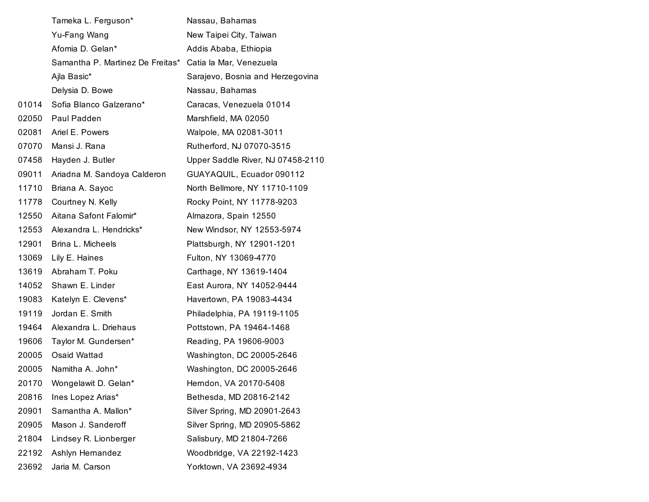|       | Tameka L. Ferguson*              | Nassau, Bahamas                   |
|-------|----------------------------------|-----------------------------------|
|       | Yu-Fang Wang                     | New Taipei City, Taiwan           |
|       | Afomia D. Gelan*                 | Addis Ababa, Ethiopia             |
|       | Samantha P. Martinez De Freitas* | Catia la Mar, Venezuela           |
|       | Ajla Basic*                      | Sarajevo, Bosnia and Herzegovina  |
|       | Delysia D. Bowe                  | Nassau, Bahamas                   |
| 01014 | Sofia Blanco Galzerano*          | Caracas, Venezuela 01014          |
| 02050 | Paul Padden                      | Marshfield, MA 02050              |
| 02081 | Ariel E. Powers                  | Walpole, MA 02081-3011            |
| 07070 | Mansi J. Rana                    | Rutherford, NJ 07070-3515         |
| 07458 | Hayden J. Butler                 | Upper Saddle River, NJ 07458-2110 |
| 09011 | Ariadna M. Sandoya Calderon      | GUAYAQUIL, Ecuador 090112         |
| 11710 | Briana A. Sayoc                  | North Bellmore, NY 11710-1109     |
| 11778 | Courtney N. Kelly                | Rocky Point, NY 11778-9203        |
| 12550 | Aitana Safont Falomir*           | Almazora, Spain 12550             |
| 12553 | Alexandra L. Hendricks*          | New Windsor, NY 12553-5974        |
| 12901 | Brina L. Micheels                | Plattsburgh, NY 12901-1201        |
| 13069 | Lily E. Haines                   | Fulton, NY 13069-4770             |
| 13619 | Abraham T. Poku                  | Carthage, NY 13619-1404           |
| 14052 | Shawn E. Linder                  | East Aurora, NY 14052-9444        |
| 19083 | Katelyn E. Clevens*              | Havertown, PA 19083-4434          |
| 19119 | Jordan E. Smith                  | Philadelphia, PA 19119-1105       |
| 19464 | Alexandra L. Driehaus            | Pottstown, PA 19464-1468          |
| 19606 | Taylor M. Gundersen*             | Reading, PA 19606-9003            |
| 20005 | Osaid Wattad                     | Washington, DC 20005-2646         |
| 20005 | Namitha A. John*                 | Washington, DC 20005-2646         |
|       | 20170 Wongelawit D. Gelan*       | Herndon, VA 20170-5408            |
| 20816 | Ines Lopez Arias*                | Bethesda, MD 20816-2142           |
| 20901 | Samantha A. Mallon*              | Silver Spring, MD 20901-2643      |
| 20905 | Mason J. Sanderoff               | Silver Spring, MD 20905-5862      |
| 21804 | Lindsey R. Lionberger            | Salisbury, MD 21804-7266          |
| 22192 | Ashlyn Hernandez                 | Woodbridge, VA 22192-1423         |
| 23692 | Jaria M. Carson                  | Yorktown, VA 23692-4934           |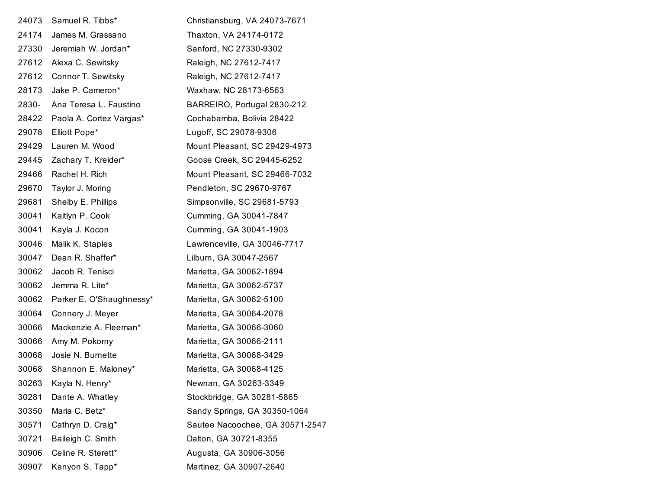| 24073 | Samuel R. Tibbs*         | Christiansburg, VA 24073-7671   |
|-------|--------------------------|---------------------------------|
| 24174 | James M. Grassano        | Thaxton, VA 24174-0172          |
| 27330 | Jeremiah W. Jordan*      | Sanford, NC 27330-9302          |
| 27612 | Alexa C. Sewitsky        | Raleigh, NC 27612-7417          |
| 27612 | Connor T. Sewitsky       | Raleigh, NC 27612-7417          |
| 28173 | Jake P. Cameron*         | Waxhaw, NC 28173-6563           |
| 2830- | Ana Teresa L. Faustino   | BARREIRO, Portugal 2830-212     |
| 28422 | Paola A. Cortez Vargas*  | Cochabamba, Bolivia 28422       |
| 29078 | Elliott Pope*            | Lugoff, SC 29078-9306           |
| 29429 | Lauren M. Wood           | Mount Pleasant, SC 29429-4973   |
| 29445 | Zachary T. Kreider*      | Goose Creek, SC 29445-6252      |
| 29466 | Rachel H. Rich           | Mount Pleasant, SC 29466-7032   |
| 29670 | Taylor J. Moring         | Pendleton, SC 29670-9767        |
| 29681 | Shelby E. Phillips       | Simpsonville, SC 29681-5793     |
| 30041 | Kaitlyn P. Cook          | Cumming, GA 30041-7847          |
| 30041 | Kayla J. Kocon           | Cumming, GA 30041-1903          |
| 30046 | Malik K. Staples         | Lawrenceville, GA 30046-7717    |
| 30047 | Dean R. Shaffer*         | Lilburn, GA 30047-2567          |
| 30062 | Jacob R. Tenisci         | Marietta, GA 30062-1894         |
| 30062 | Jemma R. Lite*           | Marietta, GA 30062-5737         |
| 30062 | Parker E. O'Shaughnessy* | Marietta, GA 30062-5100         |
| 30064 | Connery J. Meyer         | Marietta, GA 30064-2078         |
| 30066 | Mackenzie A. Fleeman*    | Marietta, GA 30066-3060         |
| 30066 | Amy M. Pokorny           | Marietta, GA 30066-2111         |
| 30068 | Josie N. Burnette        | Marietta, GA 30068-3429         |
| 30068 | Shannon E. Maloney*      | Marietta, GA 30068-4125         |
| 30263 | Kayla N. Henry*          | Newnan, GA 30263-3349           |
| 30281 | Dante A. Whatley         | Stockbridge, GA 30281-5865      |
| 30350 | Maria C. Betz*           | Sandy Springs, GA 30350-1064    |
| 30571 | Cathryn D. Craig*        | Sautee Nacoochee, GA 30571-2547 |
| 30721 | Baileigh C. Smith        | Dalton, GA 30721-8355           |
| 30906 | Celine R. Sterett*       | Augusta, GA 30906-3056          |
| 30907 | Kanyon S. Tapp*          | Martinez, GA 30907-2640         |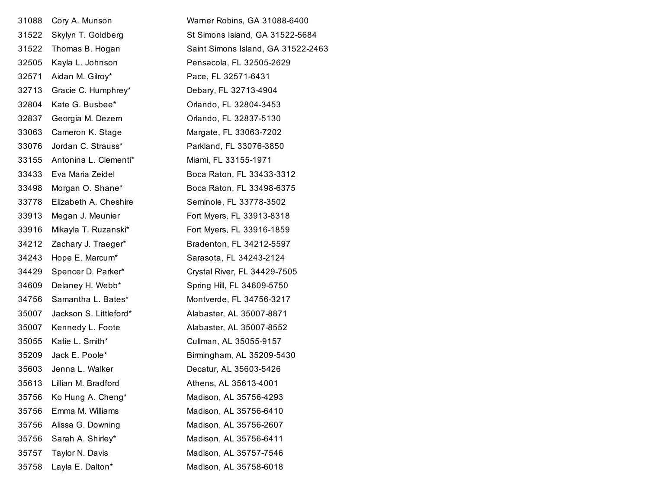| 31088 | Cory A. Munson         | Warner Robins, GA 31088-6400       |
|-------|------------------------|------------------------------------|
| 31522 | Skylyn T. Goldberg     | St Simons Island, GA 31522-5684    |
| 31522 | Thomas B. Hogan        | Saint Simons Island, GA 31522-2463 |
| 32505 | Kayla L. Johnson       | Pensacola, FL 32505-2629           |
| 32571 | Aidan M. Gilroy*       | Pace, FL 32571-6431                |
| 32713 | Gracie C. Humphrey*    | Debary, FL 32713-4904              |
| 32804 | Kate G. Busbee*        | Orlando, FL 32804-3453             |
| 32837 | Georgia M. Dezern      | Orlando, FL 32837-5130             |
| 33063 | Cameron K. Stage       | Margate, FL 33063-7202             |
| 33076 | Jordan C. Strauss*     | Parkland, FL 33076-3850            |
| 33155 | Antonina L. Clementi*  | Miami, FL 33155-1971               |
| 33433 | Eva Maria Zeidel       | Boca Raton, FL 33433-3312          |
| 33498 | Morgan O. Shane*       | Boca Raton, FL 33498-6375          |
| 33778 | Elizabeth A. Cheshire  | Seminole, FL 33778-3502            |
| 33913 | Megan J. Meunier       | Fort Myers, FL 33913-8318          |
| 33916 | Mikayla T. Ruzanski*   | Fort Myers, FL 33916-1859          |
| 34212 | Zachary J. Traeger*    | Bradenton, FL 34212-5597           |
| 34243 | Hope E. Marcum*        | Sarasota, FL 34243-2124            |
| 34429 | Spencer D. Parker*     | Crystal River, FL 34429-7505       |
| 34609 | Delaney H. Webb*       | Spring Hill, FL 34609-5750         |
| 34756 | Samantha L. Bates*     | Montverde, FL 34756-3217           |
| 35007 | Jackson S. Littleford* | Alabaster, AL 35007-8871           |
| 35007 | Kennedy L. Foote       | Alabaster, AL 35007-8552           |
| 35055 | Katie L. Smith*        | Cullman, AL 35055-9157             |
| 35209 | Jack E. Poole*         | Birmingham, AL 35209-5430          |
| 35603 | Jenna L. Walker        | Decatur, AL 35603-5426             |
| 35613 | Lillian M. Bradford    | Athens, AL 35613-4001              |
| 35756 | Ko Hung A. Cheng*      | Madison, AL 35756-4293             |
| 35756 | Emma M. Williams       | Madison, AL 35756-6410             |
| 35756 | Alissa G. Downing      | Madison, AL 35756-2607             |
| 35756 | Sarah A. Shirley*      | Madison, AL 35756-6411             |
| 35757 | Taylor N. Davis        | Madison, AL 35757-7546             |
| 35758 | Layla E. Dalton*       | Madison, AL 35758-6018             |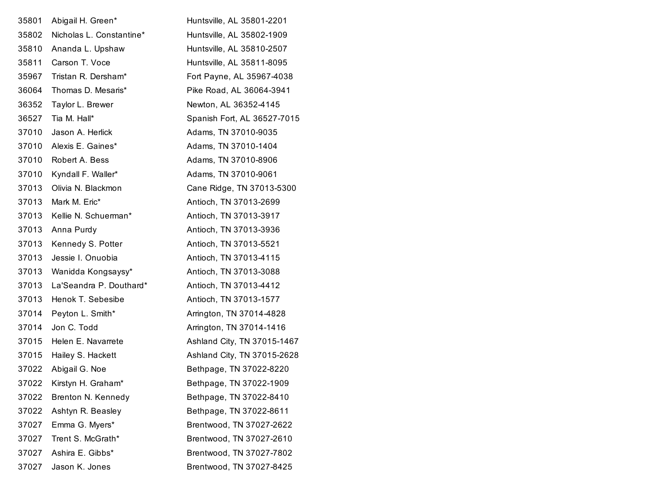| 35801 | Abigail H. Green*        | Huntsville, AL 35801-2201   |
|-------|--------------------------|-----------------------------|
| 35802 | Nicholas L. Constantine* | Huntsville, AL 35802-1909   |
| 35810 | Ananda L. Upshaw         | Huntsville, AL 35810-2507   |
| 35811 | Carson T. Voce           | Huntsville, AL 35811-8095   |
| 35967 | Tristan R. Dersham*      | Fort Payne, AL 35967-4038   |
| 36064 | Thomas D. Mesaris*       | Pike Road, AL 36064-3941    |
| 36352 | Taylor L. Brewer         | Newton, AL 36352-4145       |
| 36527 | Tia M. Hall*             | Spanish Fort, AL 36527-7015 |
| 37010 | Jason A. Herlick         | Adams, TN 37010-9035        |
| 37010 | Alexis E. Gaines*        | Adams, TN 37010-1404        |
| 37010 | Robert A. Bess           | Adams, TN 37010-8906        |
| 37010 | Kyndall F. Waller*       | Adams, TN 37010-9061        |
| 37013 | Olivia N. Blackmon       | Cane Ridge, TN 37013-5300   |
| 37013 | Mark M. Eric*            | Antioch, TN 37013-2699      |
| 37013 | Kellie N. Schuerman*     | Antioch, TN 37013-3917      |
| 37013 | Anna Purdy               | Antioch, TN 37013-3936      |
| 37013 | Kennedy S. Potter        | Antioch, TN 37013-5521      |
| 37013 | Jessie I. Onuobia        | Antioch, TN 37013-4115      |
| 37013 | Wanidda Kongsaysy*       | Antioch, TN 37013-3088      |
| 37013 | La'Seandra P. Douthard*  | Antioch, TN 37013-4412      |
| 37013 | Henok T. Sebesibe        | Antioch, TN 37013-1577      |
| 37014 | Peyton L. Smith*         | Arrington, TN 37014-4828    |
| 37014 | Jon C. Todd              | Arrington, TN 37014-1416    |
| 37015 | Helen E. Navarrete       | Ashland City, TN 37015-1467 |
| 37015 | Hailey S. Hackett        | Ashland City, TN 37015-2628 |
| 37022 | Abigail G. Noe           | Bethpage, TN 37022-8220     |
| 37022 | Kirstyn H. Graham*       | Bethpage, TN 37022-1909     |
| 37022 | Brenton N. Kennedy       | Bethpage, TN 37022-8410     |
| 37022 | Ashtyn R. Beasley        | Bethpage, TN 37022-8611     |
| 37027 | Emma G. Myers*           | Brentwood, TN 37027-2622    |
| 37027 | Trent S. McGrath*        | Brentwood, TN 37027-2610    |
| 37027 | Ashira E. Gibbs*         | Brentwood, TN 37027-7802    |
| 37027 | Jason K. Jones           | Brentwood, TN 37027-8425    |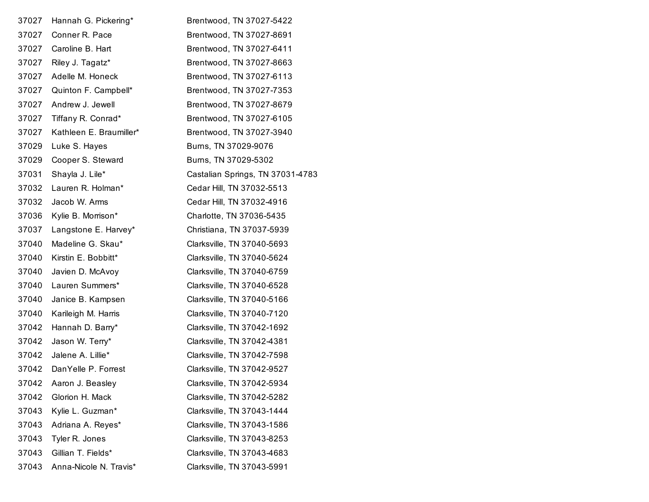| 37027 | Hannah G. Pickering*    | Brentwood, TN 37027-5422         |
|-------|-------------------------|----------------------------------|
| 37027 | Conner R. Pace          | Brentwood, TN 37027-8691         |
| 37027 | Caroline B. Hart        | Brentwood, TN 37027-6411         |
| 37027 | Riley J. Tagatz*        | Brentwood, TN 37027-8663         |
| 37027 | Adelle M. Honeck        | Brentwood, TN 37027-6113         |
| 37027 | Quinton F. Campbell*    | Brentwood, TN 37027-7353         |
| 37027 | Andrew J. Jewell        | Brentwood, TN 37027-8679         |
| 37027 | Tiffany R. Conrad*      | Brentwood, TN 37027-6105         |
| 37027 | Kathleen E. Braumiller* | Brentwood, TN 37027-3940         |
| 37029 | Luke S. Hayes           | Burns, TN 37029-9076             |
| 37029 | Cooper S. Steward       | Burns, TN 37029-5302             |
| 37031 | Shayla J. Lile*         | Castalian Springs, TN 37031-4783 |
| 37032 | Lauren R. Holman*       | Cedar Hill, TN 37032-5513        |
| 37032 | Jacob W. Arms           | Cedar Hill, TN 37032-4916        |
| 37036 | Kylie B. Morrison*      | Charlotte, TN 37036-5435         |
| 37037 | Langstone E. Harvey*    | Christiana, TN 37037-5939        |
| 37040 | Madeline G. Skau*       | Clarksville, TN 37040-5693       |
| 37040 | Kirstin E. Bobbitt*     | Clarksville, TN 37040-5624       |
| 37040 | Javien D. McAvoy        | Clarksville, TN 37040-6759       |
| 37040 | Lauren Summers*         | Clarksville, TN 37040-6528       |
| 37040 | Janice B. Kampsen       | Clarksville, TN 37040-5166       |
| 37040 | Karileigh M. Harris     | Clarksville, TN 37040-7120       |
| 37042 | Hannah D. Barry*        | Clarksville, TN 37042-1692       |
| 37042 | Jason W. Terry*         | Clarksville, TN 37042-4381       |
| 37042 | Jalene A. Lillie*       | Clarksville, TN 37042-7598       |
| 37042 | DanYelle P. Forrest     | Clarksville, TN 37042-9527       |
| 37042 | Aaron J. Beasley        | Clarksville, TN 37042-5934       |
| 37042 | Glorion H. Mack         | Clarksville, TN 37042-5282       |
| 37043 | Kylie L. Guzman*        | Clarksville, TN 37043-1444       |
| 37043 | Adriana A. Reyes*       | Clarksville, TN 37043-1586       |
| 37043 | Tyler R. Jones          | Clarksville, TN 37043-8253       |
| 37043 | Gillian T. Fields*      | Clarksville, TN 37043-4683       |
| 37043 | Anna-Nicole N. Travis*  | Clarksville, TN 37043-5991       |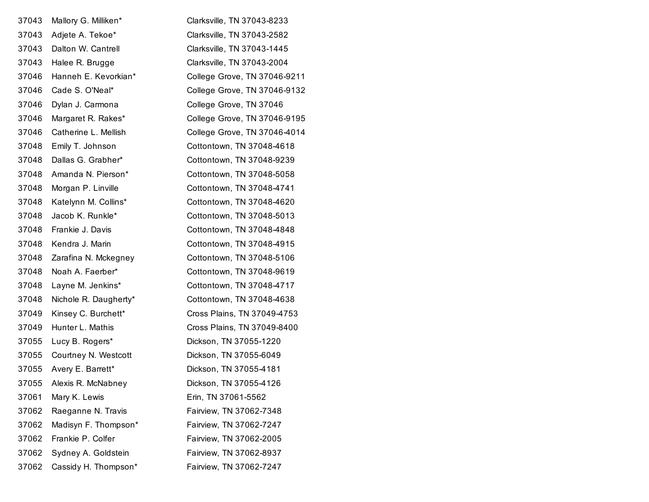| 37043 | Mallory G. Milliken*  | Clarksville, TN 37043-8233   |
|-------|-----------------------|------------------------------|
| 37043 | Adjete A. Tekoe*      | Clarksville, TN 37043-2582   |
| 37043 | Dalton W. Cantrell    | Clarksville, TN 37043-1445   |
| 37043 | Halee R. Brugge       | Clarksville, TN 37043-2004   |
| 37046 | Hanneh E. Kevorkian*  | College Grove, TN 37046-9211 |
| 37046 | Cade S. O'Neal*       | College Grove, TN 37046-9132 |
| 37046 | Dylan J. Carmona      | College Grove, TN 37046      |
| 37046 | Margaret R. Rakes*    | College Grove, TN 37046-9195 |
| 37046 | Catherine L. Mellish  | College Grove, TN 37046-4014 |
| 37048 | Emily T. Johnson      | Cottontown, TN 37048-4618    |
| 37048 | Dallas G. Grabher*    | Cottontown, TN 37048-9239    |
| 37048 | Amanda N. Pierson*    | Cottontown, TN 37048-5058    |
| 37048 | Morgan P. Linville    | Cottontown, TN 37048-4741    |
| 37048 | Katelynn M. Collins*  | Cottontown, TN 37048-4620    |
| 37048 | Jacob K. Runkle*      | Cottontown, TN 37048-5013    |
| 37048 | Frankie J. Davis      | Cottontown, TN 37048-4848    |
| 37048 | Kendra J. Marin       | Cottontown, TN 37048-4915    |
| 37048 | Zarafina N. Mckegney  | Cottontown, TN 37048-5106    |
| 37048 | Noah A. Faerber*      | Cottontown, TN 37048-9619    |
| 37048 | Layne M. Jenkins*     | Cottontown, TN 37048-4717    |
| 37048 | Nichole R. Daugherty* | Cottontown, TN 37048-4638    |
| 37049 | Kinsey C. Burchett*   | Cross Plains, TN 37049-4753  |
| 37049 | Hunter L. Mathis      | Cross Plains, TN 37049-8400  |
| 37055 | Lucy B. Rogers*       | Dickson, TN 37055-1220       |
| 37055 | Courtney N. Westcott  | Dickson, TN 37055-6049       |
| 37055 | Avery E. Barrett*     | Dickson, TN 37055-4181       |
| 37055 | Alexis R. McNabney    | Dickson, TN 37055-4126       |
| 37061 | Mary K. Lewis         | Erin, TN 37061-5562          |
| 37062 | Raeganne N. Travis    | Fairview, TN 37062-7348      |
| 37062 | Madisyn F. Thompson*  | Fairview, TN 37062-7247      |
| 37062 | Frankie P. Colfer     | Fairview, TN 37062-2005      |
| 37062 | Sydney A. Goldstein   | Fairview, TN 37062-8937      |
| 37062 | Cassidy H. Thompson*  | Fairview, TN 37062-7247      |
|       |                       |                              |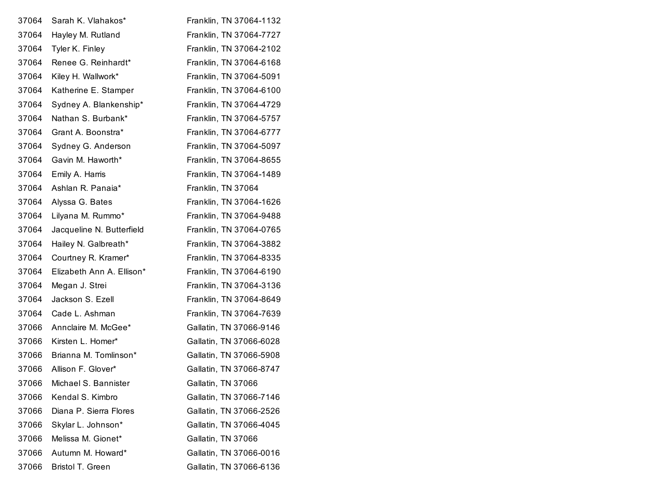| 37064 | Sarah K. Vlahakos*        | Franklin, TN 37064-1132 |
|-------|---------------------------|-------------------------|
| 37064 | Hayley M. Rutland         | Franklin, TN 37064-7727 |
| 37064 | Tyler K. Finley           | Franklin, TN 37064-2102 |
| 37064 | Renee G. Reinhardt*       | Franklin, TN 37064-6168 |
| 37064 | Kiley H. Wallwork*        | Franklin, TN 37064-5091 |
| 37064 | Katherine E. Stamper      | Franklin, TN 37064-6100 |
| 37064 | Sydney A. Blankenship*    | Franklin, TN 37064-4729 |
| 37064 | Nathan S. Burbank*        | Franklin, TN 37064-5757 |
| 37064 | Grant A. Boonstra*        | Franklin, TN 37064-6777 |
| 37064 | Sydney G. Anderson        | Franklin, TN 37064-5097 |
| 37064 | Gavin M. Haworth*         | Franklin, TN 37064-8655 |
| 37064 | Emily A. Harris           | Franklin, TN 37064-1489 |
| 37064 | Ashlan R. Panaia*         | Franklin, TN 37064      |
| 37064 | Alyssa G. Bates           | Franklin, TN 37064-1626 |
| 37064 | Lilyana M. Rummo*         | Franklin, TN 37064-9488 |
| 37064 | Jacqueline N. Butterfield | Franklin, TN 37064-0765 |
| 37064 | Hailey N. Galbreath*      | Franklin, TN 37064-3882 |
| 37064 | Courtney R. Kramer*       | Franklin, TN 37064-8335 |
| 37064 | Elizabeth Ann A. Ellison* | Franklin, TN 37064-6190 |
| 37064 | Megan J. Strei            | Franklin, TN 37064-3136 |
| 37064 | Jackson S. Ezell          | Franklin, TN 37064-8649 |
| 37064 | Cade L. Ashman            | Franklin, TN 37064-7639 |
| 37066 | Annclaire M. McGee*       | Gallatin, TN 37066-9146 |
| 37066 | Kirsten L. Homer*         | Gallatin, TN 37066-6028 |
| 37066 | Brianna M. Tomlinson*     | Gallatin, TN 37066-5908 |
| 37066 | Allison F. Glover*        | Gallatin, TN 37066-8747 |
| 37066 | Michael S. Bannister      | Gallatin, TN 37066      |
| 37066 | Kendal S. Kimbro          | Gallatin, TN 37066-7146 |
| 37066 | Diana P. Sierra Flores    | Gallatin, TN 37066-2526 |
| 37066 | Skylar L. Johnson*        | Gallatin, TN 37066-4045 |
| 37066 | Melissa M. Gionet*        | Gallatin, TN 37066      |
| 37066 | Autumn M. Howard*         | Gallatin, TN 37066-0016 |
| 37066 | Bristol T. Green          | Gallatin, TN 37066-6136 |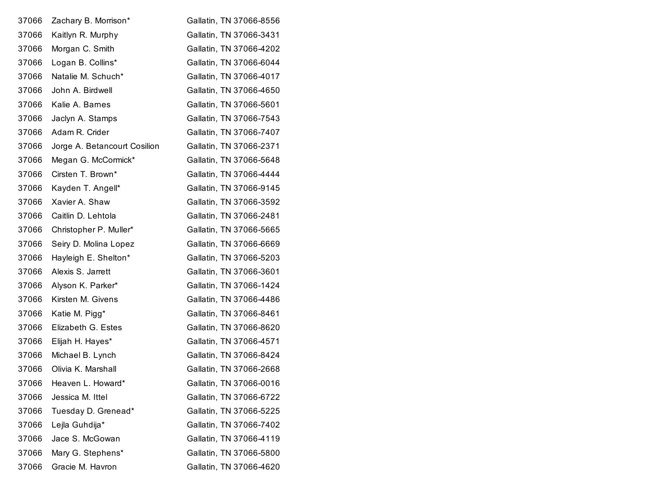| 37066 | Zachary B. Morrison*         | Gallatin, TN 37066-8556 |
|-------|------------------------------|-------------------------|
| 37066 | Kaitlyn R. Murphy            | Gallatin, TN 37066-3431 |
| 37066 | Morgan C. Smith              | Gallatin, TN 37066-4202 |
| 37066 | Logan B. Collins*            | Gallatin, TN 37066-6044 |
| 37066 | Natalie M. Schuch*           | Gallatin, TN 37066-4017 |
| 37066 | John A. Birdwell             | Gallatin, TN 37066-4650 |
| 37066 | Kalie A. Barnes              | Gallatin, TN 37066-5601 |
| 37066 | Jaclyn A. Stamps             | Gallatin, TN 37066-7543 |
| 37066 | Adam R. Crider               | Gallatin, TN 37066-7407 |
| 37066 | Jorge A. Betancourt Cosilion | Gallatin, TN 37066-2371 |
| 37066 | Megan G. McCormick*          | Gallatin, TN 37066-5648 |
| 37066 | Cirsten T. Brown*            | Gallatin, TN 37066-4444 |
| 37066 | Kayden T. Angell*            | Gallatin, TN 37066-9145 |
| 37066 | Xavier A. Shaw               | Gallatin, TN 37066-3592 |
| 37066 | Caitlin D. Lehtola           | Gallatin, TN 37066-2481 |
| 37066 | Christopher P. Muller*       | Gallatin, TN 37066-5665 |
| 37066 | Seiry D. Molina Lopez        | Gallatin, TN 37066-6669 |
| 37066 | Hayleigh E. Shelton*         | Gallatin, TN 37066-5203 |
| 37066 | Alexis S. Jarrett            | Gallatin, TN 37066-3601 |
| 37066 | Alyson K. Parker*            | Gallatin, TN 37066-1424 |
| 37066 | Kirsten M. Givens            | Gallatin, TN 37066-4486 |
| 37066 | Katie M. Pigg*               | Gallatin, TN 37066-8461 |
| 37066 | Elizabeth G. Estes           | Gallatin, TN 37066-8620 |
| 37066 | Elijah H. Hayes*             | Gallatin, TN 37066-4571 |
| 37066 | Michael B. Lynch             | Gallatin, TN 37066-8424 |
| 37066 | Olivia K. Marshall           | Gallatin, TN 37066-2668 |
| 37066 | Heaven L. Howard*            | Gallatin, TN 37066-0016 |
| 37066 | Jessica M. Ittel             | Gallatin, TN 37066-6722 |
| 37066 | Tuesday D. Grenead*          | Gallatin, TN 37066-5225 |
| 37066 | Lejla Guhdija*               | Gallatin, TN 37066-7402 |
| 37066 | Jace S. McGowan              | Gallatin, TN 37066-4119 |
| 37066 | Mary G. Stephens*            | Gallatin, TN 37066-5800 |
| 37066 | Gracie M. Havron             | Gallatin, TN 37066-4620 |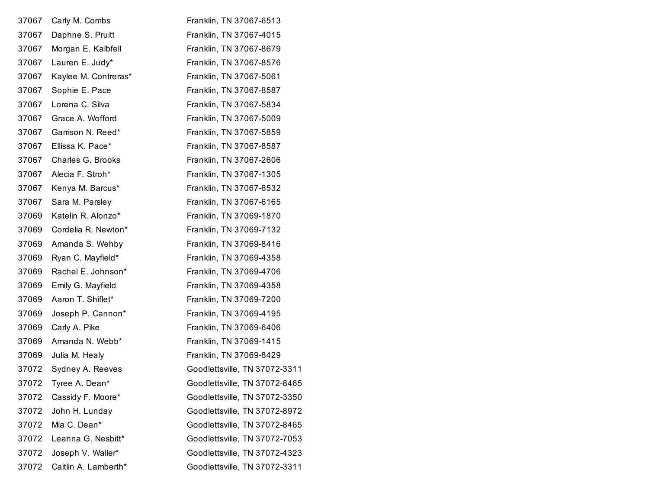| 37067 | Carly M. Combs       | Franklin, TN 37067-6513       |
|-------|----------------------|-------------------------------|
| 37067 | Daphne S. Pruitt     | Franklin, TN 37067-4015       |
| 37067 | Morgan E. Kalbfell   | Franklin, TN 37067-8679       |
| 37067 | Lauren E. Judy*      | Franklin, TN 37067-8576       |
| 37067 | Kaylee M. Contreras* | Franklin, TN 37067-5061       |
| 37067 | Sophie E. Pace       | Franklin, TN 37067-8587       |
| 37067 | Lorena C. Silva      | Franklin, TN 37067-5834       |
| 37067 | Grace A. Wofford     | Franklin, TN 37067-5009       |
| 37067 | Garrison N. Reed*    | Franklin, TN 37067-5859       |
| 37067 | Ellissa K. Pace*     | Franklin, TN 37067-8587       |
| 37067 | Charles G. Brooks    | Franklin, TN 37067-2606       |
| 37067 | Alecia F. Stroh*     | Franklin, TN 37067-1305       |
| 37067 | Kenya M. Barcus*     | Franklin, TN 37067-6532       |
| 37067 | Sara M. Parsley      | Franklin, TN 37067-6165       |
| 37069 | Katelin R. Alonzo*   | Franklin, TN 37069-1870       |
| 37069 | Cordelia R. Newton*  | Franklin, TN 37069-7132       |
| 37069 | Amanda S. Wehby      | Franklin, TN 37069-8416       |
| 37069 | Ryan C. Mayfield*    | Franklin, TN 37069-4358       |
| 37069 | Rachel E. Johnson*   | Franklin, TN 37069-4706       |
| 37069 | Emily G. Mayfield    | Franklin, TN 37069-4358       |
| 37069 | Aaron T. Shiflet*    | Franklin, TN 37069-7200       |
| 37069 | Joseph P. Cannon*    | Franklin, TN 37069-4195       |
| 37069 | Carly A. Pike        | Franklin, TN 37069-6406       |
| 37069 | Amanda N. Webb*      | Franklin, TN 37069-1415       |
| 37069 | Julia M. Healy       | Franklin, TN 37069-8429       |
| 37072 | Sydney A. Reeves     | Goodlettsville, TN 37072-3311 |
| 37072 | Tyree A. Dean*       | Goodlettsville, TN 37072-8465 |
| 37072 | Cassidy F. Moore*    | Goodlettsville, TN 37072-3350 |
| 37072 | John H. Lunday       | Goodlettsville, TN 37072-8972 |
| 37072 | Mia C. Dean*         | Goodlettsville, TN 37072-8465 |
| 37072 | Leanna G. Nesbitt*   | Goodlettsville, TN 37072-7053 |
| 37072 | Joseph V. Waller*    | Goodlettsville, TN 37072-4323 |
| 37072 | Caitlin A. Lamberth* | Goodlettsville, TN 37072-3311 |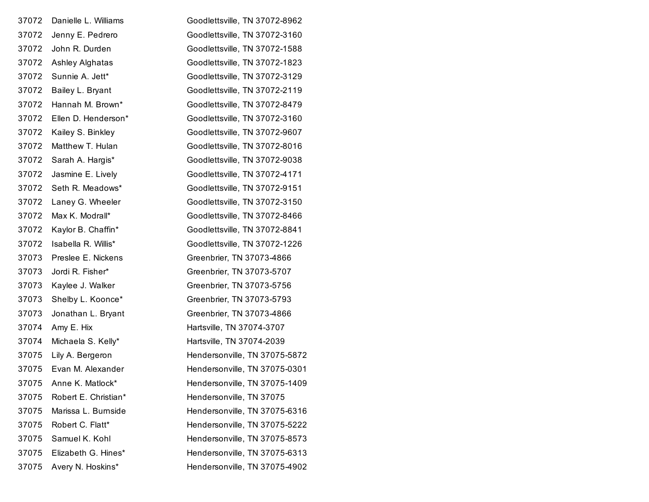| 37072 | Danielle L. Williams | Goodlettsville, TN 37072-8962 |
|-------|----------------------|-------------------------------|
| 37072 | Jenny E. Pedrero     | Goodlettsville, TN 37072-3160 |
| 37072 | John R. Durden       | Goodlettsville, TN 37072-1588 |
| 37072 | Ashley Alghatas      | Goodlettsville, TN 37072-1823 |
| 37072 | Sunnie A. Jett*      | Goodlettsville, TN 37072-3129 |
| 37072 | Bailey L. Bryant     | Goodlettsville, TN 37072-2119 |
| 37072 | Hannah M. Brown*     | Goodlettsville, TN 37072-8479 |
| 37072 | Ellen D. Henderson*  | Goodlettsville, TN 37072-3160 |
| 37072 | Kailey S. Binkley    | Goodlettsville, TN 37072-9607 |
| 37072 | Matthew T. Hulan     | Goodlettsville, TN 37072-8016 |
| 37072 | Sarah A. Hargis*     | Goodlettsville, TN 37072-9038 |
| 37072 | Jasmine E. Lively    | Goodlettsville, TN 37072-4171 |
| 37072 | Seth R. Meadows*     | Goodlettsville, TN 37072-9151 |
| 37072 | Laney G. Wheeler     | Goodlettsville, TN 37072-3150 |
| 37072 | Max K. Modrall*      | Goodlettsville, TN 37072-8466 |
| 37072 | Kaylor B. Chaffin*   | Goodlettsville, TN 37072-8841 |
| 37072 | Isabella R. Willis*  | Goodlettsville, TN 37072-1226 |
| 37073 | Preslee E. Nickens   | Greenbrier, TN 37073-4866     |
| 37073 | Jordi R. Fisher*     | Greenbrier, TN 37073-5707     |
| 37073 | Kaylee J. Walker     | Greenbrier, TN 37073-5756     |
| 37073 | Shelby L. Koonce*    | Greenbrier, TN 37073-5793     |
| 37073 | Jonathan L. Bryant   | Greenbrier, TN 37073-4866     |
| 37074 | Amy E. Hix           | Hartsville, TN 37074-3707     |
| 37074 | Michaela S. Kelly*   | Hartsville, TN 37074-2039     |
| 37075 | Lily A. Bergeron     | Hendersonville, TN 37075-5872 |
| 37075 | Evan M. Alexander    | Hendersonville, TN 37075-0301 |
| 37075 | Anne K. Matlock*     | Hendersonville, TN 37075-1409 |
| 37075 | Robert E. Christian* | Hendersonville, TN 37075      |
| 37075 | Marissa L. Burnside  | Hendersonville, TN 37075-6316 |
| 37075 | Robert C. Flatt*     | Hendersonville, TN 37075-5222 |
| 37075 | Samuel K. Kohl       | Hendersonville, TN 37075-8573 |
| 37075 | Elizabeth G. Hines*  | Hendersonville, TN 37075-6313 |
| 37075 | Avery N. Hoskins*    | Hendersonville, TN 37075-4902 |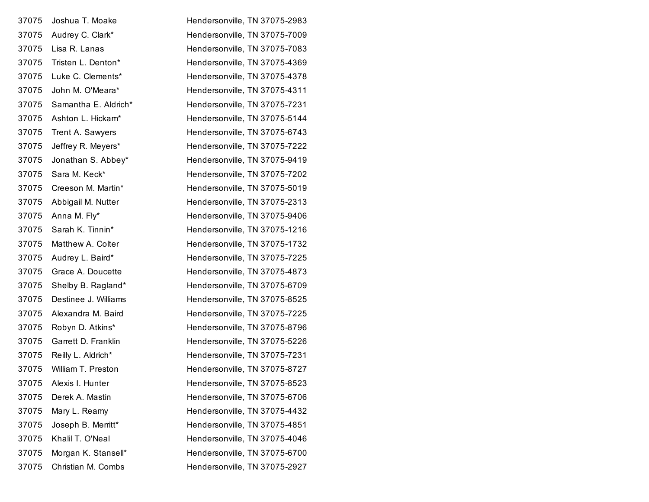| 37075 | Joshua T. Moake      | Hendersonville, TN 37075-2983 |
|-------|----------------------|-------------------------------|
| 37075 | Audrey C. Clark*     | Hendersonville, TN 37075-7009 |
| 37075 | Lisa R. Lanas        | Hendersonville, TN 37075-7083 |
| 37075 | Tristen L. Denton*   | Hendersonville, TN 37075-4369 |
| 37075 | Luke C. Clements*    | Hendersonville, TN 37075-4378 |
| 37075 | John M. O'Meara*     | Hendersonville, TN 37075-4311 |
| 37075 | Samantha E. Aldrich* | Hendersonville, TN 37075-7231 |
| 37075 | Ashton L. Hickam*    | Hendersonville, TN 37075-5144 |
| 37075 | Trent A. Sawyers     | Hendersonville, TN 37075-6743 |
| 37075 | Jeffrey R. Meyers*   | Hendersonville, TN 37075-7222 |
| 37075 | Jonathan S. Abbey*   | Hendersonville, TN 37075-9419 |
| 37075 | Sara M. Keck*        | Hendersonville, TN 37075-7202 |
| 37075 | Creeson M. Martin*   | Hendersonville, TN 37075-5019 |
| 37075 | Abbigail M. Nutter   | Hendersonville, TN 37075-2313 |
| 37075 | Anna M. Fly*         | Hendersonville, TN 37075-9406 |
| 37075 | Sarah K. Tinnin*     | Hendersonville, TN 37075-1216 |
| 37075 | Matthew A. Colter    | Hendersonville, TN 37075-1732 |
| 37075 | Audrey L. Baird*     | Hendersonville, TN 37075-7225 |
| 37075 | Grace A. Doucette    | Hendersonville, TN 37075-4873 |
| 37075 | Shelby B. Ragland*   | Hendersonville, TN 37075-6709 |
| 37075 | Destinee J. Williams | Hendersonville, TN 37075-8525 |
| 37075 | Alexandra M. Baird   | Hendersonville, TN 37075-7225 |
| 37075 | Robyn D. Atkins*     | Hendersonville, TN 37075-8796 |
| 37075 | Garrett D. Franklin  | Hendersonville, TN 37075-5226 |
| 37075 | Reilly L. Aldrich*   | Hendersonville, TN 37075-7231 |
| 37075 | William T. Preston   | Hendersonville, TN 37075-8727 |
| 37075 | Alexis I. Hunter     | Hendersonville, TN 37075-8523 |
| 37075 | Derek A. Mastin      | Hendersonville, TN 37075-6706 |
| 37075 | Mary L. Reamy        | Hendersonville, TN 37075-4432 |
| 37075 | Joseph B. Merritt*   | Hendersonville, TN 37075-4851 |
| 37075 | Khalil T. O'Neal     | Hendersonville, TN 37075-4046 |
| 37075 | Morgan K. Stansell*  | Hendersonville, TN 37075-6700 |
| 37075 | Christian M. Combs   | Hendersonville, TN 37075-2927 |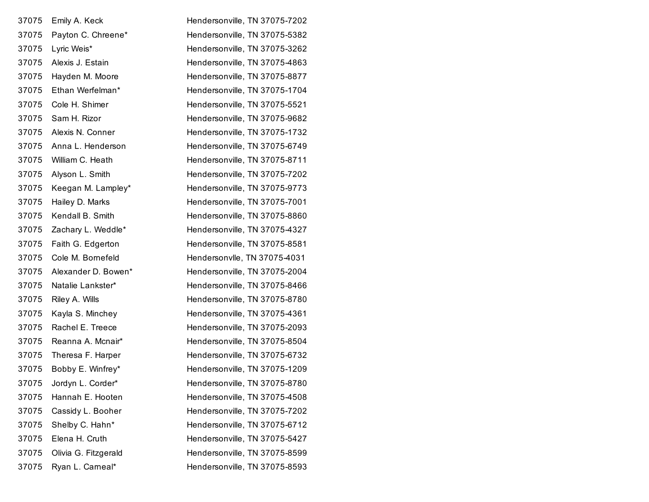| 37075 | Emily A. Keck        | Hendersonville, TN 37075-7202 |
|-------|----------------------|-------------------------------|
| 37075 | Payton C. Chreene*   | Hendersonville, TN 37075-5382 |
| 37075 | Lyric Weis*          | Hendersonville, TN 37075-3262 |
| 37075 | Alexis J. Estain     | Hendersonville, TN 37075-4863 |
| 37075 | Hayden M. Moore      | Hendersonville, TN 37075-8877 |
| 37075 | Ethan Werfelman*     | Hendersonville, TN 37075-1704 |
| 37075 | Cole H. Shimer       | Hendersonville, TN 37075-5521 |
| 37075 | Sam H. Rizor         | Hendersonville, TN 37075-9682 |
| 37075 | Alexis N. Conner     | Hendersonville, TN 37075-1732 |
| 37075 | Anna L. Henderson    | Hendersonville, TN 37075-6749 |
| 37075 | William C. Heath     | Hendersonville, TN 37075-8711 |
| 37075 | Alyson L. Smith      | Hendersonville, TN 37075-7202 |
| 37075 | Keegan M. Lampley*   | Hendersonville, TN 37075-9773 |
| 37075 | Hailey D. Marks      | Hendersonville, TN 37075-7001 |
| 37075 | Kendall B. Smith     | Hendersonville, TN 37075-8860 |
| 37075 | Zachary L. Weddle*   | Hendersonville, TN 37075-4327 |
| 37075 | Faith G. Edgerton    | Hendersonville, TN 37075-8581 |
| 37075 | Cole M. Bornefeld    | Hendersonvlle, TN 37075-4031  |
| 37075 | Alexander D. Bowen*  | Hendersonville, TN 37075-2004 |
| 37075 | Natalie Lankster*    | Hendersonville, TN 37075-8466 |
| 37075 | Riley A. Wills       | Hendersonville, TN 37075-8780 |
| 37075 | Kayla S. Minchey     | Hendersonville, TN 37075-4361 |
| 37075 | Rachel E. Treece     | Hendersonville, TN 37075-2093 |
| 37075 | Reanna A. Mcnair*    | Hendersonville, TN 37075-8504 |
| 37075 | Theresa F. Harper    | Hendersonville, TN 37075-6732 |
| 37075 | Bobby E. Winfrey*    | Hendersonville, TN 37075-1209 |
| 37075 | Jordyn L. Corder*    | Hendersonville, TN 37075-8780 |
| 37075 | Hannah E. Hooten     | Hendersonville, TN 37075-4508 |
| 37075 | Cassidy L. Booher    | Hendersonville, TN 37075-7202 |
| 37075 | Shelby C. Hahn*      | Hendersonville, TN 37075-6712 |
| 37075 | Elena H. Cruth       | Hendersonville, TN 37075-5427 |
| 37075 | Olivia G. Fitzgerald | Hendersonville, TN 37075-8599 |
| 37075 | Ryan L. Carneal*     | Hendersonville, TN 37075-8593 |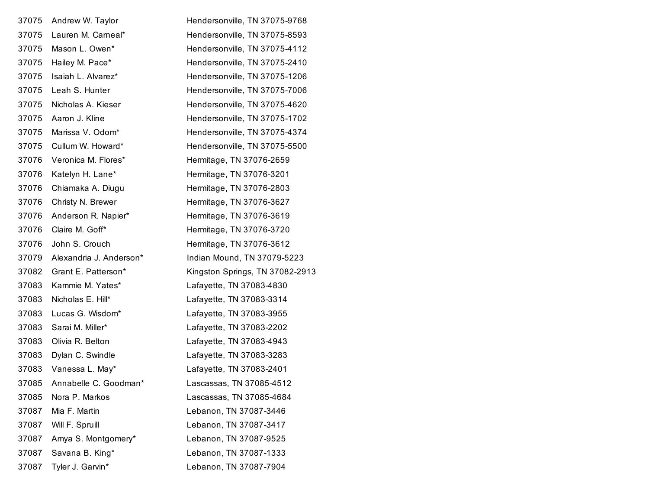| 37075 | Andrew W. Taylor        | Hendersonville, TN 37075-9768   |
|-------|-------------------------|---------------------------------|
| 37075 | Lauren M. Carneal*      | Hendersonville, TN 37075-8593   |
| 37075 | Mason L. Owen*          | Hendersonville, TN 37075-4112   |
| 37075 | Hailey M. Pace*         | Hendersonville, TN 37075-2410   |
| 37075 | Isaiah L. Alvarez*      | Hendersonville, TN 37075-1206   |
| 37075 | Leah S. Hunter          | Hendersonville, TN 37075-7006   |
| 37075 | Nicholas A. Kieser      | Hendersonville, TN 37075-4620   |
| 37075 | Aaron J. Kline          | Hendersonville, TN 37075-1702   |
| 37075 | Marissa V. Odom*        | Hendersonville, TN 37075-4374   |
| 37075 | Cullum W. Howard*       | Hendersonville, TN 37075-5500   |
| 37076 | Veronica M. Flores*     | Hermitage, TN 37076-2659        |
| 37076 | Katelyn H. Lane*        | Hermitage, TN 37076-3201        |
| 37076 | Chiamaka A. Diugu       | Hermitage, TN 37076-2803        |
| 37076 | Christy N. Brewer       | Hermitage, TN 37076-3627        |
| 37076 | Anderson R. Napier*     | Hermitage, TN 37076-3619        |
| 37076 | Claire M. Goff*         | Hermitage, TN 37076-3720        |
| 37076 | John S. Crouch          | Hermitage, TN 37076-3612        |
| 37079 | Alexandria J. Anderson* | Indian Mound, TN 37079-5223     |
| 37082 | Grant E. Patterson*     | Kingston Springs, TN 37082-2913 |
| 37083 | Kammie M. Yates*        | Lafayette, TN 37083-4830        |
| 37083 | Nicholas E. Hill*       | Lafayette, TN 37083-3314        |
| 37083 | Lucas G. Wisdom*        | Lafayette, TN 37083-3955        |
| 37083 | Sarai M. Miller*        | Lafayette, TN 37083-2202        |
| 37083 | Olivia R. Belton        | Lafayette, TN 37083-4943        |
| 37083 | Dylan C. Swindle        | Lafayette, TN 37083-3283        |
| 37083 | Vanessa L. May*         | Lafayette, TN 37083-2401        |
| 37085 | Annabelle C. Goodman*   | Lascassas, TN 37085-4512        |
| 37085 | Nora P. Markos          | Lascassas, TN 37085-4684        |
| 37087 | Mia F. Martin           | Lebanon, TN 37087-3446          |
| 37087 | Will F. Spruill         | Lebanon, TN 37087-3417          |
| 37087 | Amya S. Montgomery*     | Lebanon, TN 37087-9525          |
| 37087 | Savana B. King*         | Lebanon, TN 37087-1333          |
| 37087 | Tyler J. Garvin*        | Lebanon, TN 37087-7904          |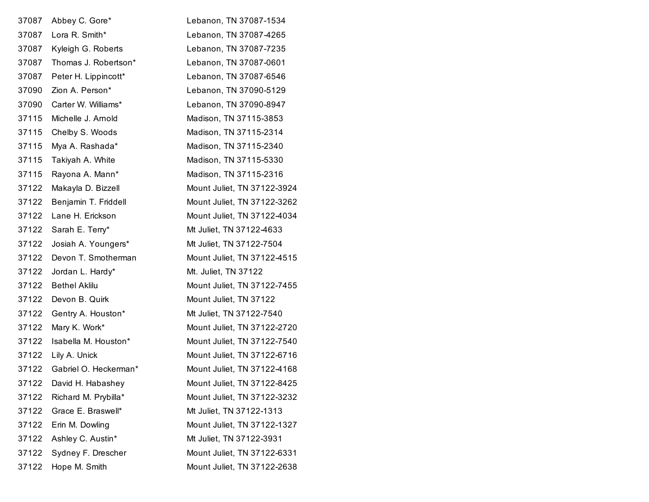| 37087 | Abbey C. Gore*        | Lebanon, TN 37087-1534      |
|-------|-----------------------|-----------------------------|
| 37087 | Lora R. Smith*        | Lebanon, TN 37087-4265      |
| 37087 | Kyleigh G. Roberts    | Lebanon, TN 37087-7235      |
| 37087 | Thomas J. Robertson*  | Lebanon, TN 37087-0601      |
| 37087 | Peter H. Lippincott*  | Lebanon, TN 37087-6546      |
| 37090 | Zion A. Person*       | Lebanon, TN 37090-5129      |
| 37090 | Carter W. Williams*   | Lebanon, TN 37090-8947      |
| 37115 | Michelle J. Arnold    | Madison, TN 37115-3853      |
| 37115 | Chelby S. Woods       | Madison, TN 37115-2314      |
| 37115 | Mya A. Rashada*       | Madison, TN 37115-2340      |
| 37115 | Takiyah A. White      | Madison, TN 37115-5330      |
| 37115 | Rayona A. Mann*       | Madison, TN 37115-2316      |
| 37122 | Makayla D. Bizzell    | Mount Juliet, TN 37122-3924 |
| 37122 | Benjamin T. Friddell  | Mount Juliet, TN 37122-3262 |
| 37122 | Lane H. Erickson      | Mount Juliet, TN 37122-4034 |
| 37122 | Sarah E. Terry*       | Mt Juliet, TN 37122-4633    |
| 37122 | Josiah A. Youngers*   | Mt Juliet, TN 37122-7504    |
| 37122 | Devon T. Smotherman   | Mount Juliet, TN 37122-4515 |
| 37122 | Jordan L. Hardy*      | Mt. Juliet, TN 37122        |
| 37122 | <b>Bethel Aklilu</b>  | Mount Juliet, TN 37122-7455 |
| 37122 | Devon B. Quirk        | Mount Juliet, TN 37122      |
| 37122 | Gentry A. Houston*    | Mt Juliet, TN 37122-7540    |
| 37122 | Mary K. Work*         | Mount Juliet, TN 37122-2720 |
| 37122 | Isabella M. Houston*  | Mount Juliet, TN 37122-7540 |
| 37122 | Lily A. Unick         | Mount Juliet, TN 37122-6716 |
| 37122 | Gabriel O. Heckerman* | Mount Juliet, TN 37122-4168 |
| 37122 | David H. Habashey     | Mount Juliet, TN 37122-8425 |
| 37122 | Richard M. Prybilla*  | Mount Juliet, TN 37122-3232 |
| 37122 | Grace E. Braswell*    | Mt Juliet, TN 37122-1313    |
| 37122 | Erin M. Dowling       | Mount Juliet, TN 37122-1327 |
| 37122 | Ashley C. Austin*     | Mt Juliet, TN 37122-3931    |
| 37122 | Sydney F. Drescher    | Mount Juliet, TN 37122-6331 |
| 37122 | Hope M. Smith         | Mount Juliet, TN 37122-2638 |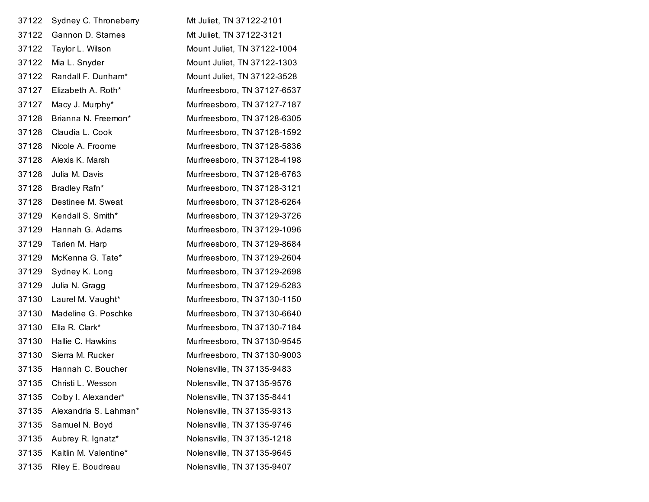| 37122 | Sydney C. Throneberry | Mt Juliet, TN 37122-2101    |
|-------|-----------------------|-----------------------------|
| 37122 | Gannon D. Stames      | Mt Juliet, TN 37122-3121    |
| 37122 | Taylor L. Wilson      | Mount Juliet, TN 37122-1004 |
| 37122 | Mia L. Snyder         | Mount Juliet, TN 37122-1303 |
| 37122 | Randall F. Dunham*    | Mount Juliet, TN 37122-3528 |
| 37127 | Elizabeth A. Roth*    | Murfreesboro, TN 37127-6537 |
| 37127 | Macy J. Murphy*       | Murfreesboro, TN 37127-7187 |
| 37128 | Brianna N. Freemon*   | Murfreesboro, TN 37128-6305 |
| 37128 | Claudia L. Cook       | Murfreesboro, TN 37128-1592 |
| 37128 | Nicole A. Froome      | Murfreesboro, TN 37128-5836 |
| 37128 | Alexis K. Marsh       | Murfreesboro, TN 37128-4198 |
| 37128 | Julia M. Davis        | Murfreesboro, TN 37128-6763 |
| 37128 | Bradley Rafn*         | Murfreesboro, TN 37128-3121 |
| 37128 | Destinee M. Sweat     | Murfreesboro, TN 37128-6264 |
| 37129 | Kendall S. Smith*     | Murfreesboro, TN 37129-3726 |
| 37129 | Hannah G. Adams       | Murfreesboro, TN 37129-1096 |
| 37129 | Tarien M. Harp        | Murfreesboro, TN 37129-8684 |
| 37129 | McKenna G. Tate*      | Murfreesboro, TN 37129-2604 |
| 37129 | Sydney K. Long        | Murfreesboro, TN 37129-2698 |
| 37129 | Julia N. Gragg        | Murfreesboro, TN 37129-5283 |
| 37130 | Laurel M. Vaught*     | Murfreesboro, TN 37130-1150 |
| 37130 | Madeline G. Poschke   | Murfreesboro, TN 37130-6640 |
| 37130 | Ella R. Clark*        | Murfreesboro, TN 37130-7184 |
| 37130 | Hallie C. Hawkins     | Murfreesboro, TN 37130-9545 |
| 37130 | Sierra M. Rucker      | Murfreesboro, TN 37130-9003 |
| 37135 | Hannah C. Boucher     | Nolensville, TN 37135-9483  |
| 37135 | Christi L. Wesson     | Nolensville, TN 37135-9576  |
| 37135 | Colby I. Alexander*   | Nolensville, TN 37135-8441  |
| 37135 | Alexandria S. Lahman* | Nolensville, TN 37135-9313  |
| 37135 | Samuel N. Boyd        | Nolensville, TN 37135-9746  |
| 37135 | Aubrey R. Ignatz*     | Nolensville, TN 37135-1218  |
| 37135 | Kaitlin M. Valentine* | Nolensville, TN 37135-9645  |
| 37135 | Riley E. Boudreau     | Nolensville, TN 37135-9407  |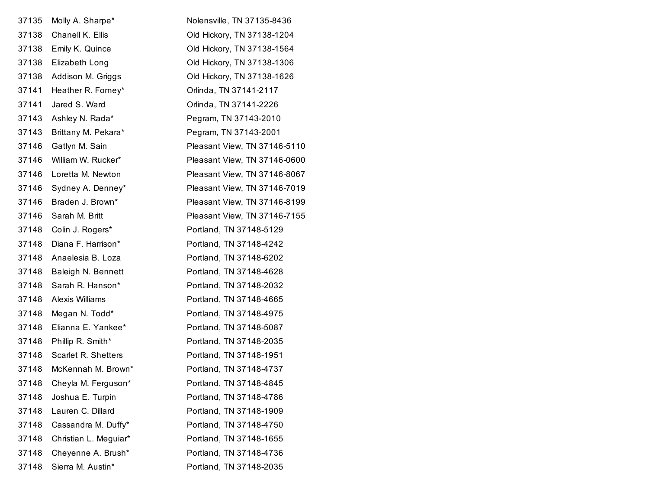| 37135 | Molly A. Sharpe*      | Nolensville, TN 37135-8436   |
|-------|-----------------------|------------------------------|
| 37138 | Chanell K. Ellis      | Old Hickory, TN 37138-1204   |
| 37138 | Emily K. Quince       | Old Hickory, TN 37138-1564   |
| 37138 | Elizabeth Long        | Old Hickory, TN 37138-1306   |
| 37138 | Addison M. Griggs     | Old Hickory, TN 37138-1626   |
| 37141 | Heather R. Forney*    | Orlinda, TN 37141-2117       |
| 37141 | Jared S. Ward         | Orlinda, TN 37141-2226       |
| 37143 | Ashley N. Rada*       | Pegram, TN 37143-2010        |
| 37143 | Brittany M. Pekara*   | Pegram, TN 37143-2001        |
| 37146 | Gatlyn M. Sain        | Pleasant View, TN 37146-5110 |
| 37146 | William W. Rucker*    | Pleasant View, TN 37146-0600 |
| 37146 | Loretta M. Newton     | Pleasant View, TN 37146-8067 |
| 37146 | Sydney A. Denney*     | Pleasant View, TN 37146-7019 |
| 37146 | Braden J. Brown*      | Pleasant View, TN 37146-8199 |
| 37146 | Sarah M. Britt        | Pleasant View, TN 37146-7155 |
| 37148 | Colin J. Rogers*      | Portland, TN 37148-5129      |
| 37148 | Diana F. Harrison*    | Portland, TN 37148-4242      |
| 37148 | Anaelesia B. Loza     | Portland, TN 37148-6202      |
| 37148 | Baleigh N. Bennett    | Portland, TN 37148-4628      |
| 37148 | Sarah R. Hanson*      | Portland, TN 37148-2032      |
| 37148 | Alexis Williams       | Portland, TN 37148-4665      |
| 37148 | Megan N. Todd*        | Portland, TN 37148-4975      |
| 37148 | Elianna E. Yankee*    | Portland, TN 37148-5087      |
| 37148 | Phillip R. Smith*     | Portland, TN 37148-2035      |
| 37148 | Scarlet R. Shetters   | Portland, TN 37148-1951      |
| 37148 | McKennah M. Brown*    | Portland, TN 37148-4737      |
| 37148 | Cheyla M. Ferguson*   | Portland, TN 37148-4845      |
| 37148 | Joshua E. Turpin      | Portland, TN 37148-4786      |
| 37148 | Lauren C. Dillard     | Portland, TN 37148-1909      |
| 37148 | Cassandra M. Duffy*   | Portland, TN 37148-4750      |
| 37148 | Christian L. Meguiar* | Portland, TN 37148-1655      |
| 37148 | Cheyenne A. Brush*    | Portland, TN 37148-4736      |
| 37148 | Sierra M. Austin*     | Portland, TN 37148-2035      |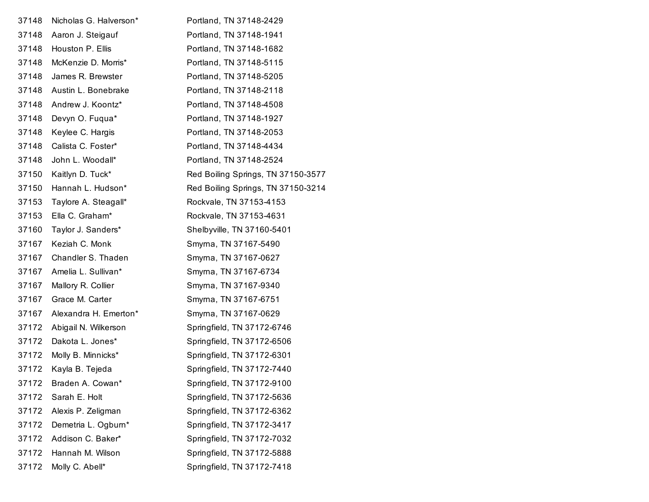| 37148 | Nicholas G. Halverson* | Portland, TN 37148-2429            |
|-------|------------------------|------------------------------------|
| 37148 | Aaron J. Steigauf      | Portland, TN 37148-1941            |
| 37148 | Houston P. Ellis       | Portland, TN 37148-1682            |
| 37148 | McKenzie D. Morris*    | Portland, TN 37148-5115            |
| 37148 | James R. Brewster      | Portland, TN 37148-5205            |
| 37148 | Austin L. Bonebrake    | Portland, TN 37148-2118            |
| 37148 | Andrew J. Koontz*      | Portland, TN 37148-4508            |
| 37148 | Devyn O. Fugua*        | Portland, TN 37148-1927            |
| 37148 | Keylee C. Hargis       | Portland, TN 37148-2053            |
| 37148 | Calista C. Foster*     | Portland, TN 37148-4434            |
| 37148 | John L. Woodall*       | Portland, TN 37148-2524            |
| 37150 | Kaitlyn D. Tuck*       | Red Boiling Springs, TN 37150-3577 |
| 37150 | Hannah L. Hudson*      | Red Boiling Springs, TN 37150-3214 |
| 37153 | Taylore A. Steagall*   | Rockvale, TN 37153-4153            |
| 37153 | Ella C. Graham*        | Rockvale, TN 37153-4631            |
| 37160 | Taylor J. Sanders*     | Shelbyville, TN 37160-5401         |
| 37167 | Keziah C. Monk         | Smyrna, TN 37167-5490              |
| 37167 | Chandler S. Thaden     | Smyrna, TN 37167-0627              |
| 37167 | Amelia L. Sullivan*    | Smyrna, TN 37167-6734              |
| 37167 | Mallory R. Collier     | Smyrna, TN 37167-9340              |
| 37167 | Grace M. Carter        | Smyrna, TN 37167-6751              |
| 37167 | Alexandra H. Emerton*  | Smyrna, TN 37167-0629              |
| 37172 | Abigail N. Wilkerson   | Springfield, TN 37172-6746         |
| 37172 | Dakota L. Jones*       | Springfield, TN 37172-6506         |
| 37172 | Molly B. Minnicks*     | Springfield, TN 37172-6301         |
| 37172 | Kayla B. Tejeda        | Springfield, TN 37172-7440         |
| 37172 | Braden A. Cowan*       | Springfield, TN 37172-9100         |
| 37172 | Sarah E. Holt          | Springfield, TN 37172-5636         |
| 37172 | Alexis P. Zeligman     | Springfield, TN 37172-6362         |
| 37172 | Demetria L. Ogburn*    | Springfield, TN 37172-3417         |
| 37172 | Addison C. Baker*      | Springfield, TN 37172-7032         |
| 37172 | Hannah M. Wilson       | Springfield, TN 37172-5888         |
| 37172 | Molly C. Abell*        | Springfield, TN 37172-7418         |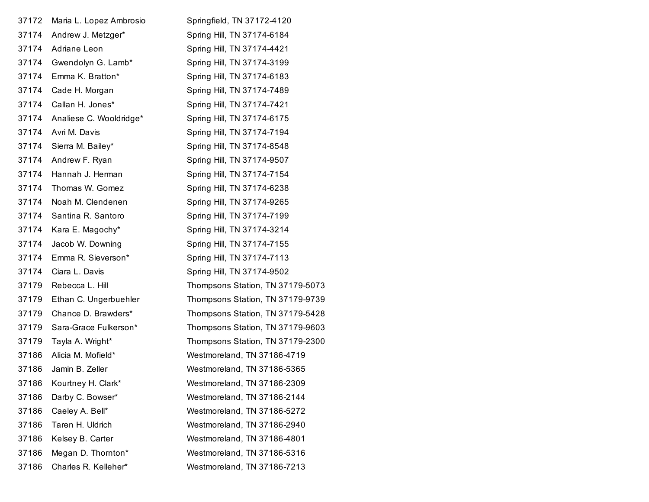| 37172 | Maria L. Lopez Ambrosio | Springfield, TN 37172-4120       |
|-------|-------------------------|----------------------------------|
| 37174 | Andrew J. Metzger*      | Spring Hill, TN 37174-6184       |
| 37174 | Adriane Leon            | Spring Hill, TN 37174-4421       |
| 37174 | Gwendolyn G. Lamb*      | Spring Hill, TN 37174-3199       |
| 37174 | Emma K. Bratton*        | Spring Hill, TN 37174-6183       |
| 37174 | Cade H. Morgan          | Spring Hill, TN 37174-7489       |
| 37174 | Callan H. Jones*        | Spring Hill, TN 37174-7421       |
| 37174 | Analiese C. Wooldridge* | Spring Hill, TN 37174-6175       |
| 37174 | Avri M. Davis           | Spring Hill, TN 37174-7194       |
| 37174 | Sierra M. Bailey*       | Spring Hill, TN 37174-8548       |
| 37174 | Andrew F. Ryan          | Spring Hill, TN 37174-9507       |
| 37174 | Hannah J. Herman        | Spring Hill, TN 37174-7154       |
| 37174 | Thomas W. Gomez         | Spring Hill, TN 37174-6238       |
| 37174 | Noah M. Clendenen       | Spring Hill, TN 37174-9265       |
| 37174 | Santina R. Santoro      | Spring Hill, TN 37174-7199       |
| 37174 | Kara E. Magochy*        | Spring Hill, TN 37174-3214       |
| 37174 | Jacob W. Downing        | Spring Hill, TN 37174-7155       |
| 37174 | Emma R. Sieverson*      | Spring Hill, TN 37174-7113       |
| 37174 | Ciara L. Davis          | Spring Hill, TN 37174-9502       |
| 37179 | Rebecca L. Hill         | Thompsons Station, TN 37179-5073 |
| 37179 | Ethan C. Ungerbuehler   | Thompsons Station, TN 37179-9739 |
| 37179 | Chance D. Brawders*     | Thompsons Station, TN 37179-5428 |
| 37179 | Sara-Grace Fulkerson*   | Thompsons Station, TN 37179-9603 |
| 37179 | Tayla A. Wright*        | Thompsons Station, TN 37179-2300 |
| 37186 | Alicia M. Mofield*      | Westmoreland, TN 37186-4719      |
| 37186 | Jamin B. Zeller         | Westmoreland, TN 37186-5365      |
| 37186 | Kourtney H. Clark*      | Westmoreland, TN 37186-2309      |
| 37186 | Darby C. Bowser*        | Westmoreland, TN 37186-2144      |
| 37186 | Caeley A. Bell*         | Westmoreland, TN 37186-5272      |
| 37186 | Taren H. Uldrich        | Westmoreland, TN 37186-2940      |
| 37186 | Kelsey B. Carter        | Westmoreland, TN 37186-4801      |
| 37186 | Megan D. Thornton*      | Westmoreland, TN 37186-5316      |
| 37186 | Charles R. Kelleher*    | Westmoreland, TN 37186-7213      |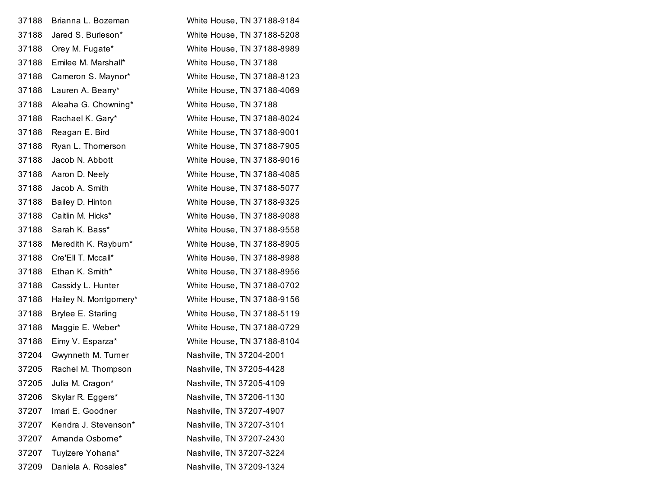| 37188 | Brianna L. Bozeman    | White House, TN 37188-9184 |
|-------|-----------------------|----------------------------|
| 37188 | Jared S. Burleson*    | White House, TN 37188-5208 |
| 37188 | Orey M. Fugate*       | White House, TN 37188-8989 |
| 37188 | Emilee M. Marshall*   | White House, TN 37188      |
| 37188 | Cameron S. Maynor*    | White House, TN 37188-8123 |
| 37188 | Lauren A. Bearry*     | White House, TN 37188-4069 |
| 37188 | Aleaha G. Chowning*   | White House, TN 37188      |
| 37188 | Rachael K. Gary*      | White House, TN 37188-8024 |
| 37188 | Reagan E. Bird        | White House, TN 37188-9001 |
| 37188 | Ryan L. Thomerson     | White House, TN 37188-7905 |
| 37188 | Jacob N. Abbott       | White House, TN 37188-9016 |
| 37188 | Aaron D. Neely        | White House, TN 37188-4085 |
| 37188 | Jacob A. Smith        | White House, TN 37188-5077 |
| 37188 | Bailey D. Hinton      | White House, TN 37188-9325 |
| 37188 | Caitlin M. Hicks*     | White House, TN 37188-9088 |
| 37188 | Sarah K. Bass*        | White House, TN 37188-9558 |
| 37188 | Meredith K. Rayburn*  | White House, TN 37188-8905 |
| 37188 | Cre'Ell T. Mccall*    | White House, TN 37188-8988 |
| 37188 | Ethan K. Smith*       | White House, TN 37188-8956 |
| 37188 | Cassidy L. Hunter     | White House, TN 37188-0702 |
| 37188 | Hailey N. Montgomery* | White House, TN 37188-9156 |
| 37188 | Brylee E. Starling    | White House, TN 37188-5119 |
| 37188 | Maggie E. Weber*      | White House, TN 37188-0729 |
| 37188 | Eimy V. Esparza*      | White House, TN 37188-8104 |
| 37204 | Gwynneth M. Turner    | Nashville, TN 37204-2001   |
| 37205 | Rachel M. Thompson    | Nashville, TN 37205-4428   |
| 37205 | Julia M. Cragon*      | Nashville, TN 37205-4109   |
| 37206 | Skylar R. Eggers*     | Nashville, TN 37206-1130   |
| 37207 | Imari E. Goodner      | Nashville, TN 37207-4907   |
| 37207 | Kendra J. Stevenson*  | Nashville, TN 37207-3101   |
| 37207 | Amanda Osborne*       | Nashville, TN 37207-2430   |
| 37207 | Tuyizere Yohana*      | Nashville, TN 37207-3224   |
| 37209 | Daniela A. Rosales*   | Nashville, TN 37209-1324   |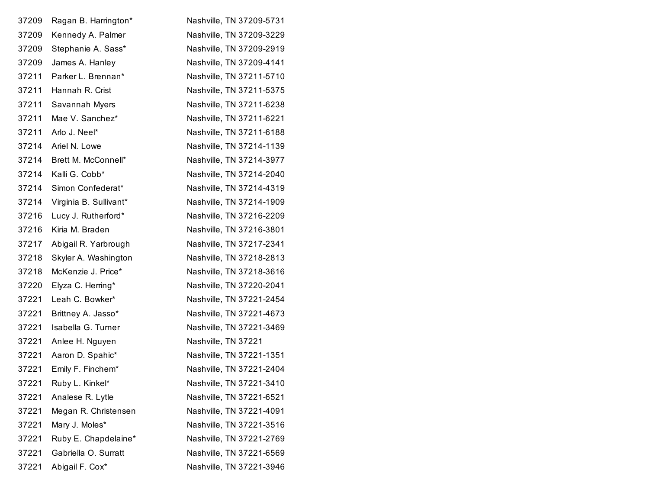|                        | Nashville, TN 37209-3229 |
|------------------------|--------------------------|
| Stephanie A. Sass*     | Nashville, TN 37209-2919 |
| James A. Hanley        | Nashville, TN 37209-4141 |
| Parker L. Brennan*     | Nashville, TN 37211-5710 |
| Hannah R. Crist        | Nashville, TN 37211-5375 |
| Savannah Myers         | Nashville, TN 37211-6238 |
| Mae V. Sanchez*        | Nashville, TN 37211-6221 |
| Arlo J. Neel*          | Nashville, TN 37211-6188 |
| Ariel N. Lowe          | Nashville, TN 37214-1139 |
| Brett M. McConnell*    | Nashville, TN 37214-3977 |
| Kalli G. Cobb*         | Nashville, TN 37214-2040 |
| Simon Confederat*      | Nashville, TN 37214-4319 |
| Virginia B. Sullivant* | Nashville, TN 37214-1909 |
| Lucy J. Rutherford*    | Nashville, TN 37216-2209 |
| Kiria M. Braden        | Nashville, TN 37216-3801 |
| Abigail R. Yarbrough   | Nashville, TN 37217-2341 |
| Skyler A. Washington   | Nashville, TN 37218-2813 |
| McKenzie J. Price*     | Nashville, TN 37218-3616 |
| Elyza C. Herring*      | Nashville, TN 37220-2041 |
| Leah C. Bowker*        | Nashville, TN 37221-2454 |
| Brittney A. Jasso*     | Nashville, TN 37221-4673 |
| Isabella G. Turner     | Nashville, TN 37221-3469 |
| Anlee H. Nguyen        | Nashville, TN 37221      |
| Aaron D. Spahic*       | Nashville, TN 37221-1351 |
| Emily F. Finchem*      | Nashville, TN 37221-2404 |
| Ruby L. Kinkel*        | Nashville, TN 37221-3410 |
| Analese R. Lytle       | Nashville, TN 37221-6521 |
| Megan R. Christensen   | Nashville, TN 37221-4091 |
| Mary J. Moles*         | Nashville, TN 37221-3516 |
| Ruby E. Chapdelaine*   | Nashville, TN 37221-2769 |
| Gabriella O. Surratt   | Nashville, TN 37221-6569 |
| Abigail F. Cox*        | Nashville, TN 37221-3946 |
|                        | Kennedy A. Palmer        |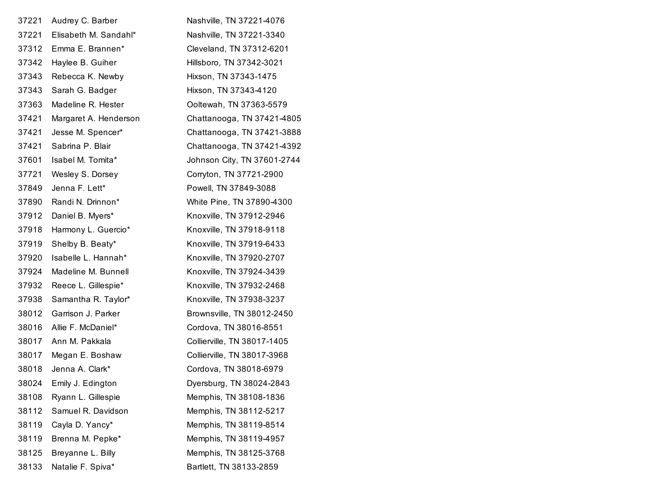| 37221 | Audrey C. Barber      | Nashville, TN 37221-4076    |
|-------|-----------------------|-----------------------------|
| 37221 | Elisabeth M. Sandahl* | Nashville, TN 37221-3340    |
| 37312 | Emma E. Brannen*      | Cleveland, TN 37312-6201    |
| 37342 | Haylee B. Guiher      | Hillsboro, TN 37342-3021    |
| 37343 | Rebecca K. Newby      | Hixson, TN 37343-1475       |
| 37343 | Sarah G. Badger       | Hixson, TN 37343-4120       |
| 37363 | Madeline R. Hester    | Ooltewah, TN 37363-5579     |
| 37421 | Margaret A. Henderson | Chattanooga, TN 37421-4805  |
| 37421 | Jesse M. Spencer*     | Chattanooga, TN 37421-3888  |
| 37421 | Sabrina P. Blair      | Chattanooga, TN 37421-4392  |
| 37601 | Isabel M. Tomita*     | Johnson City, TN 37601-2744 |
| 37721 | Wesley S. Dorsey      | Corryton, TN 37721-2900     |
| 37849 | Jenna F. Lett*        | Powell, TN 37849-3088       |
| 37890 | Randi N. Drinnon*     | White Pine, TN 37890-4300   |
| 37912 | Daniel B. Myers*      | Knoxville, TN 37912-2946    |
| 37918 | Harmony L. Guercio*   | Knoxville, TN 37918-9118    |
| 37919 | Shelby B. Beaty*      | Knoxville, TN 37919-6433    |
| 37920 | Isabelle L. Hannah*   | Knoxville, TN 37920-2707    |
| 37924 | Madeline M. Bunnell   | Knoxville, TN 37924-3439    |
| 37932 | Reece L. Gillespie*   | Knoxville, TN 37932-2468    |
| 37938 | Samantha R. Taylor*   | Knoxville, TN 37938-3237    |
| 38012 | Garrison J. Parker    | Brownsville, TN 38012-2450  |
| 38016 | Allie F. McDaniel*    | Cordova, TN 38016-8551      |
| 38017 | Ann M. Pakkala        | Collierville, TN 38017-1405 |
| 38017 | Megan E. Boshaw       | Collierville, TN 38017-3968 |
| 38018 | Jenna A. Clark*       | Cordova, TN 38018-6979      |
| 38024 | Emily J. Edington     | Dyersburg, TN 38024-2843    |
| 38108 | Ryann L. Gillespie    | Memphis, TN 38108-1836      |
| 38112 | Samuel R. Davidson    | Memphis, TN 38112-5217      |
| 38119 | Cayla D. Yancy*       | Memphis, TN 38119-8514      |
| 38119 | Brenna M. Pepke*      | Memphis, TN 38119-4957      |
| 38125 | Breyanne L. Billy     | Memphis, TN 38125-3768      |
| 38133 | Natalie F. Spiva*     | Bartlett, TN 38133-2859     |
|       |                       |                             |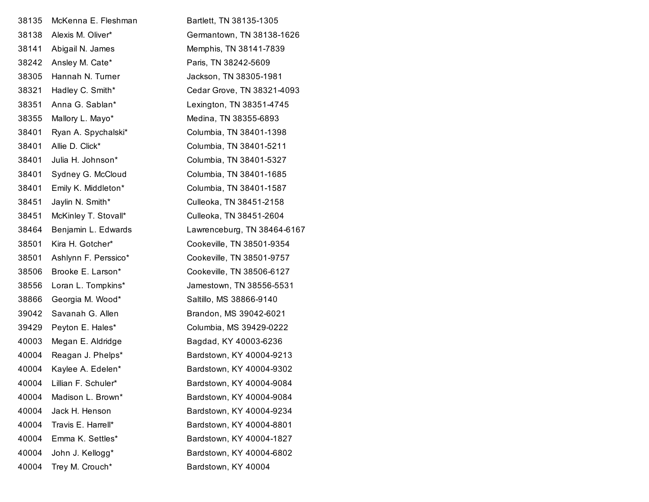| 38135 | McKenna E. Fleshman  | Bartlett, TN 38135-1305     |
|-------|----------------------|-----------------------------|
| 38138 | Alexis M. Oliver*    | Germantown, TN 38138-1626   |
| 38141 | Abigail N. James     | Memphis, TN 38141-7839      |
| 38242 | Ansley M. Cate*      | Paris, TN 38242-5609        |
| 38305 | Hannah N. Turner     | Jackson, TN 38305-1981      |
| 38321 | Hadley C. Smith*     | Cedar Grove, TN 38321-4093  |
| 38351 | Anna G. Sablan*      | Lexington, TN 38351-4745    |
| 38355 | Mallory L. Mayo*     | Medina, TN 38355-6893       |
| 38401 | Ryan A. Spychalski*  | Columbia, TN 38401-1398     |
| 38401 | Allie D. Click*      | Columbia, TN 38401-5211     |
| 38401 | Julia H. Johnson*    | Columbia, TN 38401-5327     |
| 38401 | Sydney G. McCloud    | Columbia, TN 38401-1685     |
| 38401 | Emily K. Middleton*  | Columbia, TN 38401-1587     |
| 38451 | Jaylin N. Smith*     | Culleoka, TN 38451-2158     |
| 38451 | McKinley T. Stovall* | Culleoka, TN 38451-2604     |
| 38464 | Benjamin L. Edwards  | Lawrenceburg, TN 38464-6167 |
| 38501 | Kira H. Gotcher*     | Cookeville, TN 38501-9354   |
| 38501 | Ashlynn F. Perssico* | Cookeville, TN 38501-9757   |
| 38506 | Brooke E. Larson*    | Cookeville, TN 38506-6127   |
| 38556 | Loran L. Tompkins*   | Jamestown, TN 38556-5531    |
| 38866 | Georgia M. Wood*     | Saltillo, MS 38866-9140     |
| 39042 | Savanah G. Allen     | Brandon, MS 39042-6021      |
| 39429 | Peyton E. Hales*     | Columbia, MS 39429-0222     |
| 40003 | Megan E. Aldridge    | Bagdad, KY 40003-6236       |
| 40004 | Reagan J. Phelps*    | Bardstown, KY 40004-9213    |
| 40004 | Kaylee A. Edelen*    | Bardstown, KY 40004-9302    |
| 40004 | Lillian F. Schuler*  | Bardstown, KY 40004-9084    |
| 40004 | Madison L. Brown*    | Bardstown, KY 40004-9084    |
| 40004 | Jack H. Henson       | Bardstown, KY 40004-9234    |
| 40004 | Travis E. Harrell*   | Bardstown, KY 40004-8801    |
| 40004 | Emma K. Settles*     | Bardstown, KY 40004-1827    |
| 40004 | John J. Kellogg*     | Bardstown, KY 40004-6802    |
| 40004 | Trey M. Crouch*      | Bardstown, KY 40004         |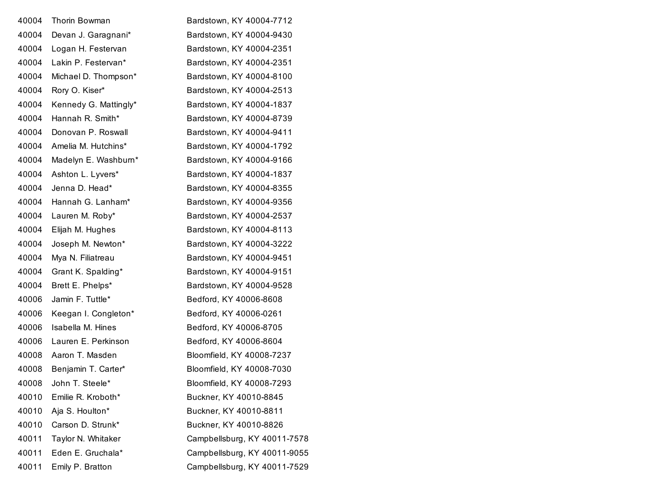| 40004 | Thorin Bowman         | Bardstown, KY 40004-7712     |
|-------|-----------------------|------------------------------|
| 40004 | Devan J. Garagnani*   | Bardstown, KY 40004-9430     |
| 40004 | Logan H. Festervan    | Bardstown, KY 40004-2351     |
| 40004 | Lakin P. Festervan*   | Bardstown, KY 40004-2351     |
| 40004 | Michael D. Thompson*  | Bardstown, KY 40004-8100     |
| 40004 | Rory O. Kiser*        | Bardstown, KY 40004-2513     |
| 40004 | Kennedy G. Mattingly* | Bardstown, KY 40004-1837     |
| 40004 | Hannah R. Smith*      | Bardstown, KY 40004-8739     |
| 40004 | Donovan P. Roswall    | Bardstown, KY 40004-9411     |
| 40004 | Amelia M. Hutchins*   | Bardstown, KY 40004-1792     |
| 40004 | Madelyn E. Washburn*  | Bardstown, KY 40004-9166     |
| 40004 | Ashton L. Lyvers*     | Bardstown, KY 40004-1837     |
| 40004 | Jenna D. Head*        | Bardstown, KY 40004-8355     |
| 40004 | Hannah G. Lanham*     | Bardstown, KY 40004-9356     |
| 40004 | Lauren M. Roby*       | Bardstown, KY 40004-2537     |
| 40004 | Elijah M. Hughes      | Bardstown, KY 40004-8113     |
| 40004 | Joseph M. Newton*     | Bardstown, KY 40004-3222     |
| 40004 | Mya N. Filiatreau     | Bardstown, KY 40004-9451     |
| 40004 | Grant K. Spalding*    | Bardstown, KY 40004-9151     |
| 40004 | Brett E. Phelps*      | Bardstown, KY 40004-9528     |
| 40006 | Jamin F. Tuttle*      | Bedford, KY 40006-8608       |
| 40006 | Keegan I. Congleton*  | Bedford, KY 40006-0261       |
| 40006 | Isabella M. Hines     | Bedford, KY 40006-8705       |
| 40006 | Lauren E. Perkinson   | Bedford, KY 40006-8604       |
| 40008 | Aaron T. Masden       | Bloomfield, KY 40008-7237    |
| 40008 | Benjamin T. Carter*   | Bloomfield, KY 40008-7030    |
| 40008 | John T. Steele*       | Bloomfield, KY 40008-7293    |
| 40010 | Emilie R. Kroboth*    | Buckner, KY 40010-8845       |
| 40010 | Aja S. Houlton*       | Buckner, KY 40010-8811       |
| 40010 | Carson D. Strunk*     | Buckner, KY 40010-8826       |
| 40011 | Taylor N. Whitaker    | Campbellsburg, KY 40011-7578 |
| 40011 | Eden E. Gruchala*     | Campbellsburg, KY 40011-9055 |
| 40011 | Emily P. Bratton      | Campbellsburg, KY 40011-7529 |
|       |                       |                              |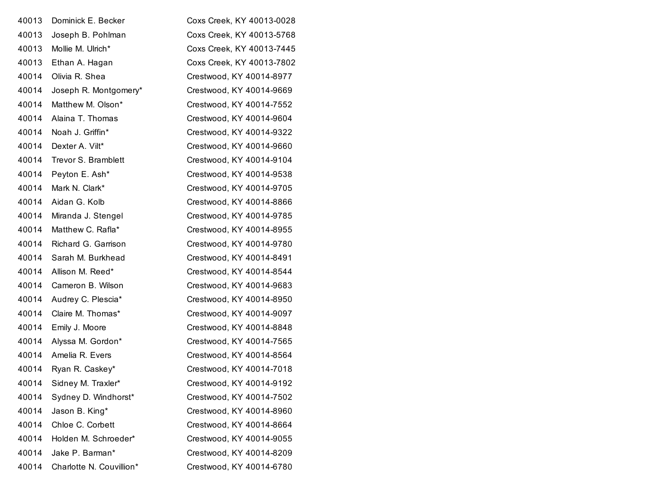| 40013 | Dominick E. Becker       | Coxs Creek, KY 40013-0028 |
|-------|--------------------------|---------------------------|
| 40013 | Joseph B. Pohlman        | Coxs Creek, KY 40013-5768 |
| 40013 | Mollie M. Ulrich*        | Coxs Creek, KY 40013-7445 |
| 40013 | Ethan A. Hagan           | Coxs Creek, KY 40013-7802 |
| 40014 | Olivia R. Shea           | Crestwood, KY 40014-8977  |
| 40014 | Joseph R. Montgomery*    | Crestwood, KY 40014-9669  |
| 40014 | Matthew M. Olson*        | Crestwood, KY 40014-7552  |
| 40014 | Alaina T. Thomas         | Crestwood, KY 40014-9604  |
| 40014 | Noah J. Griffin*         | Crestwood, KY 40014-9322  |
| 40014 | Dexter A. Vilt*          | Crestwood, KY 40014-9660  |
| 40014 | Trevor S. Bramblett      | Crestwood, KY 40014-9104  |
| 40014 | Peyton E. Ash*           | Crestwood, KY 40014-9538  |
| 40014 | Mark N. Clark*           | Crestwood, KY 40014-9705  |
| 40014 | Aidan G. Kolb            | Crestwood, KY 40014-8866  |
| 40014 | Miranda J. Stengel       | Crestwood, KY 40014-9785  |
| 40014 | Matthew C. Rafla*        | Crestwood, KY 40014-8955  |
| 40014 | Richard G. Garrison      | Crestwood, KY 40014-9780  |
| 40014 | Sarah M. Burkhead        | Crestwood, KY 40014-8491  |
| 40014 | Allison M. Reed*         | Crestwood, KY 40014-8544  |
| 40014 | Cameron B. Wilson        | Crestwood, KY 40014-9683  |
| 40014 | Audrey C. Plescia*       | Crestwood, KY 40014-8950  |
| 40014 | Claire M. Thomas*        | Crestwood, KY 40014-9097  |
| 40014 | Emily J. Moore           | Crestwood, KY 40014-8848  |
| 40014 | Alyssa M. Gordon*        | Crestwood, KY 40014-7565  |
| 40014 | Amelia R. Evers          | Crestwood, KY 40014-8564  |
| 40014 | Ryan R. Caskey*          | Crestwood, KY 40014-7018  |
| 40014 | Sidney M. Traxler*       | Crestwood, KY 40014-9192  |
| 40014 | Sydney D. Windhorst*     | Crestwood, KY 40014-7502  |
| 40014 | Jason B. King*           | Crestwood, KY 40014-8960  |
| 40014 | Chloe C. Corbett         | Crestwood, KY 40014-8664  |
| 40014 | Holden M. Schroeder*     | Crestwood, KY 40014-9055  |
| 40014 | Jake P. Barman*          | Crestwood, KY 40014-8209  |
| 40014 | Charlotte N. Couvillion* | Crestwood, KY 40014-6780  |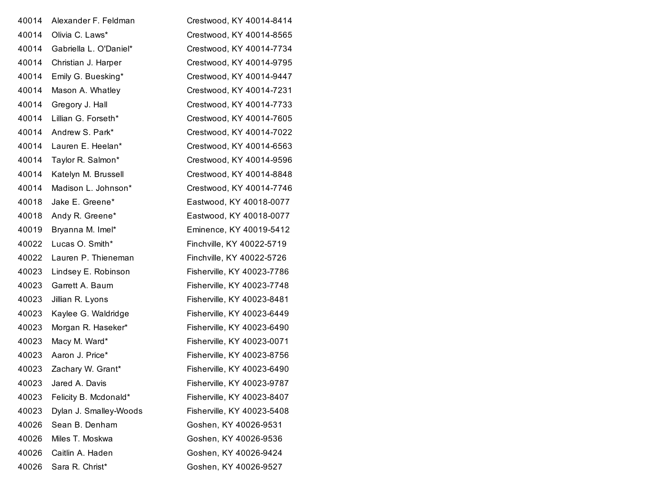| 40014 | Alexander F. Feldman   | Crestwood, KY 40014-8414   |
|-------|------------------------|----------------------------|
| 40014 | Olivia C. Laws*        | Crestwood, KY 40014-8565   |
| 40014 | Gabriella L. O'Daniel* | Crestwood, KY 40014-7734   |
| 40014 | Christian J. Harper    | Crestwood, KY 40014-9795   |
| 40014 | Emily G. Buesking*     | Crestwood, KY 40014-9447   |
| 40014 | Mason A. Whatley       | Crestwood, KY 40014-7231   |
| 40014 | Gregory J. Hall        | Crestwood, KY 40014-7733   |
| 40014 | Lillian G. Forseth*    | Crestwood, KY 40014-7605   |
| 40014 | Andrew S. Park*        | Crestwood, KY 40014-7022   |
| 40014 | Lauren E. Heelan*      | Crestwood, KY 40014-6563   |
| 40014 | Taylor R. Salmon*      | Crestwood, KY 40014-9596   |
| 40014 | Katelyn M. Brussell    | Crestwood, KY 40014-8848   |
| 40014 | Madison L. Johnson*    | Crestwood, KY 40014-7746   |
| 40018 | Jake E. Greene*        | Eastwood, KY 40018-0077    |
| 40018 | Andy R. Greene*        | Eastwood, KY 40018-0077    |
| 40019 | Bryanna M. Imel*       | Eminence, KY 40019-5412    |
| 40022 | Lucas O. Smith*        | Finchville, KY 40022-5719  |
| 40022 | Lauren P. Thieneman    | Finchville, KY 40022-5726  |
| 40023 | Lindsey E. Robinson    | Fisherville, KY 40023-7786 |
| 40023 | Garrett A. Baum        | Fisherville, KY 40023-7748 |
| 40023 | Jillian R. Lyons       | Fisherville, KY 40023-8481 |
| 40023 | Kaylee G. Waldridge    | Fisherville, KY 40023-6449 |
| 40023 | Morgan R. Haseker*     | Fisherville, KY 40023-6490 |
| 40023 | Macy M. Ward*          | Fisherville, KY 40023-0071 |
| 40023 | Aaron J. Price*        | Fisherville, KY 40023-8756 |
| 40023 | Zachary W. Grant*      | Fisherville, KY 40023-6490 |
| 40023 | Jared A. Davis         | Fisherville, KY 40023-9787 |
| 40023 | Felicity B. Mcdonald*  | Fisherville, KY 40023-8407 |
| 40023 | Dylan J. Smalley-Woods | Fisherville, KY 40023-5408 |
| 40026 | Sean B. Denham         | Goshen, KY 40026-9531      |
| 40026 | Miles T. Moskwa        | Goshen, KY 40026-9536      |
| 40026 | Caitlin A. Haden       | Goshen, KY 40026-9424      |
| 40026 | Sara R. Christ*        | Goshen, KY 40026-9527      |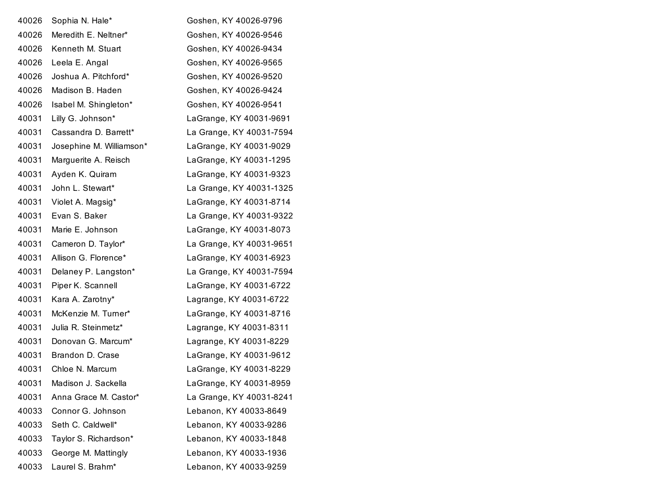| 40026 | Sophia N. Hale*          | Goshen, KY 40026-9796    |
|-------|--------------------------|--------------------------|
| 40026 | Meredith E. Neltner*     | Goshen, KY 40026-9546    |
| 40026 | Kenneth M. Stuart        | Goshen, KY 40026-9434    |
| 40026 | Leela E. Angal           | Goshen, KY 40026-9565    |
| 40026 | Joshua A. Pitchford*     | Goshen, KY 40026-9520    |
| 40026 | Madison B. Haden         | Goshen, KY 40026-9424    |
| 40026 | Isabel M. Shingleton*    | Goshen, KY 40026-9541    |
| 40031 | Lilly G. Johnson*        | LaGrange, KY 40031-9691  |
| 40031 | Cassandra D. Barrett*    | La Grange, KY 40031-7594 |
| 40031 | Josephine M. Williamson* | LaGrange, KY 40031-9029  |
| 40031 | Marguerite A. Reisch     | LaGrange, KY 40031-1295  |
| 40031 | Ayden K. Quiram          | LaGrange, KY 40031-9323  |
| 40031 | John L. Stewart*         | La Grange, KY 40031-1325 |
| 40031 | Violet A. Magsig*        | LaGrange, KY 40031-8714  |
| 40031 | Evan S. Baker            | La Grange, KY 40031-9322 |
| 40031 | Marie E. Johnson         | LaGrange, KY 40031-8073  |
| 40031 | Cameron D. Taylor*       | La Grange, KY 40031-9651 |
| 40031 | Allison G. Florence*     | LaGrange, KY 40031-6923  |
| 40031 | Delaney P. Langston*     | La Grange, KY 40031-7594 |
| 40031 | Piper K. Scannell        | LaGrange, KY 40031-6722  |
| 40031 | Kara A. Zarotny*         | Lagrange, KY 40031-6722  |
| 40031 | McKenzie M. Turner*      | LaGrange, KY 40031-8716  |
| 40031 | Julia R. Steinmetz*      | Lagrange, KY 40031-8311  |
| 40031 | Donovan G. Marcum*       | Lagrange, KY 40031-8229  |
| 40031 | Brandon D. Crase         | LaGrange, KY 40031-9612  |
| 40031 | Chloe N. Marcum          | LaGrange, KY 40031-8229  |
| 40031 | Madison J. Sackella      | LaGrange, KY 40031-8959  |
| 40031 | Anna Grace M. Castor*    | La Grange, KY 40031-8241 |
| 40033 | Connor G. Johnson        | Lebanon, KY 40033-8649   |
| 40033 | Seth C. Caldwell*        | Lebanon, KY 40033-9286   |
| 40033 | Taylor S. Richardson*    | Lebanon, KY 40033-1848   |
| 40033 | George M. Mattingly      | Lebanon, KY 40033-1936   |
| 40033 | Laurel S. Brahm*         | Lebanon, KY 40033-9259   |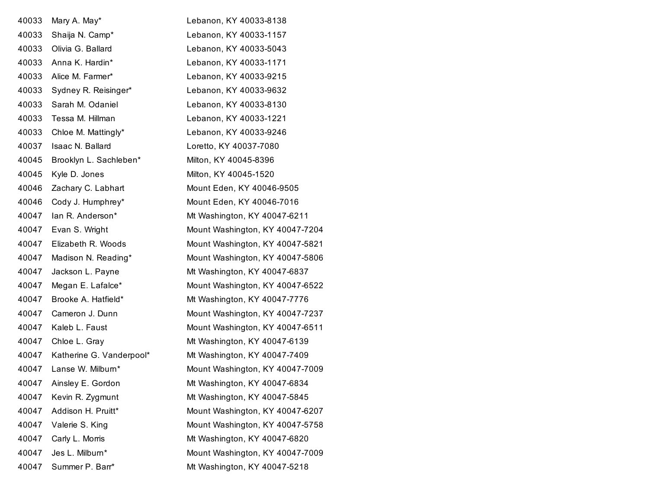| 40033 | Mary A. May*             | Lebanon, KY 40033-8138          |
|-------|--------------------------|---------------------------------|
| 40033 | Shaija N. Camp*          | Lebanon, KY 40033-1157          |
| 40033 | Olivia G. Ballard        | Lebanon, KY 40033-5043          |
| 40033 | Anna K. Hardin*          | Lebanon, KY 40033-1171          |
| 40033 | Alice M. Farmer*         | Lebanon, KY 40033-9215          |
| 40033 | Sydney R. Reisinger*     | Lebanon, KY 40033-9632          |
| 40033 | Sarah M. Odaniel         | Lebanon, KY 40033-8130          |
| 40033 | Tessa M. Hillman         | Lebanon, KY 40033-1221          |
| 40033 | Chloe M. Mattingly*      | Lebanon, KY 40033-9246          |
| 40037 | Isaac N. Ballard         | Loretto, KY 40037-7080          |
| 40045 | Brooklyn L. Sachleben*   | Milton, KY 40045-8396           |
| 40045 | Kyle D. Jones            | Milton, KY 40045-1520           |
| 40046 | Zachary C. Labhart       | Mount Eden, KY 40046-9505       |
| 40046 | Cody J. Humphrey*        | Mount Eden, KY 40046-7016       |
| 40047 | lan R. Anderson*         | Mt Washington, KY 40047-6211    |
| 40047 | Evan S. Wright           | Mount Washington, KY 40047-7204 |
| 40047 | Elizabeth R. Woods       | Mount Washington, KY 40047-5821 |
| 40047 | Madison N. Reading*      | Mount Washington, KY 40047-5806 |
| 40047 | Jackson L. Payne         | Mt Washington, KY 40047-6837    |
| 40047 | Megan E. Lafalce*        | Mount Washington, KY 40047-6522 |
| 40047 | Brooke A. Hatfield*      | Mt Washington, KY 40047-7776    |
| 40047 | Cameron J. Dunn          | Mount Washington, KY 40047-7237 |
| 40047 | Kaleb L. Faust           | Mount Washington, KY 40047-6511 |
| 40047 | Chloe L. Gray            | Mt Washington, KY 40047-6139    |
| 40047 | Katherine G. Vanderpool* | Mt Washington, KY 40047-7409    |
| 40047 | Lanse W. Milburn*        | Mount Washington, KY 40047-7009 |
| 40047 | Ainsley E. Gordon        | Mt Washington, KY 40047-6834    |
| 40047 | Kevin R. Zygmunt         | Mt Washington, KY 40047-5845    |
| 40047 | Addison H. Pruitt*       | Mount Washington, KY 40047-6207 |
| 40047 | Valerie S. King          | Mount Washington, KY 40047-5758 |
| 40047 | Carly L. Morris          | Mt Washington, KY 40047-6820    |
| 40047 | Jes L. Milburn*          | Mount Washington, KY 40047-7009 |
| 40047 | Summer P. Barr*          | Mt Washington, KY 40047-5218    |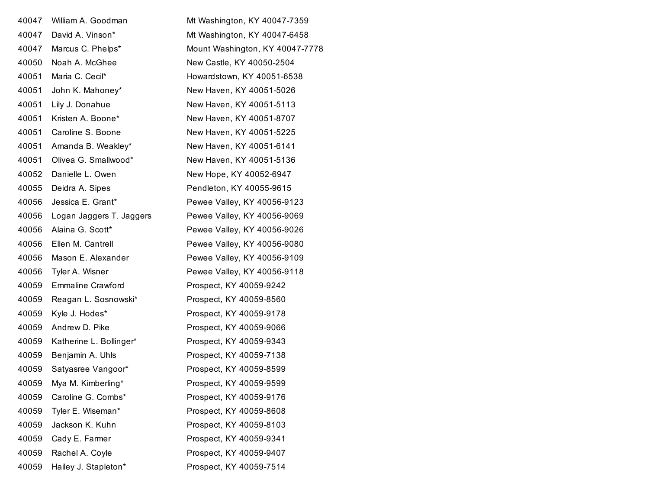| 40047 | William A. Goodman       | Mt Washington, KY 40047-7359    |
|-------|--------------------------|---------------------------------|
| 40047 | David A. Vinson*         | Mt Washington, KY 40047-6458    |
| 40047 | Marcus C. Phelps*        | Mount Washington, KY 40047-7778 |
| 40050 | Noah A. McGhee           | New Castle, KY 40050-2504       |
| 40051 | Maria C. Cecil*          | Howardstown, KY 40051-6538      |
| 40051 | John K. Mahoney*         | New Haven, KY 40051-5026        |
| 40051 | Lily J. Donahue          | New Haven, KY 40051-5113        |
| 40051 | Kristen A. Boone*        | New Haven, KY 40051-8707        |
| 40051 | Caroline S. Boone        | New Haven, KY 40051-5225        |
| 40051 | Amanda B. Weakley*       | New Haven, KY 40051-6141        |
| 40051 | Olivea G. Smallwood*     | New Haven, KY 40051-5136        |
| 40052 | Danielle L. Owen         | New Hope, KY 40052-6947         |
| 40055 | Deidra A. Sipes          | Pendleton, KY 40055-9615        |
| 40056 | Jessica E. Grant*        | Pewee Valley, KY 40056-9123     |
| 40056 | Logan Jaggers T. Jaggers | Pewee Valley, KY 40056-9069     |
| 40056 | Alaina G. Scott*         | Pewee Valley, KY 40056-9026     |
| 40056 | Ellen M. Cantrell        | Pewee Valley, KY 40056-9080     |
| 40056 | Mason E. Alexander       | Pewee Valley, KY 40056-9109     |
| 40056 | Tyler A. Wisner          | Pewee Valley, KY 40056-9118     |
| 40059 | <b>Emmaline Crawford</b> | Prospect, KY 40059-9242         |
| 40059 | Reagan L. Sosnowski*     | Prospect, KY 40059-8560         |
| 40059 | Kyle J. Hodes*           | Prospect, KY 40059-9178         |
| 40059 | Andrew D. Pike           | Prospect, KY 40059-9066         |
| 40059 | Katherine L. Bollinger*  | Prospect, KY 40059-9343         |
| 40059 | Benjamin A. Uhls         | Prospect, KY 40059-7138         |
| 40059 | Satyasree Vangoor*       | Prospect, KY 40059-8599         |
| 40059 | Mya M. Kimberling*       | Prospect, KY 40059-9599         |
| 40059 | Caroline G. Combs*       | Prospect, KY 40059-9176         |
| 40059 | Tyler E. Wiseman*        | Prospect, KY 40059-8608         |
| 40059 | Jackson K. Kuhn          | Prospect, KY 40059-8103         |
| 40059 | Cady E. Farmer           | Prospect, KY 40059-9341         |
| 40059 | Rachel A. Coyle          | Prospect, KY 40059-9407         |
| 40059 | Hailey J. Stapleton*     | Prospect, KY 40059-7514         |
|       |                          |                                 |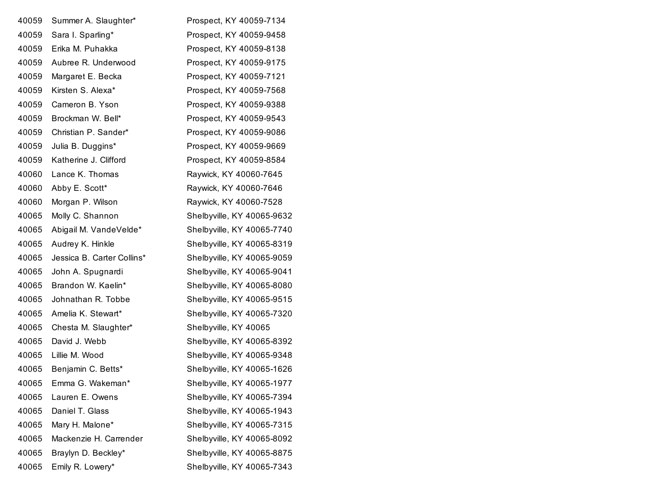| 40059 | Summer A. Slaughter*       | Prospect, KY 40059-7134    |
|-------|----------------------------|----------------------------|
| 40059 | Sara I. Sparling*          | Prospect, KY 40059-9458    |
| 40059 | Erika M. Puhakka           | Prospect, KY 40059-8138    |
| 40059 | Aubree R. Underwood        | Prospect, KY 40059-9175    |
| 40059 | Margaret E. Becka          | Prospect, KY 40059-7121    |
| 40059 | Kirsten S. Alexa*          | Prospect, KY 40059-7568    |
| 40059 | Cameron B. Yson            | Prospect, KY 40059-9388    |
| 40059 | Brockman W. Bell*          | Prospect, KY 40059-9543    |
| 40059 | Christian P. Sander*       | Prospect, KY 40059-9086    |
| 40059 | Julia B. Duggins*          | Prospect, KY 40059-9669    |
| 40059 | Katherine J. Clifford      | Prospect, KY 40059-8584    |
| 40060 | Lance K. Thomas            | Raywick, KY 40060-7645     |
| 40060 | Abby E. Scott*             | Raywick, KY 40060-7646     |
| 40060 | Morgan P. Wilson           | Raywick, KY 40060-7528     |
| 40065 | Molly C. Shannon           | Shelbyville, KY 40065-9632 |
| 40065 | Abigail M. VandeVelde*     | Shelbyville, KY 40065-7740 |
| 40065 | Audrey K. Hinkle           | Shelbyville, KY 40065-8319 |
| 40065 | Jessica B. Carter Collins* | Shelbyville, KY 40065-9059 |
| 40065 | John A. Spugnardi          | Shelbyville, KY 40065-9041 |
| 40065 | Brandon W. Kaelin*         | Shelbyville, KY 40065-8080 |
| 40065 | Johnathan R. Tobbe         | Shelbyville, KY 40065-9515 |
| 40065 | Amelia K. Stewart*         | Shelbyville, KY 40065-7320 |
| 40065 | Chesta M. Slaughter*       | Shelbyville, KY 40065      |
| 40065 | David J. Webb              | Shelbyville, KY 40065-8392 |
| 40065 | Lillie M. Wood             | Shelbyville, KY 40065-9348 |
| 40065 | Benjamin C. Betts*         | Shelbyville, KY 40065-1626 |
| 40065 | Emma G. Wakeman*           | Shelbyville, KY 40065-1977 |
| 40065 | Lauren E. Owens            | Shelbyville, KY 40065-7394 |
| 40065 | Daniel T. Glass            | Shelbyville, KY 40065-1943 |
| 40065 | Mary H. Malone*            | Shelbyville, KY 40065-7315 |
| 40065 | Mackenzie H. Carrender     | Shelbyville, KY 40065-8092 |
| 40065 | Braylyn D. Beckley*        | Shelbyville, KY 40065-8875 |
| 40065 | Emily R. Lowery*           | Shelbyville, KY 40065-7343 |
|       |                            |                            |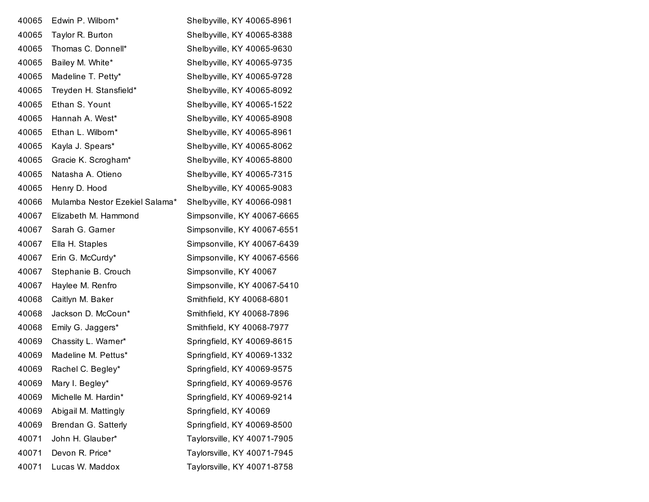| 40065 | Edwin P. Wilborn*              | Shelbyville, KY 40065-8961  |
|-------|--------------------------------|-----------------------------|
| 40065 | Taylor R. Burton               | Shelbyville, KY 40065-8388  |
| 40065 | Thomas C. Donnell*             | Shelbyville, KY 40065-9630  |
| 40065 | Bailey M. White*               | Shelbyville, KY 40065-9735  |
| 40065 | Madeline T. Petty*             | Shelbyville, KY 40065-9728  |
| 40065 | Treyden H. Stansfield*         | Shelbyville, KY 40065-8092  |
| 40065 | Ethan S. Yount                 | Shelbyville, KY 40065-1522  |
| 40065 | Hannah A. West*                | Shelbyville, KY 40065-8908  |
| 40065 | Ethan L. Wilborn*              | Shelbyville, KY 40065-8961  |
| 40065 | Kayla J. Spears*               | Shelbyville, KY 40065-8062  |
| 40065 | Gracie K. Scrogham*            | Shelbyville, KY 40065-8800  |
| 40065 | Natasha A. Otieno              | Shelbyville, KY 40065-7315  |
| 40065 | Henry D. Hood                  | Shelbyville, KY 40065-9083  |
| 40066 | Mulamba Nestor Ezekiel Salama* | Shelbyville, KY 40066-0981  |
| 40067 | Elizabeth M. Hammond           | Simpsonville, KY 40067-6665 |
| 40067 | Sarah G. Garner                | Simpsonville, KY 40067-6551 |
| 40067 | Ella H. Staples                | Simpsonville, KY 40067-6439 |
| 40067 | Erin G. McCurdy*               | Simpsonville, KY 40067-6566 |
| 40067 | Stephanie B. Crouch            | Simpsonville, KY 40067      |
| 40067 | Haylee M. Renfro               | Simpsonville, KY 40067-5410 |
| 40068 | Caitlyn M. Baker               | Smithfield, KY 40068-6801   |
| 40068 | Jackson D. McCoun*             | Smithfield, KY 40068-7896   |
| 40068 | Emily G. Jaggers*              | Smithfield, KY 40068-7977   |
| 40069 | Chassity L. Warner*            | Springfield, KY 40069-8615  |
| 40069 | Madeline M. Pettus*            | Springfield, KY 40069-1332  |
| 40069 | Rachel C. Begley*              | Springfield, KY 40069-9575  |
| 40069 | Mary I. Begley*                | Springfield, KY 40069-9576  |
| 40069 | Michelle M. Hardin*            | Springfield, KY 40069-9214  |
| 40069 | Abigail M. Mattingly           | Springfield, KY 40069       |
| 40069 | Brendan G. Satterly            | Springfield, KY 40069-8500  |
| 40071 | John H. Glauber*               | Taylorsville, KY 40071-7905 |
| 40071 | Devon R. Price*                | Taylorsville, KY 40071-7945 |
| 40071 | Lucas W. Maddox                | Taylorsville, KY 40071-8758 |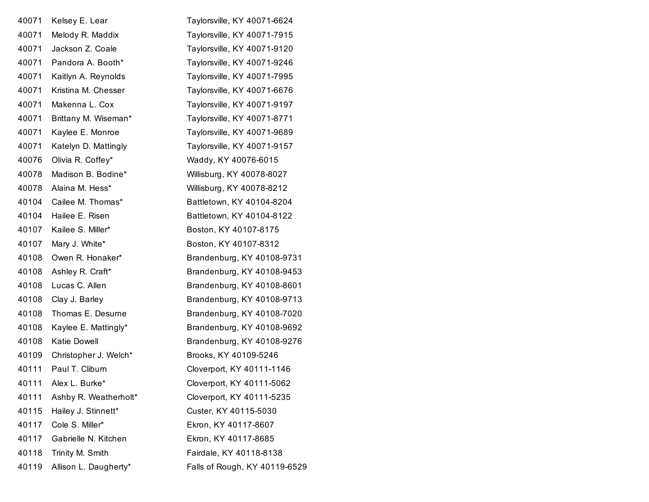| Kelsey E. Lear        | Taylorsville, KY 40071-6624   |
|-----------------------|-------------------------------|
| Melody R. Maddix      | Taylorsville, KY 40071-7915   |
| Jackson Z. Coale      | Taylorsville, KY 40071-9120   |
| Pandora A. Booth*     | Taylorsville, KY 40071-9246   |
| Kaitlyn A. Reynolds   | Taylorsville, KY 40071-7995   |
| Kristina M. Chesser   | Taylorsville, KY 40071-6676   |
| Makenna L. Cox        | Taylorsville, KY 40071-9197   |
| Brittany M. Wiseman*  | Taylorsville, KY 40071-8771   |
| Kaylee E. Monroe      | Taylorsville, KY 40071-9689   |
| Katelyn D. Mattingly  | Taylorsville, KY 40071-9157   |
| Olivia R. Coffey*     | Waddy, KY 40076-6015          |
| Madison B. Bodine*    | Willisburg, KY 40078-8027     |
| Alaina M. Hess*       | Willisburg, KY 40078-8212     |
| Cailee M. Thomas*     | Battletown, KY 40104-8204     |
| Hailee E. Risen       | Battletown, KY 40104-8122     |
| Kailee S. Miller*     | Boston, KY 40107-8175         |
| Mary J. White*        | Boston, KY 40107-8312         |
| Owen R. Honaker*      | Brandenburg, KY 40108-9731    |
| Ashley R. Craft*      | Brandenburg, KY 40108-9453    |
| Lucas C. Allen        | Brandenburg, KY 40108-8601    |
| Clay J. Barley        | Brandenburg, KY 40108-9713    |
| Thomas E. Desurne     | Brandenburg, KY 40108-7020    |
| Kaylee E. Mattingly*  | Brandenburg, KY 40108-9692    |
| <b>Katie Dowell</b>   | Brandenburg, KY 40108-9276    |
| Christopher J. Welch* | Brooks, KY 40109-5246         |
| Paul T. Cliburn       | Cloverport, KY 40111-1146     |
| Alex L. Burke*        | Cloverport, KY 40111-5062     |
| Ashby R. Weatherholt* | Cloverport, KY 40111-5235     |
| Hailey J. Stinnett*   | Custer, KY 40115-5030         |
| Cole S. Miller*       | Ekron, KY 40117-8607          |
| Gabrielle N. Kitchen  | Ekron, KY 40117-8685          |
| Trinity M. Smith      | Fairdale, KY 40118-8138       |
| Allison L. Daugherty* | Falls of Rough, KY 40119-6529 |
|                       |                               |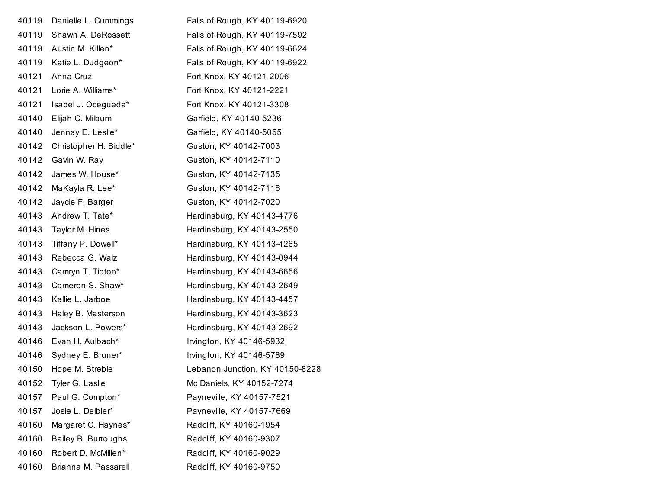| 40119 | Danielle L. Cummings   | Falls of Rough, KY 40119-6920   |
|-------|------------------------|---------------------------------|
| 40119 | Shawn A. DeRossett     | Falls of Rough, KY 40119-7592   |
| 40119 | Austin M. Killen*      | Falls of Rough, KY 40119-6624   |
| 40119 | Katie L. Dudgeon*      | Falls of Rough, KY 40119-6922   |
| 40121 | Anna Cruz              | Fort Knox, KY 40121-2006        |
| 40121 | Lorie A. Williams*     | Fort Knox, KY 40121-2221        |
| 40121 | Isabel J. Ocegueda*    | Fort Knox, KY 40121-3308        |
| 40140 | Elijah C. Milburn      | Garfield, KY 40140-5236         |
| 40140 | Jennay E. Leslie*      | Garfield, KY 40140-5055         |
| 40142 | Christopher H. Biddle* | Guston, KY 40142-7003           |
| 40142 | Gavin W. Ray           | Guston, KY 40142-7110           |
| 40142 | James W. House*        | Guston, KY 40142-7135           |
| 40142 | MaKayla R. Lee*        | Guston, KY 40142-7116           |
| 40142 | Jaycie F. Barger       | Guston, KY 40142-7020           |
| 40143 | Andrew T. Tate*        | Hardinsburg, KY 40143-4776      |
| 40143 | Taylor M. Hines        | Hardinsburg, KY 40143-2550      |
| 40143 | Tiffany P. Dowell*     | Hardinsburg, KY 40143-4265      |
| 40143 | Rebecca G. Walz        | Hardinsburg, KY 40143-0944      |
| 40143 | Camryn T. Tipton*      | Hardinsburg, KY 40143-6656      |
| 40143 | Cameron S. Shaw*       | Hardinsburg, KY 40143-2649      |
| 40143 | Kallie L. Jarboe       | Hardinsburg, KY 40143-4457      |
| 40143 | Haley B. Masterson     | Hardinsburg, KY 40143-3623      |
| 40143 | Jackson L. Powers*     | Hardinsburg, KY 40143-2692      |
| 40146 | Evan H. Aulbach*       | Irvington, KY 40146-5932        |
| 40146 | Sydney E. Bruner*      | Irvington, KY 40146-5789        |
| 40150 | Hope M. Streble        | Lebanon Junction, KY 40150-8228 |
| 40152 | Tyler G. Laslie        | Mc Daniels, KY 40152-7274       |
| 40157 | Paul G. Compton*       | Payneville, KY 40157-7521       |
| 40157 | Josie L. Deibler*      | Payneville, KY 40157-7669       |
| 40160 | Margaret C. Haynes*    | Radcliff, KY 40160-1954         |
| 40160 | Bailey B. Burroughs    | Radcliff, KY 40160-9307         |
| 40160 | Robert D. McMillen*    | Radcliff, KY 40160-9029         |
| 40160 | Brianna M. Passarell   | Radcliff, KY 40160-9750         |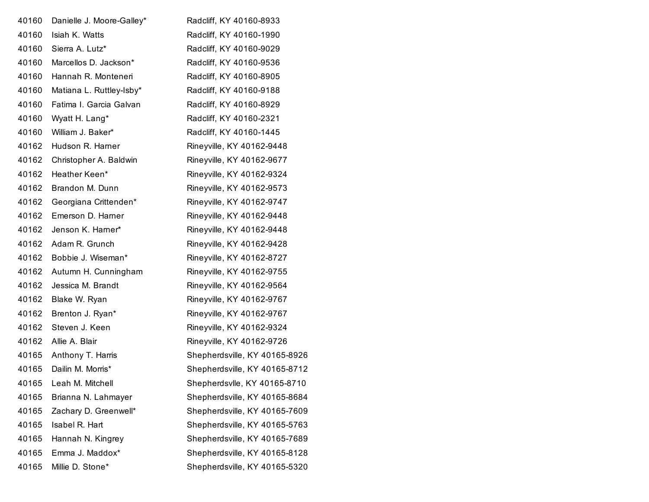| 40160 | Danielle J. Moore-Galley* | Radcliff, KY 40160-8933       |
|-------|---------------------------|-------------------------------|
| 40160 | Isiah K. Watts            | Radcliff, KY 40160-1990       |
| 40160 | Sierra A. Lutz*           | Radcliff, KY 40160-9029       |
| 40160 | Marcellos D. Jackson*     | Radcliff, KY 40160-9536       |
| 40160 | Hannah R. Monteneri       | Radcliff, KY 40160-8905       |
| 40160 | Matiana L. Ruttley-Isby*  | Radcliff, KY 40160-9188       |
| 40160 | Fatima I. Garcia Galvan   | Radcliff, KY 40160-8929       |
| 40160 | Wyatt H. Lang*            | Radcliff, KY 40160-2321       |
| 40160 | William J. Baker*         | Radcliff, KY 40160-1445       |
| 40162 | Hudson R. Harner          | Rineyville, KY 40162-9448     |
| 40162 | Christopher A. Baldwin    | Rineyville, KY 40162-9677     |
| 40162 | Heather Keen*             | Rineyville, KY 40162-9324     |
| 40162 | Brandon M. Dunn           | Rineyville, KY 40162-9573     |
| 40162 | Georgiana Crittenden*     | Rineyville, KY 40162-9747     |
| 40162 | Emerson D. Harner         | Rineyville, KY 40162-9448     |
| 40162 | Jenson K. Hamer*          | Rineyville, KY 40162-9448     |
| 40162 | Adam R. Grunch            | Rineyville, KY 40162-9428     |
| 40162 | Bobbie J. Wiseman*        | Rineyville, KY 40162-8727     |
| 40162 | Autumn H. Cunningham      | Rineyville, KY 40162-9755     |
| 40162 | Jessica M. Brandt         | Rineyville, KY 40162-9564     |
| 40162 | Blake W. Ryan             | Rineyville, KY 40162-9767     |
| 40162 | Brenton J. Ryan*          | Rineyville, KY 40162-9767     |
| 40162 | Steven J. Keen            | Rineyville, KY 40162-9324     |
| 40162 | Allie A. Blair            | Rineyville, KY 40162-9726     |
| 40165 | Anthony T. Harris         | Shepherdsville, KY 40165-8926 |
| 40165 | Dailin M. Morris*         | Shepherdsville, KY 40165-8712 |
|       | 40165 Leah M. Mitchell    | Shepherdsvlle, KY 40165-8710  |
| 40165 | Brianna N. Lahmayer       | Shepherdsville, KY 40165-8684 |
| 40165 | Zachary D. Greenwell*     | Shepherdsville, KY 40165-7609 |
| 40165 | Isabel R. Hart            | Shepherdsville, KY 40165-5763 |
| 40165 | Hannah N. Kingrey         | Shepherdsville, KY 40165-7689 |
| 40165 | Emma J. Maddox*           | Shepherdsville, KY 40165-8128 |
| 40165 | Millie D. Stone*          | Shepherdsville, KY 40165-5320 |
|       |                           |                               |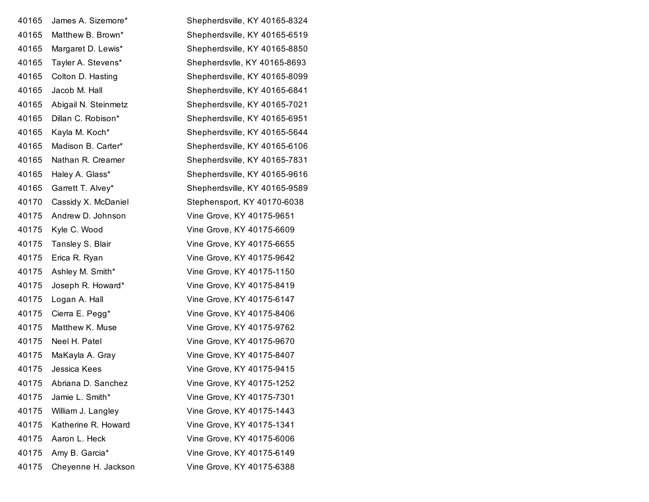| 40165 | James A. Sizemore*   | Shepherdsville, KY 40165-8324 |
|-------|----------------------|-------------------------------|
| 40165 | Matthew B. Brown*    | Shepherdsville, KY 40165-6519 |
| 40165 | Margaret D. Lewis*   | Shepherdsville, KY 40165-8850 |
| 40165 | Tayler A. Stevens*   | Shepherdsvlle, KY 40165-8693  |
| 40165 | Colton D. Hasting    | Shepherdsville, KY 40165-8099 |
| 40165 | Jacob M. Hall        | Shepherdsville, KY 40165-6841 |
| 40165 | Abigail N. Steinmetz | Shepherdsville, KY 40165-7021 |
| 40165 | Dillan C. Robison*   | Shepherdsville, KY 40165-6951 |
| 40165 | Kayla M. Koch*       | Shepherdsville, KY 40165-5644 |
| 40165 | Madison B. Carter*   | Shepherdsville, KY 40165-6106 |
| 40165 | Nathan R. Creamer    | Shepherdsville, KY 40165-7831 |
| 40165 | Haley A. Glass*      | Shepherdsville, KY 40165-9616 |
| 40165 | Garrett T. Alvey*    | Shepherdsville, KY 40165-9589 |
| 40170 | Cassidy X. McDaniel  | Stephensport, KY 40170-6038   |
| 40175 | Andrew D. Johnson    | Vine Grove, KY 40175-9651     |
| 40175 | Kyle C. Wood         | Vine Grove, KY 40175-6609     |
| 40175 | Tansley S. Blair     | Vine Grove, KY 40175-6655     |
| 40175 | Erica R. Ryan        | Vine Grove, KY 40175-9642     |
| 40175 | Ashley M. Smith*     | Vine Grove, KY 40175-1150     |
| 40175 | Joseph R. Howard*    | Vine Grove, KY 40175-8419     |
| 40175 | Logan A. Hall        | Vine Grove, KY 40175-6147     |
| 40175 | Cierra E. Pegg*      | Vine Grove, KY 40175-8406     |
| 40175 | Matthew K. Muse      | Vine Grove, KY 40175-9762     |
| 40175 | Neel H. Patel        | Vine Grove, KY 40175-9670     |
| 40175 | MaKayla A. Gray      | Vine Grove, KY 40175-8407     |
| 40175 | Jessica Kees         | Vine Grove, KY 40175-9415     |
| 40175 | Abriana D. Sanchez   | Vine Grove, KY 40175-1252     |
| 40175 | Jamie L. Smith*      | Vine Grove, KY 40175-7301     |
| 40175 | William J. Langley   | Vine Grove, KY 40175-1443     |
| 40175 | Katherine R. Howard  | Vine Grove, KY 40175-1341     |
| 40175 | Aaron L. Heck        | Vine Grove, KY 40175-6006     |
| 40175 | Amy B. Garcia*       | Vine Grove, KY 40175-6149     |
| 40175 | Cheyenne H. Jackson  | Vine Grove, KY 40175-6388     |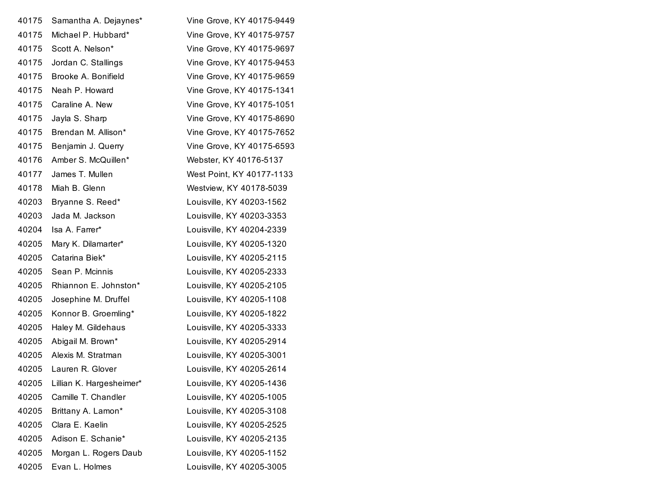| 40175 | Samantha A. Dejaynes*    | Vine Grove, KY 40175-9449 |
|-------|--------------------------|---------------------------|
| 40175 | Michael P. Hubbard*      | Vine Grove, KY 40175-9757 |
| 40175 | Scott A. Nelson*         | Vine Grove, KY 40175-9697 |
| 40175 | Jordan C. Stallings      | Vine Grove, KY 40175-9453 |
| 40175 | Brooke A. Bonifield      | Vine Grove, KY 40175-9659 |
| 40175 | Neah P. Howard           | Vine Grove, KY 40175-1341 |
| 40175 | Caraline A. New          | Vine Grove, KY 40175-1051 |
| 40175 | Jayla S. Sharp           | Vine Grove, KY 40175-8690 |
| 40175 | Brendan M. Allison*      | Vine Grove, KY 40175-7652 |
| 40175 | Benjamin J. Querry       | Vine Grove, KY 40175-6593 |
| 40176 | Amber S. McQuillen*      | Webster, KY 40176-5137    |
| 40177 | James T. Mullen          | West Point, KY 40177-1133 |
| 40178 | Miah B. Glenn            | Westview, KY 40178-5039   |
| 40203 | Bryanne S. Reed*         | Louisville, KY 40203-1562 |
| 40203 | Jada M. Jackson          | Louisville, KY 40203-3353 |
| 40204 | Isa A. Farrer*           | Louisville, KY 40204-2339 |
| 40205 | Mary K. Dilamarter*      | Louisville, KY 40205-1320 |
| 40205 | Catarina Biek*           | Louisville, KY 40205-2115 |
| 40205 | Sean P. Mcinnis          | Louisville, KY 40205-2333 |
| 40205 | Rhiannon E. Johnston*    | Louisville, KY 40205-2105 |
| 40205 | Josephine M. Druffel     | Louisville, KY 40205-1108 |
| 40205 | Konnor B. Groemling*     | Louisville, KY 40205-1822 |
| 40205 | Haley M. Gildehaus       | Louisville, KY 40205-3333 |
| 40205 | Abigail M. Brown*        | Louisville, KY 40205-2914 |
| 40205 | Alexis M. Stratman       | Louisville, KY 40205-3001 |
| 40205 | Lauren R. Glover         | Louisville, KY 40205-2614 |
| 40205 | Lillian K. Hargesheimer* | Louisville, KY 40205-1436 |
| 40205 | Camille T. Chandler      | Louisville, KY 40205-1005 |
| 40205 | Brittany A. Lamon*       | Louisville, KY 40205-3108 |
| 40205 | Clara E. Kaelin          | Louisville, KY 40205-2525 |
| 40205 | Adison E. Schanie*       | Louisville, KY 40205-2135 |
| 40205 | Morgan L. Rogers Daub    | Louisville, KY 40205-1152 |
| 40205 | Evan L. Holmes           | Louisville, KY 40205-3005 |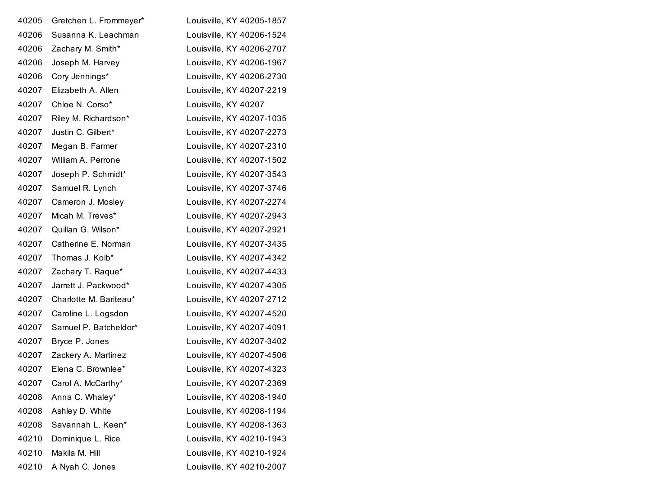| 40205 | Gretchen L. Frommeyer* | Louisville, KY 40205-1857 |
|-------|------------------------|---------------------------|
| 40206 | Susanna K. Leachman    | Louisville, KY 40206-1524 |
| 40206 | Zachary M. Smith*      | Louisville, KY 40206-2707 |
| 40206 | Joseph M. Harvey       | Louisville, KY 40206-1967 |
| 40206 | Cory Jennings*         | Louisville, KY 40206-2730 |
| 40207 | Elizabeth A. Allen     | Louisville, KY 40207-2219 |
| 40207 | Chloe N. Corso*        | Louisville, KY 40207      |
| 40207 | Riley M. Richardson*   | Louisville, KY 40207-1035 |
| 40207 | Justin C. Gilbert*     | Louisville, KY 40207-2273 |
| 40207 | Megan B. Farmer        | Louisville, KY 40207-2310 |
| 40207 | William A. Perrone     | Louisville, KY 40207-1502 |
| 40207 | Joseph P. Schmidt*     | Louisville, KY 40207-3543 |
| 40207 | Samuel R. Lynch        | Louisville, KY 40207-3746 |
| 40207 | Cameron J. Mosley      | Louisville, KY 40207-2274 |
| 40207 | Micah M. Treves*       | Louisville, KY 40207-2943 |
| 40207 | Quillan G. Wilson*     | Louisville, KY 40207-2921 |
| 40207 | Catherine E. Norman    | Louisville, KY 40207-3435 |
| 40207 | Thomas J. Kolb*        | Louisville, KY 40207-4342 |
| 40207 | Zachary T. Raque*      | Louisville, KY 40207-4433 |
| 40207 | Jarrett J. Packwood*   | Louisville, KY 40207-4305 |
| 40207 | Charlotte M. Bariteau* | Louisville, KY 40207-2712 |
| 40207 | Caroline L. Logsdon    | Louisville, KY 40207-4520 |
| 40207 | Samuel P. Batcheldor*  | Louisville, KY 40207-4091 |
| 40207 | Bryce P. Jones         | Louisville, KY 40207-3402 |
| 40207 | Zackery A. Martinez    | Louisville, KY 40207-4506 |
| 40207 | Elena C. Brownlee*     | Louisville, KY 40207-4323 |
| 40207 | Carol A. McCarthy*     | Louisville, KY 40207-2369 |
| 40208 | Anna C. Whaley*        | Louisville, KY 40208-1940 |
| 40208 | Ashley D. White        | Louisville, KY 40208-1194 |
| 40208 | Savannah L. Keen*      | Louisville, KY 40208-1363 |
| 40210 | Dominique L. Rice      | Louisville, KY 40210-1943 |
| 40210 | Makila M. Hill         | Louisville, KY 40210-1924 |
| 40210 | A Nyah C. Jones        | Louisville, KY 40210-2007 |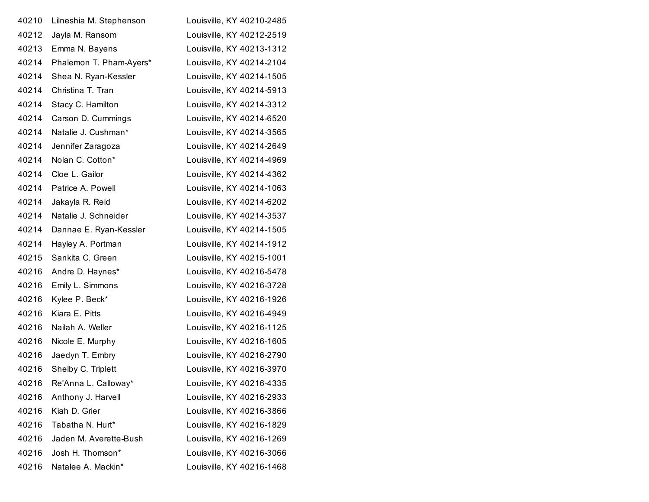| 40210 | Lilneshia M. Stephenson | Louisville, KY 40210-2485 |
|-------|-------------------------|---------------------------|
| 40212 | Jayla M. Ransom         | Louisville, KY 40212-2519 |
| 40213 | Emma N. Bayens          | Louisville, KY 40213-1312 |
| 40214 | Phalemon T. Pham-Ayers* | Louisville, KY 40214-2104 |
| 40214 | Shea N. Ryan-Kessler    | Louisville, KY 40214-1505 |
| 40214 | Christina T. Tran       | Louisville, KY 40214-5913 |
| 40214 | Stacy C. Hamilton       | Louisville, KY 40214-3312 |
| 40214 | Carson D. Cummings      | Louisville, KY 40214-6520 |
| 40214 | Natalie J. Cushman*     | Louisville, KY 40214-3565 |
| 40214 | Jennifer Zaragoza       | Louisville, KY 40214-2649 |
| 40214 | Nolan C. Cotton*        | Louisville, KY 40214-4969 |
| 40214 | Cloe L. Gailor          | Louisville, KY 40214-4362 |
| 40214 | Patrice A. Powell       | Louisville, KY 40214-1063 |
| 40214 | Jakayla R. Reid         | Louisville, KY 40214-6202 |
| 40214 | Natalie J. Schneider    | Louisville, KY 40214-3537 |
| 40214 | Dannae E. Ryan-Kessler  | Louisville, KY 40214-1505 |
| 40214 | Hayley A. Portman       | Louisville, KY 40214-1912 |
| 40215 | Sankita C. Green        | Louisville, KY 40215-1001 |
| 40216 | Andre D. Haynes*        | Louisville, KY 40216-5478 |
| 40216 | Emily L. Simmons        | Louisville, KY 40216-3728 |
| 40216 | Kylee P. Beck*          | Louisville, KY 40216-1926 |
| 40216 | Kiara E. Pitts          | Louisville, KY 40216-4949 |
| 40216 | Nailah A. Weller        | Louisville, KY 40216-1125 |
| 40216 | Nicole E. Murphy        | Louisville, KY 40216-1605 |
| 40216 | Jaedyn T. Embry         | Louisville, KY 40216-2790 |
| 40216 | Shelby C. Triplett      | Louisville, KY 40216-3970 |
| 40216 | Re'Anna L. Calloway*    | Louisville, KY 40216-4335 |
| 40216 | Anthony J. Harvell      | Louisville, KY 40216-2933 |
| 40216 | Kiah D. Grier           | Louisville, KY 40216-3866 |
| 40216 | Tabatha N. Hurt*        | Louisville, KY 40216-1829 |
| 40216 | Jaden M. Averette-Bush  | Louisville, KY 40216-1269 |
| 40216 | Josh H. Thomson*        | Louisville, KY 40216-3066 |
| 40216 | Natalee A. Mackin*      | Louisville, KY 40216-1468 |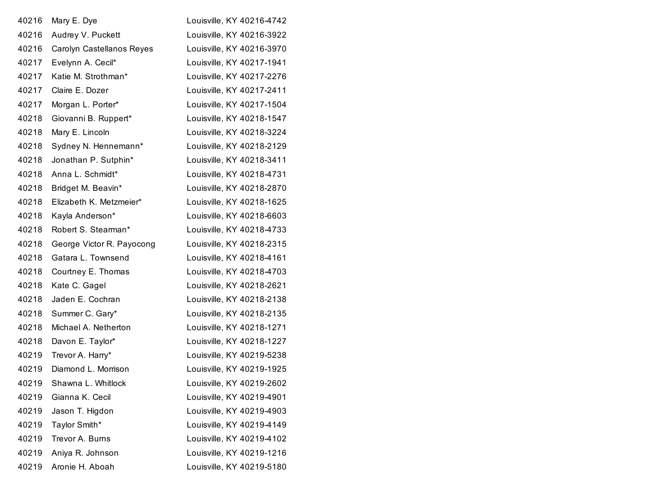| 40216 | Mary E. Dye               | Louisville, KY 40216-4742 |
|-------|---------------------------|---------------------------|
| 40216 | Audrey V. Puckett         | Louisville, KY 40216-3922 |
| 40216 | Carolyn Castellanos Reyes | Louisville, KY 40216-3970 |
| 40217 | Evelynn A. Cecil*         | Louisville, KY 40217-1941 |
| 40217 | Katie M. Strothman*       | Louisville, KY 40217-2276 |
| 40217 | Claire E. Dozer           | Louisville, KY 40217-2411 |
| 40217 | Morgan L. Porter*         | Louisville, KY 40217-1504 |
| 40218 | Giovanni B. Ruppert*      | Louisville, KY 40218-1547 |
| 40218 | Mary E. Lincoln           | Louisville, KY 40218-3224 |
| 40218 | Sydney N. Hennemann*      | Louisville, KY 40218-2129 |
| 40218 | Jonathan P. Sutphin*      | Louisville, KY 40218-3411 |
| 40218 | Anna L. Schmidt*          | Louisville, KY 40218-4731 |
| 40218 | Bridget M. Beavin*        | Louisville, KY 40218-2870 |
| 40218 | Elizabeth K. Metzmeier*   | Louisville, KY 40218-1625 |
| 40218 | Kayla Anderson*           | Louisville, KY 40218-6603 |
| 40218 | Robert S. Stearman*       | Louisville, KY 40218-4733 |
| 40218 | George Victor R. Payocong | Louisville, KY 40218-2315 |
| 40218 | Gatara L. Townsend        | Louisville, KY 40218-4161 |
| 40218 | Courtney E. Thomas        | Louisville, KY 40218-4703 |
| 40218 | Kate C. Gagel             | Louisville, KY 40218-2621 |
| 40218 | Jaden E. Cochran          | Louisville, KY 40218-2138 |
| 40218 | Summer C. Gary*           | Louisville, KY 40218-2135 |
| 40218 | Michael A. Netherton      | Louisville, KY 40218-1271 |
| 40218 | Davon E. Taylor*          | Louisville, KY 40218-1227 |
| 40219 | Trevor A. Harry*          | Louisville, KY 40219-5238 |
| 40219 | Diamond L. Morrison       | Louisville, KY 40219-1925 |
| 40219 | Shawna L. Whitlock        | Louisville, KY 40219-2602 |
| 40219 | Gianna K. Cecil           | Louisville, KY 40219-4901 |
| 40219 | Jason T. Higdon           | Louisville, KY 40219-4903 |
| 40219 | Taylor Smith*             | Louisville, KY 40219-4149 |
| 40219 | Trevor A. Burns           | Louisville, KY 40219-4102 |
| 40219 | Aniya R. Johnson          | Louisville, KY 40219-1216 |
| 40219 | Aronie H. Aboah           | Louisville, KY 40219-5180 |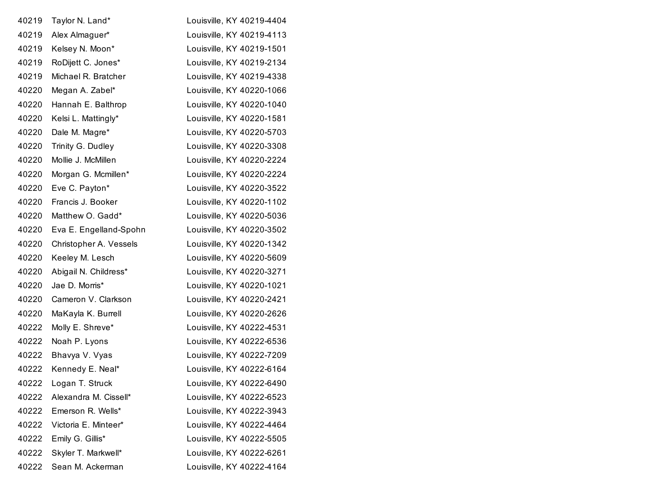| 40219 | Taylor N. Land*        | Louisville, KY 40219-4404 |
|-------|------------------------|---------------------------|
| 40219 | Alex Almaguer*         | Louisville, KY 40219-4113 |
| 40219 | Kelsey N. Moon*        | Louisville, KY 40219-1501 |
| 40219 | RoDijett C. Jones*     | Louisville, KY 40219-2134 |
| 40219 | Michael R. Bratcher    | Louisville, KY 40219-4338 |
| 40220 | Megan A. Zabel*        | Louisville, KY 40220-1066 |
| 40220 | Hannah E. Balthrop     | Louisville, KY 40220-1040 |
| 40220 | Kelsi L. Mattingly*    | Louisville, KY 40220-1581 |
| 40220 | Dale M. Magre*         | Louisville, KY 40220-5703 |
| 40220 | Trinity G. Dudley      | Louisville, KY 40220-3308 |
| 40220 | Mollie J. McMillen     | Louisville, KY 40220-2224 |
| 40220 | Morgan G. Mcmillen*    | Louisville, KY 40220-2224 |
| 40220 | Eve C. Payton*         | Louisville, KY 40220-3522 |
| 40220 | Francis J. Booker      | Louisville, KY 40220-1102 |
| 40220 | Matthew O. Gadd*       | Louisville, KY 40220-5036 |
| 40220 | Eva E. Engelland-Spohn | Louisville, KY 40220-3502 |
| 40220 | Christopher A. Vessels | Louisville, KY 40220-1342 |
| 40220 | Keeley M. Lesch        | Louisville, KY 40220-5609 |
| 40220 | Abigail N. Childress*  | Louisville, KY 40220-3271 |
| 40220 | Jae D. Morris*         | Louisville, KY 40220-1021 |
| 40220 | Cameron V. Clarkson    | Louisville, KY 40220-2421 |
| 40220 | MaKayla K. Burrell     | Louisville, KY 40220-2626 |
| 40222 | Molly E. Shreve*       | Louisville, KY 40222-4531 |
| 40222 | Noah P. Lyons          | Louisville, KY 40222-6536 |
| 40222 | Bhavya V. Vyas         | Louisville, KY 40222-7209 |
| 40222 | Kennedy E. Neal*       | Louisville, KY 40222-6164 |
| 40222 | Logan T. Struck        | Louisville, KY 40222-6490 |
| 40222 | Alexandra M. Cissell*  | Louisville, KY 40222-6523 |
| 40222 | Emerson R. Wells*      | Louisville, KY 40222-3943 |
| 40222 | Victoria E. Minteer*   | Louisville, KY 40222-4464 |
| 40222 | Emily G. Gillis*       | Louisville, KY 40222-5505 |
| 40222 | Skyler T. Markwell*    | Louisville, KY 40222-6261 |
| 40222 | Sean M. Ackerman       | Louisville, KY 40222-4164 |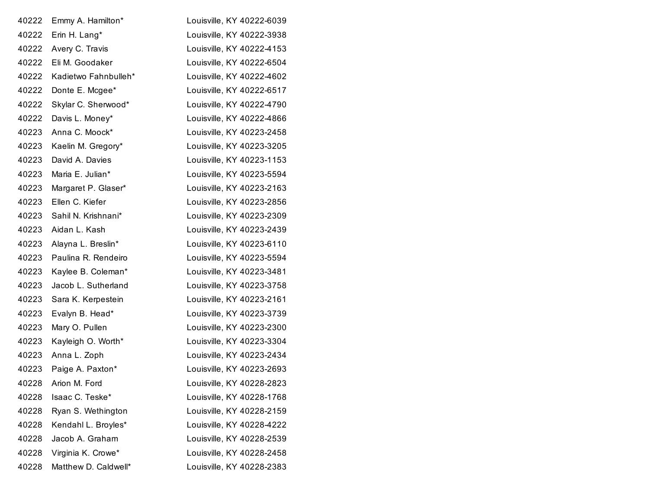| 40222 | Emmy A. Hamilton*    | Louisville, KY 40222-6039 |
|-------|----------------------|---------------------------|
| 40222 | Erin H. Lang*        | Louisville, KY 40222-3938 |
| 40222 | Avery C. Travis      | Louisville, KY 40222-4153 |
| 40222 | Eli M. Goodaker      | Louisville, KY 40222-6504 |
| 40222 | Kadietwo Fahnbulleh* | Louisville, KY 40222-4602 |
| 40222 | Donte E. Mcgee*      | Louisville, KY 40222-6517 |
| 40222 | Skylar C. Sherwood*  | Louisville, KY 40222-4790 |
| 40222 | Davis L. Money*      | Louisville, KY 40222-4866 |
| 40223 | Anna C. Moock*       | Louisville, KY 40223-2458 |
| 40223 | Kaelin M. Gregory*   | Louisville, KY 40223-3205 |
| 40223 | David A. Davies      | Louisville, KY 40223-1153 |
| 40223 | Maria E. Julian*     | Louisville, KY 40223-5594 |
| 40223 | Margaret P. Glaser*  | Louisville, KY 40223-2163 |
| 40223 | Ellen C. Kiefer      | Louisville, KY 40223-2856 |
| 40223 | Sahil N. Krishnani*  | Louisville, KY 40223-2309 |
| 40223 | Aidan L. Kash        | Louisville, KY 40223-2439 |
| 40223 | Alayna L. Breslin*   | Louisville, KY 40223-6110 |
| 40223 | Paulina R. Rendeiro  | Louisville, KY 40223-5594 |
| 40223 | Kaylee B. Coleman*   | Louisville, KY 40223-3481 |
| 40223 | Jacob L. Sutherland  | Louisville, KY 40223-3758 |
| 40223 | Sara K. Kerpestein   | Louisville, KY 40223-2161 |
| 40223 | Evalyn B. Head*      | Louisville, KY 40223-3739 |
| 40223 | Mary O. Pullen       | Louisville, KY 40223-2300 |
| 40223 | Kayleigh O. Worth*   | Louisville, KY 40223-3304 |
| 40223 | Anna L. Zoph         | Louisville, KY 40223-2434 |
| 40223 | Paige A. Paxton*     | Louisville, KY 40223-2693 |
| 40228 | Arion M. Ford        | Louisville, KY 40228-2823 |
| 40228 | Isaac C. Teske*      | Louisville, KY 40228-1768 |
| 40228 | Ryan S. Wethington   | Louisville, KY 40228-2159 |
| 40228 | Kendahl L. Broyles*  | Louisville, KY 40228-4222 |
| 40228 | Jacob A. Graham      | Louisville, KY 40228-2539 |
| 40228 | Virginia K. Crowe*   | Louisville, KY 40228-2458 |
| 40228 | Matthew D. Caldwell* | Louisville, KY 40228-2383 |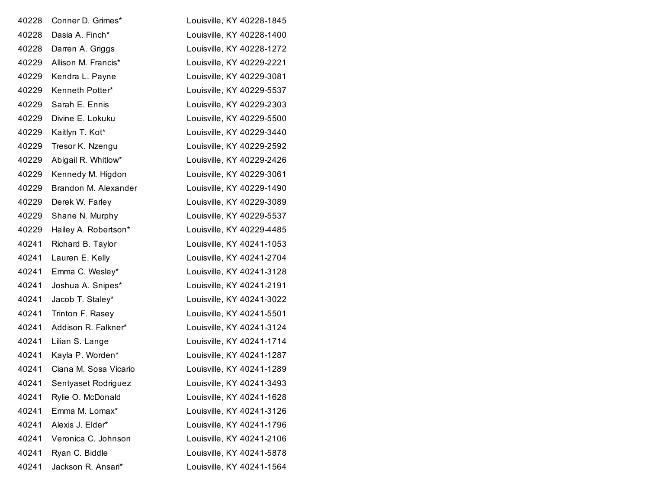| 40228 | Conner D. Grimes*     | Louisville, KY 40228-1845 |
|-------|-----------------------|---------------------------|
| 40228 | Dasia A. Finch*       | Louisville, KY 40228-1400 |
| 40228 | Darren A. Griggs      | Louisville, KY 40228-1272 |
| 40229 | Allison M. Francis*   | Louisville, KY 40229-2221 |
| 40229 | Kendra L. Payne       | Louisville, KY 40229-3081 |
| 40229 | Kenneth Potter*       | Louisville, KY 40229-5537 |
| 40229 | Sarah E. Ennis        | Louisville, KY 40229-2303 |
| 40229 | Divine E. Lokuku      | Louisville, KY 40229-5500 |
| 40229 | Kaitlyn T. Kot*       | Louisville, KY 40229-3440 |
| 40229 | Tresor K. Nzengu      | Louisville, KY 40229-2592 |
| 40229 | Abigail R. Whitlow*   | Louisville, KY 40229-2426 |
| 40229 | Kennedy M. Higdon     | Louisville, KY 40229-3061 |
| 40229 | Brandon M. Alexander  | Louisville, KY 40229-1490 |
| 40229 | Derek W. Farley       | Louisville, KY 40229-3089 |
| 40229 | Shane N. Murphy       | Louisville, KY 40229-5537 |
| 40229 | Hailey A. Robertson*  | Louisville, KY 40229-4485 |
| 40241 | Richard B. Taylor     | Louisville, KY 40241-1053 |
| 40241 | Lauren E. Kelly       | Louisville, KY 40241-2704 |
| 40241 | Emma C. Wesley*       | Louisville, KY 40241-3128 |
| 40241 | Joshua A. Snipes*     | Louisville, KY 40241-2191 |
| 40241 | Jacob T. Staley*      | Louisville, KY 40241-3022 |
| 40241 | Trinton F. Rasey      | Louisville, KY 40241-5501 |
| 40241 | Addison R. Falkner*   | Louisville, KY 40241-3124 |
| 40241 | Lilian S. Lange       | Louisville, KY 40241-1714 |
| 40241 | Kayla P. Worden*      | Louisville, KY 40241-1287 |
| 40241 | Ciana M. Sosa Vicario | Louisville, KY 40241-1289 |
| 40241 | Sentyaset Rodriguez   | Louisville, KY 40241-3493 |
| 40241 | Rylie O. McDonald     | Louisville, KY 40241-1628 |
| 40241 | Emma M. Lomax*        | Louisville, KY 40241-3126 |
| 40241 | Alexis J. Elder*      | Louisville, KY 40241-1796 |
| 40241 | Veronica C. Johnson   | Louisville, KY 40241-2106 |
| 40241 | Ryan C. Biddle        | Louisville, KY 40241-5878 |
| 40241 | Jackson R. Ansari*    | Louisville, KY 40241-1564 |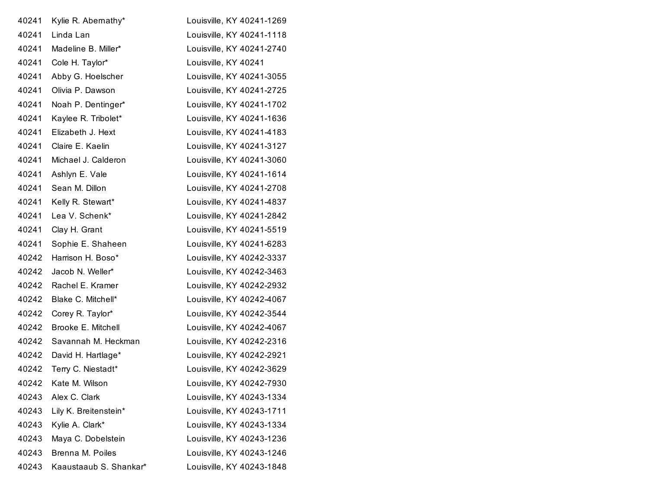| 40241 | Kylie R. Abernathy*    | Louisville, KY 40241-1269 |
|-------|------------------------|---------------------------|
| 40241 | Linda Lan              | Louisville, KY 40241-1118 |
| 40241 | Madeline B. Miller*    | Louisville, KY 40241-2740 |
| 40241 | Cole H. Taylor*        | Louisville, KY 40241      |
| 40241 | Abby G. Hoelscher      | Louisville, KY 40241-3055 |
| 40241 | Olivia P. Dawson       | Louisville, KY 40241-2725 |
| 40241 | Noah P. Dentinger*     | Louisville, KY 40241-1702 |
| 40241 | Kaylee R. Tribolet*    | Louisville, KY 40241-1636 |
| 40241 | Elizabeth J. Hext      | Louisville, KY 40241-4183 |
| 40241 | Claire E. Kaelin       | Louisville, KY 40241-3127 |
| 40241 | Michael J. Calderon    | Louisville, KY 40241-3060 |
| 40241 | Ashlyn E. Vale         | Louisville, KY 40241-1614 |
| 40241 | Sean M. Dillon         | Louisville, KY 40241-2708 |
| 40241 | Kelly R. Stewart*      | Louisville, KY 40241-4837 |
| 40241 | Lea V. Schenk*         | Louisville, KY 40241-2842 |
| 40241 | Clay H. Grant          | Louisville, KY 40241-5519 |
| 40241 | Sophie E. Shaheen      | Louisville, KY 40241-6283 |
| 40242 | Harrison H. Boso*      | Louisville, KY 40242-3337 |
| 40242 | Jacob N. Weller*       | Louisville, KY 40242-3463 |
| 40242 | Rachel E. Kramer       | Louisville, KY 40242-2932 |
| 40242 | Blake C. Mitchell*     | Louisville, KY 40242-4067 |
| 40242 | Corey R. Taylor*       | Louisville, KY 40242-3544 |
| 40242 | Brooke E. Mitchell     | Louisville, KY 40242-4067 |
| 40242 | Savannah M. Heckman    | Louisville, KY 40242-2316 |
| 40242 | David H. Hartlage*     | Louisville, KY 40242-2921 |
| 40242 | Terry C. Niestadt*     | Louisville, KY 40242-3629 |
| 40242 | Kate M. Wilson         | Louisville, KY 40242-7930 |
| 40243 | Alex C. Clark          | Louisville, KY 40243-1334 |
| 40243 | Lily K. Breitenstein*  | Louisville, KY 40243-1711 |
| 40243 | Kylie A. Clark*        | Louisville, KY 40243-1334 |
| 40243 | Maya C. Dobelstein     | Louisville, KY 40243-1236 |
| 40243 | Brenna M. Poiles       | Louisville, KY 40243-1246 |
| 40243 | Kaaustaaub S. Shankar* | Louisville, KY 40243-1848 |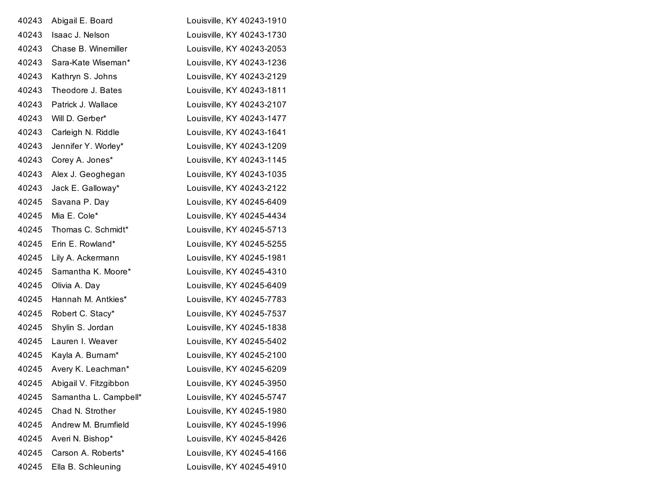| 40243 | Abigail E. Board      | Louisville, KY 40243-1910 |
|-------|-----------------------|---------------------------|
| 40243 | Isaac J. Nelson       | Louisville, KY 40243-1730 |
| 40243 | Chase B. Winemiller   | Louisville, KY 40243-2053 |
| 40243 | Sara-Kate Wiseman*    | Louisville, KY 40243-1236 |
| 40243 | Kathryn S. Johns      | Louisville, KY 40243-2129 |
| 40243 | Theodore J. Bates     | Louisville, KY 40243-1811 |
| 40243 | Patrick J. Wallace    | Louisville, KY 40243-2107 |
| 40243 | Will D. Gerber*       | Louisville, KY 40243-1477 |
| 40243 | Carleigh N. Riddle    | Louisville, KY 40243-1641 |
| 40243 | Jennifer Y. Worley*   | Louisville, KY 40243-1209 |
| 40243 | Corey A. Jones*       | Louisville, KY 40243-1145 |
| 40243 | Alex J. Geoghegan     | Louisville, KY 40243-1035 |
| 40243 | Jack E. Galloway*     | Louisville, KY 40243-2122 |
| 40245 | Savana P. Day         | Louisville, KY 40245-6409 |
| 40245 | Mia E. Cole*          | Louisville, KY 40245-4434 |
| 40245 | Thomas C. Schmidt*    | Louisville, KY 40245-5713 |
| 40245 | Erin E. Rowland*      | Louisville, KY 40245-5255 |
| 40245 | Lily A. Ackermann     | Louisville, KY 40245-1981 |
| 40245 | Samantha K. Moore*    | Louisville, KY 40245-4310 |
| 40245 | Olivia A. Day         | Louisville, KY 40245-6409 |
| 40245 | Hannah M. Antkies*    | Louisville, KY 40245-7783 |
| 40245 | Robert C. Stacy*      | Louisville, KY 40245-7537 |
| 40245 | Shylin S. Jordan      | Louisville, KY 40245-1838 |
| 40245 | Lauren I. Weaver      | Louisville, KY 40245-5402 |
| 40245 | Kayla A. Burnam*      | Louisville, KY 40245-2100 |
| 40245 | Avery K. Leachman*    | Louisville, KY 40245-6209 |
| 40245 | Abigail V. Fitzgibbon | Louisville, KY 40245-3950 |
| 40245 | Samantha L. Campbell* | Louisville, KY 40245-5747 |
| 40245 | Chad N. Strother      | Louisville, KY 40245-1980 |
| 40245 | Andrew M. Brumfield   | Louisville, KY 40245-1996 |
| 40245 | Averi N. Bishop*      | Louisville, KY 40245-8426 |
| 40245 | Carson A. Roberts*    | Louisville, KY 40245-4166 |
| 40245 | Ella B. Schleuning    | Louisville, KY 40245-4910 |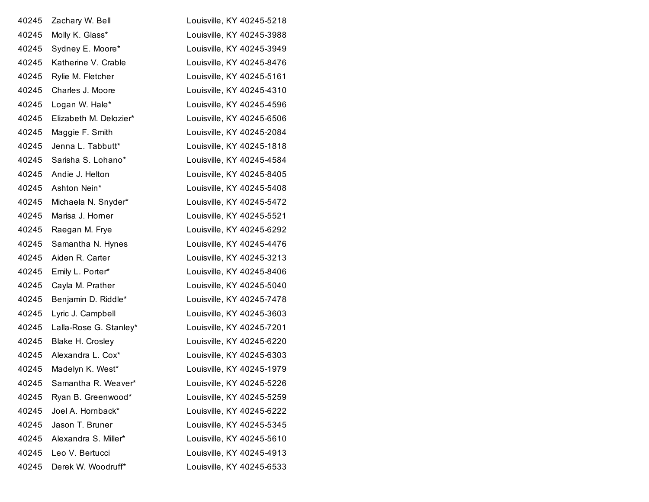| 40245 | Zachary W. Bell        | Louisville, KY 40245-5218 |
|-------|------------------------|---------------------------|
| 40245 | Molly K. Glass*        | Louisville, KY 40245-3988 |
| 40245 | Sydney E. Moore*       | Louisville, KY 40245-3949 |
| 40245 | Katherine V. Crable    | Louisville, KY 40245-8476 |
| 40245 | Rylie M. Fletcher      | Louisville, KY 40245-5161 |
| 40245 | Charles J. Moore       | Louisville, KY 40245-4310 |
| 40245 | Logan W. Hale*         | Louisville, KY 40245-4596 |
| 40245 | Elizabeth M. Delozier* | Louisville, KY 40245-6506 |
| 40245 | Maggie F. Smith        | Louisville, KY 40245-2084 |
| 40245 | Jenna L. Tabbutt*      | Louisville, KY 40245-1818 |
| 40245 | Sarisha S. Lohano*     | Louisville, KY 40245-4584 |
| 40245 | Andie J. Helton        | Louisville, KY 40245-8405 |
| 40245 | Ashton Nein*           | Louisville, KY 40245-5408 |
| 40245 | Michaela N. Snyder*    | Louisville, KY 40245-5472 |
| 40245 | Marisa J. Horner       | Louisville, KY 40245-5521 |
| 40245 | Raegan M. Frye         | Louisville, KY 40245-6292 |
| 40245 | Samantha N. Hynes      | Louisville, KY 40245-4476 |
| 40245 | Aiden R. Carter        | Louisville, KY 40245-3213 |
| 40245 | Emily L. Porter*       | Louisville, KY 40245-8406 |
| 40245 | Cayla M. Prather       | Louisville, KY 40245-5040 |
| 40245 | Benjamin D. Riddle*    | Louisville, KY 40245-7478 |
| 40245 | Lyric J. Campbell      | Louisville, KY 40245-3603 |
| 40245 | Lalla-Rose G. Stanley* | Louisville, KY 40245-7201 |
| 40245 | Blake H. Crosley       | Louisville, KY 40245-6220 |
| 40245 | Alexandra L. Cox*      | Louisville, KY 40245-6303 |
| 40245 | Madelyn K. West*       | Louisville, KY 40245-1979 |
| 40245 | Samantha R. Weaver*    | Louisville, KY 40245-5226 |
| 40245 | Ryan B. Greenwood*     | Louisville, KY 40245-5259 |
| 40245 | Joel A. Hornback*      | Louisville, KY 40245-6222 |
| 40245 | Jason T. Bruner        | Louisville, KY 40245-5345 |
| 40245 | Alexandra S. Miller*   | Louisville, KY 40245-5610 |
| 40245 | Leo V. Bertucci        | Louisville, KY 40245-4913 |
| 40245 | Derek W. Woodruff*     | Louisville, KY 40245-6533 |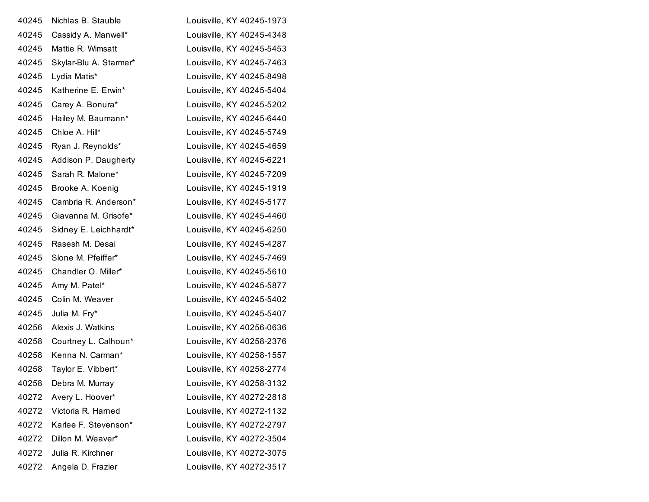| 40245 | Nichlas B. Stauble     | Louisville, KY 40245-1973 |
|-------|------------------------|---------------------------|
| 40245 | Cassidy A. Manwell*    | Louisville, KY 40245-4348 |
| 40245 | Mattie R. Wimsatt      | Louisville, KY 40245-5453 |
| 40245 | Skylar-Blu A. Starmer* | Louisville, KY 40245-7463 |
| 40245 | Lydia Matis*           | Louisville, KY 40245-8498 |
| 40245 | Katherine E. Erwin*    | Louisville, KY 40245-5404 |
| 40245 | Carey A. Bonura*       | Louisville, KY 40245-5202 |
| 40245 | Hailey M. Baumann*     | Louisville, KY 40245-6440 |
| 40245 | Chloe A. Hill*         | Louisville, KY 40245-5749 |
| 40245 | Ryan J. Reynolds*      | Louisville, KY 40245-4659 |
| 40245 | Addison P. Daugherty   | Louisville, KY 40245-6221 |
| 40245 | Sarah R. Malone*       | Louisville, KY 40245-7209 |
| 40245 | Brooke A. Koenig       | Louisville, KY 40245-1919 |
| 40245 | Cambria R. Anderson*   | Louisville, KY 40245-5177 |
| 40245 | Giavanna M. Grisofe*   | Louisville, KY 40245-4460 |
| 40245 | Sidney E. Leichhardt*  | Louisville, KY 40245-6250 |
| 40245 | Rasesh M. Desai        | Louisville, KY 40245-4287 |
| 40245 | Slone M. Pfeiffer*     | Louisville, KY 40245-7469 |
| 40245 | Chandler O. Miller*    | Louisville, KY 40245-5610 |
| 40245 | Amy M. Patel*          | Louisville, KY 40245-5877 |
| 40245 | Colin M. Weaver        | Louisville, KY 40245-5402 |
| 40245 | Julia M. Fry*          | Louisville, KY 40245-5407 |
| 40256 | Alexis J. Watkins      | Louisville, KY 40256-0636 |
| 40258 | Courtney L. Calhoun*   | Louisville, KY 40258-2376 |
| 40258 | Kenna N. Carman*       | Louisville, KY 40258-1557 |
| 40258 | Taylor E. Vibbert*     | Louisville, KY 40258-2774 |
| 40258 | Debra M. Murray        | Louisville, KY 40258-3132 |
| 40272 | Avery L. Hoover*       | Louisville, KY 40272-2818 |
| 40272 | Victoria R. Harned     | Louisville, KY 40272-1132 |
| 40272 | Karlee F. Stevenson*   | Louisville, KY 40272-2797 |
| 40272 | Dillon M. Weaver*      | Louisville, KY 40272-3504 |
| 40272 | Julia R. Kirchner      | Louisville, KY 40272-3075 |
| 40272 | Angela D. Frazier      | Louisville, KY 40272-3517 |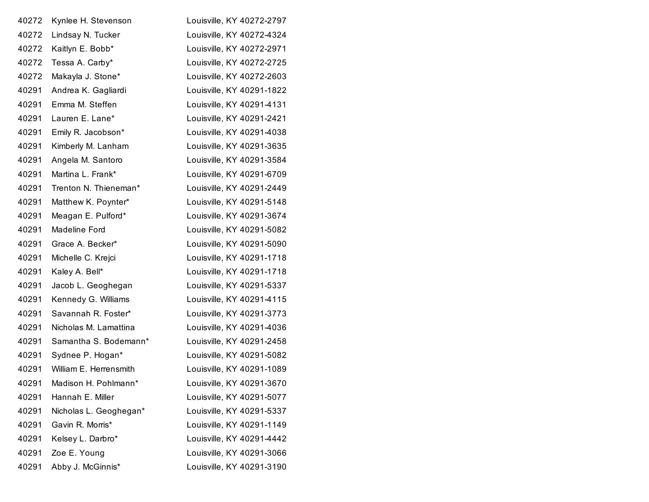| 40272 | Kynlee H. Stevenson    | Louisville, KY 40272-2797 |
|-------|------------------------|---------------------------|
| 40272 | Lindsay N. Tucker      | Louisville, KY 40272-4324 |
| 40272 | Kaitlyn E. Bobb*       | Louisville, KY 40272-2971 |
| 40272 | Tessa A. Carby*        | Louisville, KY 40272-2725 |
| 40272 | Makayla J. Stone*      | Louisville, KY 40272-2603 |
| 40291 | Andrea K. Gagliardi    | Louisville, KY 40291-1822 |
| 40291 | Emma M. Steffen        | Louisville, KY 40291-4131 |
| 40291 | Lauren E. Lane*        | Louisville, KY 40291-2421 |
| 40291 | Emily R. Jacobson*     | Louisville, KY 40291-4038 |
| 40291 | Kimberly M. Lanham     | Louisville, KY 40291-3635 |
| 40291 | Angela M. Santoro      | Louisville, KY 40291-3584 |
| 40291 | Martina L. Frank*      | Louisville, KY 40291-6709 |
| 40291 | Trenton N. Thieneman*  | Louisville, KY 40291-2449 |
| 40291 | Matthew K. Poynter*    | Louisville, KY 40291-5148 |
| 40291 | Meagan E. Pulford*     | Louisville, KY 40291-3674 |
| 40291 | Madeline Ford          | Louisville, KY 40291-5082 |
| 40291 | Grace A. Becker*       | Louisville, KY 40291-5090 |
| 40291 | Michelle C. Krejci     | Louisville, KY 40291-1718 |
| 40291 | Kaley A. Bell*         | Louisville, KY 40291-1718 |
| 40291 | Jacob L. Geoghegan     | Louisville, KY 40291-5337 |
| 40291 | Kennedy G. Williams    | Louisville, KY 40291-4115 |
| 40291 | Savannah R. Foster*    | Louisville, KY 40291-3773 |
| 40291 | Nicholas M. Lamattina  | Louisville, KY 40291-4036 |
| 40291 | Samantha S. Bodemann*  | Louisville, KY 40291-2458 |
| 40291 | Sydnee P. Hogan*       | Louisville, KY 40291-5082 |
| 40291 | William E. Herrensmith | Louisville, KY 40291-1089 |
| 40291 | Madison H. Pohlmann*   | Louisville, KY 40291-3670 |
| 40291 | Hannah E. Miller       | Louisville, KY 40291-5077 |
| 40291 | Nicholas L. Geoghegan* | Louisville, KY 40291-5337 |
| 40291 | Gavin R. Morris*       | Louisville, KY 40291-1149 |
| 40291 | Kelsey L. Darbro*      | Louisville, KY 40291-4442 |
| 40291 | Zoe E. Young           | Louisville, KY 40291-3066 |
| 40291 | Abby J. McGinnis*      | Louisville, KY 40291-3190 |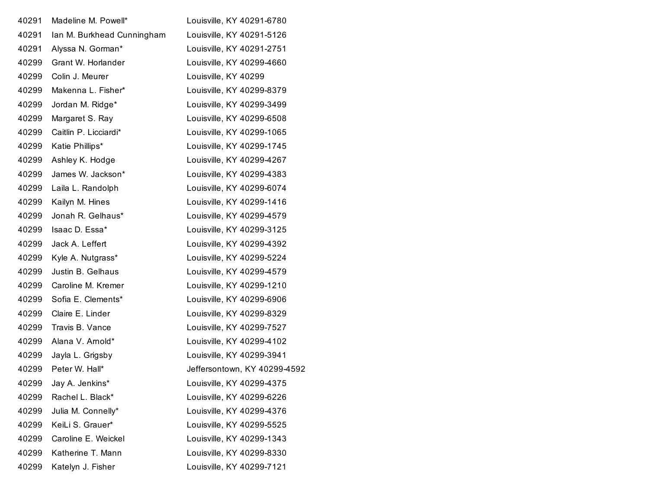| 40291 | Madeline M. Powell*        | Louisville, KY 40291-6780    |
|-------|----------------------------|------------------------------|
| 40291 | Ian M. Burkhead Cunningham | Louisville, KY 40291-5126    |
| 40291 | Alyssa N. Gorman*          | Louisville, KY 40291-2751    |
| 40299 | Grant W. Horlander         | Louisville, KY 40299-4660    |
| 40299 | Colin J. Meurer            | Louisville, KY 40299         |
| 40299 | Makenna L. Fisher*         | Louisville, KY 40299-8379    |
| 40299 | Jordan M. Ridge*           | Louisville, KY 40299-3499    |
| 40299 | Margaret S. Ray            | Louisville, KY 40299-6508    |
| 40299 | Caitlin P. Licciardi*      | Louisville, KY 40299-1065    |
| 40299 | Katie Phillips*            | Louisville, KY 40299-1745    |
| 40299 | Ashley K. Hodge            | Louisville, KY 40299-4267    |
| 40299 | James W. Jackson*          | Louisville, KY 40299-4383    |
| 40299 | Laila L. Randolph          | Louisville, KY 40299-6074    |
| 40299 | Kailyn M. Hines            | Louisville, KY 40299-1416    |
| 40299 | Jonah R. Gelhaus*          | Louisville, KY 40299-4579    |
| 40299 | Isaac D. Essa*             | Louisville, KY 40299-3125    |
| 40299 | Jack A. Leffert            | Louisville, KY 40299-4392    |
| 40299 | Kyle A. Nutgrass*          | Louisville, KY 40299-5224    |
| 40299 | Justin B. Gelhaus          | Louisville, KY 40299-4579    |
| 40299 | Caroline M. Kremer         | Louisville, KY 40299-1210    |
| 40299 | Sofia E. Clements*         | Louisville, KY 40299-6906    |
| 40299 | Claire E. Linder           | Louisville, KY 40299-8329    |
| 40299 | Travis B. Vance            | Louisville, KY 40299-7527    |
| 40299 | Alana V. Arnold*           | Louisville, KY 40299-4102    |
| 40299 | Jayla L. Grigsby           | Louisville, KY 40299-3941    |
| 40299 | Peter W. Hall*             | Jeffersontown, KY 40299-4592 |
| 40299 | Jay A. Jenkins*            | Louisville, KY 40299-4375    |
| 40299 | Rachel L. Black*           | Louisville, KY 40299-6226    |
| 40299 | Julia M. Connelly*         | Louisville, KY 40299-4376    |
| 40299 | KeiLi S. Grauer*           | Louisville, KY 40299-5525    |
| 40299 | Caroline E. Weickel        | Louisville, KY 40299-1343    |
| 40299 | Katherine T. Mann          | Louisville, KY 40299-8330    |
| 40299 | Katelyn J. Fisher          | Louisville, KY 40299-7121    |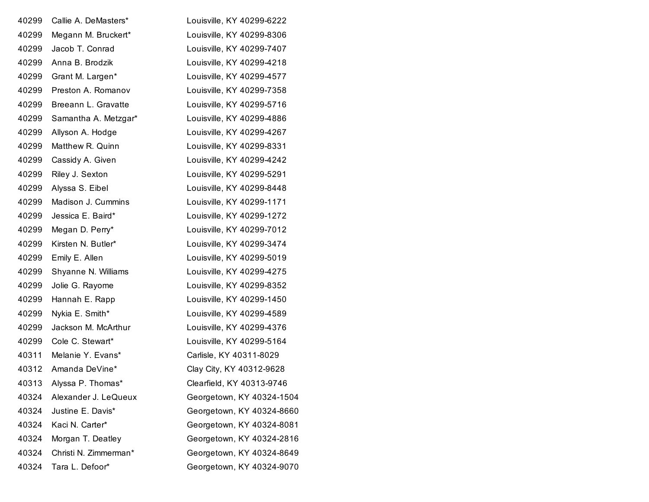| 40299 | Callie A. DeMasters*    | Louisville, KY 40299-6222 |
|-------|-------------------------|---------------------------|
| 40299 | Megann M. Bruckert*     | Louisville, KY 40299-8306 |
| 40299 | Jacob T. Conrad         | Louisville, KY 40299-7407 |
| 40299 | Anna B. Brodzik         | Louisville, KY 40299-4218 |
| 40299 | Grant M. Largen*        | Louisville, KY 40299-4577 |
| 40299 | Preston A. Romanov      | Louisville, KY 40299-7358 |
| 40299 | Breeann L. Gravatte     | Louisville, KY 40299-5716 |
| 40299 | Samantha A. Metzgar*    | Louisville, KY 40299-4886 |
| 40299 | Allyson A. Hodge        | Louisville, KY 40299-4267 |
| 40299 | Matthew R. Quinn        | Louisville, KY 40299-8331 |
| 40299 | Cassidy A. Given        | Louisville, KY 40299-4242 |
| 40299 | Riley J. Sexton         | Louisville, KY 40299-5291 |
| 40299 | Alyssa S. Eibel         | Louisville, KY 40299-8448 |
| 40299 | Madison J. Cummins      | Louisville, KY 40299-1171 |
| 40299 | Jessica E. Baird*       | Louisville, KY 40299-1272 |
| 40299 | Megan D. Perry*         | Louisville, KY 40299-7012 |
| 40299 | Kirsten N. Butler*      | Louisville, KY 40299-3474 |
| 40299 | Emily E. Allen          | Louisville, KY 40299-5019 |
| 40299 | Shyanne N. Williams     | Louisville, KY 40299-4275 |
| 40299 | Jolie G. Rayome         | Louisville, KY 40299-8352 |
| 40299 | Hannah E. Rapp          | Louisville, KY 40299-1450 |
| 40299 | Nykia E. Smith*         | Louisville, KY 40299-4589 |
| 40299 | Jackson M. McArthur     | Louisville, KY 40299-4376 |
| 40299 | Cole C. Stewart*        | Louisville, KY 40299-5164 |
| 40311 | Melanie Y. Evans*       | Carlisle, KY 40311-8029   |
| 40312 | Amanda DeVine*          | Clay City, KY 40312-9628  |
|       | 40313 Alyssa P. Thomas* | Clearfield, KY 40313-9746 |
| 40324 | Alexander J. LeQueux    | Georgetown, KY 40324-1504 |
| 40324 | Justine E. Davis*       | Georgetown, KY 40324-8660 |
| 40324 | Kaci N. Carter*         | Georgetown, KY 40324-8081 |
| 40324 | Morgan T. Deatley       | Georgetown, KY 40324-2816 |
| 40324 | Christi N. Zimmerman*   | Georgetown, KY 40324-8649 |
| 40324 | Tara L. Defoor*         | Georgetown, KY 40324-9070 |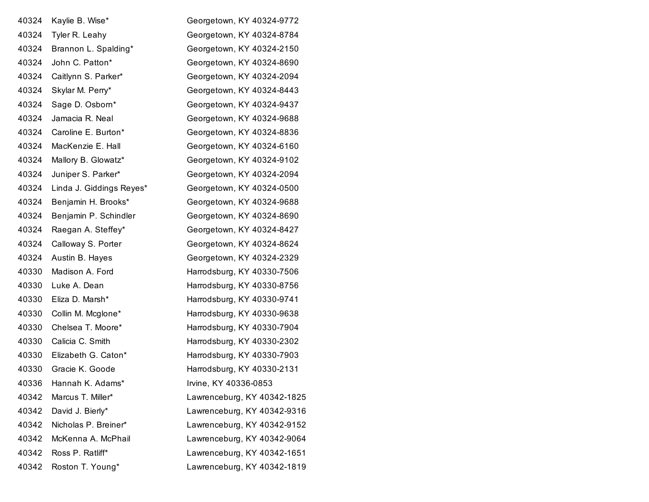| 40324 | Kaylie B. Wise*          | Georgetown, KY 40324-9772   |
|-------|--------------------------|-----------------------------|
| 40324 | Tyler R. Leahy           | Georgetown, KY 40324-8784   |
| 40324 | Brannon L. Spalding*     | Georgetown, KY 40324-2150   |
| 40324 | John C. Patton*          | Georgetown, KY 40324-8690   |
| 40324 | Caitlynn S. Parker*      | Georgetown, KY 40324-2094   |
| 40324 | Skylar M. Perry*         | Georgetown, KY 40324-8443   |
| 40324 | Sage D. Osborn*          | Georgetown, KY 40324-9437   |
| 40324 | Jamacia R. Neal          | Georgetown, KY 40324-9688   |
| 40324 | Caroline E. Burton*      | Georgetown, KY 40324-8836   |
| 40324 | MacKenzie E. Hall        | Georgetown, KY 40324-6160   |
| 40324 | Mallory B. Glowatz*      | Georgetown, KY 40324-9102   |
| 40324 | Juniper S. Parker*       | Georgetown, KY 40324-2094   |
| 40324 | Linda J. Giddings Reyes* | Georgetown, KY 40324-0500   |
| 40324 | Benjamin H. Brooks*      | Georgetown, KY 40324-9688   |
| 40324 | Benjamin P. Schindler    | Georgetown, KY 40324-8690   |
| 40324 | Raegan A. Steffey*       | Georgetown, KY 40324-8427   |
| 40324 | Calloway S. Porter       | Georgetown, KY 40324-8624   |
| 40324 | Austin B. Hayes          | Georgetown, KY 40324-2329   |
| 40330 | Madison A. Ford          | Harrodsburg, KY 40330-7506  |
| 40330 | Luke A. Dean             | Harrodsburg, KY 40330-8756  |
| 40330 | Eliza D. Marsh*          | Harrodsburg, KY 40330-9741  |
| 40330 | Collin M. Mcglone*       | Harrodsburg, KY 40330-9638  |
| 40330 | Chelsea T. Moore*        | Harrodsburg, KY 40330-7904  |
| 40330 | Calicia C. Smith         | Harrodsburg, KY 40330-2302  |
| 40330 | Elizabeth G. Caton*      | Harrodsburg, KY 40330-7903  |
| 40330 | Gracie K. Goode          | Harrodsburg, KY 40330-2131  |
| 40336 | Hannah K. Adams*         | Irvine, KY 40336-0853       |
| 40342 | Marcus T. Miller*        | Lawrenceburg, KY 40342-1825 |
| 40342 | David J. Bierly*         | Lawrenceburg, KY 40342-9316 |
| 40342 | Nicholas P. Breiner*     | Lawrenceburg, KY 40342-9152 |
| 40342 | McKenna A. McPhail       | Lawrenceburg, KY 40342-9064 |
| 40342 | Ross P. Ratliff*         | Lawrenceburg, KY 40342-1651 |
| 40342 | Roston T. Young*         | Lawrenceburg, KY 40342-1819 |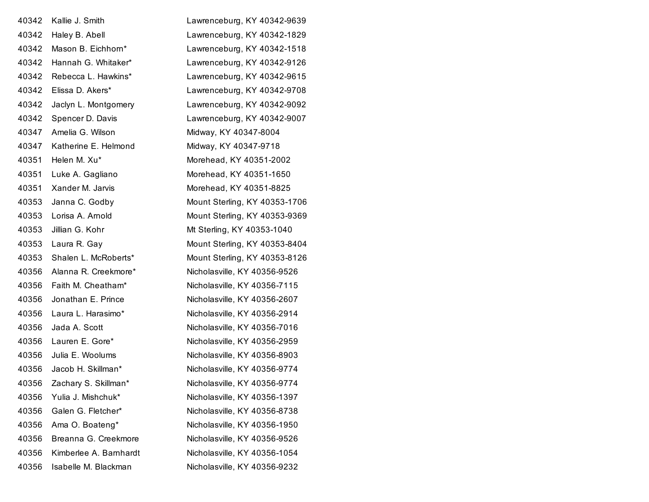| 40342 | Kallie J. Smith        | Lawrenceburg, KY 40342-9639   |
|-------|------------------------|-------------------------------|
| 40342 | Haley B. Abell         | Lawrenceburg, KY 40342-1829   |
| 40342 | Mason B. Eichhorn*     | Lawrenceburg, KY 40342-1518   |
| 40342 | Hannah G. Whitaker*    | Lawrenceburg, KY 40342-9126   |
| 40342 | Rebecca L. Hawkins*    | Lawrenceburg, KY 40342-9615   |
| 40342 | Elissa D. Akers*       | Lawrenceburg, KY 40342-9708   |
| 40342 | Jaclyn L. Montgomery   | Lawrenceburg, KY 40342-9092   |
| 40342 | Spencer D. Davis       | Lawrenceburg, KY 40342-9007   |
| 40347 | Amelia G. Wilson       | Midway, KY 40347-8004         |
| 40347 | Katherine E. Helmond   | Midway, KY 40347-9718         |
| 40351 | Helen M. Xu*           | Morehead, KY 40351-2002       |
| 40351 | Luke A. Gagliano       | Morehead, KY 40351-1650       |
| 40351 | Xander M. Jarvis       | Morehead, KY 40351-8825       |
| 40353 | Janna C. Godby         | Mount Sterling, KY 40353-1706 |
| 40353 | Lorisa A. Arnold       | Mount Sterling, KY 40353-9369 |
| 40353 | Jillian G. Kohr        | Mt Sterling, KY 40353-1040    |
| 40353 | Laura R. Gay           | Mount Sterling, KY 40353-8404 |
| 40353 | Shalen L. McRoberts*   | Mount Sterling, KY 40353-8126 |
| 40356 | Alanna R. Creekmore*   | Nicholasville, KY 40356-9526  |
| 40356 | Faith M. Cheatham*     | Nicholasville, KY 40356-7115  |
| 40356 | Jonathan E. Prince     | Nicholasville, KY 40356-2607  |
| 40356 | Laura L. Harasimo*     | Nicholasville, KY 40356-2914  |
| 40356 | Jada A. Scott          | Nicholasville, KY 40356-7016  |
| 40356 | Lauren E. Gore*        | Nicholasville, KY 40356-2959  |
| 40356 | Julia E. Woolums       | Nicholasville, KY 40356-8903  |
| 40356 | Jacob H. Skillman*     | Nicholasville, KY 40356-9774  |
| 40356 | Zachary S. Skillman*   | Nicholasville, KY 40356-9774  |
| 40356 | Yulia J. Mishchuk*     | Nicholasville, KY 40356-1397  |
| 40356 | Galen G. Fletcher*     | Nicholasville, KY 40356-8738  |
| 40356 | Ama O. Boateng*        | Nicholasville, KY 40356-1950  |
| 40356 | Breanna G. Creekmore   | Nicholasville, KY 40356-9526  |
| 40356 | Kimberlee A. Barnhardt | Nicholasville, KY 40356-1054  |
| 40356 | Isabelle M. Blackman   | Nicholasville, KY 40356-9232  |
|       |                        |                               |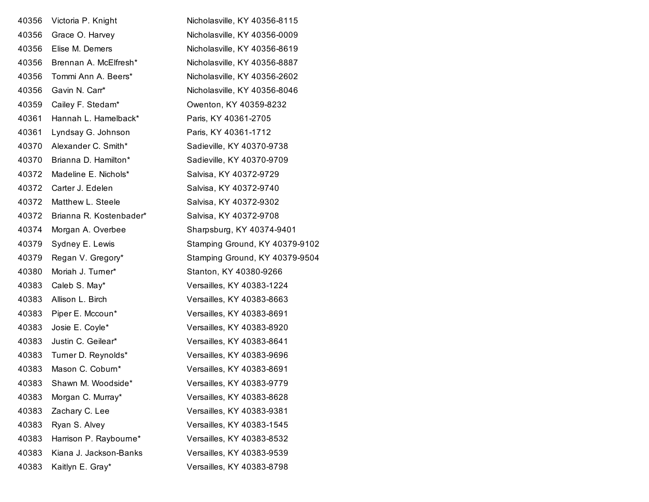| 40356 | Victoria P. Knight      | Nicholasville, KY 40356-8115   |
|-------|-------------------------|--------------------------------|
| 40356 | Grace O. Harvey         | Nicholasville, KY 40356-0009   |
| 40356 | Elise M. Demers         | Nicholasville, KY 40356-8619   |
| 40356 | Brennan A. McElfresh*   | Nicholasville, KY 40356-8887   |
| 40356 | Tommi Ann A. Beers*     | Nicholasville, KY 40356-2602   |
| 40356 | Gavin N. Carr*          | Nicholasville, KY 40356-8046   |
| 40359 | Cailey F. Stedam*       | Owenton, KY 40359-8232         |
| 40361 | Hannah L. Hamelback*    | Paris, KY 40361-2705           |
| 40361 | Lyndsay G. Johnson      | Paris, KY 40361-1712           |
| 40370 | Alexander C. Smith*     | Sadieville, KY 40370-9738      |
| 40370 | Brianna D. Hamilton*    | Sadieville, KY 40370-9709      |
| 40372 | Madeline E. Nichols*    | Salvisa, KY 40372-9729         |
| 40372 | Carter J. Edelen        | Salvisa, KY 40372-9740         |
| 40372 | Matthew L. Steele       | Salvisa, KY 40372-9302         |
| 40372 | Brianna R. Kostenbader* | Salvisa, KY 40372-9708         |
| 40374 | Morgan A. Overbee       | Sharpsburg, KY 40374-9401      |
| 40379 | Sydney E. Lewis         | Stamping Ground, KY 40379-9102 |
| 40379 | Regan V. Gregory*       | Stamping Ground, KY 40379-9504 |
| 40380 | Moriah J. Turner*       | Stanton, KY 40380-9266         |
| 40383 | Caleb S. May*           | Versailles, KY 40383-1224      |
| 40383 | Allison L. Birch        | Versailles, KY 40383-8663      |
| 40383 | Piper E. Mccoun*        | Versailles, KY 40383-8691      |
| 40383 | Josie E. Coyle*         | Versailles, KY 40383-8920      |
| 40383 | Justin C. Geilear*      | Versailles, KY 40383-8641      |
| 40383 | Turner D. Reynolds*     | Versailles, KY 40383-9696      |
| 40383 | Mason C. Coburn*        | Versailles, KY 40383-8691      |
| 40383 | Shawn M. Woodside*      | Versailles, KY 40383-9779      |
| 40383 | Morgan C. Murray*       | Versailles, KY 40383-8628      |
| 40383 | Zachary C. Lee          | Versailles, KY 40383-9381      |
| 40383 | Ryan S. Alvey           | Versailles, KY 40383-1545      |
| 40383 | Harrison P. Raybourne*  | Versailles, KY 40383-8532      |
| 40383 | Kiana J. Jackson-Banks  | Versailles, KY 40383-9539      |
| 40383 | Kaitlyn E. Gray*        | Versailles, KY 40383-8798      |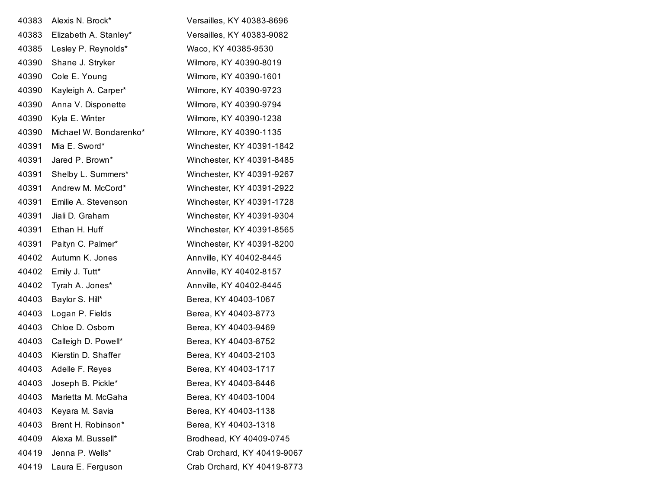| 40383 | Alexis N. Brock*       | Versailles, KY 40383-8696   |
|-------|------------------------|-----------------------------|
| 40383 | Elizabeth A. Stanley*  | Versailles, KY 40383-9082   |
| 40385 | Lesley P. Reynolds*    | Waco, KY 40385-9530         |
| 40390 | Shane J. Stryker       | Wilmore, KY 40390-8019      |
| 40390 | Cole E. Young          | Wilmore, KY 40390-1601      |
| 40390 | Kayleigh A. Carper*    | Wilmore, KY 40390-9723      |
| 40390 | Anna V. Disponette     | Wilmore, KY 40390-9794      |
| 40390 | Kyla E. Winter         | Wilmore, KY 40390-1238      |
| 40390 | Michael W. Bondarenko* | Wilmore, KY 40390-1135      |
| 40391 | Mia E. Sword*          | Winchester, KY 40391-1842   |
| 40391 | Jared P. Brown*        | Winchester, KY 40391-8485   |
| 40391 | Shelby L. Summers*     | Winchester, KY 40391-9267   |
| 40391 | Andrew M. McCord*      | Winchester, KY 40391-2922   |
| 40391 | Emilie A. Stevenson    | Winchester, KY 40391-1728   |
| 40391 | Jiali D. Graham        | Winchester, KY 40391-9304   |
| 40391 | Ethan H. Huff          | Winchester, KY 40391-8565   |
| 40391 | Paityn C. Palmer*      | Winchester, KY 40391-8200   |
| 40402 | Autumn K. Jones        | Annville, KY 40402-8445     |
| 40402 | Emily J. Tutt*         | Annville, KY 40402-8157     |
| 40402 | Tyrah A. Jones*        | Annville, KY 40402-8445     |
| 40403 | Baylor S. Hill*        | Berea, KY 40403-1067        |
| 40403 | Logan P. Fields        | Berea, KY 40403-8773        |
| 40403 | Chloe D. Osborn        | Berea, KY 40403-9469        |
| 40403 | Calleigh D. Powell*    | Berea, KY 40403-8752        |
| 40403 | Kierstin D. Shaffer    | Berea, KY 40403-2103        |
| 40403 | Adelle F. Reyes        | Berea, KY 40403-1717        |
| 40403 | Joseph B. Pickle*      | Berea, KY 40403-8446        |
| 40403 | Marietta M. McGaha     | Berea, KY 40403-1004        |
| 40403 | Keyara M. Savia        | Berea, KY 40403-1138        |
| 40403 | Brent H. Robinson*     | Berea, KY 40403-1318        |
| 40409 | Alexa M. Bussell*      | Brodhead, KY 40409-0745     |
| 40419 | Jenna P. Wells*        | Crab Orchard, KY 40419-9067 |
| 40419 | Laura E. Ferguson      | Crab Orchard, KY 40419-8773 |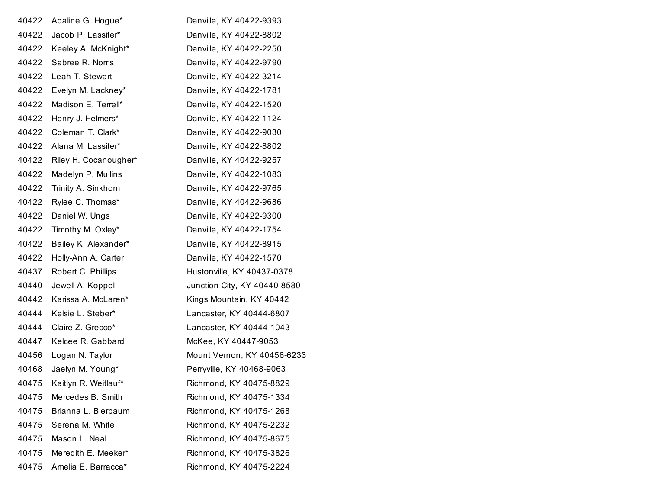| 40422 | Adaline G. Hogue*     | Danville, KY 40422-9393      |
|-------|-----------------------|------------------------------|
| 40422 | Jacob P. Lassiter*    | Danville, KY 40422-8802      |
| 40422 | Keeley A. McKnight*   | Danville, KY 40422-2250      |
| 40422 | Sabree R. Norris      | Danville, KY 40422-9790      |
| 40422 | Leah T. Stewart       | Danville, KY 40422-3214      |
| 40422 | Evelyn M. Lackney*    | Danville, KY 40422-1781      |
| 40422 | Madison E. Terrell*   | Danville, KY 40422-1520      |
| 40422 | Henry J. Helmers*     | Danville, KY 40422-1124      |
| 40422 | Coleman T. Clark*     | Danville, KY 40422-9030      |
| 40422 | Alana M. Lassiter*    | Danville, KY 40422-8802      |
| 40422 | Riley H. Cocanougher* | Danville, KY 40422-9257      |
| 40422 | Madelyn P. Mullins    | Danville, KY 40422-1083      |
| 40422 | Trinity A. Sinkhorn   | Danville, KY 40422-9765      |
| 40422 | Rylee C. Thomas*      | Danville, KY 40422-9686      |
| 40422 | Daniel W. Ungs        | Danville, KY 40422-9300      |
| 40422 | Timothy M. Oxley*     | Danville, KY 40422-1754      |
| 40422 | Bailey K. Alexander*  | Danville, KY 40422-8915      |
| 40422 | Holly-Ann A. Carter   | Danville, KY 40422-1570      |
| 40437 | Robert C. Phillips    | Hustonville, KY 40437-0378   |
| 40440 | Jewell A. Koppel      | Junction City, KY 40440-8580 |
| 40442 | Karissa A. McLaren*   | Kings Mountain, KY 40442     |
| 40444 | Kelsie L. Steber*     | Lancaster, KY 40444-6807     |
| 40444 | Claire Z. Grecco*     | Lancaster, KY 40444-1043     |
| 40447 | Kelcee R. Gabbard     | McKee, KY 40447-9053         |
| 40456 | Logan N. Taylor       | Mount Vernon, KY 40456-6233  |
| 40468 | Jaelyn M. Young*      | Perryville, KY 40468-9063    |
| 40475 | Kaitlyn R. Weitlauf*  | Richmond, KY 40475-8829      |
| 40475 | Mercedes B. Smith     | Richmond, KY 40475-1334      |
| 40475 | Brianna L. Bierbaum   | Richmond, KY 40475-1268      |
| 40475 | Serena M. White       | Richmond, KY 40475-2232      |
| 40475 | Mason L. Neal         | Richmond, KY 40475-8675      |
| 40475 | Meredith E. Meeker*   | Richmond, KY 40475-3826      |
| 40475 | Amelia E. Barracca*   | Richmond, KY 40475-2224      |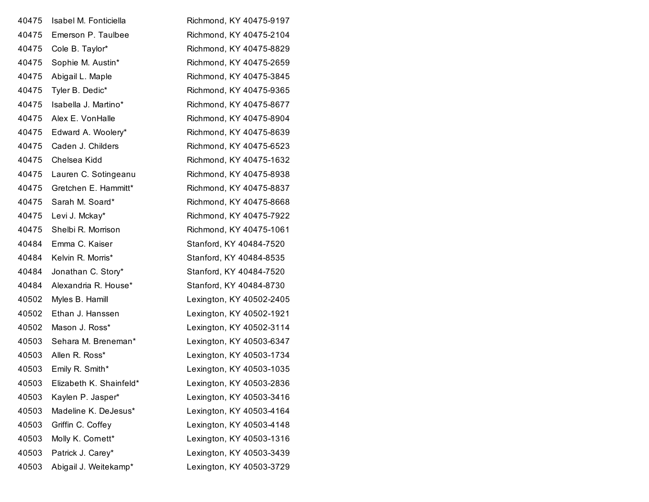| 40475 | Isabel M. Fonticiella   | Richmond, KY 40475-9197  |
|-------|-------------------------|--------------------------|
| 40475 | Emerson P. Taulbee      | Richmond, KY 40475-2104  |
| 40475 | Cole B. Taylor*         | Richmond, KY 40475-8829  |
| 40475 | Sophie M. Austin*       | Richmond, KY 40475-2659  |
| 40475 | Abigail L. Maple        | Richmond, KY 40475-3845  |
| 40475 | Tyler B. Dedic*         | Richmond, KY 40475-9365  |
| 40475 | Isabella J. Martino*    | Richmond, KY 40475-8677  |
| 40475 | Alex E. VonHalle        | Richmond, KY 40475-8904  |
| 40475 | Edward A. Woolery*      | Richmond, KY 40475-8639  |
| 40475 | Caden J. Childers       | Richmond, KY 40475-6523  |
| 40475 | Chelsea Kidd            | Richmond, KY 40475-1632  |
| 40475 | Lauren C. Sotingeanu    | Richmond, KY 40475-8938  |
| 40475 | Gretchen E. Hammitt*    | Richmond, KY 40475-8837  |
| 40475 | Sarah M. Soard*         | Richmond, KY 40475-8668  |
| 40475 | Levi J. Mckay*          | Richmond, KY 40475-7922  |
| 40475 | Shelbi R. Morrison      | Richmond, KY 40475-1061  |
| 40484 | Emma C. Kaiser          | Stanford, KY 40484-7520  |
| 40484 | Kelvin R. Morris*       | Stanford, KY 40484-8535  |
| 40484 | Jonathan C. Story*      | Stanford, KY 40484-7520  |
| 40484 | Alexandria R. House*    | Stanford, KY 40484-8730  |
| 40502 | Myles B. Hamill         | Lexington, KY 40502-2405 |
| 40502 | Ethan J. Hanssen        | Lexington, KY 40502-1921 |
| 40502 | Mason J. Ross*          | Lexington, KY 40502-3114 |
| 40503 | Sehara M. Breneman*     | Lexington, KY 40503-6347 |
| 40503 | Allen R. Ross*          | Lexington, KY 40503-1734 |
| 40503 | Emily R. Smith*         | Lexington, KY 40503-1035 |
| 40503 | Elizabeth K. Shainfeld* | Lexington, KY 40503-2836 |
| 40503 | Kaylen P. Jasper*       | Lexington, KY 40503-3416 |
| 40503 | Madeline K. DeJesus*    | Lexington, KY 40503-4164 |
| 40503 | Griffin C. Coffey       | Lexington, KY 40503-4148 |
| 40503 | Molly K. Cornett*       | Lexington, KY 40503-1316 |
| 40503 | Patrick J. Carey*       | Lexington, KY 40503-3439 |
| 40503 | Abigail J. Weitekamp*   | Lexington, KY 40503-3729 |
|       |                         |                          |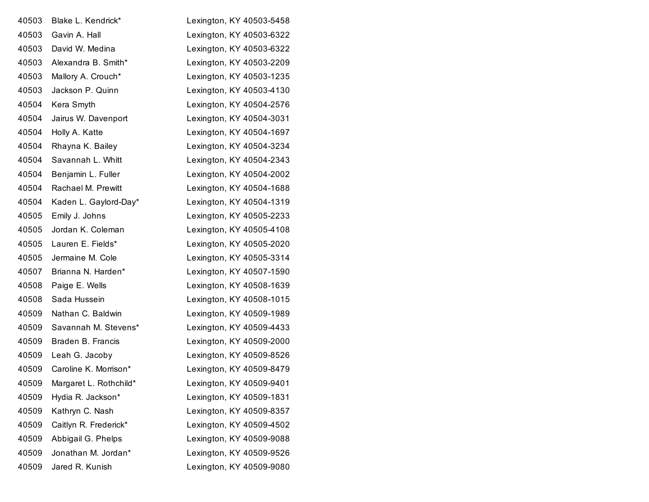| 40503 | Blake L. Kendrick*     | Lexington, KY 40503-5458 |
|-------|------------------------|--------------------------|
| 40503 | Gavin A. Hall          | Lexington, KY 40503-6322 |
| 40503 | David W. Medina        | Lexington, KY 40503-6322 |
| 40503 | Alexandra B. Smith*    | Lexington, KY 40503-2209 |
| 40503 | Mallory A. Crouch*     | Lexington, KY 40503-1235 |
| 40503 | Jackson P. Quinn       | Lexington, KY 40503-4130 |
| 40504 | Kera Smyth             | Lexington, KY 40504-2576 |
| 40504 | Jairus W. Davenport    | Lexington, KY 40504-3031 |
| 40504 | Holly A. Katte         | Lexington, KY 40504-1697 |
| 40504 | Rhayna K. Bailey       | Lexington, KY 40504-3234 |
| 40504 | Savannah L. Whitt      | Lexington, KY 40504-2343 |
| 40504 | Benjamin L. Fuller     | Lexington, KY 40504-2002 |
| 40504 | Rachael M. Prewitt     | Lexington, KY 40504-1688 |
| 40504 | Kaden L. Gaylord-Day*  | Lexington, KY 40504-1319 |
| 40505 | Emily J. Johns         | Lexington, KY 40505-2233 |
| 40505 | Jordan K. Coleman      | Lexington, KY 40505-4108 |
| 40505 | Lauren E. Fields*      | Lexington, KY 40505-2020 |
| 40505 | Jermaine M. Cole       | Lexington, KY 40505-3314 |
| 40507 | Brianna N. Harden*     | Lexington, KY 40507-1590 |
| 40508 | Paige E. Wells         | Lexington, KY 40508-1639 |
| 40508 | Sada Hussein           | Lexington, KY 40508-1015 |
| 40509 | Nathan C. Baldwin      | Lexington, KY 40509-1989 |
| 40509 | Savannah M. Stevens*   | Lexington, KY 40509-4433 |
| 40509 | Braden B. Francis      | Lexington, KY 40509-2000 |
| 40509 | Leah G. Jacoby         | Lexington, KY 40509-8526 |
| 40509 | Caroline K. Morrison*  | Lexington, KY 40509-8479 |
| 40509 | Margaret L. Rothchild* | Lexington, KY 40509-9401 |
| 40509 | Hydia R. Jackson*      | Lexington, KY 40509-1831 |
| 40509 | Kathryn C. Nash        | Lexington, KY 40509-8357 |
| 40509 | Caitlyn R. Frederick*  | Lexington, KY 40509-4502 |
| 40509 | Abbigail G. Phelps     | Lexington, KY 40509-9088 |
| 40509 | Jonathan M. Jordan*    | Lexington, KY 40509-9526 |
| 40509 | Jared R. Kunish        | Lexington, KY 40509-9080 |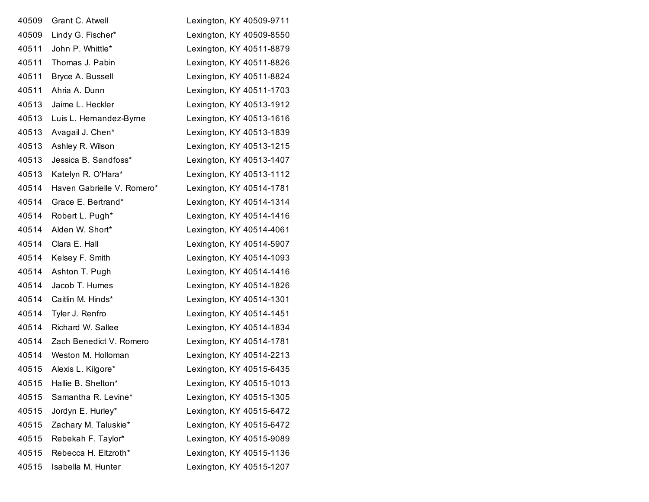| 40509 | Grant C. Atwell            | Lexington, KY 40509-9711 |
|-------|----------------------------|--------------------------|
| 40509 | Lindy G. Fischer*          | Lexington, KY 40509-8550 |
| 40511 | John P. Whittle*           | Lexington, KY 40511-8879 |
| 40511 | Thomas J. Pabin            | Lexington, KY 40511-8826 |
| 40511 | Bryce A. Bussell           | Lexington, KY 40511-8824 |
| 40511 | Ahria A. Dunn              | Lexington, KY 40511-1703 |
| 40513 | Jaime L. Heckler           | Lexington, KY 40513-1912 |
| 40513 | Luis L. Hernandez-Byrne    | Lexington, KY 40513-1616 |
| 40513 | Avagail J. Chen*           | Lexington, KY 40513-1839 |
| 40513 | Ashley R. Wilson           | Lexington, KY 40513-1215 |
| 40513 | Jessica B. Sandfoss*       | Lexington, KY 40513-1407 |
| 40513 | Katelyn R. O'Hara*         | Lexington, KY 40513-1112 |
| 40514 | Haven Gabrielle V. Romero* | Lexington, KY 40514-1781 |
| 40514 | Grace E. Bertrand*         | Lexington, KY 40514-1314 |
| 40514 | Robert L. Pugh*            | Lexington, KY 40514-1416 |
| 40514 | Alden W. Short*            | Lexington, KY 40514-4061 |
| 40514 | Clara E. Hall              | Lexington, KY 40514-5907 |
| 40514 | Kelsey F. Smith            | Lexington, KY 40514-1093 |
| 40514 | Ashton T. Pugh             | Lexington, KY 40514-1416 |
| 40514 | Jacob T. Humes             | Lexington, KY 40514-1826 |
| 40514 | Caitlin M. Hinds*          | Lexington, KY 40514-1301 |
| 40514 | Tyler J. Renfro            | Lexington, KY 40514-1451 |
| 40514 | Richard W. Sallee          | Lexington, KY 40514-1834 |
| 40514 | Zach Benedict V. Romero    | Lexington, KY 40514-1781 |
| 40514 | Weston M. Holloman         | Lexington, KY 40514-2213 |
| 40515 | Alexis L. Kilgore*         | Lexington, KY 40515-6435 |
| 40515 | Hallie B. Shelton*         | Lexington, KY 40515-1013 |
| 40515 | Samantha R. Levine*        | Lexington, KY 40515-1305 |
| 40515 | Jordyn E. Hurley*          | Lexington, KY 40515-6472 |
| 40515 | Zachary M. Taluskie*       | Lexington, KY 40515-6472 |
| 40515 | Rebekah F. Taylor*         | Lexington, KY 40515-9089 |
| 40515 | Rebecca H. Eltzroth*       | Lexington, KY 40515-1136 |
| 40515 | Isabella M. Hunter         | Lexington, KY 40515-1207 |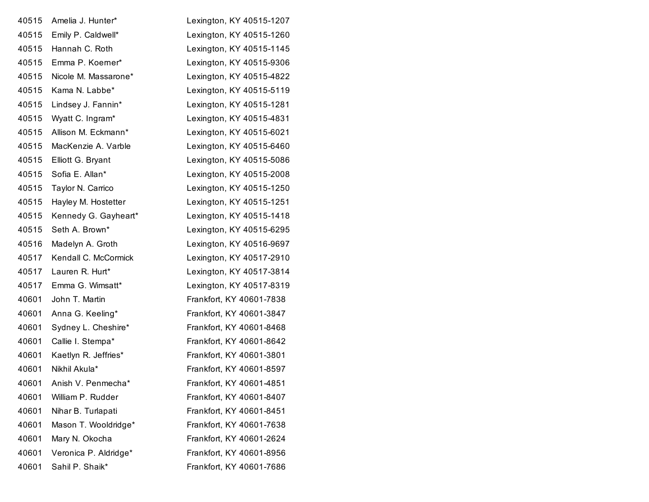| 40515 | Amelia J. Hunter*     | Lexington, KY 40515-1207 |
|-------|-----------------------|--------------------------|
| 40515 | Emily P. Caldwell*    | Lexington, KY 40515-1260 |
| 40515 | Hannah C. Roth        | Lexington, KY 40515-1145 |
| 40515 | Emma P. Koerner*      | Lexington, KY 40515-9306 |
| 40515 | Nicole M. Massarone*  | Lexington, KY 40515-4822 |
| 40515 | Kama N. Labbe*        | Lexington, KY 40515-5119 |
| 40515 | Lindsey J. Fannin*    | Lexington, KY 40515-1281 |
| 40515 | Wyatt C. Ingram*      | Lexington, KY 40515-4831 |
| 40515 | Allison M. Eckmann*   | Lexington, KY 40515-6021 |
| 40515 | MacKenzie A. Varble   | Lexington, KY 40515-6460 |
| 40515 | Elliott G. Bryant     | Lexington, KY 40515-5086 |
| 40515 | Sofia E. Allan*       | Lexington, KY 40515-2008 |
| 40515 | Taylor N. Carrico     | Lexington, KY 40515-1250 |
| 40515 | Hayley M. Hostetter   | Lexington, KY 40515-1251 |
| 40515 | Kennedy G. Gayheart*  | Lexington, KY 40515-1418 |
| 40515 | Seth A. Brown*        | Lexington, KY 40515-6295 |
| 40516 | Madelyn A. Groth      | Lexington, KY 40516-9697 |
| 40517 | Kendall C. McCormick  | Lexington, KY 40517-2910 |
| 40517 | Lauren R. Hurt*       | Lexington, KY 40517-3814 |
| 40517 | Emma G. Wimsatt*      | Lexington, KY 40517-8319 |
| 40601 | John T. Martin        | Frankfort, KY 40601-7838 |
| 40601 | Anna G. Keeling*      | Frankfort, KY 40601-3847 |
| 40601 | Sydney L. Cheshire*   | Frankfort, KY 40601-8468 |
| 40601 | Callie I. Stempa*     | Frankfort, KY 40601-8642 |
| 40601 | Kaetlyn R. Jeffries*  | Frankfort, KY 40601-3801 |
| 40601 | Nikhil Akula*         | Frankfort, KY 40601-8597 |
| 40601 | Anish V. Penmecha*    | Frankfort, KY 40601-4851 |
| 40601 | William P. Rudder     | Frankfort, KY 40601-8407 |
| 40601 | Nihar B. Turlapati    | Frankfort, KY 40601-8451 |
| 40601 | Mason T. Wooldridge*  | Frankfort, KY 40601-7638 |
| 40601 | Mary N. Okocha        | Frankfort, KY 40601-2624 |
| 40601 | Veronica P. Aldridge* | Frankfort, KY 40601-8956 |
| 40601 | Sahil P. Shaik*       | Frankfort, KY 40601-7686 |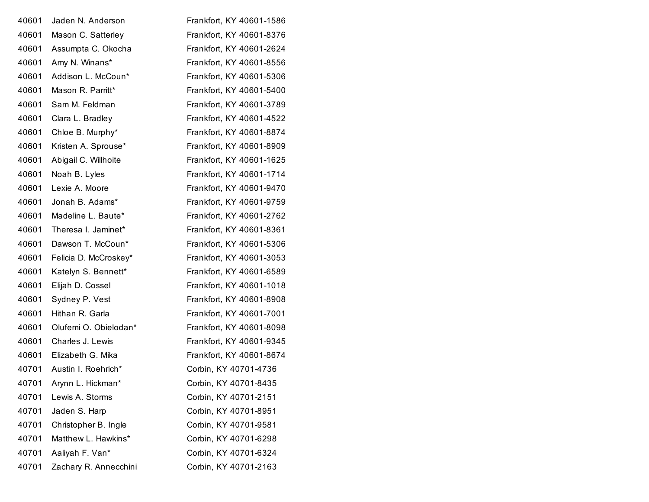| Jaden N. Anderson     | Frankfort, KY 40601-1586 |
|-----------------------|--------------------------|
| Mason C. Satterley    | Frankfort, KY 40601-8376 |
| Assumpta C. Okocha    | Frankfort, KY 40601-2624 |
| Amy N. Winans*        | Frankfort, KY 40601-8556 |
| Addison L. McCoun*    | Frankfort, KY 40601-5306 |
| Mason R. Parritt*     | Frankfort, KY 40601-5400 |
| Sam M. Feldman        | Frankfort, KY 40601-3789 |
| Clara L. Bradley      | Frankfort, KY 40601-4522 |
| Chloe B. Murphy*      | Frankfort, KY 40601-8874 |
| Kristen A. Sprouse*   | Frankfort, KY 40601-8909 |
| Abigail C. Willhoite  | Frankfort, KY 40601-1625 |
| Noah B. Lyles         | Frankfort, KY 40601-1714 |
| Lexie A. Moore        | Frankfort, KY 40601-9470 |
| Jonah B. Adams*       | Frankfort, KY 40601-9759 |
| Madeline L. Baute*    | Frankfort, KY 40601-2762 |
| Theresa I. Jaminet*   | Frankfort, KY 40601-8361 |
| Dawson T. McCoun*     | Frankfort, KY 40601-5306 |
| Felicia D. McCroskey* | Frankfort, KY 40601-3053 |
| Katelyn S. Bennett*   | Frankfort, KY 40601-6589 |
| Elijah D. Cossel      | Frankfort, KY 40601-1018 |
| Sydney P. Vest        | Frankfort, KY 40601-8908 |
| Hithan R. Garla       | Frankfort, KY 40601-7001 |
| Olufemi O. Obielodan* | Frankfort, KY 40601-8098 |
| Charles J. Lewis      | Frankfort, KY 40601-9345 |
| Elizabeth G. Mika     | Frankfort, KY 40601-8674 |
| Austin I. Roehrich*   | Corbin, KY 40701-4736    |
| Arynn L. Hickman*     | Corbin, KY 40701-8435    |
| Lewis A. Storms       | Corbin, KY 40701-2151    |
| Jaden S. Harp         | Corbin, KY 40701-8951    |
| Christopher B. Ingle  | Corbin, KY 40701-9581    |
|                       |                          |
| Matthew L. Hawkins*   | Corbin, KY 40701-6298    |
| Aaliyah F. Van*       | Corbin, KY 40701-6324    |
|                       |                          |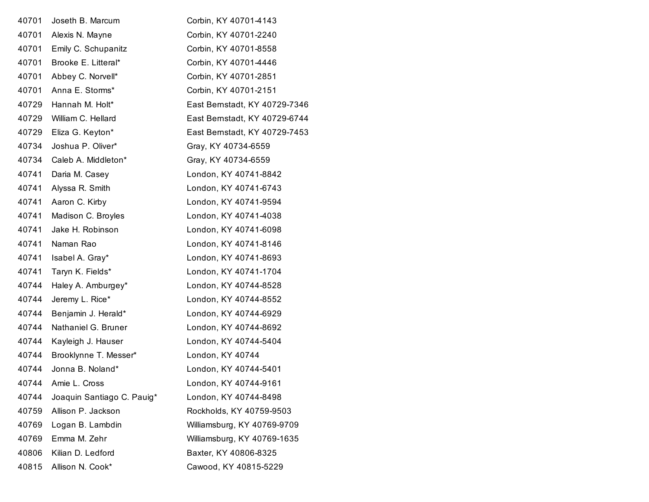| 40701 | Joseth B. Marcum           | Corbin, KY 40701-4143         |
|-------|----------------------------|-------------------------------|
| 40701 | Alexis N. Mayne            | Corbin, KY 40701-2240         |
| 40701 | Emily C. Schupanitz        | Corbin, KY 40701-8558         |
| 40701 | Brooke E. Litteral*        | Corbin, KY 40701-4446         |
| 40701 | Abbey C. Norvell*          | Corbin, KY 40701-2851         |
| 40701 | Anna E. Storms*            | Corbin, KY 40701-2151         |
| 40729 | Hannah M. Holt*            | East Bernstadt, KY 40729-7346 |
| 40729 | William C. Hellard         | East Bernstadt, KY 40729-6744 |
| 40729 | Eliza G. Keyton*           | East Bernstadt, KY 40729-7453 |
| 40734 | Joshua P. Oliver*          | Gray, KY 40734-6559           |
| 40734 | Caleb A. Middleton*        | Gray, KY 40734-6559           |
| 40741 | Daria M. Casey             | London, KY 40741-8842         |
| 40741 | Alyssa R. Smith            | London, KY 40741-6743         |
| 40741 | Aaron C. Kirby             | London, KY 40741-9594         |
| 40741 | Madison C. Broyles         | London, KY 40741-4038         |
| 40741 | Jake H. Robinson           | London, KY 40741-6098         |
| 40741 | Naman Rao                  | London, KY 40741-8146         |
| 40741 | Isabel A. Gray*            | London, KY 40741-8693         |
| 40741 | Taryn K. Fields*           | London, KY 40741-1704         |
| 40744 | Haley A. Amburgey*         | London, KY 40744-8528         |
| 40744 | Jeremy L. Rice*            | London, KY 40744-8552         |
| 40744 | Benjamin J. Herald*        | London, KY 40744-6929         |
| 40744 | Nathaniel G. Bruner        | London, KY 40744-8692         |
| 40744 | Kayleigh J. Hauser         | London, KY 40744-5404         |
| 40744 | Brooklynne T. Messer*      | London, KY 40744              |
| 40744 | Jonna B. Noland*           | London, KY 40744-5401         |
| 40744 | Amie L. Cross              | London, KY 40744-9161         |
| 40744 | Joaquin Santiago C. Pauig* | London, KY 40744-8498         |
| 40759 | Allison P. Jackson         | Rockholds, KY 40759-9503      |
| 40769 | Logan B. Lambdin           | Williamsburg, KY 40769-9709   |
| 40769 | Emma M. Zehr               | Williamsburg, KY 40769-1635   |
| 40806 | Kilian D. Ledford          | Baxter, KY 40806-8325         |
| 40815 | Allison N. Cook*           | Cawood, KY 40815-5229         |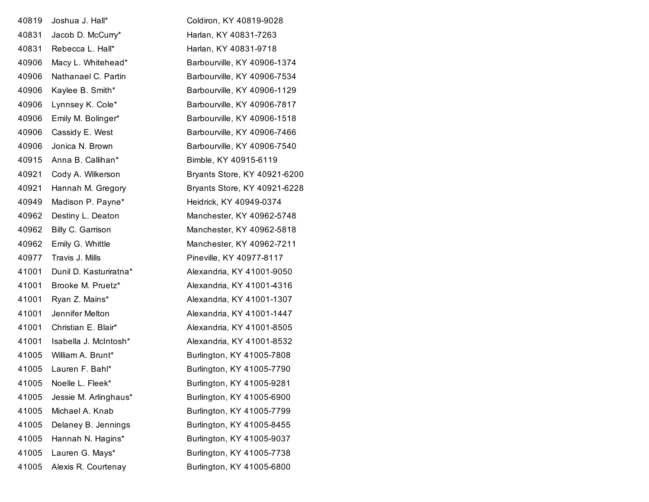| 40819 | Joshua J. Hall*        | Coldiron, KY 40819-9028      |
|-------|------------------------|------------------------------|
| 40831 | Jacob D. McCurry*      | Harlan, KY 40831-7263        |
| 40831 | Rebecca L. Hall*       | Harlan, KY 40831-9718        |
| 40906 | Macy L. Whitehead*     | Barbourville, KY 40906-1374  |
| 40906 | Nathanael C. Partin    | Barbourville, KY 40906-7534  |
| 40906 | Kaylee B. Smith*       | Barbourville, KY 40906-1129  |
| 40906 | Lynnsey K. Cole*       | Barbourville, KY 40906-7817  |
| 40906 | Emily M. Bolinger*     | Barbourville, KY 40906-1518  |
| 40906 | Cassidy E. West        | Barbourville, KY 40906-7466  |
| 40906 | Jonica N. Brown        | Barbourville, KY 40906-7540  |
| 40915 | Anna B. Callihan*      | Bimble, KY 40915-6119        |
| 40921 | Cody A. Wilkerson      | Bryants Store, KY 40921-6200 |
| 40921 | Hannah M. Gregory      | Bryants Store, KY 40921-6228 |
| 40949 | Madison P. Payne*      | Heidrick, KY 40949-0374      |
| 40962 | Destiny L. Deaton      | Manchester, KY 40962-5748    |
| 40962 | Billy C. Garrison      | Manchester, KY 40962-5818    |
| 40962 | Emily G. Whittle       | Manchester, KY 40962-7211    |
| 40977 | Travis J. Mills        | Pineville, KY 40977-8117     |
| 41001 | Dunil D. Kasturiratna* | Alexandria, KY 41001-9050    |
| 41001 | Brooke M. Pruetz*      | Alexandria, KY 41001-4316    |
| 41001 | Ryan Z. Mains*         | Alexandria, KY 41001-1307    |
| 41001 | Jennifer Melton        | Alexandria, KY 41001-1447    |
| 41001 | Christian E. Blair*    | Alexandria, KY 41001-8505    |
| 41001 | Isabella J. McIntosh*  | Alexandria, KY 41001-8532    |
| 41005 | William A. Brunt*      | Burlington, KY 41005-7808    |
| 41005 | Lauren F. Bahl*        | Burlington, KY 41005-7790    |
| 41005 | Noelle L. Fleek*       | Burlington, KY 41005-9281    |
| 41005 | Jessie M. Arlinghaus*  | Burlington, KY 41005-6900    |
| 41005 | Michael A. Knab        | Burlington, KY 41005-7799    |
| 41005 | Delaney B. Jennings    | Burlington, KY 41005-8455    |
| 41005 | Hannah N. Hagins*      | Burlington, KY 41005-9037    |
| 41005 | Lauren G. Mays*        | Burlington, KY 41005-7738    |
| 41005 | Alexis R. Courtenay    | Burlington, KY 41005-6800    |
|       |                        |                              |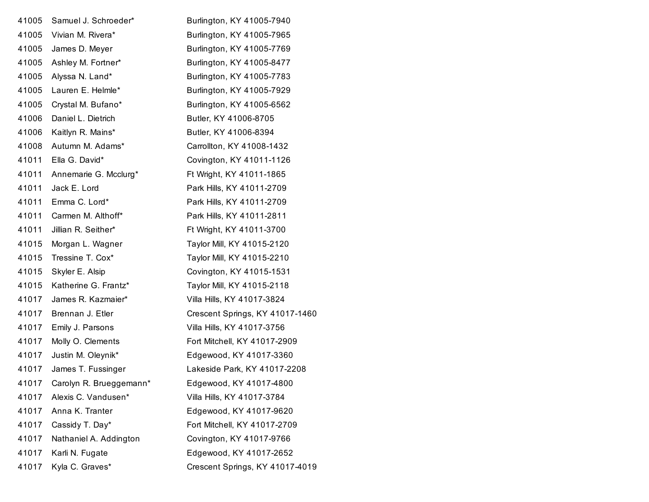| 41005 | Samuel J. Schroeder*    | Burlington, KY 41005-7940       |
|-------|-------------------------|---------------------------------|
| 41005 | Vivian M. Rivera*       | Burlington, KY 41005-7965       |
| 41005 | James D. Meyer          | Burlington, KY 41005-7769       |
| 41005 | Ashley M. Fortner*      | Burlington, KY 41005-8477       |
| 41005 | Alyssa N. Land*         | Burlington, KY 41005-7783       |
| 41005 | Lauren E. Helmle*       | Burlington, KY 41005-7929       |
| 41005 | Crystal M. Bufano*      | Burlington, KY 41005-6562       |
| 41006 | Daniel L. Dietrich      | Butler, KY 41006-8705           |
| 41006 | Kaitlyn R. Mains*       | Butler, KY 41006-8394           |
| 41008 | Autumn M. Adams*        | Carrollton, KY 41008-1432       |
| 41011 | Ella G. David*          | Covington, KY 41011-1126        |
| 41011 | Annemarie G. Mcclurg*   | Ft Wright, KY 41011-1865        |
| 41011 | Jack E. Lord            | Park Hills, KY 41011-2709       |
| 41011 | Emma C. Lord*           | Park Hills, KY 41011-2709       |
| 41011 | Carmen M. Althoff*      | Park Hills, KY 41011-2811       |
| 41011 | Jillian R. Seither*     | Ft Wright, KY 41011-3700        |
| 41015 | Morgan L. Wagner        | Taylor Mill, KY 41015-2120      |
| 41015 | Tressine T. Cox*        | Taylor Mill, KY 41015-2210      |
| 41015 | Skyler E. Alsip         | Covington, KY 41015-1531        |
| 41015 | Katherine G. Frantz*    | Taylor Mill, KY 41015-2118      |
| 41017 | James R. Kazmaier*      | Villa Hills, KY 41017-3824      |
| 41017 | Brennan J. Etler        | Crescent Springs, KY 41017-1460 |
| 41017 | Emily J. Parsons        | Villa Hills, KY 41017-3756      |
| 41017 | Molly O. Clements       | Fort Mitchell, KY 41017-2909    |
| 41017 | Justin M. Oleynik*      | Edgewood, KY 41017-3360         |
| 41017 | James T. Fussinger      | Lakeside Park, KY 41017-2208    |
| 41017 | Carolyn R. Brueggemann* | Edgewood, KY 41017-4800         |
| 41017 | Alexis C. Vandusen*     | Villa Hills, KY 41017-3784      |
| 41017 | Anna K. Tranter         | Edgewood, KY 41017-9620         |
| 41017 | Cassidy T. Day*         | Fort Mitchell, KY 41017-2709    |
| 41017 | Nathaniel A. Addington  | Covington, KY 41017-9766        |
| 41017 | Karli N. Fugate         | Edgewood, KY 41017-2652         |
| 41017 | Kyla C. Graves*         | Crescent Springs, KY 41017-4019 |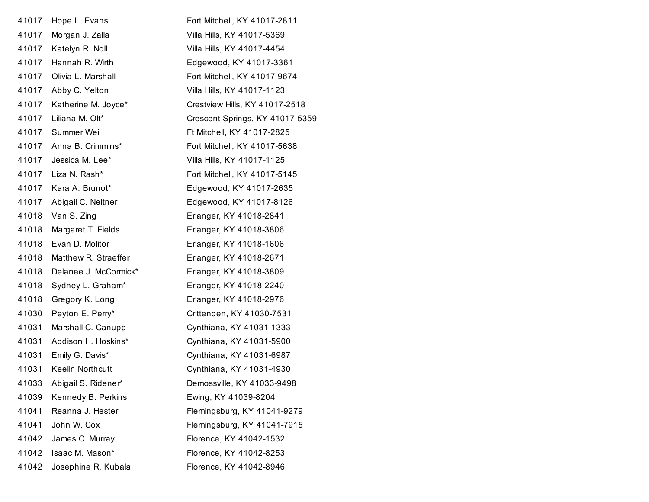| 41017 | Hope L. Evans         | Fort Mitchell, KY 41017-2811    |
|-------|-----------------------|---------------------------------|
| 41017 | Morgan J. Zalla       | Villa Hills, KY 41017-5369      |
| 41017 | Katelyn R. Noll       | Villa Hills, KY 41017-4454      |
| 41017 | Hannah R. Wirth       | Edgewood, KY 41017-3361         |
| 41017 | Olivia L. Marshall    | Fort Mitchell, KY 41017-9674    |
| 41017 | Abby C. Yelton        | Villa Hills, KY 41017-1123      |
| 41017 | Katherine M. Joyce*   | Crestview Hills, KY 41017-2518  |
| 41017 | Liliana M. Olt*       | Crescent Springs, KY 41017-5359 |
| 41017 | Summer Wei            | Ft Mitchell, KY 41017-2825      |
| 41017 | Anna B. Crimmins*     | Fort Mitchell, KY 41017-5638    |
| 41017 | Jessica M. Lee*       | Villa Hills, KY 41017-1125      |
| 41017 | Liza N. Rash*         | Fort Mitchell, KY 41017-5145    |
| 41017 | Kara A. Brunot*       | Edgewood, KY 41017-2635         |
| 41017 | Abigail C. Neltner    | Edgewood, KY 41017-8126         |
| 41018 | Van S. Zing           | Erlanger, KY 41018-2841         |
| 41018 | Margaret T. Fields    | Erlanger, KY 41018-3806         |
| 41018 | Evan D. Molitor       | Erlanger, KY 41018-1606         |
| 41018 | Matthew R. Straeffer  | Erlanger, KY 41018-2671         |
| 41018 | Delanee J. McCormick* | Erlanger, KY 41018-3809         |
| 41018 | Sydney L. Graham*     | Erlanger, KY 41018-2240         |
| 41018 | Gregory K. Long       | Erlanger, KY 41018-2976         |
| 41030 | Peyton E. Perry*      | Crittenden, KY 41030-7531       |
| 41031 | Marshall C. Canupp    | Cynthiana, KY 41031-1333        |
| 41031 | Addison H. Hoskins*   | Cynthiana, KY 41031-5900        |
| 41031 | Emily G. Davis*       | Cynthiana, KY 41031-6987        |
| 41031 | Keelin Northcutt      | Cynthiana, KY 41031-4930        |
| 41033 | Abigail S. Ridener*   | Demossville, KY 41033-9498      |
| 41039 | Kennedy B. Perkins    | Ewing, KY 41039-8204            |
| 41041 | Reanna J. Hester      | Flemingsburg, KY 41041-9279     |
| 41041 | John W. Cox           | Flemingsburg, KY 41041-7915     |
| 41042 | James C. Murray       | Florence, KY 41042-1532         |
| 41042 | Isaac M. Mason*       | Florence, KY 41042-8253         |
| 41042 | Josephine R. Kubala   | Florence, KY 41042-8946         |
|       |                       |                                 |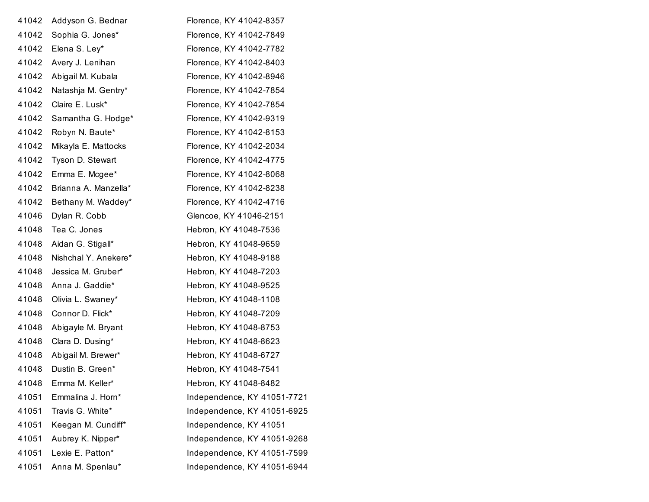| 41042 | Addyson G. Bednar    | Florence, KY 41042-8357     |
|-------|----------------------|-----------------------------|
| 41042 | Sophia G. Jones*     | Florence, KY 41042-7849     |
| 41042 | Elena S. Ley*        | Florence, KY 41042-7782     |
| 41042 | Avery J. Lenihan     | Florence, KY 41042-8403     |
| 41042 | Abigail M. Kubala    | Florence, KY 41042-8946     |
| 41042 | Natashja M. Gentry*  | Florence, KY 41042-7854     |
| 41042 | Claire E. Lusk*      | Florence, KY 41042-7854     |
| 41042 | Samantha G. Hodge*   | Florence, KY 41042-9319     |
| 41042 | Robyn N. Baute*      | Florence, KY 41042-8153     |
| 41042 | Mikayla E. Mattocks  | Florence, KY 41042-2034     |
| 41042 | Tyson D. Stewart     | Florence, KY 41042-4775     |
| 41042 | Emma E. Mcgee*       | Florence, KY 41042-8068     |
| 41042 | Brianna A. Manzella* | Florence, KY 41042-8238     |
| 41042 | Bethany M. Waddey*   | Florence, KY 41042-4716     |
| 41046 | Dylan R. Cobb        | Glencoe, KY 41046-2151      |
| 41048 | Tea C. Jones         | Hebron, KY 41048-7536       |
| 41048 | Aidan G. Stigall*    | Hebron, KY 41048-9659       |
| 41048 | Nishchal Y. Anekere* | Hebron, KY 41048-9188       |
| 41048 | Jessica M. Gruber*   | Hebron, KY 41048-7203       |
| 41048 | Anna J. Gaddie*      | Hebron, KY 41048-9525       |
| 41048 | Olivia L. Swaney*    | Hebron, KY 41048-1108       |
| 41048 | Connor D. Flick*     | Hebron, KY 41048-7209       |
| 41048 | Abigayle M. Bryant   | Hebron, KY 41048-8753       |
| 41048 | Clara D. Dusing*     | Hebron, KY 41048-8623       |
| 41048 | Abigail M. Brewer*   | Hebron, KY 41048-6727       |
| 41048 | Dustin B. Green*     | Hebron, KY 41048-7541       |
| 41048 | Emma M. Keller*      | Hebron, KY 41048-8482       |
| 41051 | Emmalina J. Horn*    | Independence, KY 41051-7721 |
| 41051 | Travis G. White*     | Independence, KY 41051-6925 |
| 41051 | Keegan M. Cundiff*   | Independence, KY 41051      |
| 41051 | Aubrey K. Nipper*    | Independence, KY 41051-9268 |
| 41051 | Lexie E. Patton*     | Independence, KY 41051-7599 |
| 41051 | Anna M. Spenlau*     | Independence, KY 41051-6944 |
|       |                      |                             |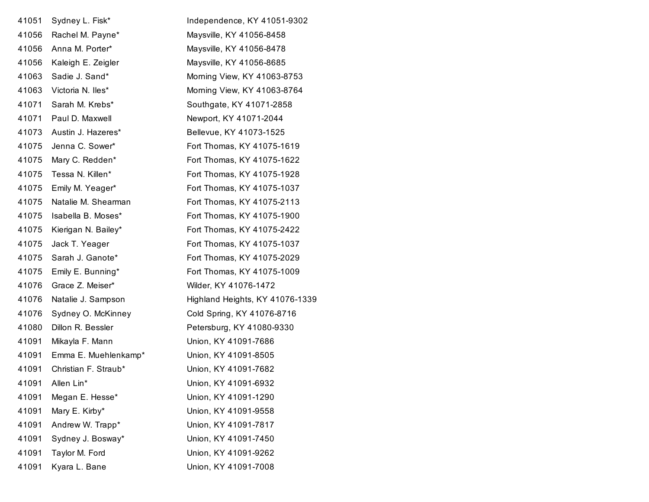| 41051 | Sydney L. Fisk*      | Independence, KY 41051-9302     |
|-------|----------------------|---------------------------------|
| 41056 | Rachel M. Payne*     | Maysville, KY 41056-8458        |
| 41056 | Anna M. Porter*      | Maysville, KY 41056-8478        |
| 41056 | Kaleigh E. Zeigler   | Maysville, KY 41056-8685        |
| 41063 | Sadie J. Sand*       | Morning View, KY 41063-8753     |
| 41063 | Victoria N. Iles*    | Morning View, KY 41063-8764     |
| 41071 | Sarah M. Krebs*      | Southgate, KY 41071-2858        |
| 41071 | Paul D. Maxwell      | Newport, KY 41071-2044          |
| 41073 | Austin J. Hazeres*   | Bellevue, KY 41073-1525         |
| 41075 | Jenna C. Sower*      | Fort Thomas, KY 41075-1619      |
| 41075 | Mary C. Redden*      | Fort Thomas, KY 41075-1622      |
| 41075 | Tessa N. Killen*     | Fort Thomas, KY 41075-1928      |
| 41075 | Emily M. Yeager*     | Fort Thomas, KY 41075-1037      |
| 41075 | Natalie M. Shearman  | Fort Thomas, KY 41075-2113      |
| 41075 | Isabella B. Moses*   | Fort Thomas, KY 41075-1900      |
| 41075 | Kierigan N. Bailey*  | Fort Thomas, KY 41075-2422      |
| 41075 | Jack T. Yeager       | Fort Thomas, KY 41075-1037      |
| 41075 | Sarah J. Ganote*     | Fort Thomas, KY 41075-2029      |
| 41075 | Emily E. Bunning*    | Fort Thomas, KY 41075-1009      |
| 41076 | Grace Z. Meiser*     | Wilder, KY 41076-1472           |
| 41076 | Natalie J. Sampson   | Highland Heights, KY 41076-1339 |
| 41076 | Sydney O. McKinney   | Cold Spring, KY 41076-8716      |
| 41080 | Dillon R. Bessler    | Petersburg, KY 41080-9330       |
| 41091 | Mikayla F. Mann      | Union, KY 41091-7686            |
| 41091 | Emma E. Muehlenkamp* | Union, KY 41091-8505            |
| 41091 | Christian F. Straub* | Union, KY 41091-7682            |
| 41091 | Allen Lin*           | Union, KY 41091-6932            |
| 41091 | Megan E. Hesse*      | Union, KY 41091-1290            |
| 41091 | Mary E. Kirby*       | Union, KY 41091-9558            |
| 41091 | Andrew W. Trapp*     | Union, KY 41091-7817            |
| 41091 | Sydney J. Bosway*    | Union, KY 41091-7450            |
| 41091 | Taylor M. Ford       | Union, KY 41091-9262            |
| 41091 | Kyara L. Bane        | Union, KY 41091-7008            |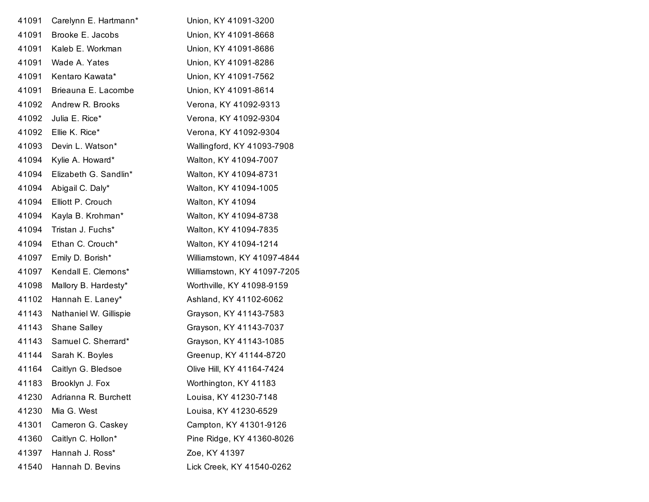| 41091 | Carelynn E. Hartmann*  | Union, KY 41091-3200        |
|-------|------------------------|-----------------------------|
| 41091 | Brooke E. Jacobs       | Union, KY 41091-8668        |
| 41091 | Kaleb E. Workman       | Union, KY 41091-8686        |
| 41091 | Wade A. Yates          | Union, KY 41091-8286        |
| 41091 | Kentaro Kawata*        | Union, KY 41091-7562        |
| 41091 | Brieauna E. Lacombe    | Union, KY 41091-8614        |
| 41092 | Andrew R. Brooks       | Verona, KY 41092-9313       |
| 41092 | Julia E. Rice*         | Verona, KY 41092-9304       |
| 41092 | Ellie K. Rice*         | Verona, KY 41092-9304       |
| 41093 | Devin L. Watson*       | Wallingford, KY 41093-7908  |
| 41094 | Kylie A. Howard*       | Walton, KY 41094-7007       |
| 41094 | Elizabeth G. Sandlin*  | Walton, KY 41094-8731       |
| 41094 | Abigail C. Daly*       | Walton, KY 41094-1005       |
| 41094 | Elliott P. Crouch      | Walton, KY 41094            |
| 41094 | Kayla B. Krohman*      | Walton, KY 41094-8738       |
| 41094 | Tristan J. Fuchs*      | Walton, KY 41094-7835       |
| 41094 | Ethan C. Crouch*       | Walton, KY 41094-1214       |
| 41097 | Emily D. Borish*       | Williamstown, KY 41097-4844 |
| 41097 | Kendall E. Clemons*    | Williamstown, KY 41097-7205 |
| 41098 | Mallory B. Hardesty*   | Worthville, KY 41098-9159   |
| 41102 | Hannah E. Laney*       | Ashland, KY 41102-6062      |
| 41143 | Nathaniel W. Gillispie | Grayson, KY 41143-7583      |
| 41143 | Shane Salley           | Grayson, KY 41143-7037      |
| 41143 | Samuel C. Sherrard*    | Grayson, KY 41143-1085      |
| 41144 | Sarah K. Boyles        | Greenup, KY 41144-8720      |
| 41164 | Caitlyn G. Bledsoe     | Olive Hill, KY 41164-7424   |
|       | 41183 Brooklyn J. Fox  | Worthington, KY 41183       |
| 41230 | Adrianna R. Burchett   | Louisa, KY 41230-7148       |
| 41230 | Mia G. West            | Louisa, KY 41230-6529       |
| 41301 | Cameron G. Caskey      | Campton, KY 41301-9126      |
| 41360 | Caitlyn C. Hollon*     | Pine Ridge, KY 41360-8026   |
| 41397 | Hannah J. Ross*        | Zoe, KY 41397               |
| 41540 | Hannah D. Bevins       | Lick Creek, KY 41540-0262   |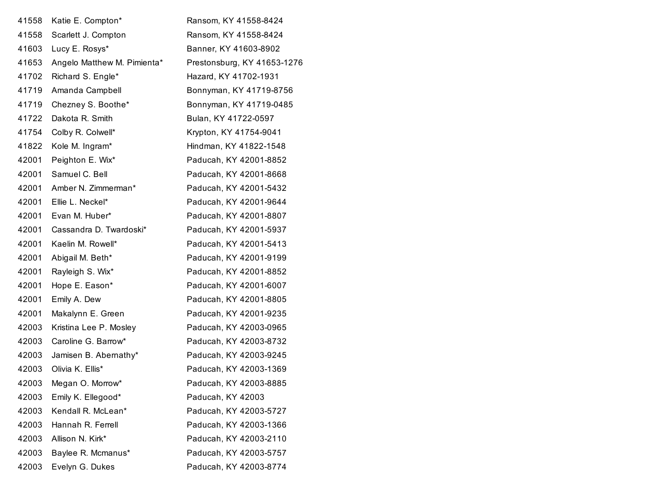| 41558 | Katie E. Compton*           | Ransom, KY 41558-8424       |
|-------|-----------------------------|-----------------------------|
| 41558 | Scarlett J. Compton         | Ransom, KY 41558-8424       |
| 41603 | Lucy E. Rosys*              | Banner, KY 41603-8902       |
| 41653 | Angelo Matthew M. Pimienta* | Prestonsburg, KY 41653-1276 |
| 41702 | Richard S. Engle*           | Hazard, KY 41702-1931       |
| 41719 | Amanda Campbell             | Bonnyman, KY 41719-8756     |
| 41719 | Chezney S. Boothe*          | Bonnyman, KY 41719-0485     |
| 41722 | Dakota R. Smith             | Bulan, KY 41722-0597        |
| 41754 | Colby R. Colwell*           | Krypton, KY 41754-9041      |
| 41822 | Kole M. Ingram*             | Hindman, KY 41822-1548      |
| 42001 | Peighton E. Wix*            | Paducah, KY 42001-8852      |
| 42001 | Samuel C. Bell              | Paducah, KY 42001-8668      |
| 42001 | Amber N. Zimmerman*         | Paducah, KY 42001-5432      |
| 42001 | Ellie L. Neckel*            | Paducah, KY 42001-9644      |
| 42001 | Evan M. Huber*              | Paducah, KY 42001-8807      |
| 42001 | Cassandra D. Twardoski*     | Paducah, KY 42001-5937      |
| 42001 | Kaelin M. Rowell*           | Paducah, KY 42001-5413      |
| 42001 | Abigail M. Beth*            | Paducah, KY 42001-9199      |
| 42001 | Rayleigh S. Wix*            | Paducah, KY 42001-8852      |
| 42001 | Hope E. Eason*              | Paducah, KY 42001-6007      |
| 42001 | Emily A. Dew                | Paducah, KY 42001-8805      |
| 42001 | Makalynn E. Green           | Paducah, KY 42001-9235      |
| 42003 | Kristina Lee P. Mosley      | Paducah, KY 42003-0965      |
| 42003 | Caroline G. Barrow*         | Paducah, KY 42003-8732      |
| 42003 | Jamisen B. Abernathy*       | Paducah, KY 42003-9245      |
| 42003 | Olivia K. Ellis*            | Paducah, KY 42003-1369      |
| 42003 | Megan O. Morrow*            | Paducah, KY 42003-8885      |
| 42003 | Emily K. Ellegood*          | Paducah, KY 42003           |
| 42003 | Kendall R. McLean*          | Paducah, KY 42003-5727      |
| 42003 | Hannah R. Ferrell           | Paducah, KY 42003-1366      |
| 42003 | Allison N. Kirk*            | Paducah, KY 42003-2110      |
| 42003 | Baylee R. Mcmanus*          | Paducah, KY 42003-5757      |
| 42003 | Evelyn G. Dukes             | Paducah, KY 42003-8774      |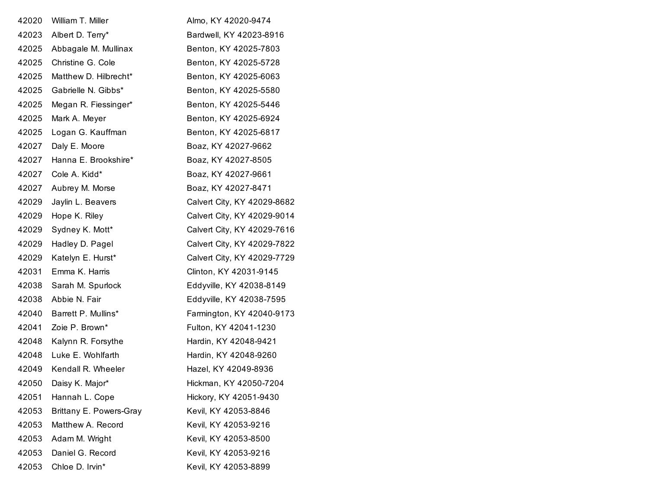| 42020 | William T. Miller       | Almo, KY 42020-9474         |
|-------|-------------------------|-----------------------------|
| 42023 | Albert D. Terry*        | Bardwell, KY 42023-8916     |
| 42025 | Abbagale M. Mullinax    | Benton, KY 42025-7803       |
| 42025 | Christine G. Cole       | Benton, KY 42025-5728       |
| 42025 | Matthew D. Hilbrecht*   | Benton, KY 42025-6063       |
| 42025 | Gabrielle N. Gibbs*     | Benton, KY 42025-5580       |
| 42025 | Megan R. Fiessinger*    | Benton, KY 42025-5446       |
| 42025 | Mark A. Meyer           | Benton, KY 42025-6924       |
| 42025 | Logan G. Kauffman       | Benton, KY 42025-6817       |
| 42027 | Daly E. Moore           | Boaz, KY 42027-9662         |
| 42027 | Hanna E. Brookshire*    | Boaz, KY 42027-8505         |
| 42027 | Cole A. Kidd*           | Boaz, KY 42027-9661         |
| 42027 | Aubrey M. Morse         | Boaz, KY 42027-8471         |
| 42029 | Jaylin L. Beavers       | Calvert City, KY 42029-8682 |
| 42029 | Hope K. Riley           | Calvert City, KY 42029-9014 |
| 42029 | Sydney K. Mott*         | Calvert City, KY 42029-7616 |
| 42029 | Hadley D. Pagel         | Calvert City, KY 42029-7822 |
| 42029 | Katelyn E. Hurst*       | Calvert City, KY 42029-7729 |
| 42031 | Emma K. Harris          | Clinton, KY 42031-9145      |
| 42038 | Sarah M. Spurlock       | Eddyville, KY 42038-8149    |
| 42038 | Abbie N. Fair           | Eddyville, KY 42038-7595    |
| 42040 | Barrett P. Mullins*     | Farmington, KY 42040-9173   |
| 42041 | Zoie P. Brown*          | Fulton, KY 42041-1230       |
| 42048 | Kalynn R. Forsythe      | Hardin, KY 42048-9421       |
| 42048 | Luke E. Wohlfarth       | Hardin, KY 42048-9260       |
| 42049 | Kendall R. Wheeler      | Hazel, KY 42049-8936        |
| 42050 | Daisy K. Major*         | Hickman, KY 42050-7204      |
| 42051 | Hannah L. Cope          | Hickory, KY 42051-9430      |
| 42053 | Brittany E. Powers-Gray | Kevil, KY 42053-8846        |
| 42053 | Matthew A. Record       | Kevil, KY 42053-9216        |
| 42053 | Adam M. Wright          | Kevil, KY 42053-8500        |
| 42053 | Daniel G. Record        | Kevil, KY 42053-9216        |
| 42053 | Chloe D. Irvin*         | Kevil, KY 42053-8899        |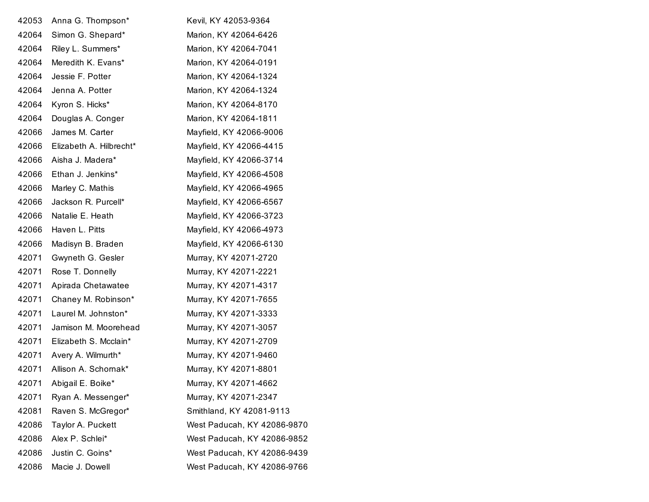| 42053 | Anna G. Thompson*       | Kevil, KY 42053-9364        |
|-------|-------------------------|-----------------------------|
| 42064 | Simon G. Shepard*       | Marion, KY 42064-6426       |
| 42064 | Riley L. Summers*       | Marion, KY 42064-7041       |
| 42064 | Meredith K. Evans*      | Marion, KY 42064-0191       |
| 42064 | Jessie F. Potter        | Marion, KY 42064-1324       |
| 42064 | Jenna A. Potter         | Marion, KY 42064-1324       |
| 42064 | Kyron S. Hicks*         | Marion, KY 42064-8170       |
| 42064 | Douglas A. Conger       | Marion, KY 42064-1811       |
| 42066 | James M. Carter         | Mayfield, KY 42066-9006     |
| 42066 | Elizabeth A. Hilbrecht* | Mayfield, KY 42066-4415     |
| 42066 | Aisha J. Madera*        | Mayfield, KY 42066-3714     |
| 42066 | Ethan J. Jenkins*       | Mayfield, KY 42066-4508     |
| 42066 | Marley C. Mathis        | Mayfield, KY 42066-4965     |
| 42066 | Jackson R. Purcell*     | Mayfield, KY 42066-6567     |
| 42066 | Natalie E. Heath        | Mayfield, KY 42066-3723     |
| 42066 | Haven L. Pitts          | Mayfield, KY 42066-4973     |
| 42066 | Madisyn B. Braden       | Mayfield, KY 42066-6130     |
| 42071 | Gwyneth G. Gesler       | Murray, KY 42071-2720       |
| 42071 | Rose T. Donnelly        | Murray, KY 42071-2221       |
| 42071 | Apirada Chetawatee      | Murray, KY 42071-4317       |
| 42071 | Chaney M. Robinson*     | Murray, KY 42071-7655       |
| 42071 | Laurel M. Johnston*     | Murray, KY 42071-3333       |
| 42071 | Jamison M. Moorehead    | Murray, KY 42071-3057       |
| 42071 | Elizabeth S. Mcclain*   | Murray, KY 42071-2709       |
| 42071 | Avery A. Wilmurth*      | Murray, KY 42071-9460       |
| 42071 | Allison A. Schornak*    | Murray, KY 42071-8801       |
| 42071 | Abigail E. Boike*       | Murray, KY 42071-4662       |
| 42071 | Ryan A. Messenger*      | Murray, KY 42071-2347       |
| 42081 | Raven S. McGregor*      | Smithland, KY 42081-9113    |
| 42086 | Taylor A. Puckett       | West Paducah, KY 42086-9870 |
| 42086 | Alex P. Schlei*         | West Paducah, KY 42086-9852 |
| 42086 | Justin C. Goins*        | West Paducah, KY 42086-9439 |
| 42086 | Macie J. Dowell         | West Paducah, KY 42086-9766 |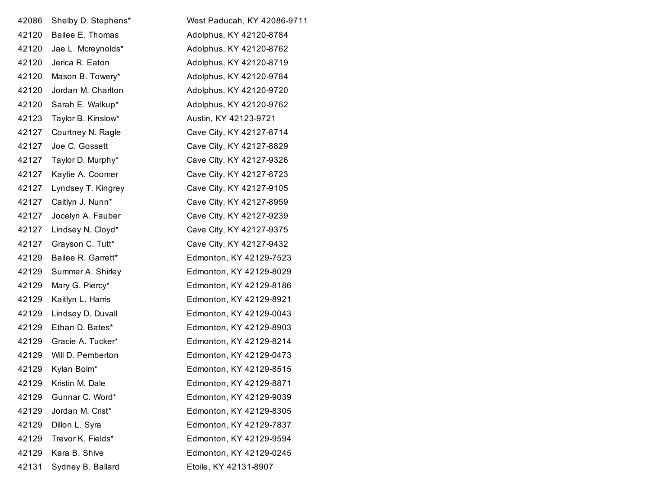| 42086 | Shelby D. Stephens* | West Paducah, KY 42086-9711 |
|-------|---------------------|-----------------------------|
| 42120 | Bailee E. Thomas    | Adolphus, KY 42120-8784     |
| 42120 | Jae L. Mcreynolds*  | Adolphus, KY 42120-8762     |
| 42120 | Jerica R. Eaton     | Adolphus, KY 42120-8719     |
| 42120 | Mason B. Towery*    | Adolphus, KY 42120-9784     |
| 42120 | Jordan M. Charlton  | Adolphus, KY 42120-9720     |
| 42120 | Sarah E. Walkup*    | Adolphus, KY 42120-9762     |
| 42123 | Taylor B. Kinslow*  | Austin, KY 42123-9721       |
| 42127 | Courtney N. Ragle   | Cave City, KY 42127-8714    |
| 42127 | Joe C. Gossett      | Cave City, KY 42127-8829    |
| 42127 | Taylor D. Murphy*   | Cave City, KY 42127-9326    |
| 42127 | Kaytie A. Coomer    | Cave City, KY 42127-8723    |
| 42127 | Lyndsey T. Kingrey  | Cave City, KY 42127-9105    |
| 42127 | Caitlyn J. Nunn*    | Cave City, KY 42127-8959    |
| 42127 | Jocelyn A. Fauber   | Cave City, KY 42127-9239    |
| 42127 | Lindsey N. Cloyd*   | Cave City, KY 42127-9375    |
| 42127 | Grayson C. Tutt*    | Cave City, KY 42127-9432    |
| 42129 | Bailee R. Garrett*  | Edmonton, KY 42129-7523     |
| 42129 | Summer A. Shirley   | Edmonton, KY 42129-8029     |
| 42129 | Mary G. Piercy*     | Edmonton, KY 42129-8186     |
| 42129 | Kaitlyn L. Harris   | Edmonton, KY 42129-8921     |
| 42129 | Lindsey D. Duvall   | Edmonton, KY 42129-0043     |
| 42129 | Ethan D. Bates*     | Edmonton, KY 42129-8903     |
| 42129 | Gracie A. Tucker*   | Edmonton, KY 42129-8214     |
| 42129 | Will D. Pemberton   | Edmonton, KY 42129-0473     |
| 42129 | Kylan Bolm*         | Edmonton, KY 42129-8515     |
| 42129 | Kristin M. Dale     | Edmonton, KY 42129-8871     |
| 42129 | Gunnar C. Word*     | Edmonton, KY 42129-9039     |
| 42129 | Jordan M. Crist*    | Edmonton, KY 42129-8305     |
| 42129 | Dillon L. Syra      | Edmonton, KY 42129-7837     |
| 42129 | Trevor K. Fields*   | Edmonton, KY 42129-9594     |
| 42129 | Kara B. Shive       | Edmonton, KY 42129-0245     |
| 42131 | Sydney B. Ballard   | Etoile, KY 42131-8907       |
|       |                     |                             |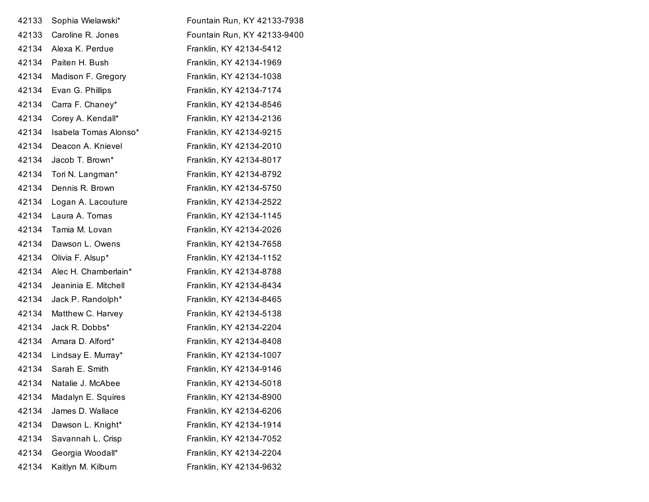| 42133 | Sophia Wielawski*     | Fountain Run, KY 42133-7938 |
|-------|-----------------------|-----------------------------|
| 42133 | Caroline R. Jones     | Fountain Run, KY 42133-9400 |
| 42134 | Alexa K. Perdue       | Franklin, KY 42134-5412     |
| 42134 | Paiten H. Bush        | Franklin, KY 42134-1969     |
| 42134 | Madison F. Gregory    | Franklin, KY 42134-1038     |
| 42134 | Evan G. Phillips      | Franklin, KY 42134-7174     |
| 42134 | Carra F. Chaney*      | Franklin, KY 42134-8546     |
| 42134 | Corey A. Kendall*     | Franklin, KY 42134-2136     |
| 42134 | Isabela Tomas Alonso* | Franklin, KY 42134-9215     |
| 42134 | Deacon A. Knievel     | Franklin, KY 42134-2010     |
| 42134 | Jacob T. Brown*       | Franklin, KY 42134-8017     |
| 42134 | Tori N. Langman*      | Franklin, KY 42134-8792     |
| 42134 | Dennis R. Brown       | Franklin, KY 42134-5750     |
| 42134 | Logan A. Lacouture    | Franklin, KY 42134-2522     |
| 42134 | Laura A. Tomas        | Franklin, KY 42134-1145     |
| 42134 | Tamia M. Lovan        | Franklin, KY 42134-2026     |
| 42134 | Dawson L. Owens       | Franklin, KY 42134-7658     |
| 42134 | Olivia F. Alsup*      | Franklin, KY 42134-1152     |
| 42134 | Alec H. Chamberlain*  | Franklin, KY 42134-8788     |
| 42134 | Jeaninia E. Mitchell  | Franklin, KY 42134-8434     |
| 42134 | Jack P. Randolph*     | Franklin, KY 42134-8465     |
| 42134 | Matthew C. Harvey     | Franklin, KY 42134-5138     |
| 42134 | Jack R. Dobbs*        | Franklin, KY 42134-2204     |
| 42134 | Amara D. Alford*      | Franklin, KY 42134-8408     |
| 42134 | Lindsay E. Murray*    | Franklin, KY 42134-1007     |
| 42134 | Sarah E. Smith        | Franklin, KY 42134-9146     |
| 42134 | Natalie J. McAbee     | Franklin, KY 42134-5018     |
| 42134 | Madalyn E. Squires    | Franklin, KY 42134-8900     |
| 42134 | James D. Wallace      | Franklin, KY 42134-6206     |
| 42134 | Dawson L. Knight*     | Franklin, KY 42134-1914     |
| 42134 | Savannah L. Crisp     | Franklin, KY 42134-7052     |
| 42134 | Georgia Woodall*      | Franklin, KY 42134-2204     |
| 42134 | Kaitlyn M. Kilburn    | Franklin, KY 42134-9632     |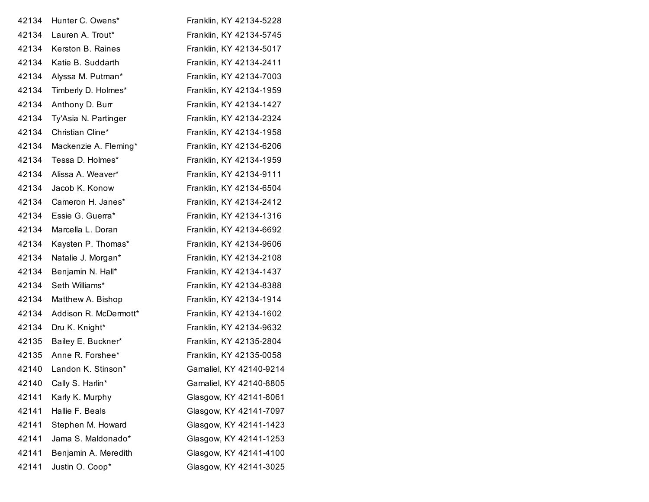| 42134 | Hunter C. Owens*      | Franklin, KY 42134-5228 |
|-------|-----------------------|-------------------------|
| 42134 | Lauren A. Trout*      | Franklin, KY 42134-5745 |
| 42134 | Kerston B. Raines     | Franklin, KY 42134-5017 |
| 42134 | Katie B. Suddarth     | Franklin, KY 42134-2411 |
| 42134 | Alyssa M. Putman*     | Franklin, KY 42134-7003 |
| 42134 | Timberly D. Holmes*   | Franklin, KY 42134-1959 |
| 42134 | Anthony D. Burr       | Franklin, KY 42134-1427 |
| 42134 | Ty'Asia N. Partinger  | Franklin, KY 42134-2324 |
| 42134 | Christian Cline*      | Franklin, KY 42134-1958 |
| 42134 | Mackenzie A. Fleming* | Franklin, KY 42134-6206 |
| 42134 | Tessa D. Holmes*      | Franklin, KY 42134-1959 |
| 42134 | Alissa A. Weaver*     | Franklin, KY 42134-9111 |
| 42134 | Jacob K. Konow        | Franklin, KY 42134-6504 |
| 42134 | Cameron H. Janes*     | Franklin, KY 42134-2412 |
| 42134 | Essie G. Guerra*      | Franklin, KY 42134-1316 |
| 42134 | Marcella L. Doran     | Franklin, KY 42134-6692 |
| 42134 | Kaysten P. Thomas*    | Franklin, KY 42134-9606 |
| 42134 | Natalie J. Morgan*    | Franklin, KY 42134-2108 |
| 42134 | Benjamin N. Hall*     | Franklin, KY 42134-1437 |
| 42134 | Seth Williams*        | Franklin, KY 42134-8388 |
| 42134 | Matthew A. Bishop     | Franklin, KY 42134-1914 |
| 42134 | Addison R. McDermott* | Franklin, KY 42134-1602 |
| 42134 | Dru K. Knight*        | Franklin, KY 42134-9632 |
| 42135 | Bailey E. Buckner*    | Franklin, KY 42135-2804 |
| 42135 | Anne R. Forshee*      | Franklin, KY 42135-0058 |
| 42140 | Landon K. Stinson*    | Gamaliel, KY 42140-9214 |
| 42140 | Cally S. Harlin*      | Gamaliel, KY 42140-8805 |
| 42141 | Karly K. Murphy       | Glasgow, KY 42141-8061  |
| 42141 | Hallie F. Beals       | Glasgow, KY 42141-7097  |
| 42141 | Stephen M. Howard     | Glasgow, KY 42141-1423  |
| 42141 | Jama S. Maldonado*    | Glasgow, KY 42141-1253  |
| 42141 | Benjamin A. Meredith  | Glasgow, KY 42141-4100  |
| 42141 | Justin O. Coop*       | Glasgow, KY 42141-3025  |
|       |                       |                         |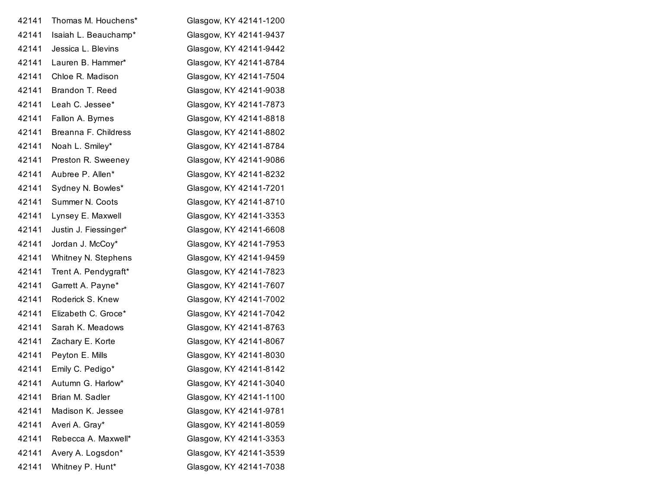| Thomas M. Houchens*   | Glasgow, KY 42141-1200 |
|-----------------------|------------------------|
| Isaiah L. Beauchamp*  | Glasgow, KY 42141-9437 |
| Jessica L. Blevins    | Glasgow, KY 42141-9442 |
| Lauren B. Hammer*     | Glasgow, KY 42141-8784 |
| Chloe R. Madison      | Glasgow, KY 42141-7504 |
| Brandon T. Reed       | Glasgow, KY 42141-9038 |
| Leah C. Jessee*       | Glasgow, KY 42141-7873 |
| Fallon A. Byrnes      | Glasgow, KY 42141-8818 |
| Breanna F. Childress  | Glasgow, KY 42141-8802 |
| Noah L. Smiley*       | Glasgow, KY 42141-8784 |
| Preston R. Sweeney    | Glasgow, KY 42141-9086 |
| Aubree P. Allen*      | Glasgow, KY 42141-8232 |
| Sydney N. Bowles*     | Glasgow, KY 42141-7201 |
| Summer N. Coots       | Glasgow, KY 42141-8710 |
| Lynsey E. Maxwell     | Glasgow, KY 42141-3353 |
| Justin J. Fiessinger* | Glasgow, KY 42141-6608 |
| Jordan J. McCoy*      | Glasgow, KY 42141-7953 |
| Whitney N. Stephens   | Glasgow, KY 42141-9459 |
| Trent A. Pendygraft*  | Glasgow, KY 42141-7823 |
| Garrett A. Payne*     | Glasgow, KY 42141-7607 |
| Roderick S. Knew      | Glasgow, KY 42141-7002 |
| Elizabeth C. Groce*   | Glasgow, KY 42141-7042 |
| Sarah K. Meadows      | Glasgow, KY 42141-8763 |
| Zachary E. Korte      | Glasgow, KY 42141-8067 |
| Peyton E. Mills       | Glasgow, KY 42141-8030 |
| Emily C. Pedigo*      | Glasgow, KY 42141-8142 |
| Autumn G. Harlow*     | Glasgow, KY 42141-3040 |
| Brian M. Sadler       | Glasgow, KY 42141-1100 |
| Madison K. Jessee     | Glasgow, KY 42141-9781 |
| Averi A. Gray*        | Glasgow, KY 42141-8059 |
| Rebecca A. Maxwell*   | Glasgow, KY 42141-3353 |
| Avery A. Logsdon*     | Glasgow, KY 42141-3539 |
| Whitney P. Hunt*      | Glasgow, KY 42141-7038 |
|                       |                        |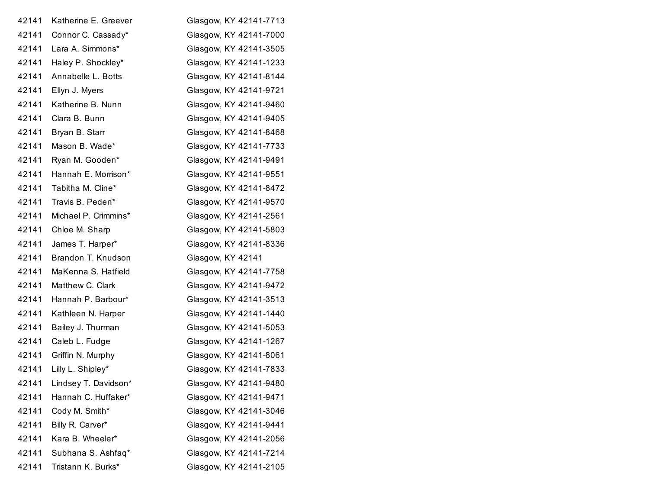| 42141 | Katherine E. Greever | Glasgow, KY 42141-7713 |
|-------|----------------------|------------------------|
| 42141 | Connor C. Cassady*   | Glasgow, KY 42141-7000 |
| 42141 | Lara A. Simmons*     | Glasgow, KY 42141-3505 |
| 42141 | Haley P. Shockley*   | Glasgow, KY 42141-1233 |
| 42141 | Annabelle L. Botts   | Glasgow, KY 42141-8144 |
| 42141 | Ellyn J. Myers       | Glasgow, KY 42141-9721 |
| 42141 | Katherine B. Nunn    | Glasgow, KY 42141-9460 |
| 42141 | Clara B. Bunn        | Glasgow, KY 42141-9405 |
| 42141 | Bryan B. Starr       | Glasgow, KY 42141-8468 |
| 42141 | Mason B. Wade*       | Glasgow, KY 42141-7733 |
| 42141 | Ryan M. Gooden*      | Glasgow, KY 42141-9491 |
| 42141 | Hannah E. Morrison*  | Glasgow, KY 42141-9551 |
| 42141 | Tabitha M. Cline*    | Glasgow, KY 42141-8472 |
| 42141 | Travis B. Peden*     | Glasgow, KY 42141-9570 |
| 42141 | Michael P. Crimmins* | Glasgow, KY 42141-2561 |
| 42141 | Chloe M. Sharp       | Glasgow, KY 42141-5803 |
| 42141 | James T. Harper*     | Glasgow, KY 42141-8336 |
| 42141 | Brandon T. Knudson   | Glasgow, KY 42141      |
| 42141 | MaKenna S. Hatfield  | Glasgow, KY 42141-7758 |
| 42141 | Matthew C. Clark     | Glasgow, KY 42141-9472 |
| 42141 | Hannah P. Barbour*   | Glasgow, KY 42141-3513 |
| 42141 | Kathleen N. Harper   | Glasgow, KY 42141-1440 |
| 42141 | Bailey J. Thurman    | Glasgow, KY 42141-5053 |
| 42141 | Caleb L. Fudge       | Glasgow, KY 42141-1267 |
| 42141 | Griffin N. Murphy    | Glasgow, KY 42141-8061 |
| 42141 | Lilly L. Shipley*    | Glasgow, KY 42141-7833 |
| 42141 | Lindsey T. Davidson* | Glasgow, KY 42141-9480 |
| 42141 | Hannah C. Huffaker*  | Glasgow, KY 42141-9471 |
| 42141 | Cody M. Smith*       | Glasgow, KY 42141-3046 |
| 42141 | Billy R. Carver*     | Glasgow, KY 42141-9441 |
| 42141 | Kara B. Wheeler*     | Glasgow, KY 42141-2056 |
| 42141 | Subhana S. Ashfaq*   | Glasgow, KY 42141-7214 |
| 42141 | Tristann K. Burks*   | Glasgow, KY 42141-2105 |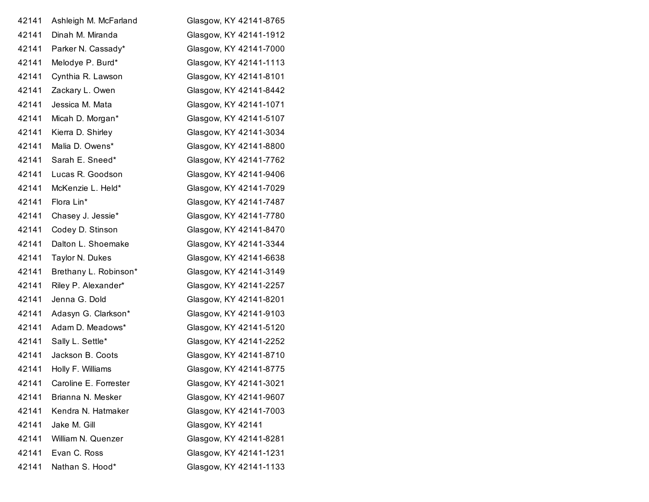| 42141 | Ashleigh M. McFarland | Glasgow, KY 42141-8765 |
|-------|-----------------------|------------------------|
| 42141 | Dinah M. Miranda      | Glasgow, KY 42141-1912 |
| 42141 | Parker N. Cassady*    | Glasgow, KY 42141-7000 |
| 42141 | Melodye P. Burd*      | Glasgow, KY 42141-1113 |
| 42141 | Cynthia R. Lawson     | Glasgow, KY 42141-8101 |
| 42141 | Zackary L. Owen       | Glasgow, KY 42141-8442 |
| 42141 | Jessica M. Mata       | Glasgow, KY 42141-1071 |
| 42141 | Micah D. Morgan*      | Glasgow, KY 42141-5107 |
| 42141 | Kierra D. Shirley     | Glasgow, KY 42141-3034 |
| 42141 | Malia D. Owens*       | Glasgow, KY 42141-8800 |
| 42141 | Sarah E. Sneed*       | Glasgow, KY 42141-7762 |
| 42141 | Lucas R. Goodson      | Glasgow, KY 42141-9406 |
| 42141 | McKenzie L. Held*     | Glasgow, KY 42141-7029 |
| 42141 | Flora Lin*            | Glasgow, KY 42141-7487 |
| 42141 | Chasey J. Jessie*     | Glasgow, KY 42141-7780 |
| 42141 | Codey D. Stinson      | Glasgow, KY 42141-8470 |
| 42141 | Dalton L. Shoemake    | Glasgow, KY 42141-3344 |
| 42141 | Taylor N. Dukes       | Glasgow, KY 42141-6638 |
| 42141 | Brethany L. Robinson* | Glasgow, KY 42141-3149 |
| 42141 | Riley P. Alexander*   | Glasgow, KY 42141-2257 |
| 42141 | Jenna G. Dold         | Glasgow, KY 42141-8201 |
| 42141 | Adasyn G. Clarkson*   | Glasgow, KY 42141-9103 |
| 42141 | Adam D. Meadows*      | Glasgow, KY 42141-5120 |
| 42141 | Sally L. Settle*      | Glasgow, KY 42141-2252 |
| 42141 | Jackson B. Coots      | Glasgow, KY 42141-8710 |
| 42141 | Holly F. Williams     | Glasgow, KY 42141-8775 |
| 42141 | Caroline E. Forrester | Glasgow, KY 42141-3021 |
| 42141 | Brianna N. Mesker     | Glasgow, KY 42141-9607 |
| 42141 | Kendra N. Hatmaker    | Glasgow, KY 42141-7003 |
| 42141 | Jake M. Gill          | Glasgow, KY 42141      |
| 42141 | William N. Quenzer    | Glasgow, KY 42141-8281 |
| 42141 | Evan C. Ross          | Glasgow, KY 42141-1231 |
| 42141 | Nathan S. Hood*       | Glasgow, KY 42141-1133 |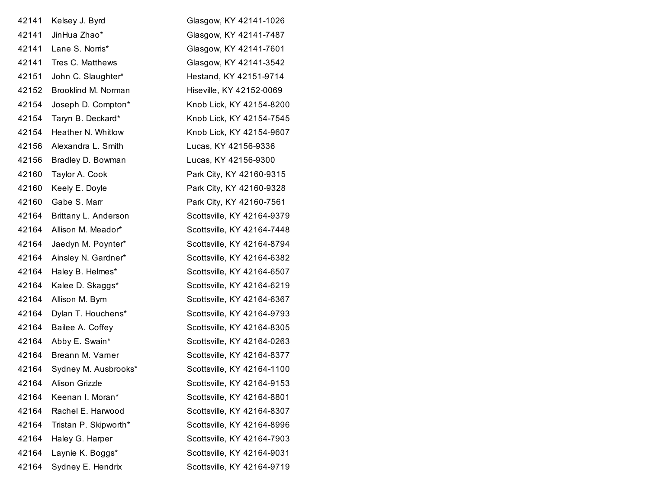| 42141 | Kelsey J. Byrd        | Glasgow, KY 42141-1026     |
|-------|-----------------------|----------------------------|
| 42141 | JinHua Zhao*          | Glasgow, KY 42141-7487     |
| 42141 | Lane S. Norris*       | Glasgow, KY 42141-7601     |
| 42141 | Tres C. Matthews      | Glasgow, KY 42141-3542     |
| 42151 | John C. Slaughter*    | Hestand, KY 42151-9714     |
| 42152 | Brooklind M. Norman   | Hiseville, KY 42152-0069   |
| 42154 | Joseph D. Compton*    | Knob Lick, KY 42154-8200   |
| 42154 | Taryn B. Deckard*     | Knob Lick, KY 42154-7545   |
| 42154 | Heather N. Whitlow    | Knob Lick, KY 42154-9607   |
| 42156 | Alexandra L. Smith    | Lucas, KY 42156-9336       |
| 42156 | Bradley D. Bowman     | Lucas, KY 42156-9300       |
| 42160 | Taylor A. Cook        | Park City, KY 42160-9315   |
| 42160 | Keely E. Doyle        | Park City, KY 42160-9328   |
| 42160 | Gabe S. Marr          | Park City, KY 42160-7561   |
| 42164 | Brittany L. Anderson  | Scottsville, KY 42164-9379 |
| 42164 | Allison M. Meador*    | Scottsville, KY 42164-7448 |
| 42164 | Jaedyn M. Poynter*    | Scottsville, KY 42164-8794 |
| 42164 | Ainsley N. Gardner*   | Scottsville, KY 42164-6382 |
| 42164 | Haley B. Helmes*      | Scottsville, KY 42164-6507 |
| 42164 | Kalee D. Skaggs*      | Scottsville, KY 42164-6219 |
| 42164 | Allison M. Byrn       | Scottsville, KY 42164-6367 |
| 42164 | Dylan T. Houchens*    | Scottsville, KY 42164-9793 |
| 42164 | Bailee A. Coffey      | Scottsville, KY 42164-8305 |
| 42164 | Abby E. Swain*        | Scottsville, KY 42164-0263 |
| 42164 | Breann M. Varner      | Scottsville, KY 42164-8377 |
| 42164 | Sydney M. Ausbrooks*  | Scottsville, KY 42164-1100 |
| 42164 | Alison Grizzle        | Scottsville, KY 42164-9153 |
| 42164 | Keenan I. Moran*      | Scottsville, KY 42164-8801 |
| 42164 | Rachel E. Harwood     | Scottsville, KY 42164-8307 |
| 42164 | Tristan P. Skipworth* | Scottsville, KY 42164-8996 |
| 42164 | Haley G. Harper       | Scottsville, KY 42164-7903 |
| 42164 | Laynie K. Boggs*      | Scottsville, KY 42164-9031 |
| 42164 | Sydney E. Hendrix     | Scottsville, KY 42164-9719 |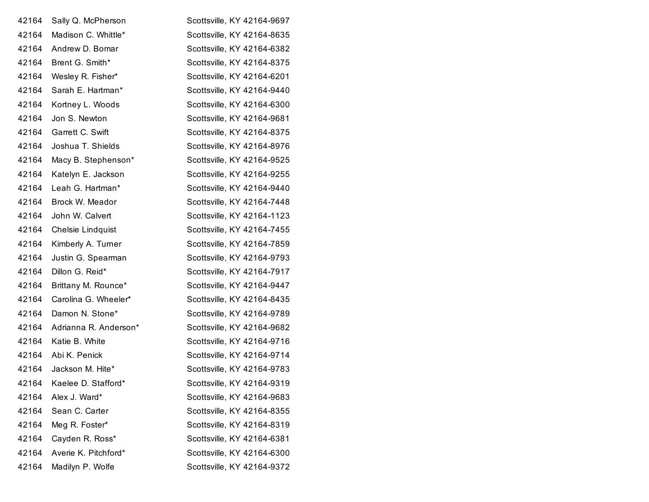| 42164 | Sally Q. McPherson    | Scottsville, KY 42164-9697 |
|-------|-----------------------|----------------------------|
| 42164 | Madison C. Whittle*   | Scottsville, KY 42164-8635 |
| 42164 | Andrew D. Bomar       | Scottsville, KY 42164-6382 |
| 42164 | Brent G. Smith*       | Scottsville, KY 42164-8375 |
| 42164 | Wesley R. Fisher*     | Scottsville, KY 42164-6201 |
| 42164 | Sarah E. Hartman*     | Scottsville, KY 42164-9440 |
| 42164 | Kortney L. Woods      | Scottsville, KY 42164-6300 |
| 42164 | Jon S. Newton         | Scottsville, KY 42164-9681 |
| 42164 | Garrett C. Swift      | Scottsville, KY 42164-8375 |
| 42164 | Joshua T. Shields     | Scottsville, KY 42164-8976 |
| 42164 | Macy B. Stephenson*   | Scottsville, KY 42164-9525 |
| 42164 | Katelyn E. Jackson    | Scottsville, KY 42164-9255 |
| 42164 | Leah G. Hartman*      | Scottsville, KY 42164-9440 |
| 42164 | Brock W. Meador       | Scottsville, KY 42164-7448 |
| 42164 | John W. Calvert       | Scottsville, KY 42164-1123 |
| 42164 | Chelsie Lindquist     | Scottsville, KY 42164-7455 |
| 42164 | Kimberly A. Turner    | Scottsville, KY 42164-7859 |
| 42164 | Justin G. Spearman    | Scottsville, KY 42164-9793 |
| 42164 | Dillon G. Reid*       | Scottsville, KY 42164-7917 |
| 42164 | Brittany M. Rounce*   | Scottsville, KY 42164-9447 |
| 42164 | Carolina G. Wheeler*  | Scottsville, KY 42164-8435 |
| 42164 | Damon N. Stone*       | Scottsville, KY 42164-9789 |
| 42164 | Adrianna R. Anderson* | Scottsville, KY 42164-9682 |
| 42164 | Katie B. White        | Scottsville, KY 42164-9716 |
| 42164 | Abi K. Penick         | Scottsville, KY 42164-9714 |
| 42164 | Jackson M. Hite*      | Scottsville, KY 42164-9783 |
| 42164 | Kaelee D. Stafford*   | Scottsville, KY 42164-9319 |
| 42164 | Alex J. Ward*         | Scottsville, KY 42164-9683 |
| 42164 | Sean C. Carter        | Scottsville, KY 42164-8355 |
| 42164 | Meg R. Foster*        | Scottsville, KY 42164-8319 |
| 42164 | Cayden R. Ross*       | Scottsville, KY 42164-6381 |
| 42164 | Averie K. Pitchford*  | Scottsville, KY 42164-6300 |
| 42164 | Madilyn P. Wolfe      | Scottsville, KY 42164-9372 |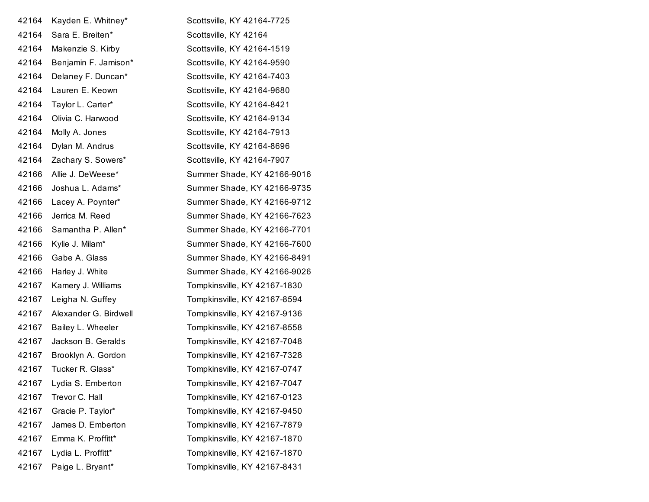| 42164 | Kayden E. Whitney*       | Scottsville, KY 42164-7725   |
|-------|--------------------------|------------------------------|
| 42164 | Sara E. Breiten*         | Scottsville, KY 42164        |
| 42164 | Makenzie S. Kirby        | Scottsville, KY 42164-1519   |
| 42164 | Benjamin F. Jamison*     | Scottsville, KY 42164-9590   |
| 42164 | Delaney F. Duncan*       | Scottsville, KY 42164-7403   |
| 42164 | Lauren E. Keown          | Scottsville, KY 42164-9680   |
| 42164 | Taylor L. Carter*        | Scottsville, KY 42164-8421   |
| 42164 | Olivia C. Harwood        | Scottsville, KY 42164-9134   |
| 42164 | Molly A. Jones           | Scottsville, KY 42164-7913   |
| 42164 | Dylan M. Andrus          | Scottsville, KY 42164-8696   |
| 42164 | Zachary S. Sowers*       | Scottsville, KY 42164-7907   |
| 42166 | Allie J. DeWeese*        | Summer Shade, KY 42166-9016  |
| 42166 | Joshua L. Adams*         | Summer Shade, KY 42166-9735  |
| 42166 | Lacey A. Poynter*        | Summer Shade, KY 42166-9712  |
| 42166 | Jerrica M. Reed          | Summer Shade, KY 42166-7623  |
| 42166 | Samantha P. Allen*       | Summer Shade, KY 42166-7701  |
| 42166 | Kylie J. Milam*          | Summer Shade, KY 42166-7600  |
| 42166 | Gabe A. Glass            | Summer Shade, KY 42166-8491  |
| 42166 | Harley J. White          | Summer Shade, KY 42166-9026  |
| 42167 | Kamery J. Williams       | Tompkinsville, KY 42167-1830 |
| 42167 | Leigha N. Guffey         | Tompkinsville, KY 42167-8594 |
| 42167 | Alexander G. Birdwell    | Tompkinsville, KY 42167-9136 |
| 42167 | Bailey L. Wheeler        | Tompkinsville, KY 42167-8558 |
| 42167 | Jackson B. Geralds       | Tompkinsville, KY 42167-7048 |
|       | 42167 Brooklyn A. Gordon | Tompkinsville, KY 42167-7328 |
| 42167 | Tucker R. Glass*         | Tompkinsville, KY 42167-0747 |
| 42167 | Lydia S. Emberton        | Tompkinsville, KY 42167-7047 |
| 42167 | Trevor C. Hall           | Tompkinsville, KY 42167-0123 |
| 42167 | Gracie P. Taylor*        | Tompkinsville, KY 42167-9450 |
| 42167 | James D. Emberton        | Tompkinsville, KY 42167-7879 |
| 42167 | Emma K. Proffitt*        | Tompkinsville, KY 42167-1870 |
| 42167 | Lydia L. Proffitt*       | Tompkinsville, KY 42167-1870 |
| 42167 | Paige L. Bryant*         | Tompkinsville, KY 42167-8431 |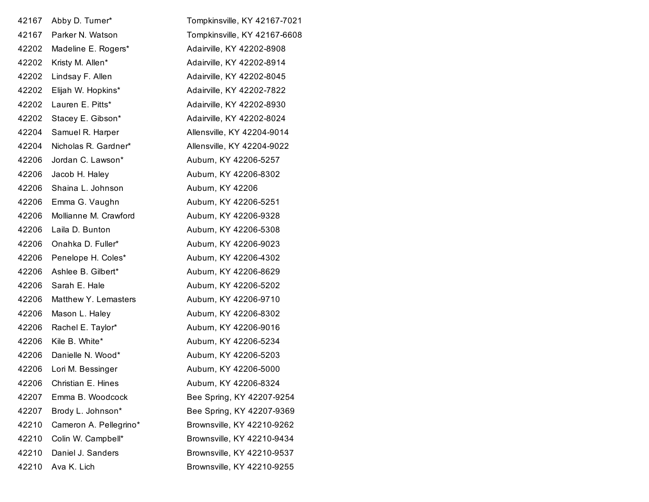| 42167 | Abby D. Turner*        | Tompkinsville, KY 42167-7021 |
|-------|------------------------|------------------------------|
| 42167 | Parker N. Watson       | Tompkinsville, KY 42167-6608 |
| 42202 | Madeline E. Rogers*    | Adairville, KY 42202-8908    |
| 42202 | Kristy M. Allen*       | Adairville, KY 42202-8914    |
| 42202 | Lindsay F. Allen       | Adairville, KY 42202-8045    |
| 42202 | Elijah W. Hopkins*     | Adairville, KY 42202-7822    |
| 42202 | Lauren E. Pitts*       | Adairville, KY 42202-8930    |
| 42202 | Stacey E. Gibson*      | Adairville, KY 42202-8024    |
| 42204 | Samuel R. Harper       | Allensville, KY 42204-9014   |
| 42204 | Nicholas R. Gardner*   | Allensville, KY 42204-9022   |
| 42206 | Jordan C. Lawson*      | Auburn, KY 42206-5257        |
| 42206 | Jacob H. Haley         | Auburn, KY 42206-8302        |
| 42206 | Shaina L. Johnson      | Auburn, KY 42206             |
| 42206 | Emma G. Vaughn         | Auburn, KY 42206-5251        |
| 42206 | Mollianne M. Crawford  | Auburn, KY 42206-9328        |
| 42206 | Laila D. Bunton        | Aubum, KY 42206-5308         |
| 42206 | Onahka D. Fuller*      | Auburn, KY 42206-9023        |
| 42206 | Penelope H. Coles*     | Auburn, KY 42206-4302        |
| 42206 | Ashlee B. Gilbert*     | Auburn, KY 42206-8629        |
| 42206 | Sarah E. Hale          | Auburn, KY 42206-5202        |
| 42206 | Matthew Y. Lemasters   | Auburn, KY 42206-9710        |
| 42206 | Mason L. Haley         | Auburn, KY 42206-8302        |
| 42206 | Rachel E. Taylor*      | Auburn, KY 42206-9016        |
| 42206 | Kile B. White*         | Auburn, KY 42206-5234        |
| 42206 | Danielle N. Wood*      | Aubum, KY 42206-5203         |
| 42206 | Lori M. Bessinger      | Auburn, KY 42206-5000        |
| 42206 | Christian E. Hines     | Auburn, KY 42206-8324        |
| 42207 | Emma B. Woodcock       | Bee Spring, KY 42207-9254    |
| 42207 | Brody L. Johnson*      | Bee Spring, KY 42207-9369    |
| 42210 | Cameron A. Pellegrino* | Brownsville, KY 42210-9262   |
| 42210 | Colin W. Campbell*     | Brownsville, KY 42210-9434   |
| 42210 | Daniel J. Sanders      | Brownsville, KY 42210-9537   |
| 42210 | Ava K. Lich            | Brownsville, KY 42210-9255   |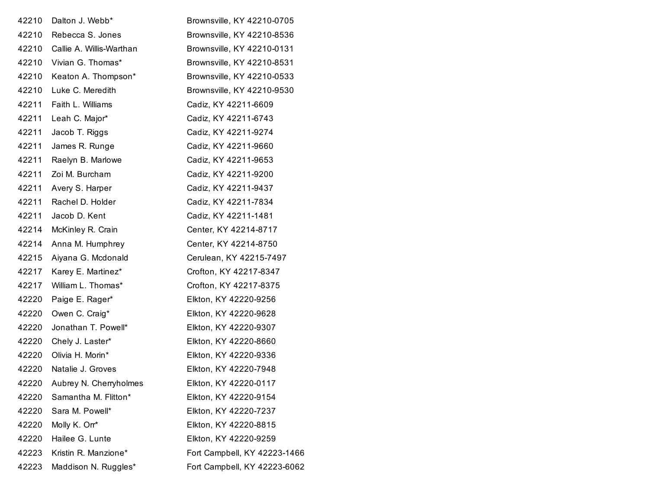| 42210 | Dalton J. Webb*              | Brownsville, KY 42210-0705   |
|-------|------------------------------|------------------------------|
| 42210 | Rebecca S. Jones             | Brownsville, KY 42210-8536   |
| 42210 | Callie A. Willis-Warthan     | Brownsville, KY 42210-0131   |
| 42210 | Vivian G. Thomas*            | Brownsville, KY 42210-8531   |
| 42210 | Keaton A. Thompson*          | Brownsville, KY 42210-0533   |
| 42210 | Luke C. Meredith             | Brownsville, KY 42210-9530   |
| 42211 | Faith L. Williams            | Cadiz, KY 42211-6609         |
| 42211 | Leah C. Major*               | Cadiz, KY 42211-6743         |
| 42211 | Jacob T. Riggs               | Cadiz, KY 42211-9274         |
| 42211 | James R. Runge               | Cadiz, KY 42211-9660         |
| 42211 | Raelyn B. Marlowe            | Cadiz, KY 42211-9653         |
| 42211 | Zoi M. Burcham               | Cadiz, KY 42211-9200         |
| 42211 | Avery S. Harper              | Cadiz, KY 42211-9437         |
| 42211 | Rachel D. Holder             | Cadiz, KY 42211-7834         |
| 42211 | Jacob D. Kent                | Cadiz, KY 42211-1481         |
| 42214 | McKinley R. Crain            | Center, KY 42214-8717        |
| 42214 | Anna M. Humphrey             | Center, KY 42214-8750        |
| 42215 | Aiyana G. Mcdonald           | Cerulean, KY 42215-7497      |
| 42217 | Karey E. Martinez*           | Crofton, KY 42217-8347       |
| 42217 | William L. Thomas*           | Crofton, KY 42217-8375       |
| 42220 | Paige E. Rager*              | Elkton, KY 42220-9256        |
| 42220 | Owen C. Craig*               | Elkton, KY 42220-9628        |
| 42220 | Jonathan T. Powell*          | Elkton, KY 42220-9307        |
| 42220 | Chely J. Laster*             | Elkton, KY 42220-8660        |
| 42220 | Olivia H. Morin*             | Elkton, KY 42220-9336        |
| 42220 | Natalie J. Groves            | Elkton, KY 42220-7948        |
|       | 42220 Aubrey N. Cherryholmes | Elkton, KY 42220-0117        |
| 42220 | Samantha M. Flitton*         | Elkton, KY 42220-9154        |
| 42220 | Sara M. Powell*              | Elkton, KY 42220-7237        |
| 42220 | Molly K. Orr*                | Elkton, KY 42220-8815        |
| 42220 | Hailee G. Lunte              | Elkton, KY 42220-9259        |
| 42223 | Kristin R. Manzione*         | Fort Campbell, KY 42223-1466 |
| 42223 | Maddison N. Ruggles*         | Fort Campbell, KY 42223-6062 |
|       |                              |                              |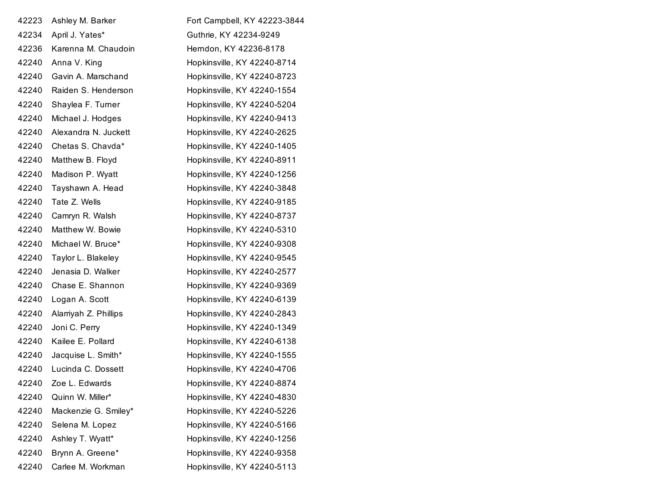| 42223 | Ashley M. Barker      | Fort Campbell, KY 42223-3844 |
|-------|-----------------------|------------------------------|
| 42234 | April J. Yates*       | Guthrie, KY 42234-9249       |
| 42236 | Karenna M. Chaudoin   | Herndon, KY 42236-8178       |
| 42240 | Anna V. King          | Hopkinsville, KY 42240-8714  |
| 42240 | Gavin A. Marschand    | Hopkinsville, KY 42240-8723  |
| 42240 | Raiden S. Henderson   | Hopkinsville, KY 42240-1554  |
| 42240 | Shaylea F. Turner     | Hopkinsville, KY 42240-5204  |
| 42240 | Michael J. Hodges     | Hopkinsville, KY 42240-9413  |
| 42240 | Alexandra N. Juckett  | Hopkinsville, KY 42240-2625  |
| 42240 | Chetas S. Chavda*     | Hopkinsville, KY 42240-1405  |
| 42240 | Matthew B. Floyd      | Hopkinsville, KY 42240-8911  |
| 42240 | Madison P. Wyatt      | Hopkinsville, KY 42240-1256  |
| 42240 | Tayshawn A. Head      | Hopkinsville, KY 42240-3848  |
| 42240 | Tate Z. Wells         | Hopkinsville, KY 42240-9185  |
| 42240 | Camryn R. Walsh       | Hopkinsville, KY 42240-8737  |
| 42240 | Matthew W. Bowie      | Hopkinsville, KY 42240-5310  |
| 42240 | Michael W. Bruce*     | Hopkinsville, KY 42240-9308  |
| 42240 | Taylor L. Blakeley    | Hopkinsville, KY 42240-9545  |
| 42240 | Jenasia D. Walker     | Hopkinsville, KY 42240-2577  |
| 42240 | Chase E. Shannon      | Hopkinsville, KY 42240-9369  |
| 42240 | Logan A. Scott        | Hopkinsville, KY 42240-6139  |
| 42240 | Alarriyah Z. Phillips | Hopkinsville, KY 42240-2843  |
| 42240 | Joni C. Perry         | Hopkinsville, KY 42240-1349  |
| 42240 | Kailee E. Pollard     | Hopkinsville, KY 42240-6138  |
| 42240 | Jacquise L. Smith*    | Hopkinsville, KY 42240-1555  |
| 42240 | Lucinda C. Dossett    | Hopkinsville, KY 42240-4706  |
| 42240 | Zoe L. Edwards        | Hopkinsville, KY 42240-8874  |
| 42240 | Quinn W. Miller*      | Hopkinsville, KY 42240-4830  |
| 42240 | Mackenzie G. Smiley*  | Hopkinsville, KY 42240-5226  |
| 42240 | Selena M. Lopez       | Hopkinsville, KY 42240-5166  |
| 42240 | Ashley T. Wyatt*      | Hopkinsville, KY 42240-1256  |
| 42240 | Brynn A. Greene*      | Hopkinsville, KY 42240-9358  |
| 42240 | Carlee M. Workman     | Hopkinsville, KY 42240-5113  |
|       |                       |                              |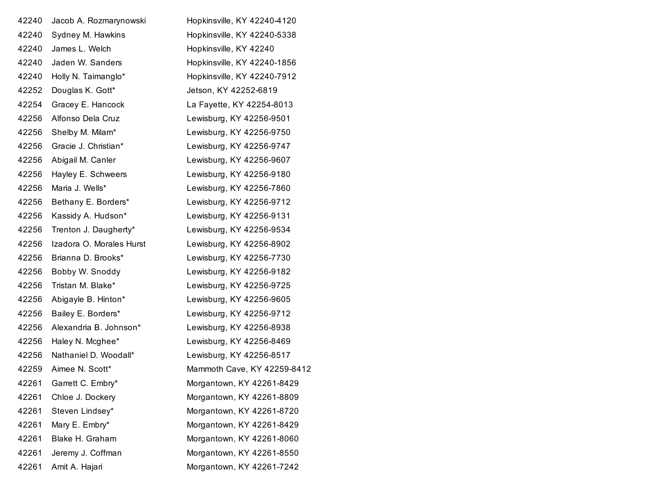| 42240 | Jacob A. Rozmarynowski   | Hopkinsville, KY 42240-4120 |
|-------|--------------------------|-----------------------------|
| 42240 | Sydney M. Hawkins        | Hopkinsville, KY 42240-5338 |
| 42240 | James L. Welch           | Hopkinsville, KY 42240      |
| 42240 | Jaden W. Sanders         | Hopkinsville, KY 42240-1856 |
| 42240 | Holly N. Taimanglo*      | Hopkinsville, KY 42240-7912 |
| 42252 | Douglas K. Gott*         | Jetson, KY 42252-6819       |
| 42254 | Gracey E. Hancock        | La Fayette, KY 42254-8013   |
| 42256 | Alfonso Dela Cruz        | Lewisburg, KY 42256-9501    |
| 42256 | Shelby M. Milam*         | Lewisburg, KY 42256-9750    |
| 42256 | Gracie J. Christian*     | Lewisburg, KY 42256-9747    |
| 42256 | Abigail M. Canler        | Lewisburg, KY 42256-9607    |
| 42256 | Hayley E. Schweers       | Lewisburg, KY 42256-9180    |
| 42256 | Maria J. Wells*          | Lewisburg, KY 42256-7860    |
| 42256 | Bethany E. Borders*      | Lewisburg, KY 42256-9712    |
| 42256 | Kassidy A. Hudson*       | Lewisburg, KY 42256-9131    |
| 42256 | Trenton J. Daugherty*    | Lewisburg, KY 42256-9534    |
| 42256 | Izadora O. Morales Hurst | Lewisburg, KY 42256-8902    |
| 42256 | Brianna D. Brooks*       | Lewisburg, KY 42256-7730    |
| 42256 | Bobby W. Snoddy          | Lewisburg, KY 42256-9182    |
| 42256 | Tristan M. Blake*        | Lewisburg, KY 42256-9725    |
| 42256 | Abigayle B. Hinton*      | Lewisburg, KY 42256-9605    |
| 42256 | Bailey E. Borders*       | Lewisburg, KY 42256-9712    |
| 42256 | Alexandria B. Johnson*   | Lewisburg, KY 42256-8938    |
| 42256 | Haley N. Mcghee*         | Lewisburg, KY 42256-8469    |
| 42256 | Nathaniel D. Woodall*    | Lewisburg, KY 42256-8517    |
| 42259 | Aimee N. Scott*          | Mammoth Cave, KY 42259-8412 |
| 42261 | Garrett C. Embry*        | Morgantown, KY 42261-8429   |
| 42261 | Chloe J. Dockery         | Morgantown, KY 42261-8809   |
| 42261 | Steven Lindsey*          | Morgantown, KY 42261-8720   |
| 42261 | Mary E. Embry*           | Morgantown, KY 42261-8429   |
| 42261 | Blake H. Graham          | Morgantown, KY 42261-8060   |
| 42261 | Jeremy J. Coffman        | Morgantown, KY 42261-8550   |
| 42261 | Amit A. Hajari           | Morgantown, KY 42261-7242   |
|       |                          |                             |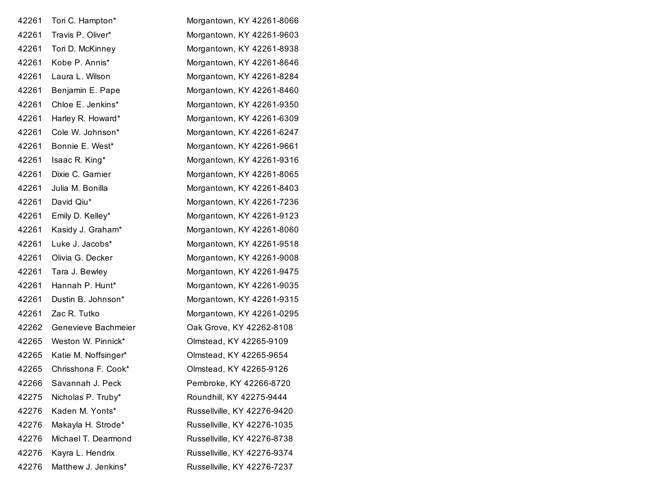| 42261 | Tori C. Hampton*     | Morgantown, KY 42261-8066   |
|-------|----------------------|-----------------------------|
| 42261 | Travis P. Oliver*    | Morgantown, KY 42261-9603   |
| 42261 | Tori D. McKinney     | Morgantown, KY 42261-8938   |
| 42261 | Kobe P. Annis*       | Morgantown, KY 42261-8646   |
| 42261 | Laura L. Wilson      | Morgantown, KY 42261-8284   |
| 42261 | Benjamin E. Pape     | Morgantown, KY 42261-8460   |
| 42261 | Chloe E. Jenkins*    | Morgantown, KY 42261-9350   |
| 42261 | Harley R. Howard*    | Morgantown, KY 42261-6309   |
| 42261 | Cole W. Johnson*     | Morgantown, KY 42261-6247   |
| 42261 | Bonnie E. West*      | Morgantown, KY 42261-9661   |
| 42261 | Isaac R. King*       | Morgantown, KY 42261-9316   |
| 42261 | Dixie C. Garnier     | Morgantown, KY 42261-8065   |
| 42261 | Julia M. Bonilla     | Morgantown, KY 42261-8403   |
| 42261 | David Qiu*           | Morgantown, KY 42261-7236   |
| 42261 | Emily D. Kelley*     | Morgantown, KY 42261-9123   |
| 42261 | Kasidy J. Graham*    | Morgantown, KY 42261-8060   |
| 42261 | Luke J. Jacobs*      | Morgantown, KY 42261-9518   |
| 42261 | Olivia G. Decker     | Morgantown, KY 42261-9008   |
| 42261 | Tara J. Bewley       | Morgantown, KY 42261-9475   |
| 42261 | Hannah P. Hunt*      | Morgantown, KY 42261-9035   |
| 42261 | Dustin B. Johnson*   | Morgantown, KY 42261-9315   |
| 42261 | Zac R. Tutko         | Morgantown, KY 42261-0295   |
| 42262 | Genevieve Bachmeier  | Oak Grove, KY 42262-8108    |
| 42265 | Weston W. Pinnick*   | Olmstead, KY 42265-9109     |
| 42265 | Katie M. Noffsinger* | Olmstead, KY 42265-9654     |
| 42265 | Chrisshona F. Cook*  | Olmstead, KY 42265-9126     |
| 42266 | Savannah J. Peck     | Pembroke, KY 42266-8720     |
| 42275 | Nicholas P. Truby*   | Roundhill, KY 42275-9444    |
| 42276 | Kaden M. Yonts*      | Russellville, KY 42276-9420 |
| 42276 | Makayla H. Strode*   | Russellville, KY 42276-1035 |
| 42276 | Michael T. Dearmond  | Russellville, KY 42276-8738 |
| 42276 | Kayra L. Hendrix     | Russellville, KY 42276-9374 |
| 42276 | Matthew J. Jenkins*  | Russellville, KY 42276-7237 |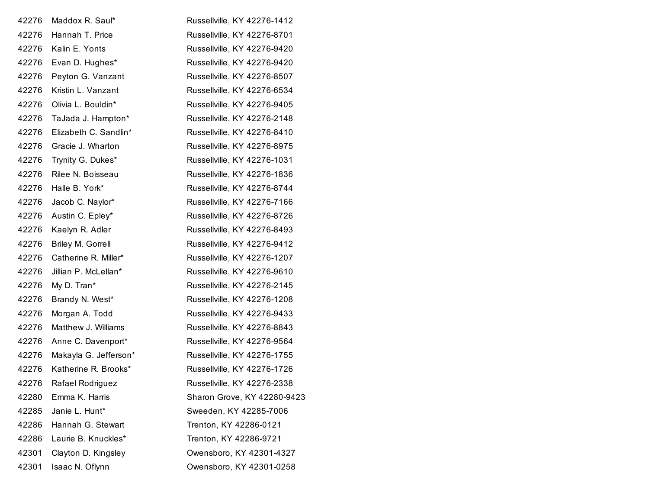| 42276 | Maddox R. Saul*       | Russellville, KY 42276-1412 |
|-------|-----------------------|-----------------------------|
| 42276 | Hannah T. Price       | Russellville, KY 42276-8701 |
| 42276 | Kalin E. Yonts        | Russellville, KY 42276-9420 |
| 42276 | Evan D. Hughes*       | Russellville, KY 42276-9420 |
| 42276 | Peyton G. Vanzant     | Russellville, KY 42276-8507 |
| 42276 | Kristin L. Vanzant    | Russellville, KY 42276-6534 |
| 42276 | Olivia L. Bouldin*    | Russellville, KY 42276-9405 |
| 42276 | TaJada J. Hampton*    | Russellville, KY 42276-2148 |
| 42276 | Elizabeth C. Sandlin* | Russellville, KY 42276-8410 |
| 42276 | Gracie J. Wharton     | Russellville, KY 42276-8975 |
| 42276 | Trynity G. Dukes*     | Russellville, KY 42276-1031 |
| 42276 | Rilee N. Boisseau     | Russellville, KY 42276-1836 |
| 42276 | Halle B. York*        | Russellville, KY 42276-8744 |
| 42276 | Jacob C. Naylor*      | Russellville, KY 42276-7166 |
| 42276 | Austin C. Epley*      | Russellville, KY 42276-8726 |
| 42276 | Kaelyn R. Adler       | Russellville, KY 42276-8493 |
| 42276 | Briley M. Gorrell     | Russellville, KY 42276-9412 |
| 42276 | Catherine R. Miller*  | Russellville, KY 42276-1207 |
| 42276 | Jillian P. McLellan*  | Russellville, KY 42276-9610 |
| 42276 | My D. Tran*           | Russellville, KY 42276-2145 |
| 42276 | Brandy N. West*       | Russellville, KY 42276-1208 |
| 42276 | Morgan A. Todd        | Russellville, KY 42276-9433 |
| 42276 | Matthew J. Williams   | Russellville, KY 42276-8843 |
| 42276 | Anne C. Davenport*    | Russellville, KY 42276-9564 |
| 42276 | Makayla G. Jefferson* | Russellville, KY 42276-1755 |
| 42276 | Katherine R. Brooks*  | Russellville, KY 42276-1726 |
| 42276 | Rafael Rodriguez      | Russellville, KY 42276-2338 |
| 42280 | Emma K. Harris        | Sharon Grove, KY 42280-9423 |
| 42285 | Janie L. Hunt*        | Sweeden, KY 42285-7006      |
| 42286 | Hannah G. Stewart     | Trenton, KY 42286-0121      |
| 42286 | Laurie B. Knuckles*   | Trenton, KY 42286-9721      |
| 42301 | Clayton D. Kingsley   | Owensboro, KY 42301-4327    |
| 42301 | Isaac N. Oflynn       | Owensboro, KY 42301-0258    |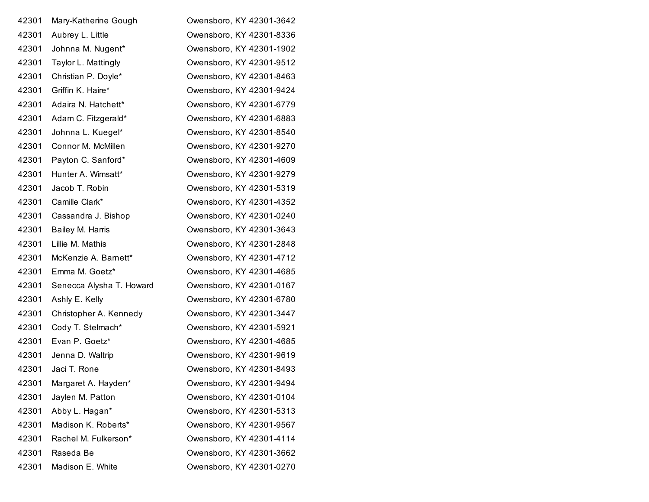| 42301 | Mary-Katherine Gough     | Owensboro, KY 42301-3642 |
|-------|--------------------------|--------------------------|
| 42301 | Aubrey L. Little         | Owensboro, KY 42301-8336 |
| 42301 | Johnna M. Nugent*        | Owensboro, KY 42301-1902 |
| 42301 | Taylor L. Mattingly      | Owensboro, KY 42301-9512 |
| 42301 | Christian P. Doyle*      | Owensboro, KY 42301-8463 |
| 42301 | Griffin K. Haire*        | Owensboro, KY 42301-9424 |
| 42301 | Adaira N. Hatchett*      | Owensboro, KY 42301-6779 |
| 42301 | Adam C. Fitzgerald*      | Owensboro, KY 42301-6883 |
| 42301 | Johnna L. Kuegel*        | Owensboro, KY 42301-8540 |
| 42301 | Connor M. McMillen       | Owensboro, KY 42301-9270 |
| 42301 | Payton C. Sanford*       | Owensboro, KY 42301-4609 |
| 42301 | Hunter A. Wimsatt*       | Owensboro, KY 42301-9279 |
| 42301 | Jacob T. Robin           | Owensboro, KY 42301-5319 |
| 42301 | Camille Clark*           | Owensboro, KY 42301-4352 |
| 42301 | Cassandra J. Bishop      | Owensboro, KY 42301-0240 |
| 42301 | Bailey M. Harris         | Owensboro, KY 42301-3643 |
| 42301 | Lillie M. Mathis         | Owensboro, KY 42301-2848 |
| 42301 | McKenzie A. Barnett*     | Owensboro, KY 42301-4712 |
| 42301 | Emma M. Goetz*           | Owensboro, KY 42301-4685 |
| 42301 | Senecca Alysha T. Howard | Owensboro, KY 42301-0167 |
| 42301 | Ashly E. Kelly           | Owensboro, KY 42301-6780 |
| 42301 | Christopher A. Kennedy   | Owensboro, KY 42301-3447 |
| 42301 | Cody T. Stelmach*        | Owensboro, KY 42301-5921 |
| 42301 | Evan P. Goetz*           | Owensboro, KY 42301-4685 |
| 42301 | Jenna D. Waltrip         | Owensboro, KY 42301-9619 |
| 42301 | Jaci T. Rone             | Owensboro, KY 42301-8493 |
| 42301 | Margaret A. Hayden*      | Owensboro, KY 42301-9494 |
| 42301 | Jaylen M. Patton         | Owensboro, KY 42301-0104 |
| 42301 | Abby L. Hagan*           | Owensboro, KY 42301-5313 |
| 42301 | Madison K. Roberts*      | Owensboro, KY 42301-9567 |
| 42301 | Rachel M. Fulkerson*     | Owensboro, KY 42301-4114 |
| 42301 | Raseda Be                | Owensboro, KY 42301-3662 |
| 42301 | Madison E. White         | Owensboro, KY 42301-0270 |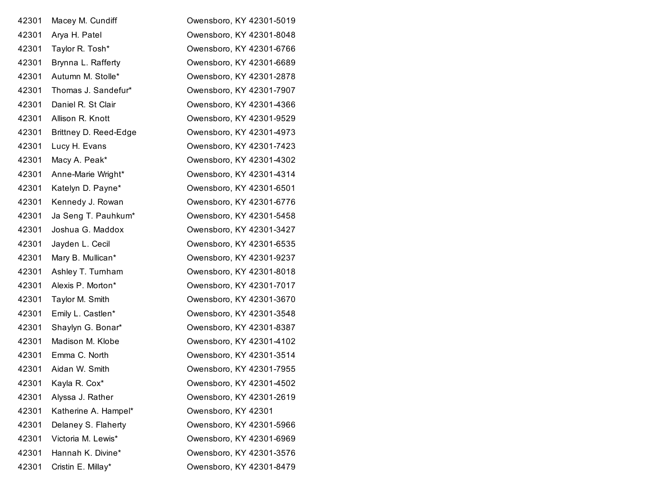| 42301 | Macey M. Cundiff      | Owensboro, KY 42301-5019 |
|-------|-----------------------|--------------------------|
| 42301 | Arya H. Patel         | Owensboro, KY 42301-8048 |
| 42301 | Taylor R. Tosh*       | Owensboro, KY 42301-6766 |
| 42301 | Brynna L. Rafferty    | Owensboro, KY 42301-6689 |
| 42301 | Autumn M. Stolle*     | Owensboro, KY 42301-2878 |
| 42301 | Thomas J. Sandefur*   | Owensboro, KY 42301-7907 |
| 42301 | Daniel R. St Clair    | Owensboro, KY 42301-4366 |
| 42301 | Allison R. Knott      | Owensboro, KY 42301-9529 |
| 42301 | Brittney D. Reed-Edge | Owensboro, KY 42301-4973 |
| 42301 | Lucy H. Evans         | Owensboro, KY 42301-7423 |
| 42301 | Macy A. Peak*         | Owensboro, KY 42301-4302 |
| 42301 | Anne-Marie Wright*    | Owensboro, KY 42301-4314 |
| 42301 | Katelyn D. Payne*     | Owensboro, KY 42301-6501 |
| 42301 | Kennedy J. Rowan      | Owensboro, KY 42301-6776 |
| 42301 | Ja Seng T. Pauhkum*   | Owensboro, KY 42301-5458 |
| 42301 | Joshua G. Maddox      | Owensboro, KY 42301-3427 |
| 42301 | Jayden L. Cecil       | Owensboro, KY 42301-6535 |
| 42301 | Mary B. Mullican*     | Owensboro, KY 42301-9237 |
| 42301 | Ashley T. Turnham     | Owensboro, KY 42301-8018 |
| 42301 | Alexis P. Morton*     | Owensboro, KY 42301-7017 |
| 42301 | Taylor M. Smith       | Owensboro, KY 42301-3670 |
| 42301 | Emily L. Castlen*     | Owensboro, KY 42301-3548 |
| 42301 | Shaylyn G. Bonar*     | Owensboro, KY 42301-8387 |
| 42301 | Madison M. Klobe      | Owensboro, KY 42301-4102 |
| 42301 | Emma C. North         | Owensboro, KY 42301-3514 |
| 42301 | Aidan W. Smith        | Owensboro, KY 42301-7955 |
| 42301 | Kayla R. Cox*         | Owensboro, KY 42301-4502 |
| 42301 | Alyssa J. Rather      | Owensboro, KY 42301-2619 |
| 42301 | Katherine A. Hampel*  | Owensboro, KY 42301      |
| 42301 | Delaney S. Flaherty   | Owensboro, KY 42301-5966 |
| 42301 | Victoria M. Lewis*    | Owensboro, KY 42301-6969 |
| 42301 | Hannah K. Divine*     | Owensboro, KY 42301-3576 |
| 42301 | Cristin E. Millay*    | Owensboro, KY 42301-8479 |
|       |                       |                          |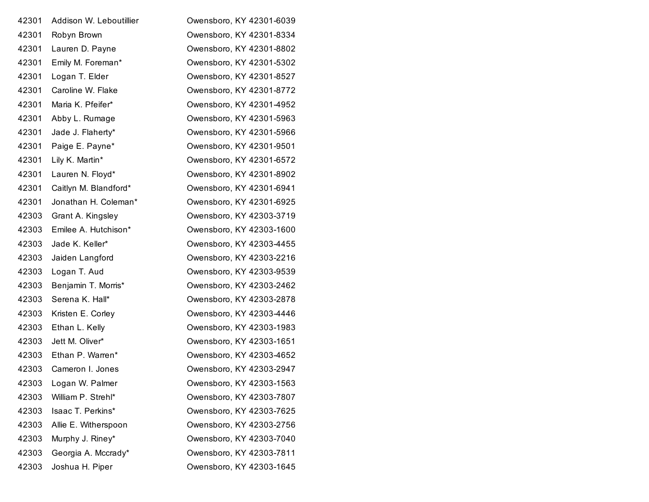| 42301 | Addison W. Leboutillier | Owensboro, KY 42301-6039 |
|-------|-------------------------|--------------------------|
| 42301 | Robyn Brown             | Owensboro, KY 42301-8334 |
| 42301 | Lauren D. Payne         | Owensboro, KY 42301-8802 |
| 42301 | Emily M. Foreman*       | Owensboro, KY 42301-5302 |
| 42301 | Logan T. Elder          | Owensboro, KY 42301-8527 |
| 42301 | Caroline W. Flake       | Owensboro, KY 42301-8772 |
| 42301 | Maria K. Pfeifer*       | Owensboro, KY 42301-4952 |
| 42301 | Abby L. Rumage          | Owensboro, KY 42301-5963 |
| 42301 | Jade J. Flaherty*       | Owensboro, KY 42301-5966 |
| 42301 | Paige E. Payne*         | Owensboro, KY 42301-9501 |
| 42301 | Lily K. Martin*         | Owensboro, KY 42301-6572 |
| 42301 | Lauren N. Floyd*        | Owensboro, KY 42301-8902 |
| 42301 | Caitlyn M. Blandford*   | Owensboro, KY 42301-6941 |
| 42301 | Jonathan H. Coleman*    | Owensboro, KY 42301-6925 |
| 42303 | Grant A. Kingsley       | Owensboro, KY 42303-3719 |
| 42303 | Emilee A. Hutchison*    | Owensboro, KY 42303-1600 |
| 42303 | Jade K. Keller*         | Owensboro, KY 42303-4455 |
| 42303 | Jaiden Langford         | Owensboro, KY 42303-2216 |
| 42303 | Logan T. Aud            | Owensboro, KY 42303-9539 |
| 42303 | Benjamin T. Morris*     | Owensboro, KY 42303-2462 |
| 42303 | Serena K. Hall*         | Owensboro, KY 42303-2878 |
| 42303 | Kristen E. Corley       | Owensboro, KY 42303-4446 |
| 42303 | Ethan L. Kelly          | Owensboro, KY 42303-1983 |
| 42303 | Jett M. Oliver*         | Owensboro, KY 42303-1651 |
| 42303 | Ethan P. Warren*        | Owensboro, KY 42303-4652 |
| 42303 | Cameron I. Jones        | Owensboro, KY 42303-2947 |
| 42303 | Logan W. Palmer         | Owensboro, KY 42303-1563 |
| 42303 | William P. Strehl*      | Owensboro, KY 42303-7807 |
| 42303 | Isaac T. Perkins*       | Owensboro, KY 42303-7625 |
| 42303 | Allie E. Witherspoon    | Owensboro, KY 42303-2756 |
| 42303 | Murphy J. Riney*        | Owensboro, KY 42303-7040 |
| 42303 | Georgia A. Mccrady*     | Owensboro, KY 42303-7811 |
| 42303 | Joshua H. Piper         | Owensboro, KY 42303-1645 |
|       |                         |                          |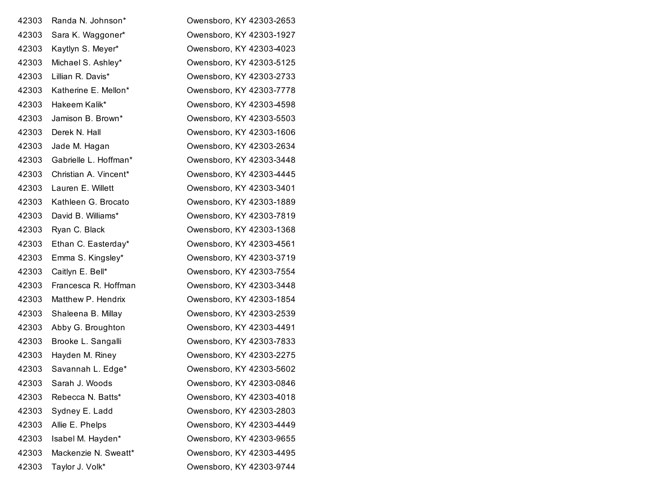| 42303 | Randa N. Johnson*     | Owensboro, KY 42303-2653 |
|-------|-----------------------|--------------------------|
| 42303 | Sara K. Waggoner*     | Owensboro, KY 42303-1927 |
| 42303 | Kaytlyn S. Meyer*     | Owensboro, KY 42303-4023 |
| 42303 | Michael S. Ashley*    | Owensboro, KY 42303-5125 |
| 42303 | Lillian R. Davis*     | Owensboro, KY 42303-2733 |
| 42303 | Katherine E. Mellon*  | Owensboro, KY 42303-7778 |
| 42303 | Hakeem Kalik*         | Owensboro, KY 42303-4598 |
| 42303 | Jamison B. Brown*     | Owensboro, KY 42303-5503 |
| 42303 | Derek N. Hall         | Owensboro, KY 42303-1606 |
| 42303 | Jade M. Hagan         | Owensboro, KY 42303-2634 |
| 42303 | Gabrielle L. Hoffman* | Owensboro, KY 42303-3448 |
| 42303 | Christian A. Vincent* | Owensboro, KY 42303-4445 |
| 42303 | Lauren E. Willett     | Owensboro, KY 42303-3401 |
| 42303 | Kathleen G. Brocato   | Owensboro, KY 42303-1889 |
| 42303 | David B. Williams*    | Owensboro, KY 42303-7819 |
| 42303 | Ryan C. Black         | Owensboro, KY 42303-1368 |
| 42303 | Ethan C. Easterday*   | Owensboro, KY 42303-4561 |
| 42303 | Emma S. Kingsley*     | Owensboro, KY 42303-3719 |
| 42303 | Caitlyn E. Bell*      | Owensboro, KY 42303-7554 |
| 42303 | Francesca R. Hoffman  | Owensboro, KY 42303-3448 |
| 42303 | Matthew P. Hendrix    | Owensboro, KY 42303-1854 |
| 42303 | Shaleena B. Millay    | Owensboro, KY 42303-2539 |
| 42303 | Abby G. Broughton     | Owensboro, KY 42303-4491 |
| 42303 | Brooke L. Sangalli    | Owensboro, KY 42303-7833 |
| 42303 | Hayden M. Riney       | Owensboro, KY 42303-2275 |
| 42303 | Savannah L. Edge*     | Owensboro, KY 42303-5602 |
| 42303 | Sarah J. Woods        | Owensboro, KY 42303-0846 |
| 42303 | Rebecca N. Batts*     | Owensboro, KY 42303-4018 |
| 42303 | Sydney E. Ladd        | Owensboro, KY 42303-2803 |
| 42303 | Allie E. Phelps       | Owensboro, KY 42303-4449 |
| 42303 | Isabel M. Hayden*     | Owensboro, KY 42303-9655 |
| 42303 | Mackenzie N. Sweatt*  | Owensboro, KY 42303-4495 |
| 42303 | Taylor J. Volk*       | Owensboro, KY 42303-9744 |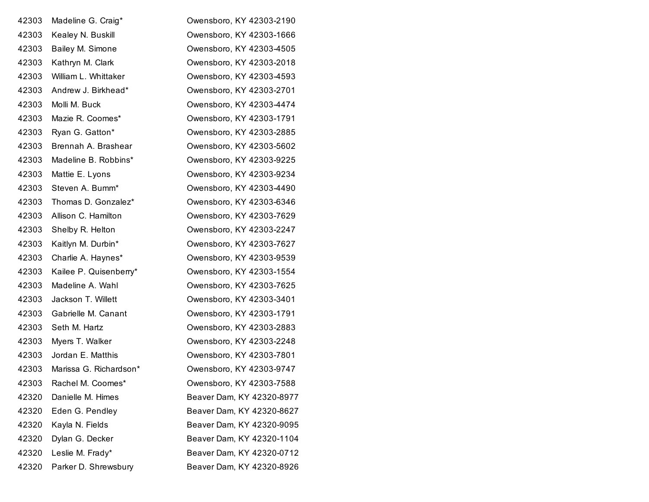| 42303 | Madeline G. Craig*     | Owensboro, KY 42303-2190  |
|-------|------------------------|---------------------------|
| 42303 | Kealey N. Buskill      | Owensboro, KY 42303-1666  |
| 42303 | Bailey M. Simone       | Owensboro, KY 42303-4505  |
| 42303 | Kathryn M. Clark       | Owensboro, KY 42303-2018  |
| 42303 | William L. Whittaker   | Owensboro, KY 42303-4593  |
| 42303 | Andrew J. Birkhead*    | Owensboro, KY 42303-2701  |
| 42303 | Molli M. Buck          | Owensboro, KY 42303-4474  |
| 42303 | Mazie R. Coomes*       | Owensboro, KY 42303-1791  |
| 42303 | Ryan G. Gatton*        | Owensboro, KY 42303-2885  |
| 42303 | Brennah A. Brashear    | Owensboro, KY 42303-5602  |
| 42303 | Madeline B. Robbins*   | Owensboro, KY 42303-9225  |
| 42303 | Mattie E. Lyons        | Owensboro, KY 42303-9234  |
| 42303 | Steven A. Bumm*        | Owensboro, KY 42303-4490  |
| 42303 | Thomas D. Gonzalez*    | Owensboro, KY 42303-6346  |
| 42303 | Allison C. Hamilton    | Owensboro, KY 42303-7629  |
| 42303 | Shelby R. Helton       | Owensboro, KY 42303-2247  |
| 42303 | Kaitlyn M. Durbin*     | Owensboro, KY 42303-7627  |
| 42303 | Charlie A. Haynes*     | Owensboro, KY 42303-9539  |
| 42303 | Kailee P. Quisenberry* | Owensboro, KY 42303-1554  |
| 42303 | Madeline A. Wahl       | Owensboro, KY 42303-7625  |
| 42303 | Jackson T. Willett     | Owensboro, KY 42303-3401  |
| 42303 | Gabrielle M. Canant    | Owensboro, KY 42303-1791  |
| 42303 | Seth M. Hartz          | Owensboro, KY 42303-2883  |
| 42303 | Myers T. Walker        | Owensboro, KY 42303-2248  |
| 42303 | Jordan E. Matthis      | Owensboro, KY 42303-7801  |
| 42303 | Marissa G. Richardson* | Owensboro, KY 42303-9747  |
| 42303 | Rachel M. Coomes*      | Owensboro, KY 42303-7588  |
| 42320 | Danielle M. Himes      | Beaver Dam, KY 42320-8977 |
| 42320 | Eden G. Pendley        | Beaver Dam, KY 42320-8627 |
| 42320 | Kayla N. Fields        | Beaver Dam, KY 42320-9095 |
| 42320 | Dylan G. Decker        | Beaver Dam, KY 42320-1104 |
| 42320 | Leslie M. Frady*       | Beaver Dam, KY 42320-0712 |
| 42320 | Parker D. Shrewsbury   | Beaver Dam, KY 42320-8926 |
|       |                        |                           |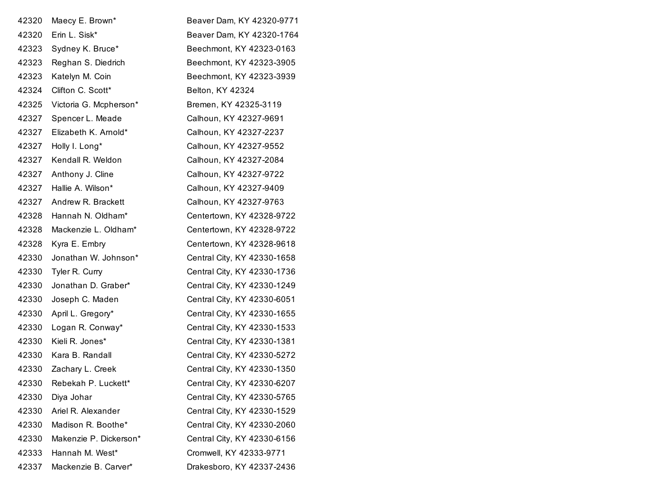| 42320 | Maecy E. Brown*        | Beaver Dam, KY 42320-9771   |
|-------|------------------------|-----------------------------|
| 42320 | Erin L. Sisk*          | Beaver Dam, KY 42320-1764   |
| 42323 | Sydney K. Bruce*       | Beechmont, KY 42323-0163    |
| 42323 | Reghan S. Diedrich     | Beechmont, KY 42323-3905    |
| 42323 | Katelyn M. Coin        | Beechmont, KY 42323-3939    |
| 42324 | Clifton C. Scott*      | Belton, KY 42324            |
| 42325 | Victoria G. Mcpherson* | Bremen, KY 42325-3119       |
| 42327 | Spencer L. Meade       | Calhoun, KY 42327-9691      |
| 42327 | Elizabeth K. Arnold*   | Calhoun, KY 42327-2237      |
| 42327 | Holly I. Long*         | Calhoun, KY 42327-9552      |
| 42327 | Kendall R. Weldon      | Calhoun, KY 42327-2084      |
| 42327 | Anthony J. Cline       | Calhoun, KY 42327-9722      |
| 42327 | Hallie A. Wilson*      | Calhoun, KY 42327-9409      |
| 42327 | Andrew R. Brackett     | Calhoun, KY 42327-9763      |
| 42328 | Hannah N. Oldham*      | Centertown, KY 42328-9722   |
| 42328 | Mackenzie L. Oldham*   | Centertown, KY 42328-9722   |
| 42328 | Kyra E. Embry          | Centertown, KY 42328-9618   |
| 42330 | Jonathan W. Johnson*   | Central City, KY 42330-1658 |
| 42330 | Tyler R. Curry         | Central City, KY 42330-1736 |
| 42330 | Jonathan D. Graber*    | Central City, KY 42330-1249 |
| 42330 | Joseph C. Maden        | Central City, KY 42330-6051 |
| 42330 | April L. Gregory*      | Central City, KY 42330-1655 |
| 42330 | Logan R. Conway*       | Central City, KY 42330-1533 |
| 42330 | Kieli R. Jones*        | Central City, KY 42330-1381 |
| 42330 | Kara B. Randall        | Central City, KY 42330-5272 |
| 42330 | Zachary L. Creek       | Central City, KY 42330-1350 |
| 42330 | Rebekah P. Luckett*    | Central City, KY 42330-6207 |
| 42330 | Diya Johar             | Central City, KY 42330-5765 |
| 42330 | Ariel R. Alexander     | Central City, KY 42330-1529 |
| 42330 | Madison R. Boothe*     | Central City, KY 42330-2060 |
| 42330 | Makenzie P. Dickerson* | Central City, KY 42330-6156 |
| 42333 | Hannah M. West*        | Cromwell, KY 42333-9771     |
| 42337 | Mackenzie B. Carver*   | Drakesboro, KY 42337-2436   |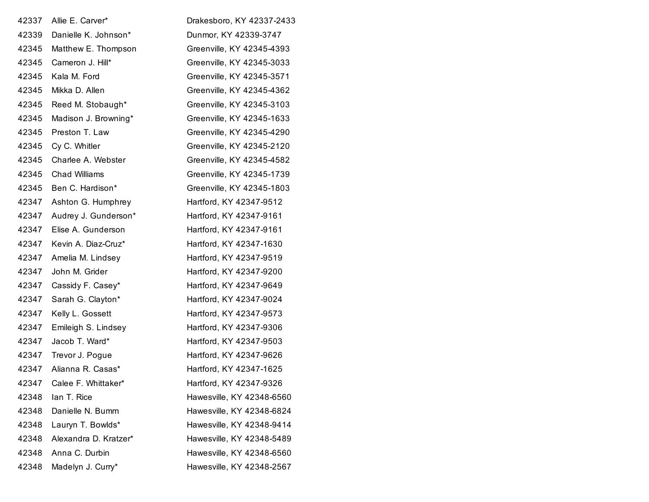| 42337 | Allie E. Carver*      | Drakesboro, KY 42337-2433 |
|-------|-----------------------|---------------------------|
| 42339 | Danielle K. Johnson*  | Dunmor, KY 42339-3747     |
| 42345 | Matthew E. Thompson   | Greenville, KY 42345-4393 |
| 42345 | Cameron J. Hill*      | Greenville, KY 42345-3033 |
| 42345 | Kala M. Ford          | Greenville, KY 42345-3571 |
| 42345 | Mikka D. Allen        | Greenville, KY 42345-4362 |
| 42345 | Reed M. Stobaugh*     | Greenville, KY 42345-3103 |
| 42345 | Madison J. Browning*  | Greenville, KY 42345-1633 |
| 42345 | Preston T. Law        | Greenville, KY 42345-4290 |
| 42345 | Cy C. Whitler         | Greenville, KY 42345-2120 |
| 42345 | Charlee A. Webster    | Greenville, KY 42345-4582 |
| 42345 | <b>Chad Williams</b>  | Greenville, KY 42345-1739 |
| 42345 | Ben C. Hardison*      | Greenville, KY 42345-1803 |
| 42347 | Ashton G. Humphrey    | Hartford, KY 42347-9512   |
| 42347 | Audrey J. Gunderson*  | Hartford, KY 42347-9161   |
| 42347 | Elise A. Gunderson    | Hartford, KY 42347-9161   |
| 42347 | Kevin A. Diaz-Cruz*   | Hartford, KY 42347-1630   |
| 42347 | Amelia M. Lindsey     | Hartford, KY 42347-9519   |
| 42347 | John M. Grider        | Hartford, KY 42347-9200   |
| 42347 | Cassidy F. Casey*     | Hartford, KY 42347-9649   |
| 42347 | Sarah G. Clayton*     | Hartford, KY 42347-9024   |
| 42347 | Kelly L. Gossett      | Hartford, KY 42347-9573   |
| 42347 | Emileigh S. Lindsey   | Hartford, KY 42347-9306   |
| 42347 | Jacob T. Ward*        | Hartford, KY 42347-9503   |
| 42347 | Trevor J. Pogue       | Hartford, KY 42347-9626   |
| 42347 | Alianna R. Casas*     | Hartford, KY 42347-1625   |
| 42347 | Calee F. Whittaker*   | Hartford, KY 42347-9326   |
| 42348 | lan T. Rice           | Hawesville, KY 42348-6560 |
| 42348 | Danielle N. Bumm      | Hawesville, KY 42348-6824 |
| 42348 | Lauryn T. Bowlds*     | Hawesville, KY 42348-9414 |
| 42348 | Alexandra D. Kratzer* | Hawesville, KY 42348-5489 |
| 42348 | Anna C. Durbin        | Hawesville, KY 42348-6560 |
| 42348 | Madelyn J. Curry*     | Hawesville, KY 42348-2567 |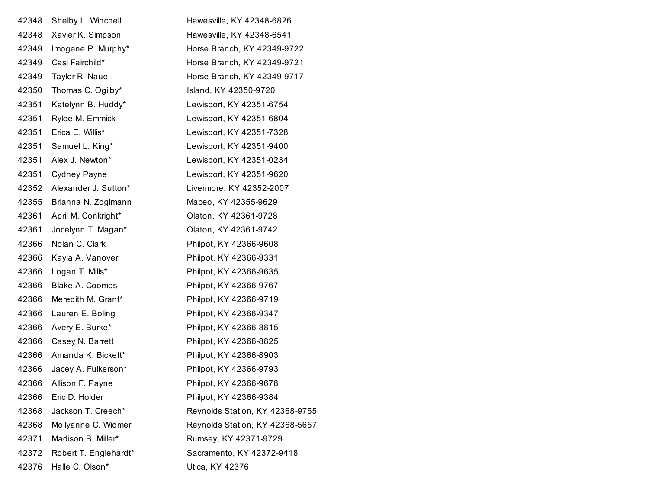| 42348 | Shelby L. Winchell     | Hawesville, KY 42348-6826       |
|-------|------------------------|---------------------------------|
| 42348 | Xavier K. Simpson      | Hawesville, KY 42348-6541       |
| 42349 | Imogene P. Murphy*     | Horse Branch, KY 42349-9722     |
| 42349 | Casi Fairchild*        | Horse Branch, KY 42349-9721     |
| 42349 | Taylor R. Naue         | Horse Branch, KY 42349-9717     |
| 42350 | Thomas C. Ogilby*      | Island, KY 42350-9720           |
| 42351 | Katelynn B. Huddy*     | Lewisport, KY 42351-6754        |
| 42351 | Rylee M. Emmick        | Lewisport, KY 42351-6804        |
| 42351 | Erica E. Willis*       | Lewisport, KY 42351-7328        |
| 42351 | Samuel L. King*        | Lewisport, KY 42351-9400        |
| 42351 | Alex J. Newton*        | Lewisport, KY 42351-0234        |
| 42351 | <b>Cydney Payne</b>    | Lewisport, KY 42351-9620        |
| 42352 | Alexander J. Sutton*   | Livermore, KY 42352-2007        |
| 42355 | Brianna N. Zoglmann    | Maceo, KY 42355-9629            |
| 42361 | April M. Conkright*    | Olaton, KY 42361-9728           |
| 42361 | Jocelynn T. Magan*     | Olaton, KY 42361-9742           |
| 42366 | Nolan C. Clark         | Philpot, KY 42366-9608          |
| 42366 | Kayla A. Vanover       | Philpot, KY 42366-9331          |
| 42366 | Logan T. Mills*        | Philpot, KY 42366-9635          |
| 42366 | <b>Blake A. Coomes</b> | Philpot, KY 42366-9767          |
| 42366 | Meredith M. Grant*     | Philpot, KY 42366-9719          |
| 42366 | Lauren E. Boling       | Philpot, KY 42366-9347          |
| 42366 | Avery E. Burke*        | Philpot, KY 42366-8815          |
| 42366 | Casey N. Barrett       | Philpot, KY 42366-8825          |
| 42366 | Amanda K. Bickett*     | Philpot, KY 42366-8903          |
| 42366 | Jacey A. Fulkerson*    | Philpot, KY 42366-9793          |
|       | 42366 Allison F. Payne | Philpot, KY 42366-9678          |
| 42366 | Eric D. Holder         | Philpot, KY 42366-9384          |
| 42368 | Jackson T. Creech*     | Reynolds Station, KY 42368-9755 |
| 42368 | Mollyanne C. Widmer    | Reynolds Station, KY 42368-5657 |
| 42371 | Madison B. Miller*     | Rumsey, KY 42371-9729           |
| 42372 | Robert T. Englehardt*  | Sacramento, KY 42372-9418       |
| 42376 | Halle C. Olson*        | Utica, KY 42376                 |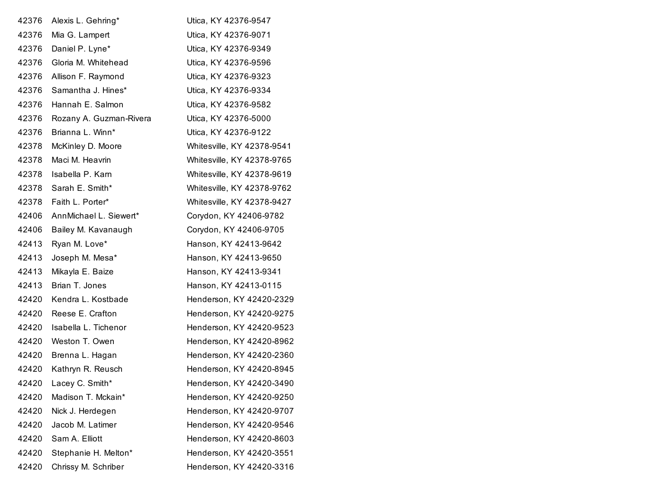| 42376 | Alexis L. Gehring*      | Utica, KY 42376-9547       |
|-------|-------------------------|----------------------------|
| 42376 | Mia G. Lampert          | Utica, KY 42376-9071       |
| 42376 | Daniel P. Lyne*         | Utica, KY 42376-9349       |
| 42376 | Gloria M. Whitehead     | Utica, KY 42376-9596       |
| 42376 | Allison F. Raymond      | Utica, KY 42376-9323       |
| 42376 | Samantha J. Hines*      | Utica, KY 42376-9334       |
| 42376 | Hannah E. Salmon        | Utica, KY 42376-9582       |
| 42376 | Rozany A. Guzman-Rivera | Utica, KY 42376-5000       |
| 42376 | Brianna L. Winn*        | Utica, KY 42376-9122       |
| 42378 | McKinley D. Moore       | Whitesville, KY 42378-9541 |
| 42378 | Maci M. Heavrin         | Whitesville, KY 42378-9765 |
| 42378 | Isabella P. Karn        | Whitesville, KY 42378-9619 |
| 42378 | Sarah E. Smith*         | Whitesville, KY 42378-9762 |
| 42378 | Faith L. Porter*        | Whitesville, KY 42378-9427 |
| 42406 | AnnMichael L. Siewert*  | Corydon, KY 42406-9782     |
| 42406 | Bailey M. Kavanaugh     | Corydon, KY 42406-9705     |
| 42413 | Ryan M. Love*           | Hanson, KY 42413-9642      |
| 42413 | Joseph M. Mesa*         | Hanson, KY 42413-9650      |
| 42413 | Mikayla E. Baize        | Hanson, KY 42413-9341      |
| 42413 | Brian T. Jones          | Hanson, KY 42413-0115      |
| 42420 | Kendra L. Kostbade      | Henderson, KY 42420-2329   |
| 42420 | Reese E. Crafton        | Henderson, KY 42420-9275   |
| 42420 | Isabella L. Tichenor    | Henderson, KY 42420-9523   |
| 42420 | Weston T. Owen          | Henderson, KY 42420-8962   |
| 42420 | Brenna L. Hagan         | Henderson, KY 42420-2360   |
| 42420 | Kathryn R. Reusch       | Henderson, KY 42420-8945   |
| 42420 | Lacey C. Smith*         | Henderson, KY 42420-3490   |
| 42420 | Madison T. Mckain*      | Henderson, KY 42420-9250   |
| 42420 | Nick J. Herdegen        | Henderson, KY 42420-9707   |
| 42420 | Jacob M. Latimer        | Henderson, KY 42420-9546   |
| 42420 | Sam A. Elliott          | Henderson, KY 42420-8603   |
| 42420 | Stephanie H. Melton*    | Henderson, KY 42420-3551   |
| 42420 | Chrissy M. Schriber     | Henderson, KY 42420-3316   |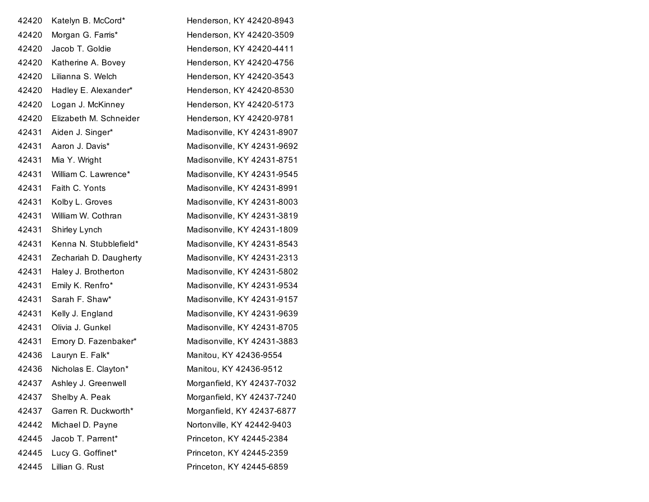| 42420 | Katelyn B. McCord*     | Henderson, KY 42420-8943    |
|-------|------------------------|-----------------------------|
| 42420 | Morgan G. Farris*      | Henderson, KY 42420-3509    |
| 42420 | Jacob T. Goldie        | Henderson, KY 42420-4411    |
| 42420 | Katherine A. Bovey     | Henderson, KY 42420-4756    |
| 42420 | Lilianna S. Welch      | Henderson, KY 42420-3543    |
| 42420 | Hadley E. Alexander*   | Henderson, KY 42420-8530    |
| 42420 | Logan J. McKinney      | Henderson, KY 42420-5173    |
| 42420 | Elizabeth M. Schneider | Henderson, KY 42420-9781    |
| 42431 | Aiden J. Singer*       | Madisonville, KY 42431-8907 |
| 42431 | Aaron J. Davis*        | Madisonville, KY 42431-9692 |
| 42431 | Mia Y. Wright          | Madisonville, KY 42431-8751 |
| 42431 | William C. Lawrence*   | Madisonville, KY 42431-9545 |
| 42431 | Faith C. Yonts         | Madisonville, KY 42431-8991 |
| 42431 | Kolby L. Groves        | Madisonville, KY 42431-8003 |
| 42431 | William W. Cothran     | Madisonville, KY 42431-3819 |
| 42431 | Shirley Lynch          | Madisonville, KY 42431-1809 |
| 42431 | Kenna N. Stubblefield* | Madisonville, KY 42431-8543 |
| 42431 | Zechariah D. Daugherty | Madisonville, KY 42431-2313 |
| 42431 | Haley J. Brotherton    | Madisonville, KY 42431-5802 |
| 42431 | Emily K. Renfro*       | Madisonville, KY 42431-9534 |
| 42431 | Sarah F. Shaw*         | Madisonville, KY 42431-9157 |
| 42431 | Kelly J. England       | Madisonville, KY 42431-9639 |
| 42431 | Olivia J. Gunkel       | Madisonville, KY 42431-8705 |
| 42431 | Emory D. Fazenbaker*   | Madisonville, KY 42431-3883 |
| 42436 | Lauryn E. Falk*        | Manitou, KY 42436-9554      |
| 42436 | Nicholas E. Clayton*   | Manitou, KY 42436-9512      |
| 42437 | Ashley J. Greenwell    | Morganfield, KY 42437-7032  |
| 42437 | Shelby A. Peak         | Morganfield, KY 42437-7240  |
| 42437 | Garren R. Duckworth*   | Morganfield, KY 42437-6877  |
| 42442 | Michael D. Payne       | Nortonville, KY 42442-9403  |
| 42445 | Jacob T. Parrent*      | Princeton, KY 42445-2384    |
| 42445 | Lucy G. Goffinet*      | Princeton, KY 42445-2359    |
| 42445 | Lillian G. Rust        | Princeton, KY 42445-6859    |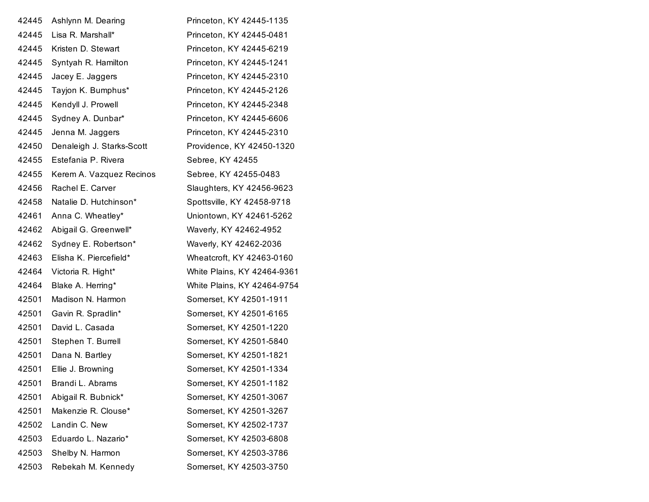| 42445 | Ashlynn M. Dearing        | Princeton, KY 42445-1135    |
|-------|---------------------------|-----------------------------|
| 42445 | Lisa R. Marshall*         | Princeton, KY 42445-0481    |
| 42445 | Kristen D. Stewart        | Princeton, KY 42445-6219    |
| 42445 | Syntyah R. Hamilton       | Princeton, KY 42445-1241    |
| 42445 | Jacey E. Jaggers          | Princeton, KY 42445-2310    |
| 42445 | Tayjon K. Bumphus*        | Princeton, KY 42445-2126    |
| 42445 | Kendyll J. Prowell        | Princeton, KY 42445-2348    |
| 42445 | Sydney A. Dunbar*         | Princeton, KY 42445-6606    |
| 42445 | Jenna M. Jaggers          | Princeton, KY 42445-2310    |
| 42450 | Denaleigh J. Starks-Scott | Providence, KY 42450-1320   |
| 42455 | Estefania P. Rivera       | Sebree, KY 42455            |
| 42455 | Kerem A. Vazquez Recinos  | Sebree, KY 42455-0483       |
| 42456 | Rachel E. Carver          | Slaughters, KY 42456-9623   |
| 42458 | Natalie D. Hutchinson*    | Spottsville, KY 42458-9718  |
| 42461 | Anna C. Wheatley*         | Uniontown, KY 42461-5262    |
| 42462 | Abigail G. Greenwell*     | Waverly, KY 42462-4952      |
| 42462 | Sydney E. Robertson*      | Waverly, KY 42462-2036      |
| 42463 | Elisha K. Piercefield*    | Wheatcroft, KY 42463-0160   |
| 42464 | Victoria R. Hight*        | White Plains, KY 42464-9361 |
| 42464 | Blake A. Herring*         | White Plains, KY 42464-9754 |
| 42501 | Madison N. Harmon         | Somerset, KY 42501-1911     |
| 42501 | Gavin R. Spradlin*        | Somerset, KY 42501-6165     |
| 42501 | David L. Casada           | Somerset, KY 42501-1220     |
| 42501 | Stephen T. Burrell        | Somerset, KY 42501-5840     |
| 42501 | Dana N. Bartley           | Somerset, KY 42501-1821     |
| 42501 | Ellie J. Browning         | Somerset, KY 42501-1334     |
| 42501 | Brandi L. Abrams          | Somerset, KY 42501-1182     |
| 42501 | Abigail R. Bubnick*       | Somerset, KY 42501-3067     |
| 42501 | Makenzie R. Clouse*       | Somerset, KY 42501-3267     |
| 42502 | Landin C. New             | Somerset, KY 42502-1737     |
| 42503 | Eduardo L. Nazario*       | Somerset, KY 42503-6808     |
| 42503 | Shelby N. Harmon          | Somerset, KY 42503-3786     |
| 42503 | Rebekah M. Kennedy        | Somerset, KY 42503-3750     |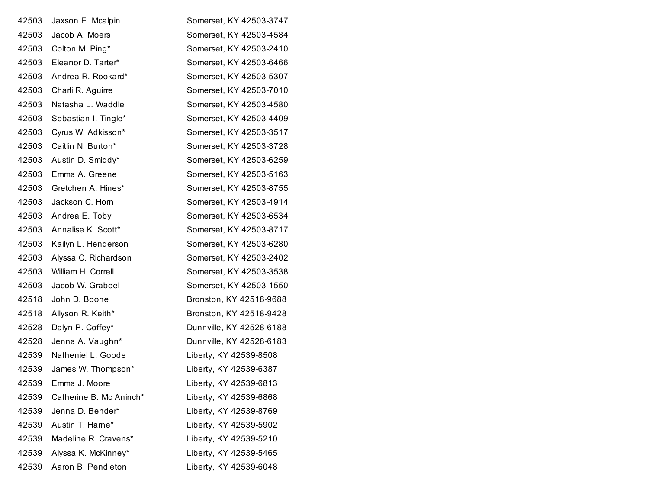| 42503 | Jaxson E. Mcalpin       | Somerset, KY 42503-3747  |
|-------|-------------------------|--------------------------|
| 42503 | Jacob A. Moers          | Somerset, KY 42503-4584  |
| 42503 | Colton M. Ping*         | Somerset, KY 42503-2410  |
| 42503 | Eleanor D. Tarter*      | Somerset, KY 42503-6466  |
| 42503 | Andrea R. Rookard*      | Somerset, KY 42503-5307  |
| 42503 | Charli R. Aguirre       | Somerset, KY 42503-7010  |
| 42503 | Natasha L. Waddle       | Somerset, KY 42503-4580  |
| 42503 | Sebastian I. Tingle*    | Somerset, KY 42503-4409  |
| 42503 | Cyrus W. Adkisson*      | Somerset, KY 42503-3517  |
| 42503 | Caitlin N. Burton*      | Somerset, KY 42503-3728  |
| 42503 | Austin D. Smiddy*       | Somerset, KY 42503-6259  |
| 42503 | Emma A. Greene          | Somerset, KY 42503-5163  |
| 42503 | Gretchen A. Hines*      | Somerset, KY 42503-8755  |
| 42503 | Jackson C. Horn         | Somerset, KY 42503-4914  |
| 42503 | Andrea E. Toby          | Somerset, KY 42503-6534  |
| 42503 | Annalise K. Scott*      | Somerset, KY 42503-8717  |
| 42503 | Kailyn L. Henderson     | Somerset, KY 42503-6280  |
| 42503 | Alyssa C. Richardson    | Somerset, KY 42503-2402  |
| 42503 | William H. Correll      | Somerset, KY 42503-3538  |
| 42503 | Jacob W. Grabeel        | Somerset, KY 42503-1550  |
| 42518 | John D. Boone           | Bronston, KY 42518-9688  |
| 42518 | Allyson R. Keith*       | Bronston, KY 42518-9428  |
| 42528 | Dalyn P. Coffey*        | Dunnville, KY 42528-6188 |
| 42528 | Jenna A. Vaughn*        | Dunnville, KY 42528-6183 |
| 42539 | Natheniel L. Goode      | Liberty, KY 42539-8508   |
| 42539 | James W. Thompson*      | Liberty, KY 42539-6387   |
| 42539 | Emma J. Moore           | Liberty, KY 42539-6813   |
| 42539 | Catherine B. Mc Aninch* | Liberty, KY 42539-6868   |
| 42539 | Jenna D. Bender*        | Liberty, KY 42539-8769   |
| 42539 | Austin T. Harne*        | Liberty, KY 42539-5902   |
| 42539 | Madeline R. Cravens*    | Liberty, KY 42539-5210   |
| 42539 | Alyssa K. McKinney*     | Liberty, KY 42539-5465   |
| 42539 | Aaron B. Pendleton      | Liberty, KY 42539-6048   |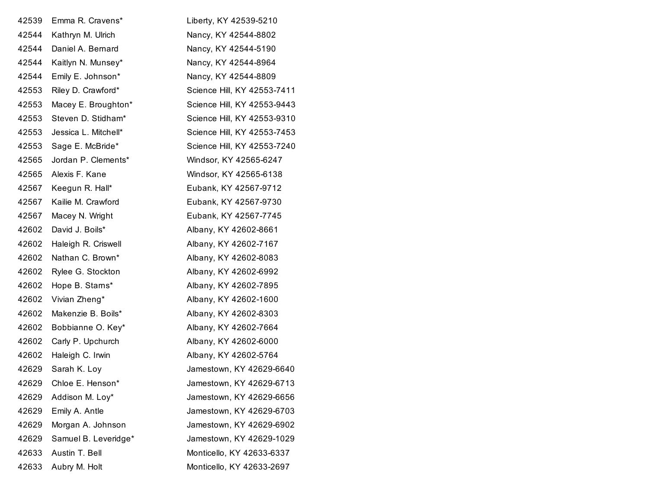| 42539 | Emma R. Cravens*     | Liberty, KY 42539-5210      |
|-------|----------------------|-----------------------------|
| 42544 | Kathryn M. Ulrich    | Nancy, KY 42544-8802        |
| 42544 | Daniel A. Bernard    | Nancy, KY 42544-5190        |
| 42544 | Kaitlyn N. Munsey*   | Nancy, KY 42544-8964        |
| 42544 | Emily E. Johnson*    | Nancy, KY 42544-8809        |
| 42553 | Riley D. Crawford*   | Science Hill, KY 42553-7411 |
| 42553 | Macey E. Broughton*  | Science Hill, KY 42553-9443 |
| 42553 | Steven D. Stidham*   | Science Hill, KY 42553-9310 |
| 42553 | Jessica L. Mitchell* | Science Hill, KY 42553-7453 |
| 42553 | Sage E. McBride*     | Science Hill, KY 42553-7240 |
| 42565 | Jordan P. Clements*  | Windsor, KY 42565-6247      |
| 42565 | Alexis F. Kane       | Windsor, KY 42565-6138      |
| 42567 | Keegun R. Hall*      | Eubank, KY 42567-9712       |
| 42567 | Kailie M. Crawford   | Eubank, KY 42567-9730       |
| 42567 | Macey N. Wright      | Eubank, KY 42567-7745       |
| 42602 | David J. Boils*      | Albany, KY 42602-8661       |
| 42602 | Haleigh R. Criswell  | Albany, KY 42602-7167       |
| 42602 | Nathan C. Brown*     | Albany, KY 42602-8083       |
| 42602 | Rylee G. Stockton    | Albany, KY 42602-6992       |
| 42602 | Hope B. Starns*      | Albany, KY 42602-7895       |
| 42602 | Vivian Zheng*        | Albany, KY 42602-1600       |
| 42602 | Makenzie B. Boils*   | Albany, KY 42602-8303       |
| 42602 | Bobbianne O. Key*    | Albany, KY 42602-7664       |
| 42602 | Carly P. Upchurch    | Albany, KY 42602-6000       |
| 42602 | Haleigh C. Irwin     | Albany, KY 42602-5764       |
| 42629 | Sarah K. Loy         | Jamestown, KY 42629-6640    |
| 42629 | Chloe E. Henson*     | Jamestown, KY 42629-6713    |
| 42629 | Addison M. Loy*      | Jamestown, KY 42629-6656    |
| 42629 | Emily A. Antle       | Jamestown, KY 42629-6703    |
| 42629 | Morgan A. Johnson    | Jamestown, KY 42629-6902    |
| 42629 | Samuel B. Leveridge* | Jamestown, KY 42629-1029    |
| 42633 | Austin T. Bell       | Monticello, KY 42633-6337   |
| 42633 | Aubry M. Holt        | Monticello, KY 42633-2697   |
|       |                      |                             |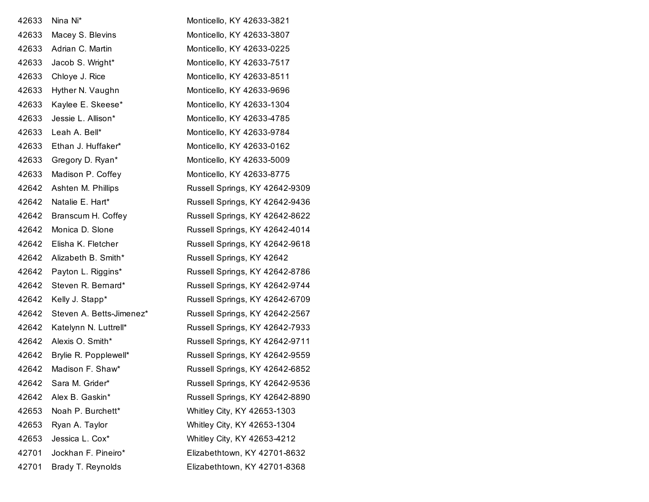| 42633 | Nina Ni*                    | Monticello, KY 42633-3821      |
|-------|-----------------------------|--------------------------------|
| 42633 | Macey S. Blevins            | Monticello, KY 42633-3807      |
| 42633 | Adrian C. Martin            | Monticello, KY 42633-0225      |
| 42633 | Jacob S. Wright*            | Monticello, KY 42633-7517      |
| 42633 | Chloye J. Rice              | Monticello, KY 42633-8511      |
| 42633 | Hyther N. Vaughn            | Monticello, KY 42633-9696      |
| 42633 | Kaylee E. Skeese*           | Monticello, KY 42633-1304      |
| 42633 | Jessie L. Allison*          | Monticello, KY 42633-4785      |
| 42633 | Leah A. Bell*               | Monticello, KY 42633-9784      |
| 42633 | Ethan J. Huffaker*          | Monticello, KY 42633-0162      |
| 42633 | Gregory D. Ryan*            | Monticello, KY 42633-5009      |
| 42633 | Madison P. Coffey           | Monticello, KY 42633-8775      |
| 42642 | Ashten M. Phillips          | Russell Springs, KY 42642-9309 |
| 42642 | Natalie E. Hart*            | Russell Springs, KY 42642-9436 |
| 42642 | Branscum H. Coffey          | Russell Springs, KY 42642-8622 |
| 42642 | Monica D. Slone             | Russell Springs, KY 42642-4014 |
| 42642 | Elisha K. Fletcher          | Russell Springs, KY 42642-9618 |
|       | 42642 Alizabeth B. Smith*   | Russell Springs, KY 42642      |
| 42642 | Payton L. Riggins*          | Russell Springs, KY 42642-8786 |
| 42642 | Steven R. Bernard*          | Russell Springs, KY 42642-9744 |
| 42642 | Kelly J. Stapp*             | Russell Springs, KY 42642-6709 |
| 42642 | Steven A. Betts-Jimenez*    | Russell Springs, KY 42642-2567 |
| 42642 | Katelynn N. Luttrell*       | Russell Springs, KY 42642-7933 |
| 42642 | Alexis O. Smith*            | Russell Springs, KY 42642-9711 |
|       | 42642 Brylie R. Popplewell* | Russell Springs, KY 42642-9559 |
| 42642 | Madison F. Shaw*            | Russell Springs, KY 42642-6852 |
| 42642 | Sara M. Grider*             | Russell Springs, KY 42642-9536 |
| 42642 | Alex B. Gaskin*             | Russell Springs, KY 42642-8890 |
| 42653 | Noah P. Burchett*           | Whitley City, KY 42653-1303    |
| 42653 | Ryan A. Taylor              | Whitley City, KY 42653-1304    |
| 42653 | Jessica L. Cox*             | Whitley City, KY 42653-4212    |
| 42701 | Jockhan F. Pineiro*         | Elizabethtown, KY 42701-8632   |
| 42701 | Brady T. Reynolds           | Elizabethtown, KY 42701-8368   |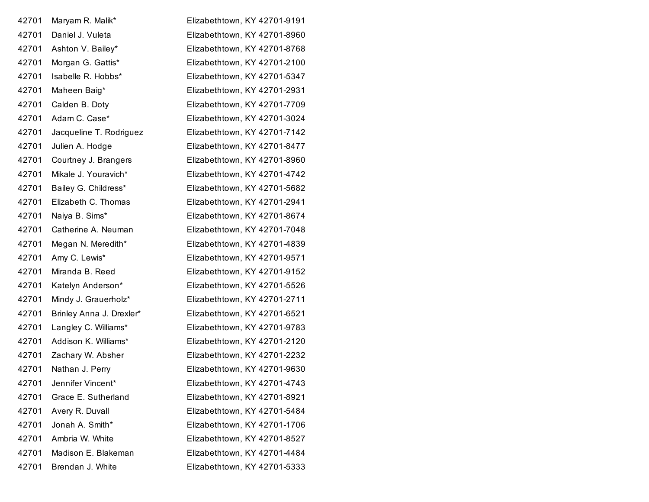| 42701 | Maryam R. Malik*         | Elizabethtown, KY 42701-9191 |
|-------|--------------------------|------------------------------|
| 42701 | Daniel J. Vuleta         | Elizabethtown, KY 42701-8960 |
| 42701 | Ashton V. Bailey*        | Elizabethtown, KY 42701-8768 |
| 42701 | Morgan G. Gattis*        | Elizabethtown, KY 42701-2100 |
| 42701 | Isabelle R. Hobbs*       | Elizabethtown, KY 42701-5347 |
| 42701 | Maheen Baig*             | Elizabethtown, KY 42701-2931 |
| 42701 | Calden B. Doty           | Elizabethtown, KY 42701-7709 |
| 42701 | Adam C. Case*            | Elizabethtown, KY 42701-3024 |
| 42701 | Jacqueline T. Rodriguez  | Elizabethtown, KY 42701-7142 |
| 42701 | Julien A. Hodge          | Elizabethtown, KY 42701-8477 |
| 42701 | Courtney J. Brangers     | Elizabethtown, KY 42701-8960 |
| 42701 | Mikale J. Youravich*     | Elizabethtown, KY 42701-4742 |
| 42701 | Bailey G. Childress*     | Elizabethtown, KY 42701-5682 |
| 42701 | Elizabeth C. Thomas      | Elizabethtown, KY 42701-2941 |
| 42701 | Naiya B. Sims*           | Elizabethtown, KY 42701-8674 |
| 42701 | Catherine A. Neuman      | Elizabethtown, KY 42701-7048 |
| 42701 | Megan N. Meredith*       | Elizabethtown, KY 42701-4839 |
| 42701 | Amy C. Lewis*            | Elizabethtown, KY 42701-9571 |
| 42701 | Miranda B. Reed          | Elizabethtown, KY 42701-9152 |
| 42701 | Katelyn Anderson*        | Elizabethtown, KY 42701-5526 |
| 42701 | Mindy J. Grauerholz*     | Elizabethtown, KY 42701-2711 |
| 42701 | Brinley Anna J. Drexler* | Elizabethtown, KY 42701-6521 |
| 42701 | Langley C. Williams*     | Elizabethtown, KY 42701-9783 |
| 42701 | Addison K. Williams*     | Elizabethtown, KY 42701-2120 |
| 42701 | Zachary W. Absher        | Elizabethtown, KY 42701-2232 |
| 42701 | Nathan J. Perry          | Elizabethtown, KY 42701-9630 |
| 42701 | Jennifer Vincent*        | Elizabethtown, KY 42701-4743 |
| 42701 | Grace E. Sutherland      | Elizabethtown, KY 42701-8921 |
| 42701 | Avery R. Duvall          | Elizabethtown, KY 42701-5484 |
| 42701 | Jonah A. Smith*          | Elizabethtown, KY 42701-1706 |
| 42701 | Ambria W. White          | Elizabethtown, KY 42701-8527 |
| 42701 | Madison E. Blakeman      | Elizabethtown, KY 42701-4484 |
| 42701 | Brendan J. White         | Elizabethtown, KY 42701-5333 |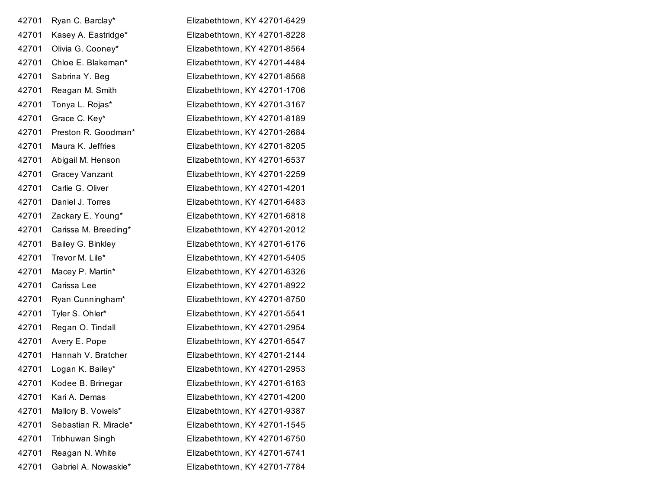| 42701 | Ryan C. Barclay*      | Elizabethtown, KY 42701-6429 |
|-------|-----------------------|------------------------------|
| 42701 | Kasey A. Eastridge*   | Elizabethtown, KY 42701-8228 |
| 42701 | Olivia G. Cooney*     | Elizabethtown, KY 42701-8564 |
| 42701 | Chloe E. Blakeman*    | Elizabethtown, KY 42701-4484 |
| 42701 | Sabrina Y. Beg        | Elizabethtown, KY 42701-8568 |
| 42701 | Reagan M. Smith       | Elizabethtown, KY 42701-1706 |
| 42701 | Tonya L. Rojas*       | Elizabethtown, KY 42701-3167 |
| 42701 | Grace C. Key*         | Elizabethtown, KY 42701-8189 |
| 42701 | Preston R. Goodman*   | Elizabethtown, KY 42701-2684 |
| 42701 | Maura K. Jeffries     | Elizabethtown, KY 42701-8205 |
| 42701 | Abigail M. Henson     | Elizabethtown, KY 42701-6537 |
| 42701 | <b>Gracey Vanzant</b> | Elizabethtown, KY 42701-2259 |
| 42701 | Carlie G. Oliver      | Elizabethtown, KY 42701-4201 |
| 42701 | Daniel J. Torres      | Elizabethtown, KY 42701-6483 |
| 42701 | Zackary E. Young*     | Elizabethtown, KY 42701-6818 |
| 42701 | Carissa M. Breeding*  | Elizabethtown, KY 42701-2012 |
| 42701 | Bailey G. Binkley     | Elizabethtown, KY 42701-6176 |
| 42701 | Trevor M. Lile*       | Elizabethtown, KY 42701-5405 |
| 42701 | Macey P. Martin*      | Elizabethtown, KY 42701-6326 |
| 42701 | Carissa Lee           | Elizabethtown, KY 42701-8922 |
| 42701 | Ryan Cunningham*      | Elizabethtown, KY 42701-8750 |
| 42701 | Tyler S. Ohler*       | Elizabethtown, KY 42701-5541 |
| 42701 | Regan O. Tindall      | Elizabethtown, KY 42701-2954 |
| 42701 | Avery E. Pope         | Elizabethtown, KY 42701-6547 |
| 42701 | Hannah V. Bratcher    | Elizabethtown, KY 42701-2144 |
| 42701 | Logan K. Bailey*      | Elizabethtown, KY 42701-2953 |
| 42701 | Kodee B. Brinegar     | Elizabethtown, KY 42701-6163 |
| 42701 | Kari A. Demas         | Elizabethtown, KY 42701-4200 |
| 42701 | Mallory B. Vowels*    | Elizabethtown, KY 42701-9387 |
| 42701 | Sebastian R. Miracle* | Elizabethtown, KY 42701-1545 |
| 42701 | Tribhuwan Singh       | Elizabethtown, KY 42701-6750 |
| 42701 | Reagan N. White       | Elizabethtown, KY 42701-6741 |
| 42701 | Gabriel A. Nowaskie*  | Elizabethtown, KY 42701-7784 |
|       |                       |                              |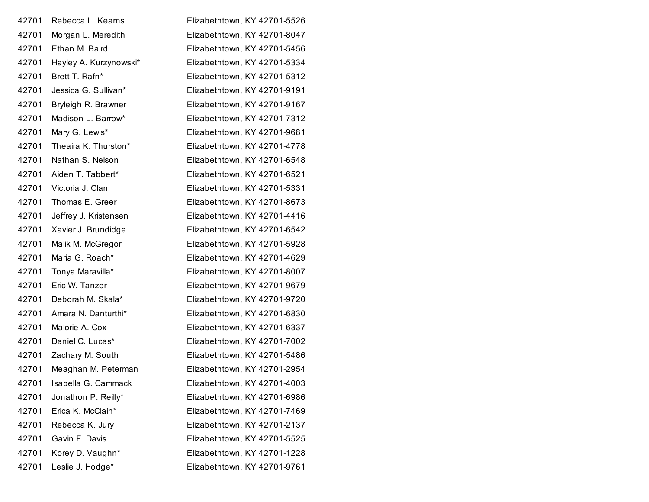| 42701 | Rebecca L. Kearns      | Elizabethtown, KY 42701-5526 |
|-------|------------------------|------------------------------|
| 42701 | Morgan L. Meredith     | Elizabethtown, KY 42701-8047 |
| 42701 | Ethan M. Baird         | Elizabethtown, KY 42701-5456 |
| 42701 | Hayley A. Kurzynowski* | Elizabethtown, KY 42701-5334 |
| 42701 | Brett T. Rafn*         | Elizabethtown, KY 42701-5312 |
| 42701 | Jessica G. Sullivan*   | Elizabethtown, KY 42701-9191 |
| 42701 | Bryleigh R. Brawner    | Elizabethtown, KY 42701-9167 |
| 42701 | Madison L. Barrow*     | Elizabethtown, KY 42701-7312 |
| 42701 | Mary G. Lewis*         | Elizabethtown, KY 42701-9681 |
| 42701 | Theaira K. Thurston*   | Elizabethtown, KY 42701-4778 |
| 42701 | Nathan S. Nelson       | Elizabethtown, KY 42701-6548 |
| 42701 | Aiden T. Tabbert*      | Elizabethtown, KY 42701-6521 |
| 42701 | Victoria J. Clan       | Elizabethtown, KY 42701-5331 |
| 42701 | Thomas E. Greer        | Elizabethtown, KY 42701-8673 |
| 42701 | Jeffrey J. Kristensen  | Elizabethtown, KY 42701-4416 |
| 42701 | Xavier J. Brundidge    | Elizabethtown, KY 42701-6542 |
| 42701 | Malik M. McGregor      | Elizabethtown, KY 42701-5928 |
| 42701 | Maria G. Roach*        | Elizabethtown, KY 42701-4629 |
| 42701 | Tonya Maravilla*       | Elizabethtown, KY 42701-8007 |
| 42701 | Eric W. Tanzer         | Elizabethtown, KY 42701-9679 |
| 42701 | Deborah M. Skala*      | Elizabethtown, KY 42701-9720 |
| 42701 | Amara N. Danturthi*    | Elizabethtown, KY 42701-6830 |
| 42701 | Malorie A. Cox         | Elizabethtown, KY 42701-6337 |
| 42701 | Daniel C. Lucas*       | Elizabethtown, KY 42701-7002 |
| 42701 | Zachary M. South       | Elizabethtown, KY 42701-5486 |
| 42701 | Meaghan M. Peterman    | Elizabethtown, KY 42701-2954 |
| 42701 | Isabella G. Cammack    | Elizabethtown, KY 42701-4003 |
| 42701 | Jonathon P. Reilly*    | Elizabethtown, KY 42701-6986 |
| 42701 | Erica K. McClain*      | Elizabethtown, KY 42701-7469 |
| 42701 | Rebecca K. Jury        | Elizabethtown, KY 42701-2137 |
| 42701 | Gavin F. Davis         | Elizabethtown, KY 42701-5525 |
| 42701 | Korey D. Vaughn*       | Elizabethtown, KY 42701-1228 |
| 42701 | Leslie J. Hodge*       | Elizabethtown, KY 42701-9761 |
|       |                        |                              |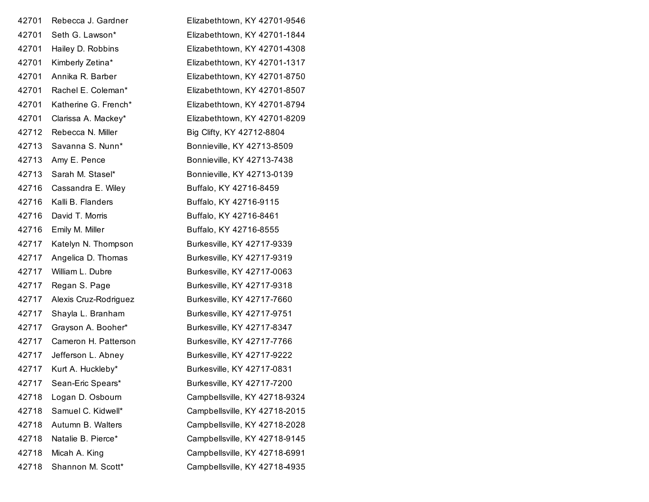| 42701 | Rebecca J. Gardner    | Elizabethtown, KY 42701-9546  |
|-------|-----------------------|-------------------------------|
| 42701 | Seth G. Lawson*       | Elizabethtown, KY 42701-1844  |
| 42701 | Hailey D. Robbins     | Elizabethtown, KY 42701-4308  |
| 42701 | Kimberly Zetina*      | Elizabethtown, KY 42701-1317  |
| 42701 | Annika R. Barber      | Elizabethtown, KY 42701-8750  |
| 42701 | Rachel E. Coleman*    | Elizabethtown, KY 42701-8507  |
| 42701 | Katherine G. French*  | Elizabethtown, KY 42701-8794  |
| 42701 | Clarissa A. Mackey*   | Elizabethtown, KY 42701-8209  |
| 42712 | Rebecca N. Miller     | Big Clifty, KY 42712-8804     |
| 42713 | Savanna S. Nunn*      | Bonnieville, KY 42713-8509    |
| 42713 | Amy E. Pence          | Bonnieville, KY 42713-7438    |
| 42713 | Sarah M. Stasel*      | Bonnieville, KY 42713-0139    |
| 42716 | Cassandra E. Wiley    | Buffalo, KY 42716-8459        |
| 42716 | Kalli B. Flanders     | Buffalo, KY 42716-9115        |
| 42716 | David T. Morris       | Buffalo, KY 42716-8461        |
| 42716 | Emily M. Miller       | Buffalo, KY 42716-8555        |
| 42717 | Katelyn N. Thompson   | Burkesville, KY 42717-9339    |
| 42717 | Angelica D. Thomas    | Burkesville, KY 42717-9319    |
| 42717 | William L. Dubre      | Burkesville, KY 42717-0063    |
| 42717 | Regan S. Page         | Burkesville, KY 42717-9318    |
| 42717 | Alexis Cruz-Rodriguez | Burkesville, KY 42717-7660    |
| 42717 | Shayla L. Branham     | Burkesville, KY 42717-9751    |
| 42717 | Grayson A. Booher*    | Burkesville, KY 42717-8347    |
| 42717 | Cameron H. Patterson  | Burkesville, KY 42717-7766    |
| 42717 | Jefferson L. Abney    | Burkesville, KY 42717-9222    |
| 42717 | Kurt A. Huckleby*     | Burkesville, KY 42717-0831    |
| 42717 | Sean-Eric Spears*     | Burkesville, KY 42717-7200    |
| 42718 | Logan D. Osbourn      | Campbellsville, KY 42718-9324 |
| 42718 | Samuel C. Kidwell*    | Campbellsville, KY 42718-2015 |
| 42718 | Autumn B. Walters     | Campbellsville, KY 42718-2028 |
| 42718 | Natalie B. Pierce*    | Campbellsville, KY 42718-9145 |
| 42718 | Micah A. King         | Campbellsville, KY 42718-6991 |
| 42718 | Shannon M. Scott*     | Campbellsville, KY 42718-4935 |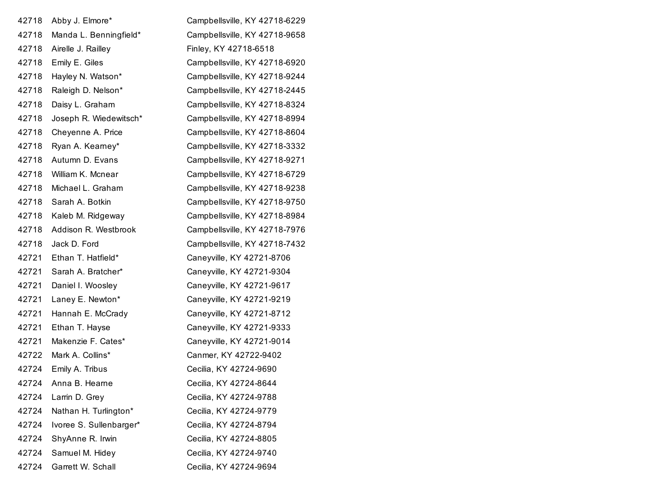| Abby J. Elmore*         | Campbellsville, KY 42718-6229 |
|-------------------------|-------------------------------|
| Manda L. Benningfield*  | Campbellsville, KY 42718-9658 |
| Airelle J. Railley      | Finley, KY 42718-6518         |
| Emily E. Giles          | Campbellsville, KY 42718-6920 |
| Hayley N. Watson*       | Campbellsville, KY 42718-9244 |
| Raleigh D. Nelson*      | Campbellsville, KY 42718-2445 |
| Daisy L. Graham         | Campbellsville, KY 42718-8324 |
| Joseph R. Wiedewitsch*  | Campbellsville, KY 42718-8994 |
| Cheyenne A. Price       | Campbellsville, KY 42718-8604 |
| Ryan A. Kearney*        | Campbellsville, KY 42718-3332 |
| Autumn D. Evans         | Campbellsville, KY 42718-9271 |
| William K. Mcnear       | Campbellsville, KY 42718-6729 |
| Michael L. Graham       | Campbellsville, KY 42718-9238 |
| Sarah A. Botkin         | Campbellsville, KY 42718-9750 |
| Kaleb M. Ridgeway       | Campbellsville, KY 42718-8984 |
| Addison R. Westbrook    | Campbellsville, KY 42718-7976 |
| Jack D. Ford            | Campbellsville, KY 42718-7432 |
| Ethan T. Hatfield*      | Caneyville, KY 42721-8706     |
| Sarah A. Bratcher*      | Caneyville, KY 42721-9304     |
| Daniel I. Woosley       | Caneyville, KY 42721-9617     |
| Laney E. Newton*        | Caneyville, KY 42721-9219     |
| Hannah E. McCrady       | Caneyville, KY 42721-8712     |
| Ethan T. Hayse          | Caneyville, KY 42721-9333     |
| Makenzie F. Cates*      | Caneyville, KY 42721-9014     |
| Mark A. Collins*        | Canmer, KY 42722-9402         |
| Emily A. Tribus         | Cecilia, KY 42724-9690        |
| Anna B. Hearne          | Cecilia, KY 42724-8644        |
| Larrin D. Grey          | Cecilia, KY 42724-9788        |
| Nathan H. Turlington*   | Cecilia, KY 42724-9779        |
| Ivoree S. Sullenbarger* | Cecilia, KY 42724-8794        |
| ShyAnne R. Irwin        | Cecilia, KY 42724-8805        |
| Samuel M. Hidey         | Cecilia, KY 42724-9740        |
| Garrett W. Schall       | Cecilia, KY 42724-9694        |
|                         |                               |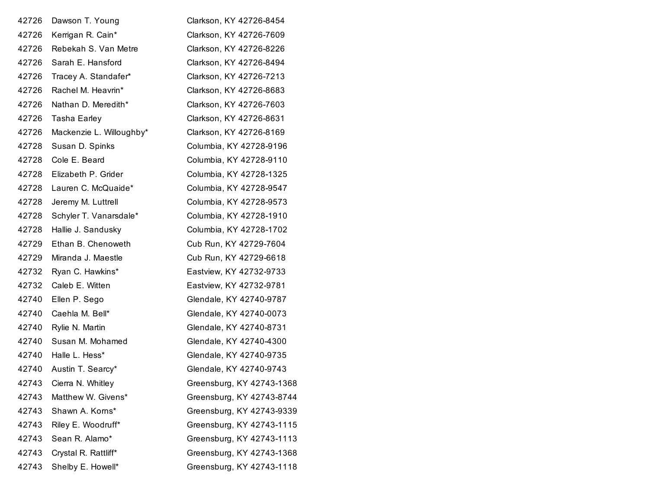| 42726 | Dawson T. Young          | Clarkson, KY 42726-8454   |
|-------|--------------------------|---------------------------|
| 42726 | Kerrigan R. Cain*        | Clarkson, KY 42726-7609   |
| 42726 | Rebekah S. Van Metre     | Clarkson, KY 42726-8226   |
| 42726 | Sarah E. Hansford        | Clarkson, KY 42726-8494   |
| 42726 | Tracey A. Standafer*     | Clarkson, KY 42726-7213   |
| 42726 | Rachel M. Heavrin*       | Clarkson, KY 42726-8683   |
| 42726 | Nathan D. Meredith*      | Clarkson, KY 42726-7603   |
| 42726 | Tasha Earley             | Clarkson, KY 42726-8631   |
| 42726 | Mackenzie L. Willoughby* | Clarkson, KY 42726-8169   |
| 42728 | Susan D. Spinks          | Columbia, KY 42728-9196   |
| 42728 | Cole E. Beard            | Columbia, KY 42728-9110   |
| 42728 | Elizabeth P. Grider      | Columbia, KY 42728-1325   |
| 42728 | Lauren C. McQuaide*      | Columbia, KY 42728-9547   |
| 42728 | Jeremy M. Luttrell       | Columbia, KY 42728-9573   |
| 42728 | Schyler T. Vanarsdale*   | Columbia, KY 42728-1910   |
| 42728 | Hallie J. Sandusky       | Columbia, KY 42728-1702   |
| 42729 | Ethan B. Chenoweth       | Cub Run, KY 42729-7604    |
| 42729 | Miranda J. Maestle       | Cub Run, KY 42729-6618    |
| 42732 | Ryan C. Hawkins*         | Eastview, KY 42732-9733   |
| 42732 | Caleb E. Witten          | Eastview, KY 42732-9781   |
| 42740 | Ellen P. Sego            | Glendale, KY 42740-9787   |
| 42740 | Caehla M. Bell*          | Glendale, KY 42740-0073   |
| 42740 | Rylie N. Martin          | Glendale, KY 42740-8731   |
| 42740 | Susan M. Mohamed         | Glendale, KY 42740-4300   |
| 42740 | Halle L. Hess*           | Glendale, KY 42740-9735   |
| 42740 | Austin T. Searcy*        | Glendale, KY 42740-9743   |
| 42743 | Cierra N. Whitley        | Greensburg, KY 42743-1368 |
| 42743 | Matthew W. Givens*       | Greensburg, KY 42743-8744 |
| 42743 | Shawn A. Korns*          | Greensburg, KY 42743-9339 |
| 42743 | Riley E. Woodruff*       | Greensburg, KY 42743-1115 |
| 42743 | Sean R. Alamo*           | Greensburg, KY 42743-1113 |
| 42743 | Crystal R. Rattliff*     | Greensburg, KY 42743-1368 |
| 42743 | Shelby E. Howell*        | Greensburg, KY 42743-1118 |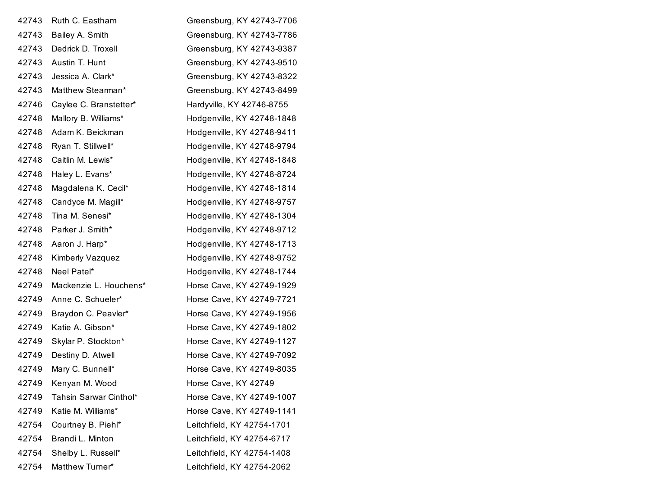| 42743 | Ruth C. Eastham        | Greensburg, KY 42743-7706  |
|-------|------------------------|----------------------------|
| 42743 | Bailey A. Smith        | Greensburg, KY 42743-7786  |
| 42743 | Dedrick D. Troxell     | Greensburg, KY 42743-9387  |
| 42743 | Austin T. Hunt         | Greensburg, KY 42743-9510  |
| 42743 | Jessica A. Clark*      | Greensburg, KY 42743-8322  |
| 42743 | Matthew Stearman*      | Greensburg, KY 42743-8499  |
| 42746 | Caylee C. Branstetter* | Hardyville, KY 42746-8755  |
| 42748 | Mallory B. Williams*   | Hodgenville, KY 42748-1848 |
| 42748 | Adam K. Beickman       | Hodgenville, KY 42748-9411 |
| 42748 | Ryan T. Stillwell*     | Hodgenville, KY 42748-9794 |
| 42748 | Caitlin M. Lewis*      | Hodgenville, KY 42748-1848 |
| 42748 | Haley L. Evans*        | Hodgenville, KY 42748-8724 |
| 42748 | Magdalena K. Cecil*    | Hodgenville, KY 42748-1814 |
| 42748 | Candyce M. Magill*     | Hodgenville, KY 42748-9757 |
| 42748 | Tina M. Senesi*        | Hodgenville, KY 42748-1304 |
| 42748 | Parker J. Smith*       | Hodgenville, KY 42748-9712 |
| 42748 | Aaron J. Harp*         | Hodgenville, KY 42748-1713 |
| 42748 | Kimberly Vazquez       | Hodgenville, KY 42748-9752 |
| 42748 | Neel Patel*            | Hodgenville, KY 42748-1744 |
| 42749 | Mackenzie L. Houchens* | Horse Cave, KY 42749-1929  |
| 42749 | Anne C. Schueler*      | Horse Cave, KY 42749-7721  |
| 42749 | Braydon C. Peavler*    | Horse Cave, KY 42749-1956  |
| 42749 | Katie A. Gibson*       | Horse Cave, KY 42749-1802  |
| 42749 | Skylar P. Stockton*    | Horse Cave, KY 42749-1127  |
| 42749 | Destiny D. Atwell      | Horse Cave, KY 42749-7092  |
| 42749 | Mary C. Bunnell*       | Horse Cave, KY 42749-8035  |
| 42749 | Kenyan M. Wood         | Horse Cave, KY 42749       |
| 42749 | Tahsin Sarwar Cinthol* | Horse Cave, KY 42749-1007  |
| 42749 | Katie M. Williams*     | Horse Cave, KY 42749-1141  |
| 42754 | Courtney B. Piehl*     | Leitchfield, KY 42754-1701 |
| 42754 | Brandi L. Minton       | Leitchfield, KY 42754-6717 |
| 42754 | Shelby L. Russell*     | Leitchfield, KY 42754-1408 |
| 42754 | Matthew Turner*        | Leitchfield, KY 42754-2062 |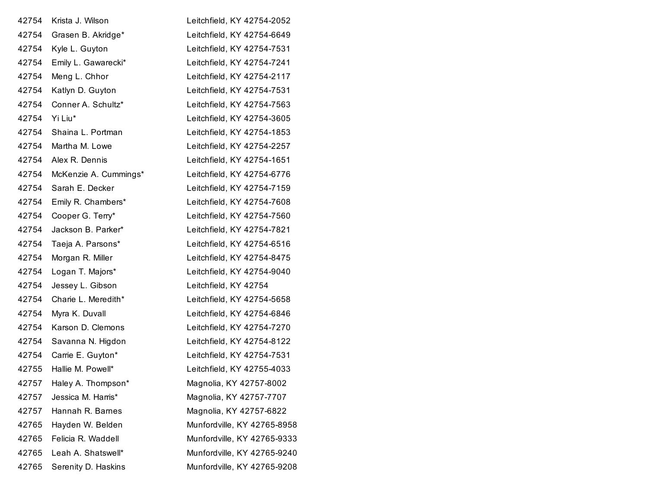| 42754 | Krista J. Wilson      | Leitchfield, KY 42754-2052  |
|-------|-----------------------|-----------------------------|
| 42754 | Grasen B. Akridge*    | Leitchfield, KY 42754-6649  |
| 42754 | Kyle L. Guyton        | Leitchfield, KY 42754-7531  |
| 42754 | Emily L. Gawarecki*   | Leitchfield, KY 42754-7241  |
| 42754 | Meng L. Chhor         | Leitchfield, KY 42754-2117  |
| 42754 | Katlyn D. Guyton      | Leitchfield, KY 42754-7531  |
| 42754 | Conner A. Schultz*    | Leitchfield, KY 42754-7563  |
| 42754 | Yi Liu*               | Leitchfield, KY 42754-3605  |
| 42754 | Shaina L. Portman     | Leitchfield, KY 42754-1853  |
| 42754 | Martha M. Lowe        | Leitchfield, KY 42754-2257  |
| 42754 | Alex R. Dennis        | Leitchfield, KY 42754-1651  |
| 42754 | McKenzie A. Cummings* | Leitchfield, KY 42754-6776  |
| 42754 | Sarah E. Decker       | Leitchfield, KY 42754-7159  |
| 42754 | Emily R. Chambers*    | Leitchfield, KY 42754-7608  |
| 42754 | Cooper G. Terry*      | Leitchfield, KY 42754-7560  |
| 42754 | Jackson B. Parker*    | Leitchfield, KY 42754-7821  |
| 42754 | Taeja A. Parsons*     | Leitchfield, KY 42754-6516  |
| 42754 | Morgan R. Miller      | Leitchfield, KY 42754-8475  |
| 42754 | Logan T. Majors*      | Leitchfield, KY 42754-9040  |
| 42754 | Jessey L. Gibson      | Leitchfield, KY 42754       |
| 42754 | Charie L. Meredith*   | Leitchfield, KY 42754-5658  |
| 42754 | Myra K. Duvall        | Leitchfield, KY 42754-6846  |
| 42754 | Karson D. Clemons     | Leitchfield, KY 42754-7270  |
| 42754 | Savanna N. Higdon     | Leitchfield, KY 42754-8122  |
| 42754 | Carrie E. Guyton*     | Leitchfield, KY 42754-7531  |
| 42755 | Hallie M. Powell*     | Leitchfield, KY 42755-4033  |
| 42757 | Haley A. Thompson*    | Magnolia, KY 42757-8002     |
| 42757 | Jessica M. Harris*    | Magnolia, KY 42757-7707     |
| 42757 | Hannah R. Barnes      | Magnolia, KY 42757-6822     |
| 42765 | Hayden W. Belden      | Munfordville, KY 42765-8958 |
| 42765 | Felicia R. Waddell    | Munfordville, KY 42765-9333 |
| 42765 | Leah A. Shatswell*    | Munfordville, KY 42765-9240 |
| 42765 | Serenity D. Haskins   | Munfordville, KY 42765-9208 |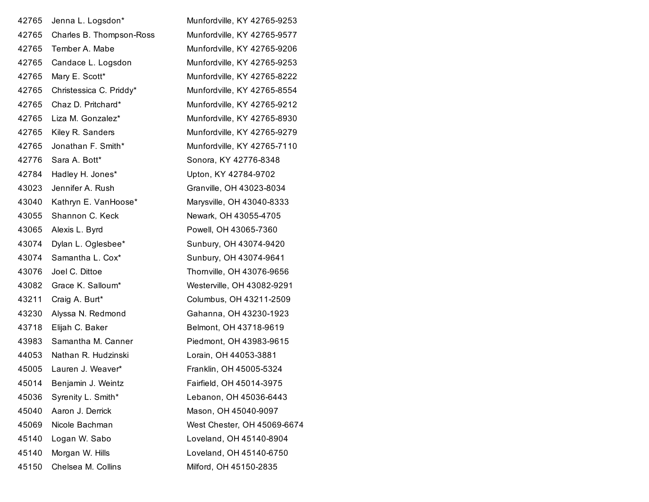| 42765 | Jenna L. Logsdon*        | Munfordville, KY 42765-9253 |
|-------|--------------------------|-----------------------------|
| 42765 | Charles B. Thompson-Ross | Munfordville, KY 42765-9577 |
| 42765 | Tember A. Mabe           | Munfordville, KY 42765-9206 |
| 42765 | Candace L. Logsdon       | Munfordville, KY 42765-9253 |
| 42765 | Mary E. Scott*           | Munfordville, KY 42765-8222 |
| 42765 | Christessica C. Priddy*  | Munfordville, KY 42765-8554 |
| 42765 | Chaz D. Pritchard*       | Munfordville, KY 42765-9212 |
| 42765 | Liza M. Gonzalez*        | Munfordville, KY 42765-8930 |
| 42765 | Kiley R. Sanders         | Munfordville, KY 42765-9279 |
| 42765 | Jonathan F. Smith*       | Munfordville, KY 42765-7110 |
| 42776 | Sara A. Bott*            | Sonora, KY 42776-8348       |
| 42784 | Hadley H. Jones*         | Upton, KY 42784-9702        |
| 43023 | Jennifer A. Rush         | Granville, OH 43023-8034    |
| 43040 | Kathryn E. VanHoose*     | Marysville, OH 43040-8333   |
| 43055 | Shannon C. Keck          | Newark, OH 43055-4705       |
| 43065 | Alexis L. Byrd           | Powell, OH 43065-7360       |
| 43074 | Dylan L. Oglesbee*       | Sunbury, OH 43074-9420      |
| 43074 | Samantha L. Cox*         | Sunbury, OH 43074-9641      |
| 43076 | Joel C. Dittoe           | Thornville, OH 43076-9656   |
| 43082 | Grace K. Salloum*        | Westerville, OH 43082-9291  |
| 43211 | Craig A. Burt*           | Columbus, OH 43211-2509     |
| 43230 | Alyssa N. Redmond        | Gahanna, OH 43230-1923      |
| 43718 | Elijah C. Baker          | Belmont, OH 43718-9619      |
| 43983 | Samantha M. Canner       | Piedmont, OH 43983-9615     |
| 44053 | Nathan R. Hudzinski      | Lorain, OH 44053-3881       |
| 45005 | Lauren J. Weaver*        | Franklin, OH 45005-5324     |
| 45014 | Benjamin J. Weintz       | Fairfield, OH 45014-3975    |
| 45036 | Syrenity L. Smith*       | Lebanon, OH 45036-6443      |
| 45040 | Aaron J. Derrick         | Mason, OH 45040-9097        |
| 45069 | Nicole Bachman           | West Chester, OH 45069-6674 |
| 45140 | Logan W. Sabo            | Loveland, OH 45140-8904     |
| 45140 | Morgan W. Hills          | Loveland, OH 45140-6750     |
| 45150 | Chelsea M. Collins       | Milford, OH 45150-2835      |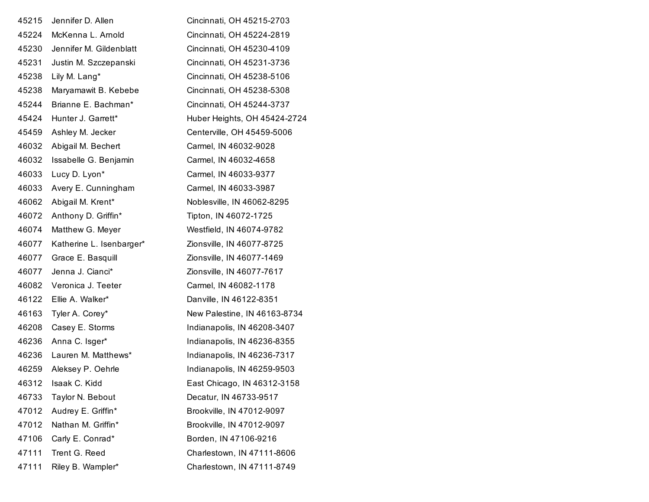| 45215 | Jennifer D. Allen        | Cincinnati, OH 45215-2703    |
|-------|--------------------------|------------------------------|
| 45224 | McKenna L. Arnold        | Cincinnati, OH 45224-2819    |
| 45230 | Jennifer M. Gildenblatt  | Cincinnati, OH 45230-4109    |
| 45231 | Justin M. Szczepanski    | Cincinnati, OH 45231-3736    |
| 45238 | Lily M. Lang*            | Cincinnati, OH 45238-5106    |
| 45238 | Maryamawit B. Kebebe     | Cincinnati, OH 45238-5308    |
| 45244 | Brianne E. Bachman*      | Cincinnati, OH 45244-3737    |
| 45424 | Hunter J. Garrett*       | Huber Heights, OH 45424-2724 |
| 45459 | Ashley M. Jecker         | Centerville, OH 45459-5006   |
| 46032 | Abigail M. Bechert       | Carmel, IN 46032-9028        |
| 46032 | Issabelle G. Benjamin    | Carmel, IN 46032-4658        |
| 46033 | Lucy D. Lyon*            | Carmel, IN 46033-9377        |
| 46033 | Avery E. Cunningham      | Carmel, IN 46033-3987        |
| 46062 | Abigail M. Krent*        | Noblesville, IN 46062-8295   |
| 46072 | Anthony D. Griffin*      | Tipton, IN 46072-1725        |
| 46074 | Matthew G. Meyer         | Westfield, IN 46074-9782     |
| 46077 | Katherine L. Isenbarger* | Zionsville, IN 46077-8725    |
| 46077 | Grace E. Basquill        | Zionsville, IN 46077-1469    |
| 46077 | Jenna J. Cianci*         | Zionsville, IN 46077-7617    |
| 46082 | Veronica J. Teeter       | Carmel, IN 46082-1178        |
| 46122 | Ellie A. Walker*         | Danville, IN 46122-8351      |
| 46163 | Tyler A. Corey*          | New Palestine, IN 46163-8734 |
| 46208 | Casey E. Storms          | Indianapolis, IN 46208-3407  |
| 46236 | Anna C. Isger*           | Indianapolis, IN 46236-8355  |
| 46236 | Lauren M. Matthews*      | Indianapolis, IN 46236-7317  |
| 46259 | Aleksey P. Oehrle        | Indianapolis, IN 46259-9503  |
| 46312 | Isaak C. Kidd            | East Chicago, IN 46312-3158  |
| 46733 | Taylor N. Bebout         | Decatur, IN 46733-9517       |
| 47012 | Audrey E. Griffin*       | Brookville, IN 47012-9097    |
| 47012 | Nathan M. Griffin*       | Brookville, IN 47012-9097    |
| 47106 | Carly E. Conrad*         | Borden, IN 47106-9216        |
| 47111 | Trent G. Reed            | Charlestown, IN 47111-8606   |
| 47111 | Riley B. Wampler*        | Charlestown, IN 47111-8749   |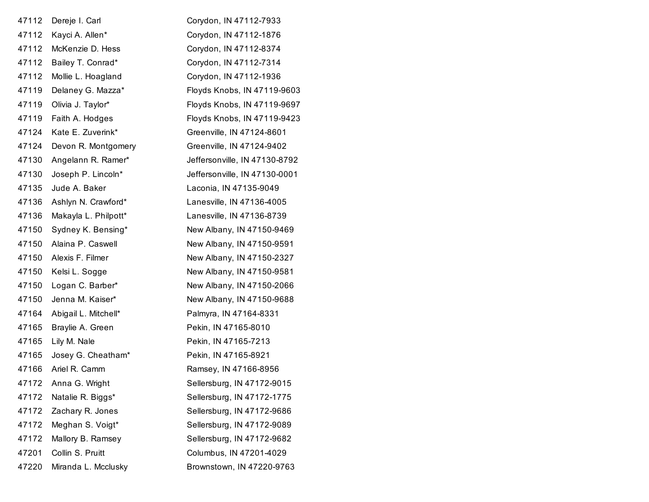| 47112 | Dereje I. Carl       | Corydon, IN 47112-7933        |
|-------|----------------------|-------------------------------|
| 47112 | Kayci A. Allen*      | Corydon, IN 47112-1876        |
| 47112 | McKenzie D. Hess     | Corydon, IN 47112-8374        |
| 47112 | Bailey T. Conrad*    | Corydon, IN 47112-7314        |
| 47112 | Mollie L. Hoagland   | Corydon, IN 47112-1936        |
| 47119 | Delaney G. Mazza*    | Floyds Knobs, IN 47119-9603   |
| 47119 | Olivia J. Taylor*    | Floyds Knobs, IN 47119-9697   |
| 47119 | Faith A. Hodges      | Floyds Knobs, IN 47119-9423   |
| 47124 | Kate E. Zuverink*    | Greenville, IN 47124-8601     |
| 47124 | Devon R. Montgomery  | Greenville, IN 47124-9402     |
| 47130 | Angelann R. Ramer*   | Jeffersonville, IN 47130-8792 |
| 47130 | Joseph P. Lincoln*   | Jeffersonville, IN 47130-0001 |
| 47135 | Jude A. Baker        | Laconia, IN 47135-9049        |
| 47136 | Ashlyn N. Crawford*  | Lanesville, IN 47136-4005     |
| 47136 | Makayla L. Philpott* | Lanesville, IN 47136-8739     |
| 47150 | Sydney K. Bensing*   | New Albany, IN 47150-9469     |
| 47150 | Alaina P. Caswell    | New Albany, IN 47150-9591     |
| 47150 | Alexis F. Filmer     | New Albany, IN 47150-2327     |
| 47150 | Kelsi L. Sogge       | New Albany, IN 47150-9581     |
| 47150 | Logan C. Barber*     | New Albany, IN 47150-2066     |
| 47150 | Jenna M. Kaiser*     | New Albany, IN 47150-9688     |
| 47164 | Abigail L. Mitchell* | Palmyra, IN 47164-8331        |
| 47165 | Braylie A. Green     | Pekin, IN 47165-8010          |
| 47165 | Lily M. Nale         | Pekin, IN 47165-7213          |
| 47165 | Josey G. Cheatham*   | Pekin, IN 47165-8921          |
| 47166 | Ariel R. Camm        | Ramsey, IN 47166-8956         |
| 47172 | Anna G. Wright       | Sellersburg, IN 47172-9015    |
| 47172 | Natalie R. Biggs*    | Sellersburg, IN 47172-1775    |
| 47172 | Zachary R. Jones     | Sellersburg, IN 47172-9686    |
| 47172 | Meghan S. Voigt*     | Sellersburg, IN 47172-9089    |
| 47172 | Mallory B. Ramsey    | Sellersburg, IN 47172-9682    |
| 47201 | Collin S. Pruitt     | Columbus, IN 47201-4029       |
| 47220 | Miranda L. Mcclusky  | Brownstown, IN 47220-9763     |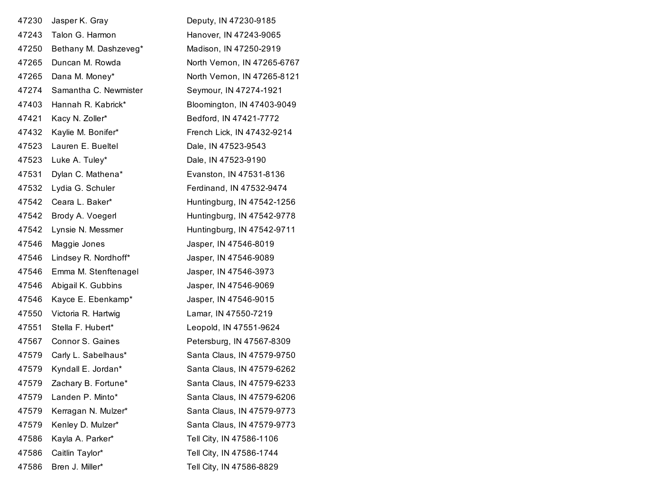| 47230 | Jasper K. Gray        | Deputy, IN 47230-9185       |
|-------|-----------------------|-----------------------------|
| 47243 | Talon G. Harmon       | Hanover, IN 47243-9065      |
| 47250 | Bethany M. Dashzeveg* | Madison, IN 47250-2919      |
| 47265 | Duncan M. Rowda       | North Vernon, IN 47265-6767 |
| 47265 | Dana M. Money*        | North Vernon, IN 47265-8121 |
| 47274 | Samantha C. Newmister | Seymour, IN 47274-1921      |
| 47403 | Hannah R. Kabrick*    | Bloomington, IN 47403-9049  |
| 47421 | Kacy N. Zoller*       | Bedford, IN 47421-7772      |
| 47432 | Kaylie M. Bonifer*    | French Lick, IN 47432-9214  |
| 47523 | Lauren E. Bueltel     | Dale, IN 47523-9543         |
| 47523 | Luke A. Tuley*        | Dale, IN 47523-9190         |
| 47531 | Dylan C. Mathena*     | Evanston, IN 47531-8136     |
| 47532 | Lydia G. Schuler      | Ferdinand, IN 47532-9474    |
| 47542 | Ceara L. Baker*       | Huntingburg, IN 47542-1256  |
| 47542 | Brody A. Voegerl      | Huntingburg, IN 47542-9778  |
| 47542 | Lynsie N. Messmer     | Huntingburg, IN 47542-9711  |
| 47546 | Maggie Jones          | Jasper, IN 47546-8019       |
| 47546 | Lindsey R. Nordhoff*  | Jasper, IN 47546-9089       |
| 47546 | Emma M. Stenftenagel  | Jasper, IN 47546-3973       |
| 47546 | Abigail K. Gubbins    | Jasper, IN 47546-9069       |
| 47546 | Kayce E. Ebenkamp*    | Jasper, IN 47546-9015       |
| 47550 | Victoria R. Hartwig   | Lamar, IN 47550-7219        |
| 47551 | Stella F. Hubert*     | Leopold, IN 47551-9624      |
| 47567 | Connor S. Gaines      | Petersburg, IN 47567-8309   |
| 47579 | Carly L. Sabelhaus*   | Santa Claus, IN 47579-9750  |
| 47579 | Kyndall E. Jordan*    | Santa Claus, IN 47579-6262  |
| 47579 | Zachary B. Fortune*   | Santa Claus, IN 47579-6233  |
| 47579 | Landen P. Minto*      | Santa Claus, IN 47579-6206  |
| 47579 | Kerragan N. Mulzer*   | Santa Claus, IN 47579-9773  |
| 47579 | Kenley D. Mulzer*     | Santa Claus, IN 47579-9773  |
| 47586 | Kayla A. Parker*      | Tell City, IN 47586-1106    |
| 47586 | Caitlin Taylor*       | Tell City, IN 47586-1744    |
| 47586 | Bren J. Miller*       | Tell City, IN 47586-8829    |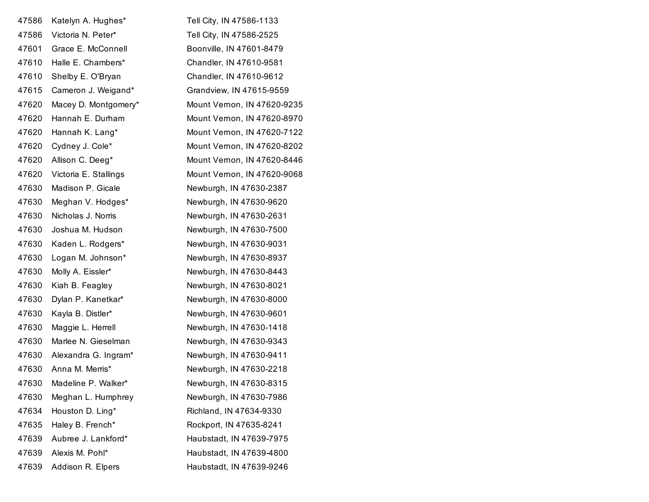| 47586 | Katelyn A. Hughes*    | Tell City, IN 47586-1133    |
|-------|-----------------------|-----------------------------|
| 47586 | Victoria N. Peter*    | Tell City, IN 47586-2525    |
| 47601 | Grace E. McConnell    | Boonville, IN 47601-8479    |
| 47610 | Halle E. Chambers*    | Chandler, IN 47610-9581     |
| 47610 | Shelby E. O'Bryan     | Chandler, IN 47610-9612     |
| 47615 | Cameron J. Weigand*   | Grandview, IN 47615-9559    |
| 47620 | Macey D. Montgomery*  | Mount Vernon, IN 47620-9235 |
| 47620 | Hannah E. Durham      | Mount Vernon, IN 47620-8970 |
| 47620 | Hannah K. Lang*       | Mount Vernon, IN 47620-7122 |
| 47620 | Cydney J. Cole*       | Mount Vernon, IN 47620-8202 |
| 47620 | Allison C. Deeg*      | Mount Vernon, IN 47620-8446 |
| 47620 | Victoria E. Stallings | Mount Vernon, IN 47620-9068 |
| 47630 | Madison P. Gicale     | Newburgh, IN 47630-2387     |
| 47630 | Meghan V. Hodges*     | Newburgh, IN 47630-9620     |
| 47630 | Nicholas J. Norris    | Newburgh, IN 47630-2631     |
| 47630 | Joshua M. Hudson      | Newburgh, IN 47630-7500     |
| 47630 | Kaden L. Rodgers*     | Newburgh, IN 47630-9031     |
| 47630 | Logan M. Johnson*     | Newburgh, IN 47630-8937     |
| 47630 | Molly A. Eissler*     | Newburgh, IN 47630-8443     |
| 47630 | Kiah B. Feagley       | Newburgh, IN 47630-8021     |
| 47630 | Dylan P. Kanetkar*    | Newburgh, IN 47630-8000     |
| 47630 | Kayla B. Distler*     | Newburgh, IN 47630-9601     |
| 47630 | Maggie L. Herrell     | Newburgh, IN 47630-1418     |
| 47630 | Marlee N. Gieselman   | Newburgh, IN 47630-9343     |
| 47630 | Alexandra G. Ingram*  | Newburgh, IN 47630-9411     |
| 47630 | Anna M. Merris*       | Newburgh, IN 47630-2218     |
| 47630 | Madeline P. Walker*   | Newburgh, IN 47630-8315     |
| 47630 | Meghan L. Humphrey    | Newburgh, IN 47630-7986     |
| 47634 | Houston D. Ling*      | Richland, IN 47634-9330     |
| 47635 | Haley B. French*      | Rockport, IN 47635-8241     |
| 47639 | Aubree J. Lankford*   | Haubstadt, IN 47639-7975    |
| 47639 | Alexis M. Pohl*       | Haubstadt, IN 47639-4800    |
| 47639 | Addison R. Elpers     | Haubstadt, IN 47639-9246    |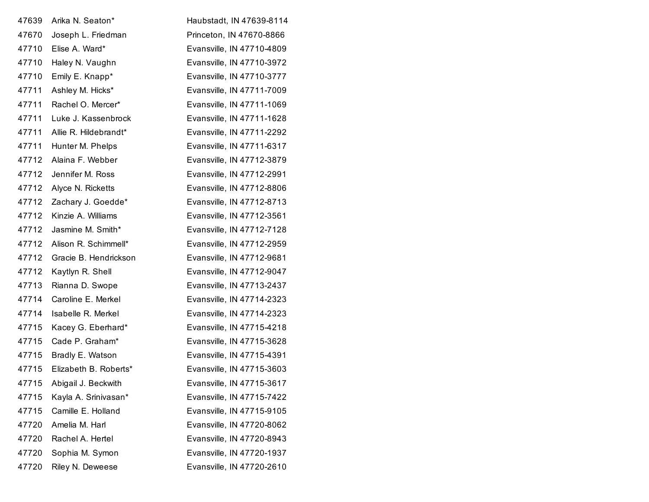| 47639 | Arika N. Seaton*      | Haubstadt, IN 47639-8114  |
|-------|-----------------------|---------------------------|
| 47670 | Joseph L. Friedman    | Princeton, IN 47670-8866  |
| 47710 | Elise A. Ward*        | Evansville, IN 47710-4809 |
| 47710 | Haley N. Vaughn       | Evansville, IN 47710-3972 |
| 47710 | Emily E. Knapp*       | Evansville, IN 47710-3777 |
| 47711 | Ashley M. Hicks*      | Evansville, IN 47711-7009 |
| 47711 | Rachel O. Mercer*     | Evansville, IN 47711-1069 |
| 47711 | Luke J. Kassenbrock   | Evansville, IN 47711-1628 |
| 47711 | Allie R. Hildebrandt* | Evansville, IN 47711-2292 |
| 47711 | Hunter M. Phelps      | Evansville, IN 47711-6317 |
| 47712 | Alaina F. Webber      | Evansville, IN 47712-3879 |
| 47712 | Jennifer M. Ross      | Evansville, IN 47712-2991 |
| 47712 | Alyce N. Ricketts     | Evansville, IN 47712-8806 |
| 47712 | Zachary J. Goedde*    | Evansville, IN 47712-8713 |
| 47712 | Kinzie A. Williams    | Evansville, IN 47712-3561 |
| 47712 | Jasmine M. Smith*     | Evansville, IN 47712-7128 |
| 47712 | Alison R. Schimmell*  | Evansville, IN 47712-2959 |
| 47712 | Gracie B. Hendrickson | Evansville, IN 47712-9681 |
| 47712 | Kaytlyn R. Shell      | Evansville, IN 47712-9047 |
| 47713 | Rianna D. Swope       | Evansville, IN 47713-2437 |
| 47714 | Caroline E. Merkel    | Evansville, IN 47714-2323 |
| 47714 | Isabelle R. Merkel    | Evansville, IN 47714-2323 |
| 47715 | Kacey G. Eberhard*    | Evansville, IN 47715-4218 |
| 47715 | Cade P. Graham*       | Evansville, IN 47715-3628 |
| 47715 | Bradly E. Watson      | Evansville, IN 47715-4391 |
| 47715 | Elizabeth B. Roberts* | Evansville, IN 47715-3603 |
| 47715 | Abigail J. Beckwith   | Evansville, IN 47715-3617 |
| 47715 | Kayla A. Srinivasan*  | Evansville, IN 47715-7422 |
| 47715 | Camille E. Holland    | Evansville, IN 47715-9105 |
| 47720 | Amelia M. Harl        | Evansville, IN 47720-8062 |
| 47720 | Rachel A. Hertel      | Evansville, IN 47720-8943 |
| 47720 | Sophia M. Symon       | Evansville, IN 47720-1937 |
| 47720 | Riley N. Deweese      | Evansville, IN 47720-2610 |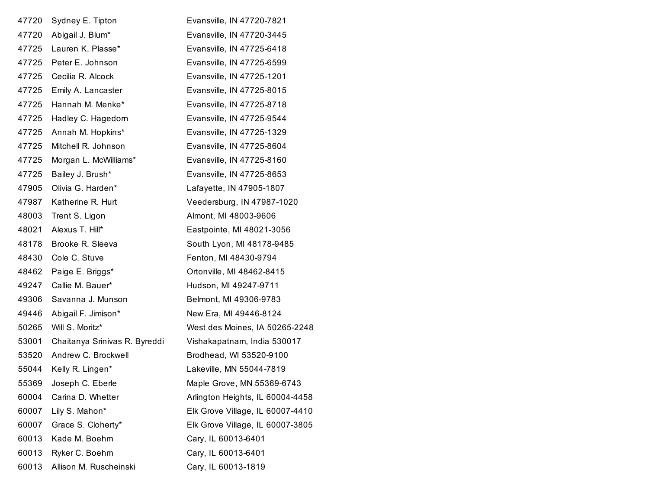| 47720 | Sydney E. Tipton              | Evansville, IN 47720-7821        |
|-------|-------------------------------|----------------------------------|
| 47720 | Abigail J. Blum*              | Evansville, IN 47720-3445        |
| 47725 | Lauren K. Plasse*             | Evansville, IN 47725-6418        |
| 47725 | Peter E. Johnson              | Evansville, IN 47725-6599        |
| 47725 | Cecilia R. Alcock             | Evansville, IN 47725-1201        |
| 47725 | Emily A. Lancaster            | Evansville, IN 47725-8015        |
| 47725 | Hannah M. Menke*              | Evansville, IN 47725-8718        |
| 47725 | Hadley C. Hagedorn            | Evansville, IN 47725-9544        |
| 47725 | Annah M. Hopkins*             | Evansville, IN 47725-1329        |
| 47725 | Mitchell R. Johnson           | Evansville, IN 47725-8604        |
| 47725 | Morgan L. McWilliams*         | Evansville, IN 47725-8160        |
| 47725 | Bailey J. Brush*              | Evansville, IN 47725-8653        |
| 47905 | Olivia G. Harden*             | Lafayette, IN 47905-1807         |
| 47987 | Katherine R. Hurt             | Veedersburg, IN 47987-1020       |
| 48003 | Trent S. Ligon                | Almont, MI 48003-9606            |
| 48021 | Alexus T. Hill*               | Eastpointe, MI 48021-3056        |
| 48178 | Brooke R. Sleeva              | South Lyon, MI 48178-9485        |
| 48430 | Cole C. Stuve                 | Fenton, MI 48430-9794            |
| 48462 | Paige E. Briggs*              | Ortonville, MI 48462-8415        |
| 49247 | Callie M. Bauer*              | Hudson, MI 49247-9711            |
| 49306 | Savanna J. Munson             | Belmont, MI 49306-9783           |
| 49446 | Abigail F. Jimison*           | New Era, MI 49446-8124           |
| 50265 | Will S. Moritz*               | West des Moines, IA 50265-2248   |
| 53001 | Chaitanya Srinivas R. Byreddi | Vishakapatnam, India 530017      |
| 53520 | Andrew C. Brockwell           | Brodhead, WI 53520-9100          |
| 55044 | Kelly R. Lingen*              | Lakeville, MN 55044-7819         |
| 55369 | Joseph C. Eberle              | Maple Grove, MN 55369-6743       |
| 60004 | Carina D. Whetter             | Arlington Heights, IL 60004-4458 |
| 60007 | Lily S. Mahon*                | Elk Grove Village, IL 60007-4410 |
| 60007 | Grace S. Cloherty*            | Elk Grove Village, IL 60007-3805 |
| 60013 | Kade M. Boehm                 | Cary, IL 60013-6401              |
| 60013 | Ryker C. Boehm                | Cary, IL 60013-6401              |
| 60013 | Allison M. Ruscheinski        | Cary, IL 60013-1819              |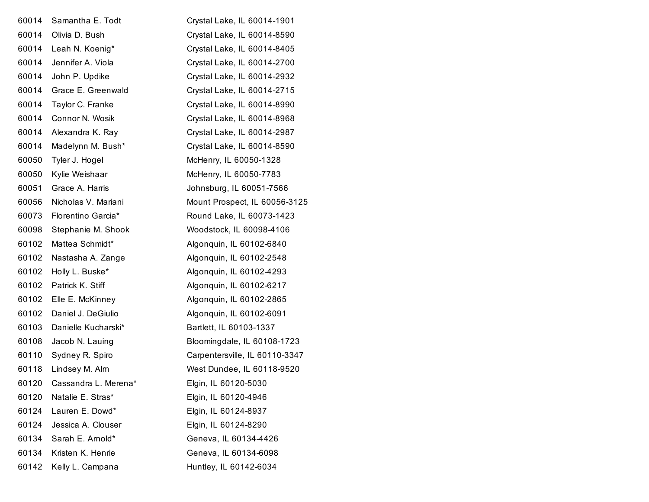| 60014 | Samantha E. Todt     | Crystal Lake, IL 60014-1901    |
|-------|----------------------|--------------------------------|
| 60014 | Olivia D. Bush       | Crystal Lake, IL 60014-8590    |
| 60014 | Leah N. Koenig*      | Crystal Lake, IL 60014-8405    |
| 60014 | Jennifer A. Viola    | Crystal Lake, IL 60014-2700    |
| 60014 | John P. Updike       | Crystal Lake, IL 60014-2932    |
| 60014 | Grace E. Greenwald   | Crystal Lake, IL 60014-2715    |
| 60014 | Taylor C. Franke     | Crystal Lake, IL 60014-8990    |
| 60014 | Connor N. Wosik      | Crystal Lake, IL 60014-8968    |
| 60014 | Alexandra K. Ray     | Crystal Lake, IL 60014-2987    |
| 60014 | Madelynn M. Bush*    | Crystal Lake, IL 60014-8590    |
| 60050 | Tyler J. Hogel       | McHenry, IL 60050-1328         |
| 60050 | Kylie Weishaar       | McHenry, IL 60050-7783         |
| 60051 | Grace A. Harris      | Johnsburg, IL 60051-7566       |
| 60056 | Nicholas V. Mariani  | Mount Prospect, IL 60056-3125  |
| 60073 | Florentino Garcia*   | Round Lake, IL 60073-1423      |
| 60098 | Stephanie M. Shook   | Woodstock, IL 60098-4106       |
| 60102 | Mattea Schmidt*      | Algonquin, IL 60102-6840       |
| 60102 | Nastasha A. Zange    | Algonquin, IL 60102-2548       |
| 60102 | Holly L. Buske*      | Algonquin, IL 60102-4293       |
| 60102 | Patrick K. Stiff     | Algonquin, IL 60102-6217       |
| 60102 | Elle E. McKinney     | Algonquin, IL 60102-2865       |
| 60102 | Daniel J. DeGiulio   | Algonquin, IL 60102-6091       |
| 60103 | Danielle Kucharski*  | Bartlett, IL 60103-1337        |
| 60108 | Jacob N. Lauing      | Bloomingdale, IL 60108-1723    |
| 60110 | Sydney R. Spiro      | Carpentersville, IL 60110-3347 |
| 60118 | Lindsey M. Alm       | West Dundee, IL 60118-9520     |
| 60120 | Cassandra L. Merena* | Elgin, IL 60120-5030           |
| 60120 | Natalie E. Stras*    | Elgin, IL 60120-4946           |
| 60124 | Lauren E. Dowd*      | Elgin, IL 60124-8937           |
| 60124 | Jessica A. Clouser   | Elgin, IL 60124-8290           |
| 60134 | Sarah E. Arnold*     | Geneva, IL 60134-4426          |
| 60134 | Kristen K. Henrie    | Geneva, IL 60134-6098          |
| 60142 | Kelly L. Campana     | Huntley, IL 60142-6034         |
|       |                      |                                |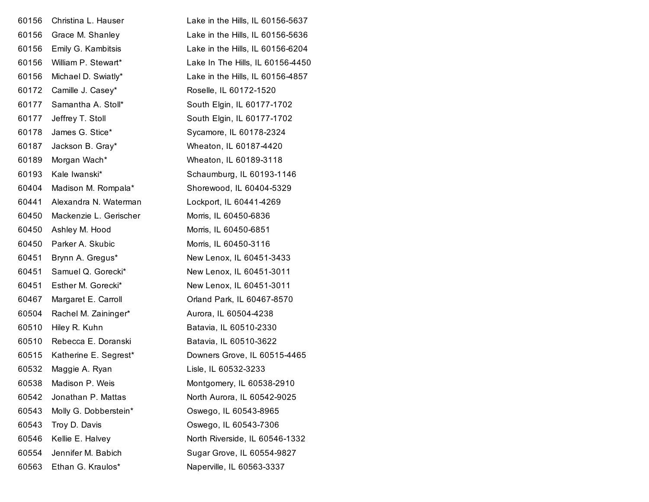| 60156 | Christina L. Hauser    | Lake in the Hills, IL 60156-5637 |
|-------|------------------------|----------------------------------|
| 60156 | Grace M. Shanley       | Lake in the Hills, IL 60156-5636 |
| 60156 | Emily G. Kambitsis     | Lake in the Hills, IL 60156-6204 |
| 60156 | William P. Stewart*    | Lake In The Hills, IL 60156-4450 |
| 60156 | Michael D. Swiatly*    | Lake in the Hills, IL 60156-4857 |
| 60172 | Camille J. Casey*      | Roselle, IL 60172-1520           |
| 60177 | Samantha A. Stoll*     | South Elgin, IL 60177-1702       |
| 60177 | Jeffrey T. Stoll       | South Elgin, IL 60177-1702       |
| 60178 | James G. Stice*        | Sycamore, IL 60178-2324          |
| 60187 | Jackson B. Gray*       | Wheaton, IL 60187-4420           |
| 60189 | Morgan Wach*           | Wheaton, IL 60189-3118           |
| 60193 | Kale Iwanski*          | Schaumburg, IL 60193-1146        |
| 60404 | Madison M. Rompala*    | Shorewood, IL 60404-5329         |
| 60441 | Alexandra N. Waterman  | Lockport, IL 60441-4269          |
| 60450 | Mackenzie L. Gerischer | Morris, IL 60450-6836            |
| 60450 | Ashley M. Hood         | Morris, IL 60450-6851            |
| 60450 | Parker A. Skubic       | Morris, IL 60450-3116            |
| 60451 | Brynn A. Gregus*       | New Lenox, IL 60451-3433         |
| 60451 | Samuel Q. Gorecki*     | New Lenox, IL 60451-3011         |
| 60451 | Esther M. Gorecki*     | New Lenox, IL 60451-3011         |
| 60467 | Margaret E. Carroll    | Orland Park, IL 60467-8570       |
| 60504 | Rachel M. Zaininger*   | Aurora, IL 60504-4238            |
| 60510 | Hiley R. Kuhn          | Batavia, IL 60510-2330           |
| 60510 | Rebecca E. Doranski    | Batavia, IL 60510-3622           |
| 60515 | Katherine E. Segrest*  | Downers Grove, IL 60515-4465     |
| 60532 | Maggie A. Ryan         | Lisle, IL 60532-3233             |
| 60538 | Madison P. Weis        | Montgomery, IL 60538-2910        |
| 60542 | Jonathan P. Mattas     | North Aurora, IL 60542-9025      |
| 60543 | Molly G. Dobberstein*  | Oswego, IL 60543-8965            |
| 60543 | Troy D. Davis          | Oswego, IL 60543-7306            |
| 60546 | Kellie E. Halvey       | North Riverside, IL 60546-1332   |
| 60554 | Jennifer M. Babich     | Sugar Grove, IL 60554-9827       |
| 60563 | Ethan G. Kraulos*      | Naperville, IL 60563-3337        |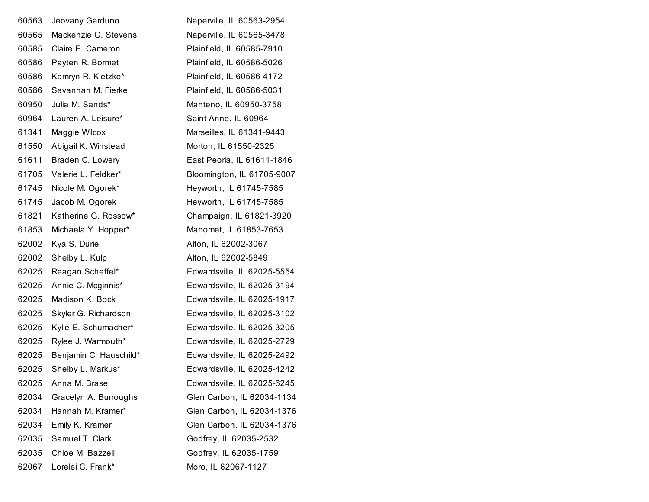| 60563 | Jeovany Garduno        | Naperville, IL 60563-2954   |
|-------|------------------------|-----------------------------|
| 60565 | Mackenzie G. Stevens   | Naperville, IL 60565-3478   |
| 60585 | Claire E. Cameron      | Plainfield, IL 60585-7910   |
| 60586 | Payten R. Bormet       | Plainfield, IL 60586-5026   |
| 60586 | Kamryn R. Kletzke*     | Plainfield, IL 60586-4172   |
| 60586 | Savannah M. Fierke     | Plainfield, IL 60586-5031   |
| 60950 | Julia M. Sands*        | Manteno, IL 60950-3758      |
| 60964 | Lauren A. Leisure*     | Saint Anne, IL 60964        |
| 61341 | Maggie Wilcox          | Marseilles, IL 61341-9443   |
| 61550 | Abigail K. Winstead    | Morton, IL 61550-2325       |
| 61611 | Braden C. Lowery       | East Peoria, IL 61611-1846  |
| 61705 | Valerie L. Feldker*    | Bloomington, IL 61705-9007  |
| 61745 | Nicole M. Ogorek*      | Heyworth, IL 61745-7585     |
| 61745 | Jacob M. Ogorek        | Heyworth, IL 61745-7585     |
| 61821 | Katherine G. Rossow*   | Champaign, IL 61821-3920    |
| 61853 | Michaela Y. Hopper*    | Mahomet, IL 61853-7653      |
| 62002 | Kya S. Durie           | Alton, IL 62002-3067        |
| 62002 | Shelby L. Kulp         | Alton, IL 62002-5849        |
| 62025 | Reagan Scheffel*       | Edwardsville, IL 62025-5554 |
| 62025 | Annie C. Mcginnis*     | Edwardsville, IL 62025-3194 |
| 62025 | Madison K. Bock        | Edwardsville, IL 62025-1917 |
| 62025 | Skyler G. Richardson   | Edwardsville, IL 62025-3102 |
| 62025 | Kylie E. Schumacher*   | Edwardsville, IL 62025-3205 |
| 62025 | Rylee J. Warmouth*     | Edwardsville, IL 62025-2729 |
| 62025 | Benjamin C. Hauschild* | Edwardsville, IL 62025-2492 |
| 62025 | Shelby L. Markus*      | Edwardsville, IL 62025-4242 |
| 62025 | Anna M. Brase          | Edwardsville, IL 62025-6245 |
| 62034 | Gracelyn A. Burroughs  | Glen Carbon, IL 62034-1134  |
| 62034 | Hannah M. Kramer*      | Glen Carbon, IL 62034-1376  |
| 62034 | Emily K. Kramer        | Glen Carbon, IL 62034-1376  |
| 62035 | Samuel T. Clark        | Godfrey, IL 62035-2532      |
| 62035 | Chloe M. Bazzell       | Godfrey, IL 62035-1759      |
| 62067 | Lorelei C. Frank*      | Moro, IL 62067-1127         |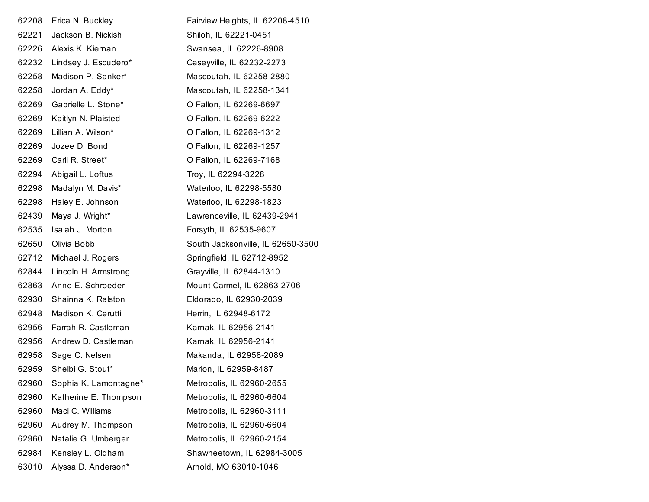| 62208 | Erica N. Buckley      | Fairview Heights, IL 62208-4510   |
|-------|-----------------------|-----------------------------------|
| 62221 | Jackson B. Nickish    | Shiloh, IL 62221-0451             |
| 62226 | Alexis K. Kiernan     | Swansea, IL 62226-8908            |
| 62232 | Lindsey J. Escudero*  | Caseyville, IL 62232-2273         |
| 62258 | Madison P. Sanker*    | Mascoutah, IL 62258-2880          |
| 62258 | Jordan A. Eddy*       | Mascoutah, IL 62258-1341          |
| 62269 | Gabrielle L. Stone*   | O Fallon, IL 62269-6697           |
| 62269 | Kaitlyn N. Plaisted   | O Fallon, IL 62269-6222           |
| 62269 | Lillian A. Wilson*    | O Fallon, IL 62269-1312           |
| 62269 | Jozee D. Bond         | O Fallon, IL 62269-1257           |
| 62269 | Carli R. Street*      | O Fallon, IL 62269-7168           |
| 62294 | Abigail L. Loftus     | Troy, IL 62294-3228               |
| 62298 | Madalyn M. Davis*     | Waterloo, IL 62298-5580           |
| 62298 | Haley E. Johnson      | Waterloo, IL 62298-1823           |
| 62439 | Maya J. Wright*       | Lawrenceville, IL 62439-2941      |
| 62535 | Isaiah J. Morton      | Forsyth, IL 62535-9607            |
| 62650 | Olivia Bobb           | South Jacksonville, IL 62650-3500 |
| 62712 | Michael J. Rogers     | Springfield, IL 62712-8952        |
| 62844 | Lincoln H. Armstrong  | Grayville, IL 62844-1310          |
| 62863 | Anne E. Schroeder     | Mount Carmel, IL 62863-2706       |
| 62930 | Shainna K. Ralston    | Eldorado, IL 62930-2039           |
| 62948 | Madison K. Cerutti    | Herrin, IL 62948-6172             |
| 62956 | Farrah R. Castleman   | Karnak, IL 62956-2141             |
| 62956 | Andrew D. Castleman   | Karnak, IL 62956-2141             |
| 62958 | Sage C. Nelsen        | Makanda, IL 62958-2089            |
| 62959 | Shelbi G. Stout*      | Marion, IL 62959-8487             |
| 62960 | Sophia K. Lamontagne* | Metropolis, IL 62960-2655         |
| 62960 | Katherine E. Thompson | Metropolis, IL 62960-6604         |
| 62960 | Maci C. Williams      | Metropolis, IL 62960-3111         |
| 62960 | Audrey M. Thompson    | Metropolis, IL 62960-6604         |
| 62960 | Natalie G. Umberger   | Metropolis, IL 62960-2154         |
| 62984 | Kensley L. Oldham     | Shawneetown, IL 62984-3005        |
| 63010 | Alyssa D. Anderson*   | Arnold, MO 63010-1046             |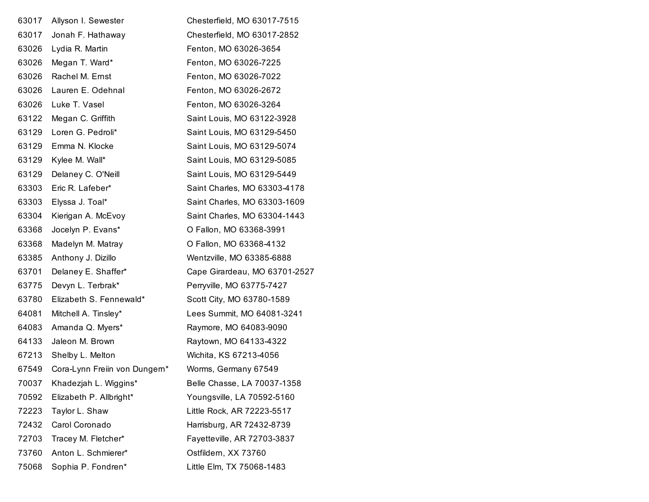| 63017 | Allyson I. Sewester           | Chesterfield, MO 63017-7515   |
|-------|-------------------------------|-------------------------------|
| 63017 | Jonah F. Hathaway             | Chesterfield, MO 63017-2852   |
| 63026 | Lydia R. Martin               | Fenton, MO 63026-3654         |
| 63026 | Megan T. Ward*                | Fenton, MO 63026-7225         |
| 63026 | Rachel M. Ernst               | Fenton, MO 63026-7022         |
| 63026 | Lauren E. Odehnal             | Fenton, MO 63026-2672         |
| 63026 | Luke T. Vasel                 | Fenton, MO 63026-3264         |
| 63122 | Megan C. Griffith             | Saint Louis, MO 63122-3928    |
| 63129 | Loren G. Pedroli*             | Saint Louis, MO 63129-5450    |
| 63129 | Emma N. Klocke                | Saint Louis, MO 63129-5074    |
| 63129 | Kylee M. Wall*                | Saint Louis, MO 63129-5085    |
| 63129 | Delaney C. O'Neill            | Saint Louis, MO 63129-5449    |
| 63303 | Eric R. Lafeber*              | Saint Charles, MO 63303-4178  |
| 63303 | Elyssa J. Toal*               | Saint Charles, MO 63303-1609  |
| 63304 | Kierigan A. McEvoy            | Saint Charles, MO 63304-1443  |
| 63368 | Jocelyn P. Evans*             | O Fallon, MO 63368-3991       |
| 63368 | Madelyn M. Matray             | O Fallon, MO 63368-4132       |
| 63385 | Anthony J. Dizillo            | Wentzville, MO 63385-6888     |
| 63701 | Delaney E. Shaffer*           | Cape Girardeau, MO 63701-2527 |
| 63775 | Devyn L. Terbrak*             | Perryville, MO 63775-7427     |
| 63780 | Elizabeth S. Fennewald*       | Scott City, MO 63780-1589     |
| 64081 | Mitchell A. Tinsley*          | Lees Summit, MO 64081-3241    |
| 64083 | Amanda Q. Myers*              | Raymore, MO 64083-9090        |
| 64133 | Jaleon M. Brown               | Raytown, MO 64133-4322        |
| 67213 | Shelby L. Melton              | Wichita, KS 67213-4056        |
| 67549 | Cora-Lynn Freiin von Dungern* | Worms, Germany 67549          |
| 70037 | Khadezjah L. Wiggins*         | Belle Chasse, LA 70037-1358   |
| 70592 | Elizabeth P. Allbright*       | Youngsville, LA 70592-5160    |
| 72223 | Taylor L. Shaw                | Little Rock, AR 72223-5517    |
| 72432 | Carol Coronado                | Harrisburg, AR 72432-8739     |
| 72703 | Tracey M. Fletcher*           | Fayetteville, AR 72703-3837   |
| 73760 | Anton L. Schmierer*           | Ostfildern, XX 73760          |
| 75068 | Sophia P. Fondren*            | Little Elm, TX 75068-1483     |
|       |                               |                               |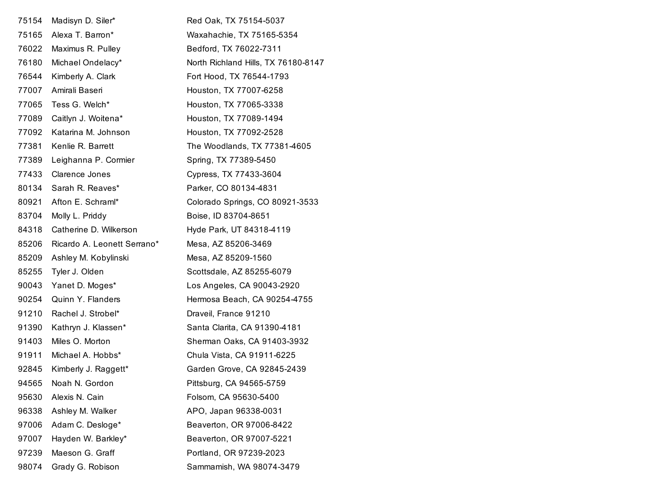| 75154 | Madisyn D. Siler*           | Red Oak, TX 75154-5037              |
|-------|-----------------------------|-------------------------------------|
| 75165 | Alexa T. Barron*            | Waxahachie, TX 75165-5354           |
| 76022 | Maximus R. Pulley           | Bedford, TX 76022-7311              |
| 76180 | Michael Ondelacy*           | North Richland Hills, TX 76180-8147 |
| 76544 | Kimberly A. Clark           | Fort Hood, TX 76544-1793            |
| 77007 | Amirali Baseri              | Houston, TX 77007-6258              |
| 77065 | Tess G. Welch*              | Houston, TX 77065-3338              |
| 77089 | Caitlyn J. Woitena*         | Houston, TX 77089-1494              |
| 77092 | Katarina M. Johnson         | Houston, TX 77092-2528              |
| 77381 | Kenlie R. Barrett           | The Woodlands, TX 77381-4605        |
| 77389 | Leighanna P. Cormier        | Spring, TX 77389-5450               |
| 77433 | <b>Clarence Jones</b>       | Cypress, TX 77433-3604              |
| 80134 | Sarah R. Reaves*            | Parker, CO 80134-4831               |
| 80921 | Afton E. Schraml*           | Colorado Springs, CO 80921-3533     |
| 83704 | Molly L. Priddy             | Boise, ID 83704-8651                |
| 84318 | Catherine D. Wilkerson      | Hyde Park, UT 84318-4119            |
| 85206 | Ricardo A. Leonett Serrano* | Mesa, AZ 85206-3469                 |
| 85209 | Ashley M. Kobylinski        | Mesa, AZ 85209-1560                 |
| 85255 | Tyler J. Olden              | Scottsdale, AZ 85255-6079           |
| 90043 | Yanet D. Moges*             | Los Angeles, CA 90043-2920          |
| 90254 | Quinn Y. Flanders           | Hermosa Beach, CA 90254-4755        |
| 91210 | Rachel J. Strobel*          | Draveil, France 91210               |
| 91390 | Kathryn J. Klassen*         | Santa Clarita, CA 91390-4181        |
| 91403 | Miles O. Morton             | Sherman Oaks, CA 91403-3932         |
| 91911 | Michael A. Hobbs*           | Chula Vista, CA 91911-6225          |
| 92845 | Kimberly J. Raggett*        | Garden Grove, CA 92845-2439         |
| 94565 | Noah N. Gordon              | Pittsburg, CA 94565-5759            |
| 95630 | Alexis N. Cain              | Folsom, CA 95630-5400               |
| 96338 | Ashley M. Walker            | APO, Japan 96338-0031               |
| 97006 | Adam C. Desloge*            | Beaverton, OR 97006-8422            |
| 97007 | Hayden W. Barkley*          | Beaverton, OR 97007-5221            |
| 97239 | Maeson G. Graff             | Portland, OR 97239-2023             |
| 98074 | Grady G. Robison            | Sammamish, WA 98074-3479            |